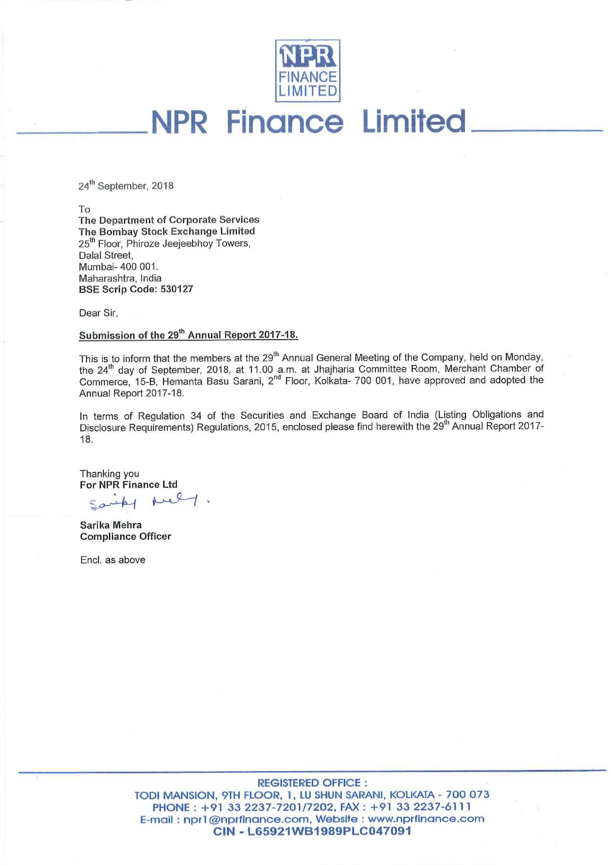

# NPR Finance Limited

24<sup>th</sup> September, 2018

To The Department of Corporate Services The Bombay Stock Exchange Limited 25<sup>th</sup> Floor, Phiroze Jeejeebhoy Towers, Dalal Street, Mumbai- 400 001. Maharashtra. India BSE Scrip Code: 530127

Dear Sir,

#### Submission of the 29<sup>th</sup> Annual Report 2017-18.

This is to inform that the members at the 29"1 Annual General Meeting of the Company, held on Monday, the 24'h day of September, 2018, at 11.00 am. at Jhajharia Committee Room, Merchant Chamber of Commerce, 15-B, Hemanta Basu Sarani, 2<sup>nd</sup> Floor, Kolkata- 700 001, have approved and adopted the Annual Report 2017-18.

In terms of Regulation 34 of the Securities and Exchange Board of India (Listing Obligations and Disclosure Requirements) Regulations, 2015, enclosed please find herewith the 29<sup>th</sup> Annual Report 2017-18.

Thanking you For NPR Finance Ltd

المسلو

Sarika Mehra Compliance Officer

Encl. as above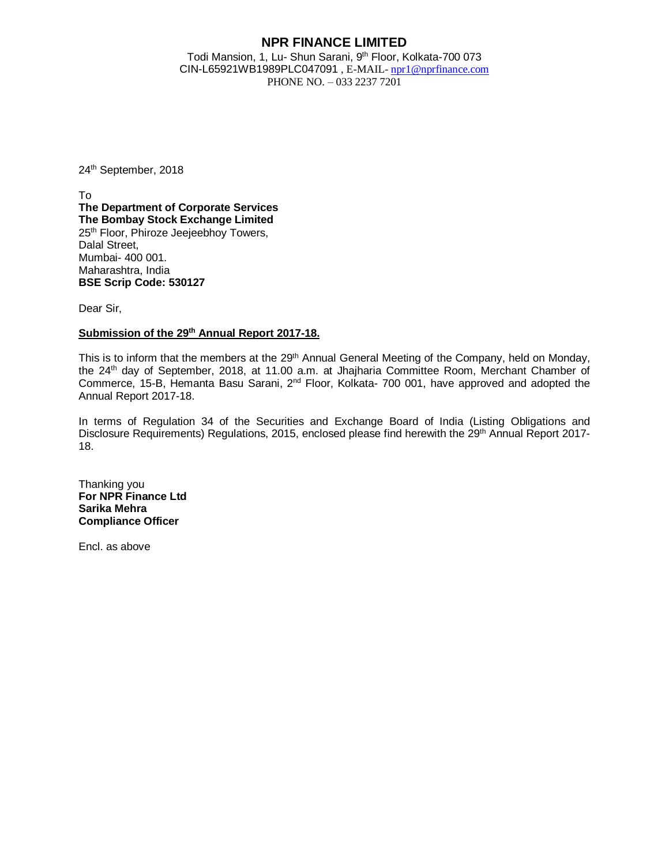Todi Mansion, 1, Lu- Shun Sarani, 9<sup>th</sup> Floor, Kolkata-700 073 CIN-L65921WB1989PLC047091 , E-MAIL- npr1@nprfinance.com PHONE NO. – 033 2237 7201

24th September, 2018

To **The Department of Corporate Services The Bombay Stock Exchange Limited** 25<sup>th</sup> Floor, Phiroze Jeejeebhoy Towers, Dalal Street, Mumbai- 400 001. Maharashtra, India **BSE Scrip Code: 530127**

Dear Sir,

#### **Submission of the 29 th Annual Report 2017-18.**

This is to inform that the members at the 29<sup>th</sup> Annual General Meeting of the Company, held on Monday, the 24<sup>th</sup> day of September, 2018, at 11.00 a.m. at Jhajharia Committee Room, Merchant Chamber of Commerce, 15-B, Hemanta Basu Sarani, 2nd Floor, Kolkata- 700 001, have approved and adopted the Annual Report 2017-18.

In terms of Regulation 34 of the Securities and Exchange Board of India (Listing Obligations and Disclosure Requirements) Regulations, 2015, enclosed please find herewith the 29<sup>th</sup> Annual Report 2017-18.

Thanking you **For NPR Finance Ltd Sarika Mehra Compliance Officer**

Encl. as above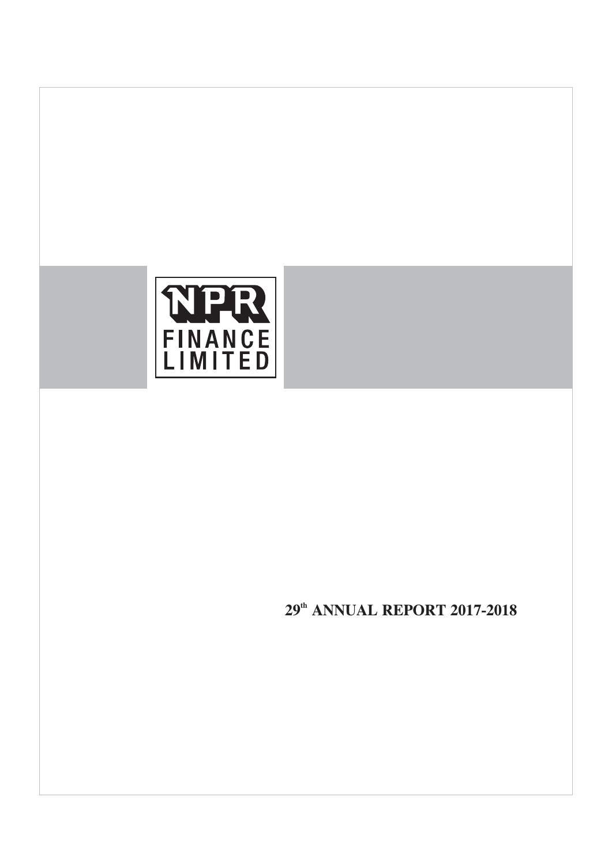

**th 29 ANNUAL REPORT 2017-2018**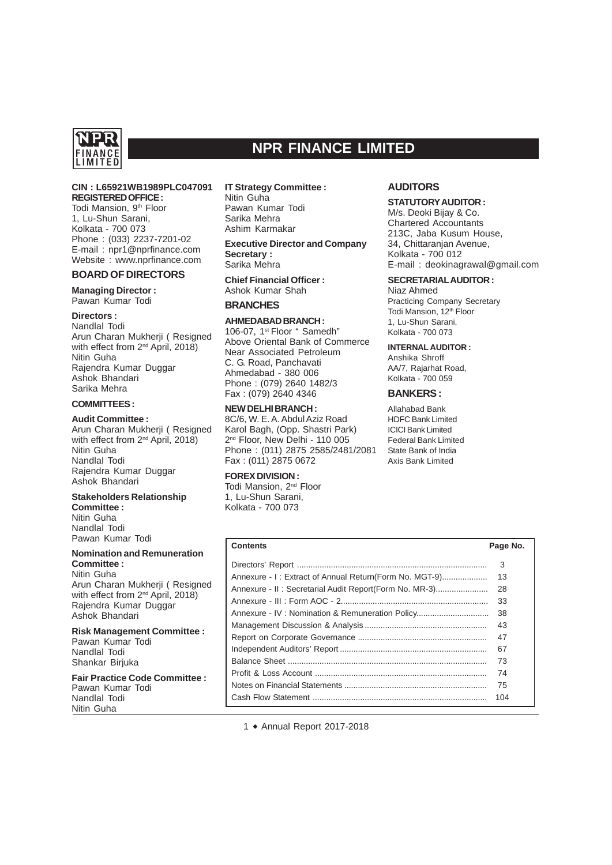

#### **CIN : L65921WB1989PLC047091 REGISTERED OFFICE :**

Todi Mansion, 9<sup>th</sup> Floor 1, Lu-Shun Sarani, Kolkata - 700 073 Phone : (033) 2237-7201-02 E-mail : npr1@nprfinance.com Website : www.nprfinance.com

#### **BOARD OF DIRECTORS**

**Managing Director :** Pawan Kumar Todi

#### **Directors :**

Nandlal Todi Arun Charan Mukherji ( Resigned with effect from 2<sup>nd</sup> April, 2018) Nitin Guha Rajendra Kumar Duggar Ashok Bhandari Sarika Mehra

#### **COMMITTEES :**

#### **Audit Committee :**

Arun Charan Mukherji ( Resigned with effect from 2<sup>nd</sup> April, 2018) Nitin Guha Nandlal Todi Rajendra Kumar Duggar Ashok Bhandari

#### **Stakeholders Relationship**

**Committee :** Nitin Guha Nandlal Todi Pawan Kumar Todi

#### **Nomination and Remuneration**

**Committee :** Nitin Guha Arun Charan Mukherji ( Resigne with effect from 2<sup>nd</sup> April, 2018) Rajendra Kumar Duggar Ashok Bhandari

**Risk Management Committee :** Pawan Kumar Todi

Nandlal Todi Shankar Birjuka

**Fair Practice Code Committee :** Pawan Kumar Todi Nandlal Todi Nitin Guha

#### **IT Strategy Committee :**

Nitin Guha Pawan Kumar Todi Sarika Mehra Ashim Karmakar

**Executive Director and Company Secretary :** Sarika Mehra

**Chief Financial Officer :** Ashok Kumar Shah

#### **BRANCHES**

#### **AHMEDABAD BRANCH :**

106-07, 1<sup>st</sup> Floor " Samedh" Above Oriental Bank of Commerce Near Associated Petroleum C. G. Road, Panchavati Ahmedabad - 380 006 Phone : (079) 2640 1482/3 Fax : (079) 2640 4346

#### **NEW DELHI BRANCH :**

8C/6, W. E. A. Abdul Aziz Road Karol Bagh, (Opp. Shastri Park) 2<sup>nd</sup> Floor, New Delhi - 110 005 Phone : (011) 2875 2585/2481/2081 Fax : (011) 2875 0672

#### **FOREX DIVISION :**

Todi Mansion, 2<sup>nd</sup> Floor 1, Lu-Shun Sarani, Kolkata - 700 073

#### **AUDITORS**

#### **STATUTORY AUDITOR :**

M/s. Deoki Bijay & Co. Chartered Accountants 213C, Jaba Kusum House, 34, Chittaranjan Avenue, Kolkata - 700 012 E-mail : deokinagrawal@gmail.com

#### **SECRETARIAL AUDITOR :**

Niaz Ahmed Practicing Company Secretary Todi Mansion, 12<sup>th</sup> Floor 1, Lu-Shun Sarani, Kolkata - 700 073

#### **INTERNAL AUDITOR :**

Anshika Shroff AA/7, Rajarhat Road, Kolkata - 700 059

#### **BANKERS :**

Allahabad Bank HDFC Bank Limited ICICI Bank Limited Federal Bank Limited State Bank of India Axis Bank Limited

| <b>Contents</b>                                         | Page No. |
|---------------------------------------------------------|----------|
|                                                         | 3        |
| Annexure - I: Extract of Annual Return (Form No. MGT-9) | 13       |
| Annexure - II: Secretarial Audit Report(Form No. MR-3)  | 28       |
|                                                         | 33       |
| Annexure - IV: Nomination & Remuneration Policy         | 38       |
|                                                         | 43       |
|                                                         | 47       |
|                                                         | 67       |
|                                                         | 73       |
|                                                         | 74       |
|                                                         | 75       |
|                                                         | 104      |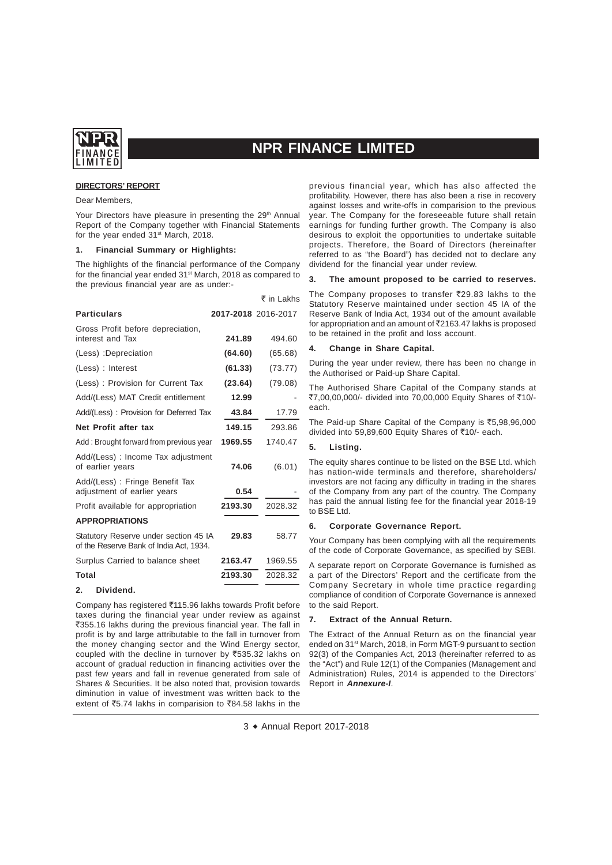

 $\pm$  in Lakhs

#### **DIRECTORS' REPORT**

#### Dear Members,

Your Directors have pleasure in presenting the 29<sup>th</sup> Annual Report of the Company together with Financial Statements for the year ended 31st March, 2018.

#### **1. Financial Summary or Highlights:**

The highlights of the financial performance of the Company for the financial year ended 31<sup>st</sup> March, 2018 as compared to the previous financial year are as under:-

|                                                                                  |         | ≺ in ∟akns          |
|----------------------------------------------------------------------------------|---------|---------------------|
| <b>Particulars</b>                                                               |         | 2017-2018 2016-2017 |
| Gross Profit before depreciation,<br>interest and Tax                            | 241.89  | 494.60              |
| (Less) :Depreciation                                                             | (64.60) | (65.68)             |
| (Less) : Interest                                                                | (61.33) | (73.77)             |
| (Less) : Provision for Current Tax                                               | (23.64) | (79.08)             |
| Add/(Less) MAT Credit entitlement                                                | 12.99   |                     |
| Add/(Less): Provision for Deferred Tax                                           | 43.84   | 17.79               |
| Net Profit after tax                                                             | 149.15  | 293.86              |
| Add: Brought forward from previous year                                          | 1969.55 | 1740.47             |
| Add/(Less): Income Tax adjustment<br>of earlier years                            | 74.06   | (6.01)              |
| Add/(Less) : Fringe Benefit Tax<br>adjustment of earlier years                   | 0.54    |                     |
| Profit available for appropriation                                               | 2193.30 | 2028.32             |
| <b>APPROPRIATIONS</b>                                                            |         |                     |
| Statutory Reserve under section 45 IA<br>of the Reserve Bank of India Act, 1934. | 29.83   | 58.77               |
| Surplus Carried to balance sheet                                                 | 2163.47 | 1969.55             |
| Total                                                                            | 2193.30 | 2028.32             |
|                                                                                  |         |                     |

#### **2. Dividend.**

Company has registered ₹115.96 lakhs towards Profit before taxes during the financial year under review as against `355.16 lakhs during the previous financial year. The fall in profit is by and large attributable to the fall in turnover from the money changing sector and the Wind Energy sector, coupled with the decline in turnover by  $\overline{5}35.32$  lakhs on account of gradual reduction in financing activities over the past few years and fall in revenue generated from sale of Shares & Securities. It be also noted that, provision towards diminution in value of investment was written back to the extent of  $\overline{55.74}$  lakhs in comparision to  $\overline{584.58}$  lakhs in the

previous financial year, which has also affected the profitability. However, there has also been a rise in recovery against losses and write-offs in comparision to the previous year. The Company for the foreseeable future shall retain earnings for funding further growth. The Company is also desirous to exploit the opportunities to undertake suitable projects. Therefore, the Board of Directors (hereinafter referred to as "the Board") has decided not to declare any dividend for the financial year under review.

#### **3. The amount proposed to be carried to reserves.**

The Company proposes to transfer  $\overline{5}29.83$  lakhs to the Statutory Reserve maintained under section 45 IA of the Reserve Bank of lndia Act, 1934 out of the amount available for appropriation and an amount of  $\overline{5}2163.47$  lakhs is proposed to be retained in the profit and loss account.

#### **4. Change in Share Capital.**

During the year under review, there has been no change in the Authorised or Paid-up Share Capital.

The Authorised Share Capital of the Company stands at `7,00,00,000/- divided into 70,00,000 Equity Shares of `10/ each.

The Paid-up Share Capital of the Company is ₹5,98,96,000 divided into 59,89,600 Equity Shares of  $\overline{510}$ /- each.

#### **5. Listing.**

The equity shares continue to be listed on the BSE Ltd. which has nation-wide terminals and therefore, shareholders/ investors are not facing any difficulty in trading in the shares of the Company from any part of the country. The Company has paid the annual listing fee for the financial year 2018-19 to BSE Ltd.

#### **6. Corporate Governance Report.**

Your Company has been complying with all the requirements of the code of Corporate Governance, as specified by SEBI.

A separate report on Corporate Governance is furnished as a part of the Directors' Report and the certificate from the Company Secretary in whole time practice regarding compliance of condition of Corporate Governance is annexed to the said Report.

#### **7. Extract of the Annual Return.**

The Extract of the Annual Return as on the financial year ended on 31st March, 2018, in Form MGT-9 pursuant to section 92(3) of the Companies Act, 2013 (hereinafter referred to as the "Act") and Rule 12(1) of the Companies (Management and Administration) Rules, 2014 is appended to the Directors' Report in *Annexure-I*.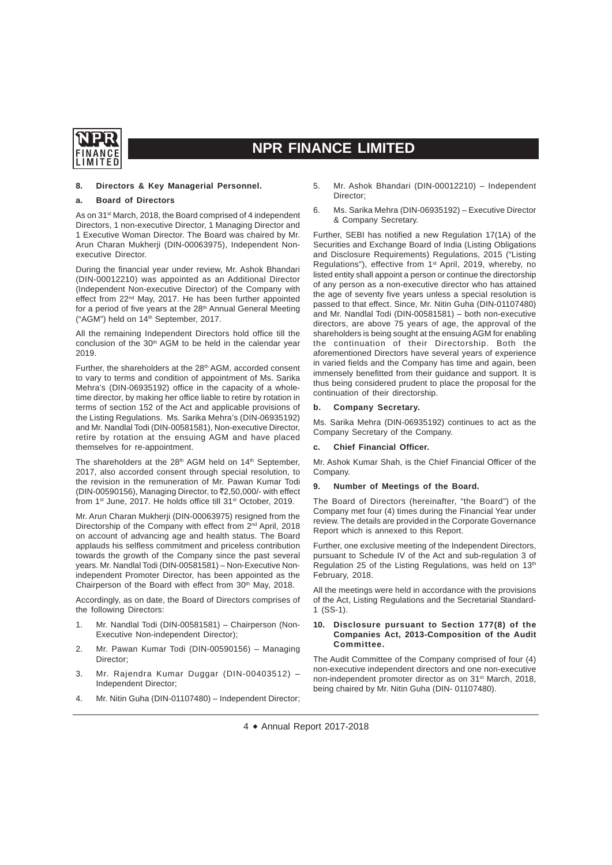

#### **8. Directors & Key Managerial Personnel.**

#### **a. Board of Directors**

As on 31<sup>st</sup> March, 2018, the Board comprised of 4 independent Directors, 1 non-executive Director, 1 Managing Director and 1 Executive Woman Director. The Board was chaired by Mr. Arun Charan Mukherji (DIN-00063975), Independent Nonexecutive Director.

During the financial year under review, Mr. Ashok Bhandari (DIN-00012210) was appointed as an Additional Director (Independent Non-executive Director) of the Company with effect from 22<sup>nd</sup> May, 2017. He has been further appointed for a period of five years at the 28<sup>th</sup> Annual General Meeting ("AGM") held on 14<sup>th</sup> September, 2017.

All the remaining Independent Directors hold office till the conclusion of the 30<sup>th</sup> AGM to be held in the calendar year 2019.

Further, the shareholders at the 28<sup>th</sup> AGM, accorded consent to vary to terms and condition of appointment of Ms. Sarika Mehra's (DIN-06935192) office in the capacity of a wholetime director, by making her office liable to retire by rotation in terms of section 152 of the Act and applicable provisions of the Listing Regulations. Ms. Sarika Mehra's (DIN-06935192) and Mr. Nandlal Todi (DIN-00581581), Non-executive Director, retire by rotation at the ensuing AGM and have placed themselves for re-appointment.

The shareholders at the 28<sup>th</sup> AGM held on 14<sup>th</sup> September, 2017, also accorded consent through special resolution, to the revision in the remuneration of Mr. Pawan Kumar Todi (DIN-00590156), Managing Director, to  $\overline{5}2,50,000$ /- with effect from 1st June, 2017. He holds office till 31st October, 2019.

Mr. Arun Charan Mukherji (DIN-00063975) resigned from the Directorship of the Company with effect from 2<sup>nd</sup> April, 2018 on account of advancing age and health status. The Board applauds his selfless commitment and priceless contribution towards the growth of the Company since the past several years. Mr. Nandlal Todi (DIN-00581581) – Non-Executive Nonindependent Promoter Director, has been appointed as the Chairperson of the Board with effect from 30<sup>th</sup> May, 2018.

Accordingly, as on date, the Board of Directors comprises of the following Directors:

- 1. Mr. Nandlal Todi (DIN-00581581) Chairperson (Non-Executive Non-independent Director);
- 2. Mr. Pawan Kumar Todi (DIN-00590156) Managing Director;
- 3. Mr. Rajendra Kumar Duggar (DIN-00403512) Independent Director;
- 4. Mr. Nitin Guha (DIN-01107480) Independent Director;
- 5. Mr. Ashok Bhandari (DIN-00012210) Independent Director;
- 6. Ms. Sarika Mehra (DIN-06935192) Executive Director & Company Secretary.

Further, SEBI has notified a new Regulation 17(1A) of the Securities and Exchange Board of India (Listing Obligations and Disclosure Requirements) Regulations, 2015 ("Listing Regulations"), effective from 1<sup>st</sup> April, 2019, whereby, no listed entity shall appoint a person or continue the directorship of any person as a non-executive director who has attained the age of seventy five years unless a special resolution is passed to that effect. Since, Mr. Nitin Guha (DIN-01107480) and Mr. Nandlal Todi (DIN-00581581) – both non-executive directors, are above 75 years of age, the approval of the shareholders is being sought at the ensuing AGM for enabling the continuation of their Directorship. Both the aforementioned Directors have several years of experience in varied fields and the Company has time and again, been immensely benefitted from their guidance and support. It is thus being considered prudent to place the proposal for the continuation of their directorship.

#### **b. Company Secretary.**

Ms. Sarika Mehra (DIN-06935192) continues to act as the Company Secretary of the Company.

#### **c. Chief Financial Officer.**

Mr. Ashok Kumar Shah, is the Chief Financial Officer of the Company.

#### **9. Number of Meetings of the Board.**

The Board of Directors (hereinafter, "the Board") of the Company met four (4) times during the Financial Year under review. The details are provided in the Corporate Governance Report which is annexed to this Report.

Further, one exclusive meeting of the Independent Directors, pursuant to Schedule IV of the Act and sub-regulation 3 of Regulation 25 of the Listing Regulations, was held on 13<sup>th</sup> February, 2018.

All the meetings were held in accordance with the provisions of the Act, Listing Regulations and the Secretarial Standard-1 (SS-1).

#### **10. Disclosure pursuant to Section 177(8) of the Companies Act, 2013-Composition of the Audit Committee.**

The Audit Committee of the Company comprised of four (4) non-executive independent directors and one non-executive non-independent promoter director as on 31st March, 2018, being chaired by Mr. Nitin Guha (DIN- 01107480).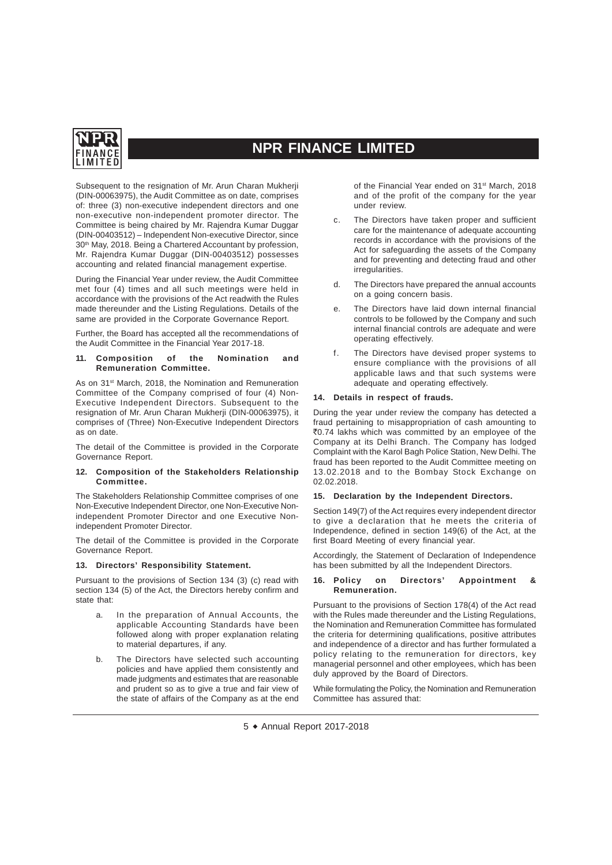

Subsequent to the resignation of Mr. Arun Charan Mukherji (DIN-00063975), the Audit Committee as on date, comprises of: three (3) non-executive independent directors and one non-executive non-independent promoter director. The Committee is being chaired by Mr. Rajendra Kumar Duggar (DIN-00403512) – Independent Non-executive Director, since 30th May, 2018. Being a Chartered Accountant by profession, Mr. Rajendra Kumar Duggar (DIN-00403512) possesses accounting and related financial management expertise.

During the Financial Year under review, the Audit Committee met four (4) times and all such meetings were held in accordance with the provisions of the Act readwith the Rules made thereunder and the Listing Regulations. Details of the same are provided in the Corporate Governance Report.

Further, the Board has accepted all the recommendations of the Audit Committee in the Financial Year 2017-18.

#### **11. Composition of the Nomination and Remuneration Committee.**

As on 31<sup>st</sup> March, 2018, the Nomination and Remuneration Committee of the Company comprised of four (4) Non-Executive Independent Directors. Subsequent to the resignation of Mr. Arun Charan Mukherji (DIN-00063975), it comprises of (Three) Non-Executive Independent Directors as on date.

The detail of the Committee is provided in the Corporate Governance Report.

#### **12. Composition of the Stakeholders Relationship Committee.**

The Stakeholders Relationship Committee comprises of one Non-Executive Independent Director, one Non-Executive Nonindependent Promoter Director and one Executive Nonindependent Promoter Director.

The detail of the Committee is provided in the Corporate Governance Report.

#### **13. Directors' Responsibility Statement.**

Pursuant to the provisions of Section 134 (3) (c) read with section 134 (5) of the Act, the Directors hereby confirm and state that:

- a. In the preparation of Annual Accounts, the applicable Accounting Standards have been followed along with proper explanation relating to material departures, if any.
- b. The Directors have selected such accounting policies and have applied them consistently and made judgments and estimates that are reasonable and prudent so as to give a true and fair view of the state of affairs of the Company as at the end

of the Financial Year ended on 31<sup>st</sup> March, 2018 and of the profit of the company for the year under review.

- c. The Directors have taken proper and sufficient care for the maintenance of adequate accounting records in accordance with the provisions of the Act for safeguarding the assets of the Company and for preventing and detecting fraud and other irregularities.
- d. The Directors have prepared the annual accounts on a going concern basis.
- e. The Directors have laid down internal financial controls to be followed by the Company and such internal financial controls are adequate and were operating effectively.
- f. The Directors have devised proper systems to ensure compliance with the provisions of all applicable laws and that such systems were adequate and operating effectively.

#### **14. Details in respect of frauds.**

During the year under review the company has detected a fraud pertaining to misappropriation of cash amounting to  $\overline{3}0.74$  lakhs which was committed by an employee of the Company at its Delhi Branch. The Company has lodged Complaint with the Karol Bagh Police Station, New Delhi. The fraud has been reported to the Audit Committee meeting on 13.02.2018 and to the Bombay Stock Exchange on 02.02.2018.

#### **15. Declaration by the Independent Directors.**

Section 149(7) of the Act requires every independent director to give a declaration that he meets the criteria of Independence, defined in section 149(6) of the Act, at the first Board Meeting of every financial year.

Accordingly, the Statement of Declaration of Independence has been submitted by all the Independent Directors.

#### **16. Policy on Directors' Appointment & Remuneration.**

Pursuant to the provisions of Section 178(4) of the Act read with the Rules made thereunder and the Listing Regulations. the Nomination and Remuneration Committee has formulated the criteria for determining qualifications, positive attributes and independence of a director and has further formulated a policy relating to the remuneration for directors, key managerial personnel and other employees, which has been duly approved by the Board of Directors.

While formulating the Policy, the Nomination and Remuneration Committee has assured that: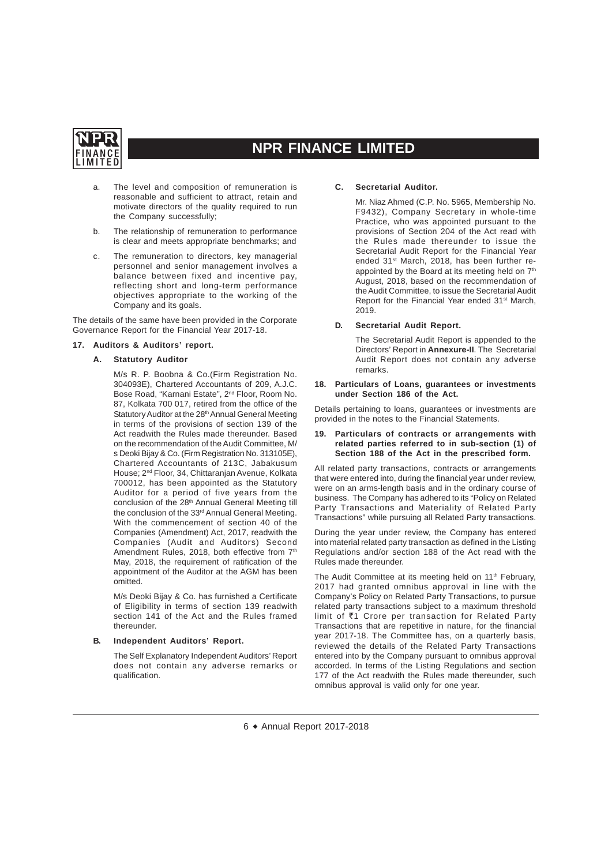

- a. The level and composition of remuneration is reasonable and sufficient to attract, retain and motivate directors of the quality required to run the Company successfully;
- b. The relationship of remuneration to performance is clear and meets appropriate benchmarks; and
- c. The remuneration to directors, key managerial personnel and senior management involves a balance between fixed and incentive pay, reflecting short and long-term performance objectives appropriate to the working of the Company and its goals.

The details of the same have been provided in the Corporate Governance Report for the Financial Year 2017-18.

#### **17. Auditors & Auditors' report.**

#### **A. Statutory Auditor**

M/s R. P. Boobna & Co.(Firm Registration No. 304093E), Chartered Accountants of 209, A.J.C. Bose Road, "Karnani Estate", 2nd Floor, Room No. 87, Kolkata 700 017, retired from the office of the Statutory Auditor at the 28<sup>th</sup> Annual General Meeting in terms of the provisions of section 139 of the Act readwith the Rules made thereunder. Based on the recommendation of the Audit Committee, M/ s Deoki Bijay & Co. (Firm Registration No. 313105E), Chartered Accountants of 213C, Jabakusum House; 2nd Floor, 34, Chittaranjan Avenue, Kolkata 700012, has been appointed as the Statutory Auditor for a period of five years from the conclusion of the 28th Annual General Meeting till the conclusion of the 33<sup>rd</sup> Annual General Meeting. With the commencement of section 40 of the Companies (Amendment) Act, 2017, readwith the Companies (Audit and Auditors) Second Amendment Rules, 2018, both effective from 7<sup>th</sup> May, 2018, the requirement of ratification of the appointment of the Auditor at the AGM has been omitted.

M/s Deoki Bijay & Co. has furnished a Certificate of Eligibility in terms of section 139 readwith section 141 of the Act and the Rules framed thereunder.

#### **B. Independent Auditors' Report.**

The Self Explanatory Independent Auditors' Report does not contain any adverse remarks or qualification.

#### **C. Secretarial Auditor.**

Mr. Niaz Ahmed (C.P. No. 5965, Membership No. F9432), Company Secretary in whole-time Practice, who was appointed pursuant to the provisions of Section 204 of the Act read with the Rules made thereunder to issue the Secretarial Audit Report for the Financial Year ended 31st March, 2018, has been further reappointed by the Board at its meeting held on 7<sup>th</sup> August, 2018, based on the recommendation of the Audit Committee, to issue the Secretarial Audit Report for the Financial Year ended 31<sup>st</sup> March, 2019.

#### **D. Secretarial Audit Report.**

The Secretarial Audit Report is appended to the Directors' Report in **Annexure-II**. The Secretarial Audit Report does not contain any adverse remarks.

#### **18. Particulars of Loans, guarantees or investments under Section 186 of the Act.**

Details pertaining to loans, guarantees or investments are provided in the notes to the Financial Statements.

#### **19. Particulars of contracts or arrangements with related parties referred to in sub-section (1) of Section 188 of the Act in the prescribed form.**

All related party transactions, contracts or arrangements that were entered into, during the financial year under review, were on an arms-length basis and in the ordinary course of business. The Company has adhered to its "Policy on Related Party Transactions and Materiality of Related Party Transactions" while pursuing all Related Party transactions.

During the year under review, the Company has entered into material related party transaction as defined in the Listing Regulations and/or section 188 of the Act read with the Rules made thereunder.

The Audit Committee at its meeting held on 11<sup>th</sup> February, 2017 had granted omnibus approval in line with the Company's Policy on Related Party Transactions, to pursue related party transactions subject to a maximum threshold limit of `1 Crore per transaction for Related Party Transactions that are repetitive in nature, for the financial year 2017-18. The Committee has, on a quarterly basis, reviewed the details of the Related Party Transactions entered into by the Company pursuant to omnibus approval accorded. In terms of the Listing Regulations and section 177 of the Act readwith the Rules made thereunder, such omnibus approval is valid only for one year.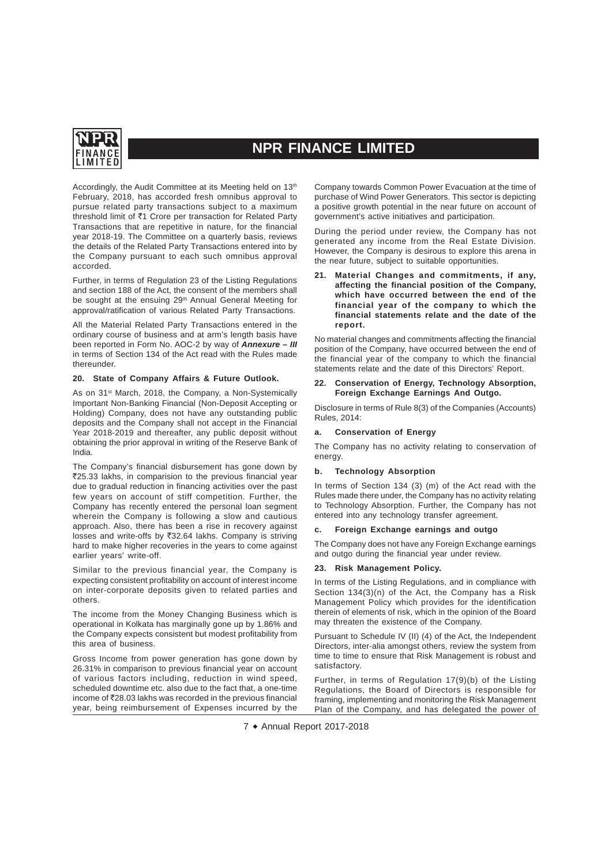

Accordingly, the Audit Committee at its Meeting held on 13<sup>th</sup> February, 2018, has accorded fresh omnibus approval to pursue related party transactions subject to a maximum threshold limit of  $\bar{z}$ 1 Crore per transaction for Related Party Transactions that are repetitive in nature, for the financial year 2018-19. The Committee on a quarterly basis, reviews the details of the Related Party Transactions entered into by the Company pursuant to each such omnibus approval accorded.

Further, in terms of Regulation 23 of the Listing Regulations and section 188 of the Act, the consent of the members shall be sought at the ensuing 29<sup>th</sup> Annual General Meeting for approval/ratification of various Related Party Transactions.

All the Material Related Party Transactions entered in the ordinary course of business and at arm's length basis have been reported in Form No. AOC-2 by way of *Annexure – III* in terms of Section 134 of the Act read with the Rules made thereunder.

#### **20. State of Company Affairs & Future Outlook.**

As on 31<sup>st</sup> March, 2018, the Company, a Non-Systemically Important Non-Banking Financial (Non-Deposit Accepting or Holding) Company, does not have any outstanding public deposits and the Company shall not accept in the Financial Year 2018-2019 and thereafter, any public deposit without obtaining the prior approval in writing of the Reserve Bank of India.

The Company's financial disbursement has gone down by `25.33 lakhs, in comparision to the previous financial year due to gradual reduction in financing activities over the past few years on account of stiff competition. Further, the Company has recently entered the personal loan segment wherein the Company is following a slow and cautious approach. Also, there has been a rise in recovery against losses and write-offs by `32.64 lakhs. Company is striving hard to make higher recoveries in the years to come against earlier years' write-off.

Similar to the previous financial year, the Company is expecting consistent profitability on account of interest income on inter-corporate deposits given to related parties and others.

The income from the Money Changing Business which is operational in Kolkata has marginally gone up by 1.86% and the Company expects consistent but modest profitability from this area of business.

Gross Income from power generation has gone down by 26.31% in comparison to previous financial year on account of various factors including, reduction in wind speed, scheduled downtime etc. also due to the fact that, a one-time income of `28.03 lakhs was recorded in the previous financial year, being reimbursement of Expenses incurred by the Company towards Common Power Evacuation at the time of purchase of Wind Power Generators. This sector is depicting a positive growth potential in the near future on account of government's active initiatives and participation.

During the period under review, the Company has not generated any income from the Real Estate Division. However, the Company is desirous to explore this arena in the near future, subject to suitable opportunities.

**21. Material Changes and commitments, if any, affecting the financial position of the Company, which have occurred between the end of the financial year of the company to which the financial statements relate and the date of the report.**

No material changes and commitments affecting the financial position of the Company, have occurred between the end of the financial year of the company to which the financial statements relate and the date of this Directors' Report.

#### **22. Conservation of Energy, Technology Absorption, Foreign Exchange Earnings And Outgo.**

Disclosure in terms of Rule 8(3) of the Companies (Accounts) Rules, 2014:

#### **a. Conservation of Energy**

The Company has no activity relating to conservation of energy.

#### **b. Technology Absorption**

In terms of Section 134 (3) (m) of the Act read with the Rules made there under, the Company has no activity relating to Technology Absorption. Further, the Company has not entered into any technology transfer agreement.

#### **c. Foreign Exchange earnings and outgo**

The Company does not have any Foreign Exchange earnings and outgo during the financial year under review.

#### **23. Risk Management Policy.**

In terms of the Listing Regulations, and in compliance with Section 134(3)(n) of the Act, the Company has a Risk Management Policy which provides for the identification therein of elements of risk, which in the opinion of the Board may threaten the existence of the Company.

Pursuant to Schedule IV (II) (4) of the Act, the Independent Directors, inter-alia amongst others, review the system from time to time to ensure that Risk Management is robust and satisfactory.

Further, in terms of Regulation 17(9)(b) of the Listing Regulations, the Board of Directors is responsible for framing, implementing and monitoring the Risk Management Plan of the Company, and has delegated the power of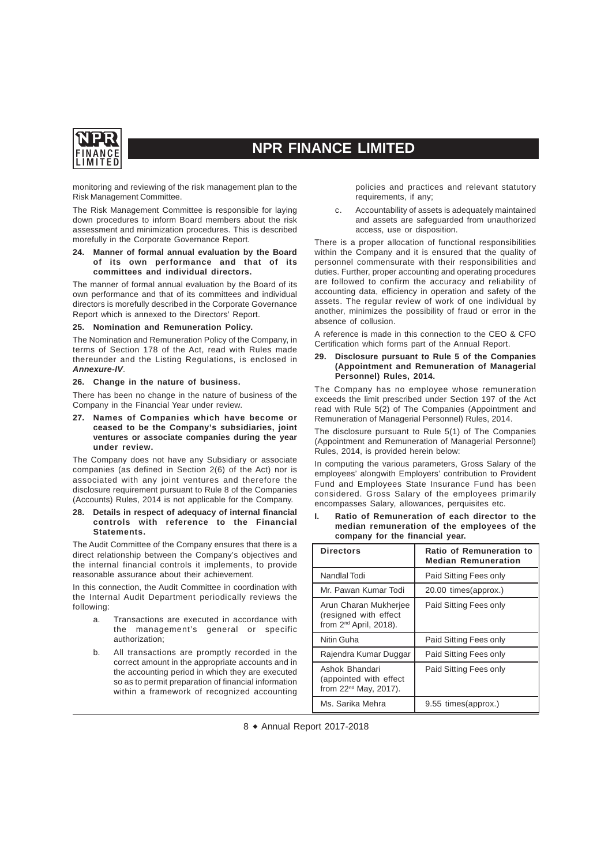

monitoring and reviewing of the risk management plan to the Risk Management Committee.

The Risk Management Committee is responsible for laying down procedures to inform Board members about the risk assessment and minimization procedures. This is described morefully in the Corporate Governance Report.

#### **24. Manner of formal annual evaluation by the Board of its own performance and that of its committees and individual directors.**

The manner of formal annual evaluation by the Board of its own performance and that of its committees and individual directors is morefully described in the Corporate Governance Report which is annexed to the Directors' Report.

#### **25. Nomination and Remuneration Policy.**

The Nomination and Remuneration Policy of the Company, in terms of Section 178 of the Act, read with Rules made thereunder and the Listing Regulations, is enclosed in *Annexure-IV*.

#### **26. Change in the nature of business.**

There has been no change in the nature of business of the Company in the Financial Year under review.

**27. Names of Companies which have become or ceased to be the Company's subsidiaries, joint ventures or associate companies during the year under review.**

The Company does not have any Subsidiary or associate companies (as defined in Section 2(6) of the Act) nor is associated with any joint ventures and therefore the disclosure requirement pursuant to Rule 8 of the Companies (Accounts) Rules, 2014 is not applicable for the Company.

#### **28. Details in respect of adequacy of internal financial controls with reference to the Financial Statements.**

The Audit Committee of the Company ensures that there is a direct relationship between the Company's objectives and the internal financial controls it implements, to provide reasonable assurance about their achievement.

In this connection, the Audit Committee in coordination with the Internal Audit Department periodically reviews the following:

- Transactions are executed in accordance with the management's general or specific authorization;
- b. All transactions are promptly recorded in the correct amount in the appropriate accounts and in the accounting period in which they are executed so as to permit preparation of financial information within a framework of recognized accounting

policies and practices and relevant statutory requirements, if any;

c. Accountability of assets is adequately maintained and assets are safeguarded from unauthorized access, use or disposition.

There is a proper allocation of functional responsibilities within the Company and it is ensured that the quality of personnel commensurate with their responsibilities and duties. Further, proper accounting and operating procedures are followed to confirm the accuracy and reliability of accounting data, efficiency in operation and safety of the assets. The regular review of work of one individual by another, minimizes the possibility of fraud or error in the absence of collusion.

A reference is made in this connection to the CEO & CFO Certification which forms part of the Annual Report.

#### **29. Disclosure pursuant to Rule 5 of the Companies (Appointment and Remuneration of Managerial Personnel) Rules, 2014.**

The Company has no employee whose remuneration exceeds the limit prescribed under Section 197 of the Act read with Rule 5(2) of The Companies (Appointment and Remuneration of Managerial Personnel) Rules, 2014.

The disclosure pursuant to Rule 5(1) of The Companies (Appointment and Remuneration of Managerial Personnel) Rules, 2014, is provided herein below:

In computing the various parameters, Gross Salary of the employees' alongwith Employers' contribution to Provident Fund and Employees State Insurance Fund has been considered. Gross Salary of the employees primarily encompasses Salary, allowances, perquisites etc.

**I. Ratio of Remuneration of each director to the median remuneration of the employees of the company for the financial year.**

| <b>Directors</b>                                                              | Ratio of Remuneration to<br><b>Median Remuneration</b> |
|-------------------------------------------------------------------------------|--------------------------------------------------------|
| Nandlal Todi                                                                  | Paid Sitting Fees only                                 |
| Mr. Pawan Kumar Todi                                                          | 20.00 times (approx.)                                  |
| Arun Charan Mukherjee<br>(resigned with effect<br>from $2^{nd}$ April, 2018). | Paid Sitting Fees only                                 |
| Nitin Guha                                                                    | Paid Sitting Fees only                                 |
| Rajendra Kumar Duggar                                                         | Paid Sitting Fees only                                 |
| Ashok Bhandari<br>(appointed with effect<br>from 22 <sup>nd</sup> May, 2017). | Paid Sitting Fees only                                 |
| Ms. Sarika Mehra                                                              | 9.55 times (approx.)                                   |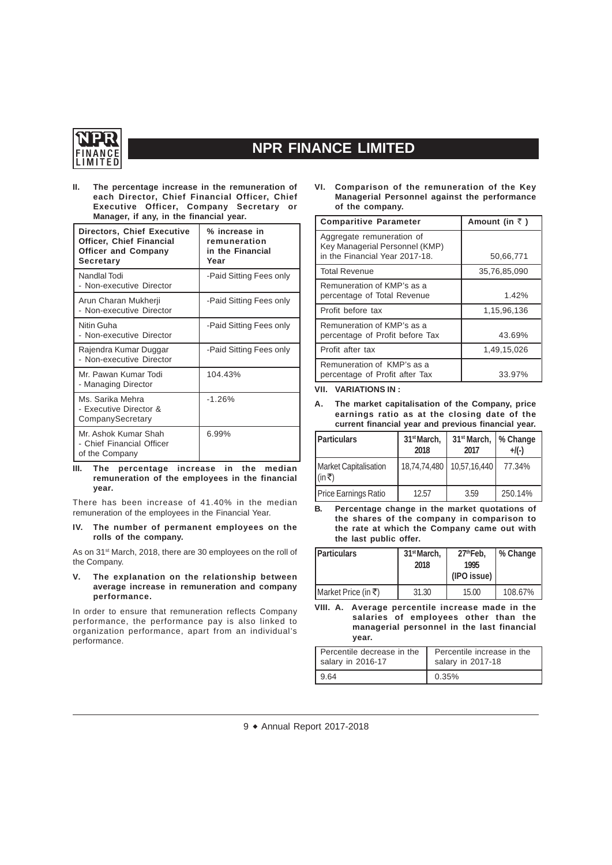

**II. The percentage increase in the remuneration of each Director, Chief Financial Officer, Chief Executive Officer, Company Secretary or Manager, if any, in the financial year.**

| <b>Directors, Chief Executive</b><br>Officer, Chief Financial<br><b>Officer and Company</b><br><b>Secretary</b> | % increase in<br>remuneration<br>in the Financial<br>Year |
|-----------------------------------------------------------------------------------------------------------------|-----------------------------------------------------------|
| Nandlal Todi<br>- Non-executive Director                                                                        | -Paid Sitting Fees only                                   |
| Arun Charan Mukherji<br>- Non-executive Director                                                                | -Paid Sitting Fees only                                   |
| Nitin Guha<br>- Non-executive Director                                                                          | -Paid Sitting Fees only                                   |
| Rajendra Kumar Duggar<br>- Non-executive Director                                                               | -Paid Sitting Fees only                                   |
| Mr. Pawan Kumar Todi<br>- Managing Director                                                                     | 104.43%                                                   |
| Ms. Sarika Mehra<br>- Executive Director &<br>CompanySecretary                                                  | $-1.26%$                                                  |
| Mr. Ashok Kumar Shah<br>- Chief Financial Officer<br>of the Company                                             | 6.99%                                                     |

**III. The percentage increase in the median remuneration of the employees in the financial year.**

There has been increase of 41.40% in the median remuneration of the employees in the Financial Year.

#### **IV. The number of permanent employees on the rolls of the company.**

As on 31<sup>st</sup> March, 2018, there are 30 employees on the roll of the Company.

**V. The explanation on the relationship between average increase in remuneration and company performance.**

In order to ensure that remuneration reflects Company performance, the performance pay is also linked to organization performance, apart from an individual's performance.

**VI. Comparison of the remuneration of the Key Managerial Personnel against the performance of the company.**

| <b>Comparitive Parameter</b>                                                                  | Amount (in $\bar{z}$ ) |
|-----------------------------------------------------------------------------------------------|------------------------|
| Aggregate remuneration of<br>Key Managerial Personnel (KMP)<br>in the Financial Year 2017-18. | 50,66,771              |
| <b>Total Revenue</b>                                                                          | 35,76,85,090           |
| Remuneration of KMP's as a<br>percentage of Total Revenue                                     | 1.42%                  |
| Profit before tax                                                                             | 1,15,96,136            |
| Remuneration of KMP's as a<br>percentage of Profit before Tax                                 | 43.69%                 |
| Profit after tax                                                                              | 1,49,15,026            |
| Remuneration of KMP's as a<br>percentage of Profit after Tax                                  | 33.97%                 |

**VII. VARIATIONS IN :**

**A. The market capitalisation of the Company, price earnings ratio as at the closing date of the current financial year and previous financial year.**

| Particulars                      | 31 <sup>st</sup> March,<br>2018 | 31 <sup>st</sup> March,   % Change<br>2017 | $+$ /(-) |
|----------------------------------|---------------------------------|--------------------------------------------|----------|
| Market Capitalisation<br> (in ₹) |                                 | 18,74,74,480   10,57,16,440                | 77.34%   |
| Price Earnings Ratio             | 12.57                           | 3.59                                       | 250.14%  |

**B. Percentage change in the market quotations of the shares of the company in comparison to the rate at which the Company came out with the last public offer.**

| <b>IParticulars</b>  | 31 <sup>st</sup> March.<br>2018 | 27thFeb.<br>1995<br>(IPO issue) | % Change |
|----------------------|---------------------------------|---------------------------------|----------|
| IMarket Price (in ₹) | 31.30                           | 15.00                           | 108.67%  |

**VIII. A. Average percentile increase made in the salaries of employees other than the managerial personnel in the last financial year.**

| Percentile decrease in the | Percentile increase in the |
|----------------------------|----------------------------|
| salary in 2016-17          | salary in 2017-18          |
| l 9.64                     | 0.35%                      |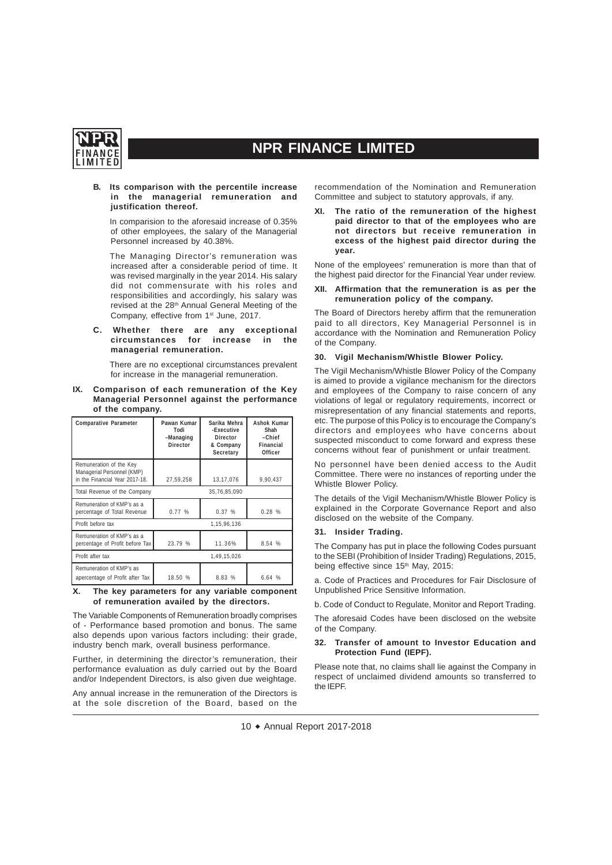

#### **B. Its comparison with the percentile increase in the managerial remuneration and justification thereof.**

In comparision to the aforesaid increase of 0.35% of other employees, the salary of the Managerial Personnel increased by 40.38%.

The Managing Director's remuneration was increased after a considerable period of time. It was revised marginally in the year 2014. His salary did not commensurate with his roles and responsibilities and accordingly, his salary was revised at the 28<sup>th</sup> Annual General Meeting of the Company, effective from 1<sup>st</sup> June, 2017.

#### **C. Whether there are any exceptional circumstances for increase in the managerial remuneration.**

There are no exceptional circumstances prevalent for increase in the managerial remuneration.

#### **IX. Comparison of each remuneration of the Key Managerial Personnel against the performance of the company.**

| <b>Comparative Parameter</b>                                                            | Pawan Kumar<br>Todi<br>-Managing<br>Director | Sarika Mehra<br>-Executive<br>Director<br>& Company<br>Secretary | Ashok Kumar<br>Shah<br>$-$ Chief<br>Financial<br>Officer |
|-----------------------------------------------------------------------------------------|----------------------------------------------|------------------------------------------------------------------|----------------------------------------------------------|
| Remuneration of the Key<br>Managerial Personnel (KMP)<br>in the Financial Year 2017-18. | 27,59,258                                    | 13,17,076                                                        | 9,90,437                                                 |
| Total Revenue of the Company                                                            |                                              | 35,76,85,090                                                     |                                                          |
| Remuneration of KMP's as a<br>percentage of Total Revenue                               | 0.77%                                        | 0.37%                                                            | 0.28%                                                    |
| Profit before tax                                                                       |                                              | 1, 15, 96, 136                                                   |                                                          |
| Remuneration of KMP's as a<br>percentage of Profit before Tax                           | 23.79 %                                      | 11.36%                                                           | 8.54 %                                                   |
| Profit after tax                                                                        |                                              | 1,49,15,026                                                      |                                                          |
| Remuneration of KMP's as<br>apercentage of Profit after Tax                             | 18.50 %                                      | 8.83 %                                                           | 6.64%                                                    |

#### **X. The key parameters for any variable component of remuneration availed by the directors.**

The Variable Components of Remuneration broadly comprises of - Performance based promotion and bonus. The same also depends upon various factors including: their grade, industry bench mark, overall business performance.

Further, in determining the director's remuneration, their performance evaluation as duly carried out by the Board and/or Independent Directors, is also given due weightage.

Any annual increase in the remuneration of the Directors is at the sole discretion of the Board, based on the recommendation of the Nomination and Remuneration Committee and subject to statutory approvals, if any.

**XI. The ratio of the remuneration of the highest paid director to that of the employees who are not directors but receive remuneration in excess of the highest paid director during the year.**

None of the employees' remuneration is more than that of the highest paid director for the Financial Year under review.

#### **XII. Affirmation that the remuneration is as per the remuneration policy of the company.**

The Board of Directors hereby affirm that the remuneration paid to all directors, Key Managerial Personnel is in accordance with the Nomination and Remuneration Policy of the Company.

#### **30. Vigil Mechanism/Whistle Blower Policy.**

The Vigil Mechanism/Whistle Blower Policy of the Company is aimed to provide a vigilance mechanism for the directors and employees of the Company to raise concern of any violations of legal or regulatory requirements, incorrect or misrepresentation of any financial statements and reports, etc. The purpose of this Policy is to encourage the Company's directors and employees who have concerns about suspected misconduct to come forward and express these concerns without fear of punishment or unfair treatment.

No personnel have been denied access to the Audit Committee. There were no instances of reporting under the Whistle Blower Policy.

The details of the Vigil Mechanism/Whistle Blower Policy is explained in the Corporate Governance Report and also disclosed on the website of the Company.

#### **31. Insider Trading.**

The Company has put in place the following Codes pursuant to the SEBI (Prohibition of Insider Trading) Regulations, 2015, being effective since 15<sup>th</sup> May, 2015:

a. Code of Practices and Procedures for Fair Disclosure of Unpublished Price Sensitive Information.

b. Code of Conduct to Regulate, Monitor and Report Trading.

The aforesaid Codes have been disclosed on the website of the Company.

#### **32. Transfer of amount to Investor Education and Protection Fund (IEPF).**

Please note that, no claims shall lie against the Company in respect of unclaimed dividend amounts so transferred to the IEPF.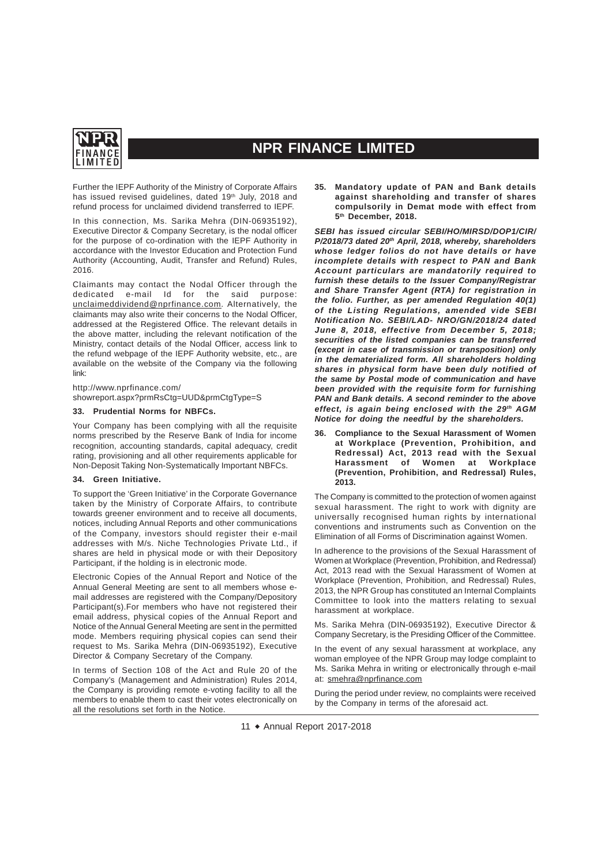

Further the IEPF Authority of the Ministry of Corporate Affairs has issued revised guidelines, dated 19<sup>th</sup> July, 2018 and refund process for unclaimed dividend transferred to IEPF.

In this connection, Ms. Sarika Mehra (DIN-06935192), Executive Director & Company Secretary, is the nodal officer for the purpose of co-ordination with the IEPF Authority in accordance with the Investor Education and Protection Fund Authority (Accounting, Audit, Transfer and Refund) Rules, 2016.

Claimants may contact the Nodal Officer through the dedicated e-mail Id for the said purpose: unclaimeddividend@nprfinance.com. Alternatively, the claimants may also write their concerns to the Nodal Officer, addressed at the Registered Office. The relevant details in the above matter, including the relevant notification of the Ministry, contact details of the Nodal Officer, access link to the refund webpage of the IEPF Authority website, etc., are available on the website of the Company via the following link:

http://www.nprfinance.com/ showreport.aspx?prmRsCtg=UUD&prmCtgType=S

#### **33. Prudential Norms for NBFCs.**

Your Company has been complying with all the requisite norms prescribed by the Reserve Bank of India for income recognition, accounting standards, capital adequacy, credit rating, provisioning and all other requirements applicable for Non-Deposit Taking Non-Systematically Important NBFCs.

#### **34. Green Initiative.**

To support the 'Green Initiative' in the Corporate Governance taken by the Ministry of Corporate Affairs, to contribute towards greener environment and to receive all documents, notices, including Annual Reports and other communications of the Company, investors should register their e-mail addresses with M/s. Niche Technologies Private Ltd., if shares are held in physical mode or with their Depository Participant, if the holding is in electronic mode.

Electronic Copies of the Annual Report and Notice of the Annual General Meeting are sent to all members whose email addresses are registered with the Company/Depository Participant(s).For members who have not registered their email address, physical copies of the Annual Report and Notice of the Annual General Meeting are sent in the permitted mode. Members requiring physical copies can send their request to Ms. Sarika Mehra (DIN-06935192), Executive Director & Company Secretary of the Company.

In terms of Section 108 of the Act and Rule 20 of the Company's (Management and Administration) Rules 2014, the Company is providing remote e-voting facility to all the members to enable them to cast their votes electronically on all the resolutions set forth in the Notice.

**35. Mandatory update of PAN and Bank details against shareholding and transfer of shares compulsorily in Demat mode with effect from 5th December, 2018.**

*SEBI has issued circular SEBI/HO/MIRSD/DOP1/CIR/ P/2018/73 dated 20th April, 2018, whereby, shareholders whose ledger folios do not have details or have incomplete details with respect to PAN and Bank Account particulars are mandatorily required to furnish these details to the Issuer Company/Registrar and Share Transfer Agent (RTA) for registration in the folio. Further, as per amended Regulation 40(1) of the Listing Regulations, amended vide SEBI Notification No. SEBI/LAD- NRO/GN/2018/24 dated June 8, 2018, effective from December 5, 2018; securities of the listed companies can be transferred (except in case of transmission or transposition) only in the dematerialized form. All shareholders holding shares in physical form have been duly notified of the same by Postal mode of communication and have been provided with the requisite form for furnishing PAN and Bank details. A second reminder to the above* effect, is again being enclosed with the 29<sup>th</sup> AGM *Notice for doing the needful by the shareholders.*

**36. Compliance to the Sexual Harassment of Women at Workplace (Prevention, Prohibition, and Redressal) Act, 2013 read with the Sexual Harassment of Women at Workplace (Prevention, Prohibition, and Redressal) Rules, 2013.**

The Company is committed to the protection of women against sexual harassment. The right to work with dignity are universally recognised human rights by international conventions and instruments such as Convention on the Elimination of all Forms of Discrimination against Women.

In adherence to the provisions of the Sexual Harassment of Women at Workplace (Prevention, Prohibition, and Redressal) Act, 2013 read with the Sexual Harassment of Women at Workplace (Prevention, Prohibition, and Redressal) Rules, 2013, the NPR Group has constituted an Internal Complaints Committee to look into the matters relating to sexual harassment at workplace.

Ms. Sarika Mehra (DIN-06935192), Executive Director & Company Secretary, is the Presiding Officer of the Committee.

In the event of any sexual harassment at workplace, any woman employee of the NPR Group may lodge complaint to Ms. Sarika Mehra in writing or electronically through e-mail at: smehra@nprfinance.com

During the period under review, no complaints were received by the Company in terms of the aforesaid act.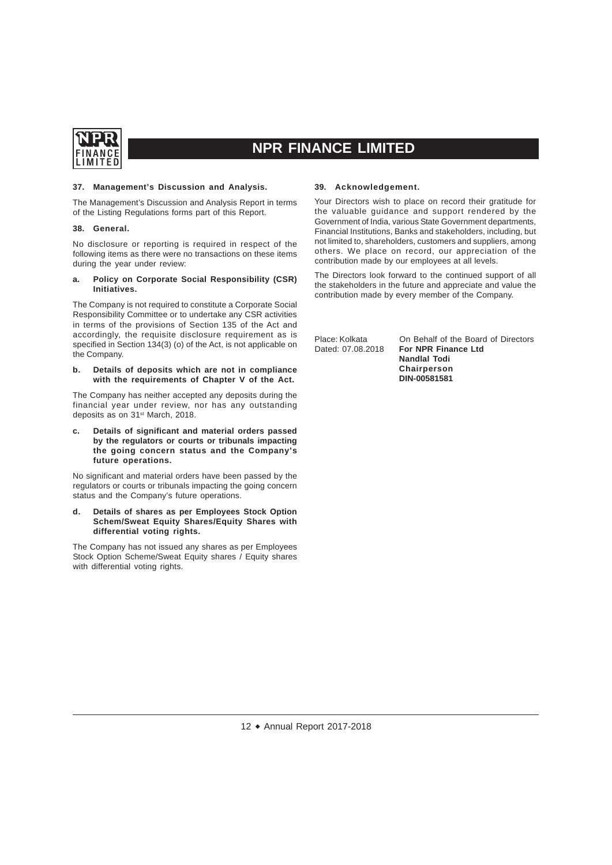

#### **37. Management's Discussion and Analysis.**

The Management's Discussion and Analysis Report in terms of the Listing Regulations forms part of this Report.

#### **38. General.**

No disclosure or reporting is required in respect of the following items as there were no transactions on these items during the year under review:

#### **a. Policy on Corporate Social Responsibility (CSR) Initiatives.**

The Company is not required to constitute a Corporate Social Responsibility Committee or to undertake any CSR activities in terms of the provisions of Section 135 of the Act and accordingly, the requisite disclosure requirement as is specified in Section 134(3) (o) of the Act, is not applicable on the Company.

#### **b. Details of deposits which are not in compliance with the requirements of Chapter V of the Act.**

The Company has neither accepted any deposits during the financial year under review, nor has any outstanding deposits as on 31st March, 2018.

**c. Details of significant and material orders passed by the regulators or courts or tribunals impacting the going concern status and the Company's future operations.**

No significant and material orders have been passed by the regulators or courts or tribunals impacting the going concern status and the Company's future operations.

#### **d. Details of shares as per Employees Stock Option Schem/Sweat Equity Shares/Equity Shares with differential voting rights.**

The Company has not issued any shares as per Employees Stock Option Scheme/Sweat Equity shares / Equity shares with differential voting rights.

#### **39. Acknowledgement.**

Your Directors wish to place on record their gratitude for the valuable guidance and support rendered by the Government of India, various State Government departments, Financial Institutions, Banks and stakeholders, including, but not limited to, shareholders, customers and suppliers, among others. We place on record, our appreciation of the contribution made by our employees at all levels.

The Directors look forward to the continued support of all the stakeholders in the future and appreciate and value the contribution made by every member of the Company.

Place: Kolkata On Behalf of the Board of Directors<br>Dated: 07.08.2018 For NPR Finance Ltd **For NPR Finance Ltd Nandlal Todi Chairperson DIN-00581581**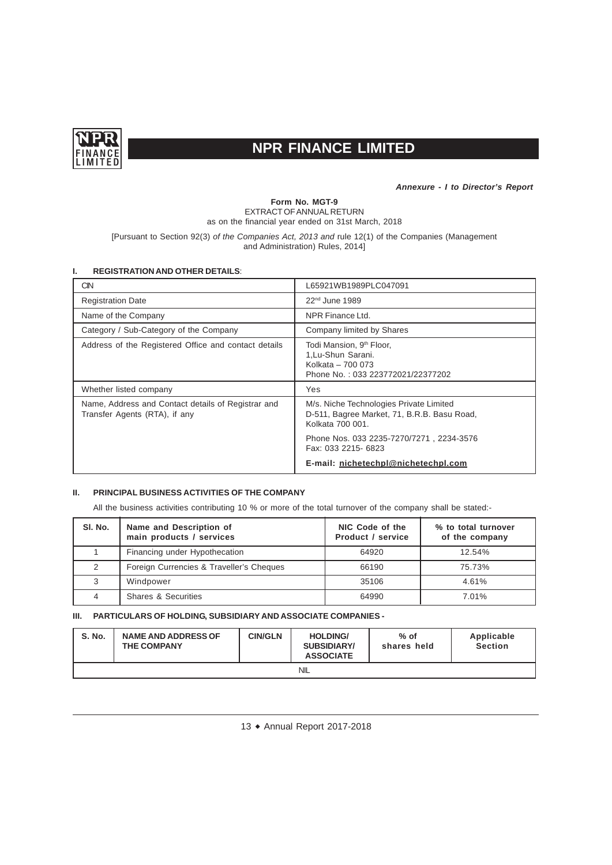

#### *Annexure - I to Director's Report*

#### **Form No. MGT-9** EXTRACT OF ANNUAL RETURN as on the financial year ended on 31st March, 2018

[Pursuant to Section 92(3) *of the Companies Act, 2013 and* rule 12(1) of the Companies (Management and Administration) Rules, 2014]

#### **I. REGISTRATION AND OTHER DETAILS**:

| <b>CIN</b>                                                                          | L65921WB1989PLC047091                                                                                                |
|-------------------------------------------------------------------------------------|----------------------------------------------------------------------------------------------------------------------|
| <b>Registration Date</b>                                                            | 22 <sup>nd</sup> June 1989                                                                                           |
| Name of the Company                                                                 | NPR Finance Ltd.                                                                                                     |
| Category / Sub-Category of the Company                                              | Company limited by Shares                                                                                            |
| Address of the Registered Office and contact details                                | Todi Mansion, 9 <sup>th</sup> Floor,<br>1, Lu-Shun Sarani.<br>Kolkata - 700 073<br>Phone No.: 033 223772021/22377202 |
| Whether listed company                                                              | Yes                                                                                                                  |
| Name, Address and Contact details of Registrar and<br>Transfer Agents (RTA), if any | M/s. Niche Technologies Private Limited<br>D-511, Bagree Market, 71, B.R.B. Basu Road,<br>Kolkata 700 001.           |
|                                                                                     | Phone Nos. 033 2235-7270/7271, 2234-3576<br>Fax: 033 2215- 6823                                                      |
|                                                                                     | E-mail: nichetechpl@nichetechpl.com                                                                                  |

#### **II. PRINCIPAL BUSINESS ACTIVITIES OF THE COMPANY**

All the business activities contributing 10 % or more of the total turnover of the company shall be stated:-

| SI. No.       | Name and Description of<br>main products / services | NIC Code of the<br>Product / service | % to total turnover<br>of the company |
|---------------|-----------------------------------------------------|--------------------------------------|---------------------------------------|
|               | Financing under Hypothecation                       | 64920                                | 12.54%                                |
| $\mathcal{P}$ | Foreign Currencies & Traveller's Cheques            | 66190                                | 75.73%                                |
|               | Windpower                                           | 35106                                | 4.61%                                 |
|               | Shares & Securities                                 | 64990                                | 7.01%                                 |

#### **III. PARTICULARS OF HOLDING, SUBSIDIARY AND ASSOCIATE COMPANIES -**

| S. No.     | <b>NAME AND ADDRESS OF</b><br><b>THE COMPANY</b> | <b>CIN/GLN</b> | <b>HOLDING/</b><br><b>SUBSIDIARY/</b><br><b>ASSOCIATE</b> | $%$ of<br>shares held | Applicable<br><b>Section</b> |
|------------|--------------------------------------------------|----------------|-----------------------------------------------------------|-----------------------|------------------------------|
| <b>NIL</b> |                                                  |                |                                                           |                       |                              |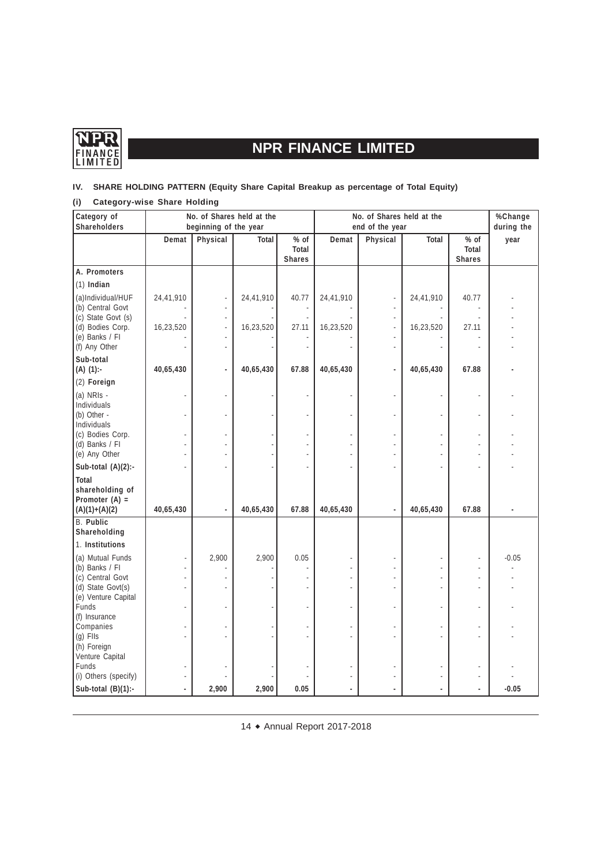

### **IV. SHARE HOLDING PATTERN (Equity Share Capital Breakup as percentage of Total Equity)**

#### **(i) Category-wise Share Holding**

| Category of<br>Shareholders            |           | beginning of the year | No. of Shares held at the |               |           | No. of Shares held at the<br>end of the year |           |               | %Change<br>during the |
|----------------------------------------|-----------|-----------------------|---------------------------|---------------|-----------|----------------------------------------------|-----------|---------------|-----------------------|
|                                        | Demat     | Physical              | Total                     | % of<br>Total | Demat     | Physical                                     | Total     | % of<br>Total | year                  |
|                                        |           |                       |                           | Shares        |           |                                              |           | Shares        |                       |
| A. Promoters                           |           |                       |                           |               |           |                                              |           |               |                       |
| $(1)$ Indian                           |           |                       |                           |               |           |                                              |           |               |                       |
| (a)Individual/HUF                      | 24,41,910 |                       | 24,41,910                 | 40.77         | 24,41,910 |                                              | 24,41,910 | 40.77         |                       |
| (b) Central Govt                       |           |                       |                           |               |           |                                              |           |               |                       |
| (c) State Govt (s)<br>(d) Bodies Corp. | 16,23,520 |                       | 16,23,520                 | 27.11         | 16,23,520 |                                              | 16,23,520 | 27.11         |                       |
| (e) Banks / FI                         |           |                       |                           |               |           |                                              |           |               |                       |
| (f) Any Other                          |           |                       |                           |               |           |                                              |           |               |                       |
| Sub-total                              |           |                       |                           |               |           |                                              |           |               |                       |
| $(A) (1)$ :-                           | 40,65,430 | ÷                     | 40,65,430                 | 67.88         | 40,65,430 | ÷,                                           | 40,65,430 | 67.88         |                       |
| (2) Foreign                            |           |                       |                           |               |           |                                              |           |               |                       |
| (a) $NRIS -$<br>Individuals            |           |                       |                           |               |           |                                              |           |               |                       |
| (b) Other -                            |           |                       |                           |               |           |                                              |           |               |                       |
| Individuals<br>(c) Bodies Corp.        |           |                       |                           |               |           |                                              |           |               |                       |
| (d) Banks / FI                         |           |                       |                           |               |           |                                              |           |               |                       |
| (e) Any Other                          |           |                       |                           |               |           |                                              |           |               |                       |
| Sub-total (A)(2):-                     |           |                       |                           |               |           |                                              |           |               |                       |
| Total                                  |           |                       |                           |               |           |                                              |           |               |                       |
| shareholding of                        |           |                       |                           |               |           |                                              |           |               |                       |
| Promoter $(A)$ =                       |           |                       |                           |               |           |                                              |           |               |                       |
| $(A)(1)+(A)(2)$                        | 40,65,430 |                       | 40,65,430                 | 67.88         | 40,65,430 |                                              | 40,65,430 | 67.88         |                       |
| <b>B.</b> Public<br>Shareholding       |           |                       |                           |               |           |                                              |           |               |                       |
|                                        |           |                       |                           |               |           |                                              |           |               |                       |
| 1. Institutions                        |           |                       |                           |               |           |                                              |           |               |                       |
| (a) Mutual Funds<br>(b) Banks / FI     |           | 2,900                 | 2,900                     | 0.05          |           |                                              |           |               | $-0.05$               |
| (c) Central Govt                       |           |                       |                           |               |           |                                              |           |               |                       |
| (d) State Govt(s)                      |           |                       |                           |               |           |                                              |           |               |                       |
| (e) Venture Capital                    |           |                       |                           |               |           |                                              |           |               |                       |
| Funds                                  |           |                       |                           |               |           |                                              |           |               |                       |
| (f) Insurance                          |           |                       |                           |               |           |                                              |           |               |                       |
| Companies                              |           |                       |                           |               |           |                                              |           |               |                       |
| $(g)$ FIIs<br>(h) Foreign              |           |                       |                           |               |           |                                              |           |               |                       |
| Venture Capital                        |           |                       |                           |               |           |                                              |           |               |                       |
| Funds                                  |           |                       |                           |               |           |                                              |           |               |                       |
| (i) Others (specify)                   |           |                       |                           |               |           |                                              |           |               |                       |
| Sub-total (B)(1):-                     |           | 2,900                 | 2,900                     | 0.05          |           |                                              |           |               | $-0.05$               |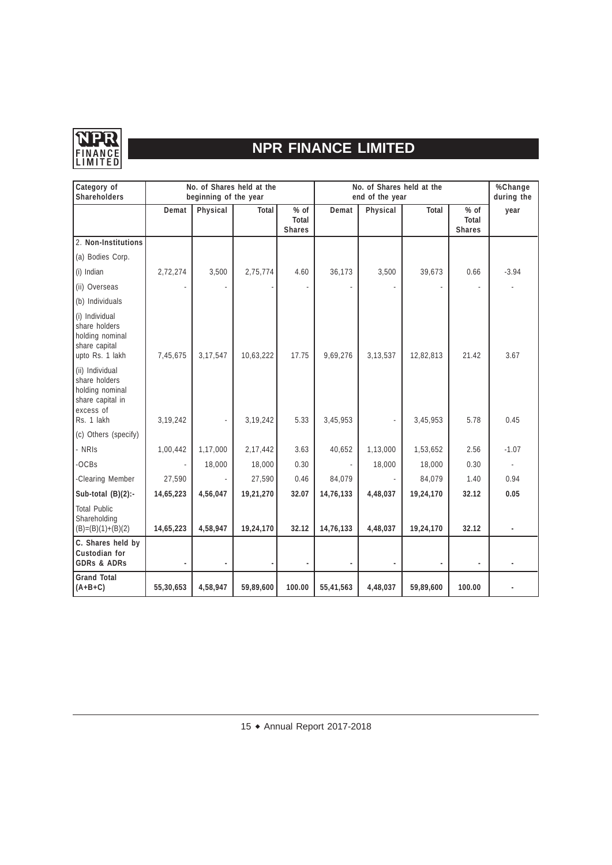

| Category of<br><b>Shareholders</b>                                                                 |           | beginning of the year | No. of Shares held at the |                                  | No. of Shares held at the<br>end of the year |          |           |                                  | %Change<br>during the |
|----------------------------------------------------------------------------------------------------|-----------|-----------------------|---------------------------|----------------------------------|----------------------------------------------|----------|-----------|----------------------------------|-----------------------|
|                                                                                                    | Demat     | Physical              | Total                     | $%$ of<br>Total<br><b>Shares</b> | Demat                                        | Physical | Total     | $%$ of<br>Total<br><b>Shares</b> | year                  |
| 2. Non-Institutions                                                                                |           |                       |                           |                                  |                                              |          |           |                                  |                       |
| (a) Bodies Corp.                                                                                   |           |                       |                           |                                  |                                              |          |           |                                  |                       |
| (i) Indian                                                                                         | 2,72,274  | 3,500                 | 2,75,774                  | 4.60                             | 36,173                                       | 3,500    | 39,673    | 0.66                             | $-3.94$               |
| (ii) Overseas                                                                                      |           |                       |                           |                                  |                                              |          |           |                                  |                       |
| (b) Individuals                                                                                    |           |                       |                           |                                  |                                              |          |           |                                  |                       |
| (i) Individual<br>share holders<br>holding nominal<br>share capital<br>upto Rs. 1 lakh             | 7,45,675  | 3,17,547              | 10,63,222                 | 17.75                            | 9,69,276                                     | 3,13,537 | 12,82,813 | 21.42                            | 3.67                  |
| (ii) Individual<br>share holders<br>holding nominal<br>share capital in<br>excess of<br>Rs. 1 lakh | 3,19,242  |                       | 3,19,242                  | 5.33                             | 3.45.953                                     |          | 3.45.953  | 5.78                             | 0.45                  |
| (c) Others (specify)                                                                               |           |                       |                           |                                  |                                              |          |           |                                  |                       |
| - NRIS                                                                                             | 1,00,442  | 1,17,000              | 2,17,442                  | 3.63                             | 40,652                                       | 1,13,000 | 1,53,652  | 2.56                             | $-1.07$               |
| -OCBs                                                                                              |           | 18,000                | 18,000                    | 0.30                             |                                              | 18,000   | 18,000    | 0.30                             |                       |
| -Clearing Member                                                                                   | 27,590    |                       | 27,590                    | 0.46                             | 84,079                                       |          | 84,079    | 1.40                             | 0.94                  |
| Sub-total $(B)(2)$ :-                                                                              | 14,65,223 | 4,56,047              | 19,21,270                 | 32.07                            | 14,76,133                                    | 4,48,037 | 19,24,170 | 32.12                            | 0.05                  |
| <b>Total Public</b><br>Shareholding<br>$(B)=(B)(1)+(B)(2)$                                         | 14,65,223 | 4,58,947              | 19,24,170                 | 32.12                            | 14,76,133                                    | 4,48,037 | 19,24,170 | 32.12                            |                       |
| C. Shares held by<br>Custodian for<br><b>GDRs &amp; ADRs</b>                                       |           |                       |                           |                                  |                                              |          |           |                                  |                       |
| <b>Grand Total</b><br>$(A+B+C)$                                                                    | 55,30,653 | 4,58,947              | 59,89,600                 | 100.00                           | 55,41,563                                    | 4,48,037 | 59,89,600 | 100.00                           |                       |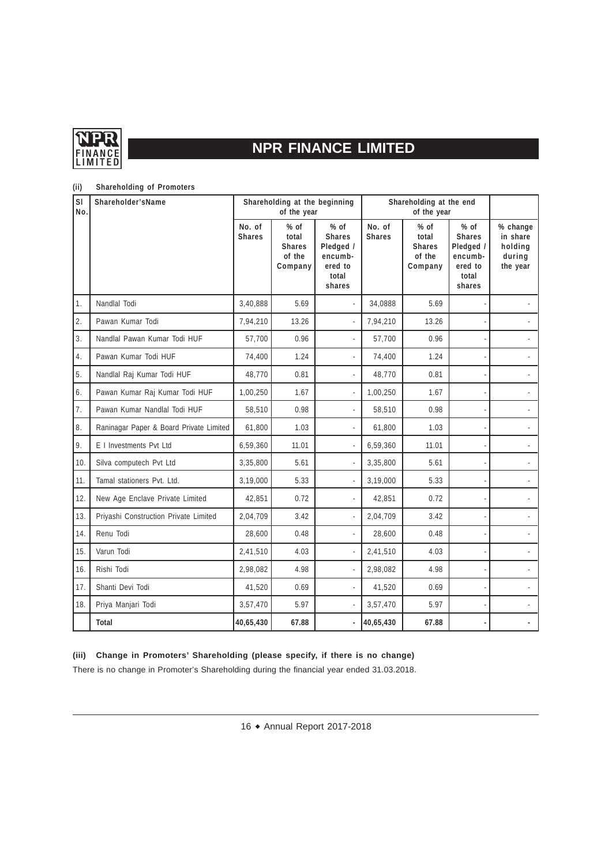

#### **(ii) Shareholding of Promoters**

| SI<br>No. | Shareholder'sName                       |                         | Shareholding at the beginning<br>of the year          |                                                                               |                         | Shareholding at the end<br>of the year                |                                                                               |                                                       |
|-----------|-----------------------------------------|-------------------------|-------------------------------------------------------|-------------------------------------------------------------------------------|-------------------------|-------------------------------------------------------|-------------------------------------------------------------------------------|-------------------------------------------------------|
|           |                                         | No. of<br><b>Shares</b> | $%$ of<br>total<br><b>Shares</b><br>of the<br>Company | $%$ of<br><b>Shares</b><br>Pledged /<br>encumb-<br>ered to<br>total<br>shares | No. of<br><b>Shares</b> | $%$ of<br>total<br><b>Shares</b><br>of the<br>Company | $%$ of<br><b>Shares</b><br>Pledged /<br>encumb-<br>ered to<br>total<br>shares | % change<br>in share<br>holding<br>during<br>the year |
| 1.        | Nandlal Todi                            | 3,40,888                | 5.69                                                  |                                                                               | 34,0888                 | 5.69                                                  |                                                                               |                                                       |
| 2.        | Pawan Kumar Todi                        | 7,94,210                | 13.26                                                 | $\overline{a}$                                                                | 7,94,210                | 13.26                                                 |                                                                               |                                                       |
| 3.        | Nandlal Pawan Kumar Todi HUF            | 57,700                  | 0.96                                                  |                                                                               | 57,700                  | 0.96                                                  |                                                                               |                                                       |
| 4.        | Pawan Kumar Todi HUF                    | 74,400                  | 1.24                                                  |                                                                               | 74,400                  | 1.24                                                  |                                                                               |                                                       |
| 5.        | Nandlal Raj Kumar Todi HUF              | 48.770                  | 0.81                                                  |                                                                               | 48.770                  | 0.81                                                  |                                                                               |                                                       |
| 6.        | Pawan Kumar Raj Kumar Todi HUF          | 1,00,250                | 1.67                                                  | L.                                                                            | 1,00,250                | 1.67                                                  |                                                                               |                                                       |
| 7.        | Pawan Kumar Nandlal Todi HUF            | 58,510                  | 0.98                                                  |                                                                               | 58,510                  | 0.98                                                  |                                                                               |                                                       |
| 8.        | Raninagar Paper & Board Private Limited | 61.800                  | 1.03                                                  | ÷,                                                                            | 61.800                  | 1.03                                                  |                                                                               |                                                       |
| 9.        | E I Investments Pvt Ltd                 | 6,59,360                | 11.01                                                 | ä,                                                                            | 6,59,360                | 11.01                                                 |                                                                               |                                                       |
| 10.       | Silva computech Pvt Ltd                 | 3,35,800                | 5.61                                                  | ÷,                                                                            | 3,35,800                | 5.61                                                  |                                                                               |                                                       |
| 11.       | Tamal stationers Pvt. Ltd.              | 3,19,000                | 5.33                                                  | ÷,                                                                            | 3,19,000                | 5.33                                                  |                                                                               |                                                       |
| 12.       | New Age Enclave Private Limited         | 42,851                  | 0.72                                                  |                                                                               | 42,851                  | 0.72                                                  |                                                                               |                                                       |
| 13.       | Priyashi Construction Private Limited   | 2,04,709                | 3.42                                                  |                                                                               | 2,04,709                | 3.42                                                  |                                                                               |                                                       |
| 14.       | Renu Todi                               | 28,600                  | 0.48                                                  |                                                                               | 28,600                  | 0.48                                                  |                                                                               |                                                       |
| 15.       | Varun Todi                              | 2,41,510                | 4.03                                                  | L.                                                                            | 2,41,510                | 4.03                                                  |                                                                               |                                                       |
| 16.       | Rishi Todi                              | 2,98,082                | 4.98                                                  | L.                                                                            | 2,98,082                | 4.98                                                  |                                                                               |                                                       |
| 17.       | Shanti Devi Todi                        | 41,520                  | 0.69                                                  |                                                                               | 41,520                  | 0.69                                                  |                                                                               |                                                       |
| 18.       | Priya Manjari Todi                      | 3,57,470                | 5.97                                                  | $\overline{\phantom{a}}$                                                      | 3,57,470                | 5.97                                                  |                                                                               |                                                       |
|           | Total                                   | 40,65,430               | 67.88                                                 |                                                                               | 40,65,430               | 67.88                                                 |                                                                               |                                                       |

#### **(iii) Change in Promoters' Shareholding (please specify, if there is no change)**

There is no change in Promoter's Shareholding during the financial year ended 31.03.2018.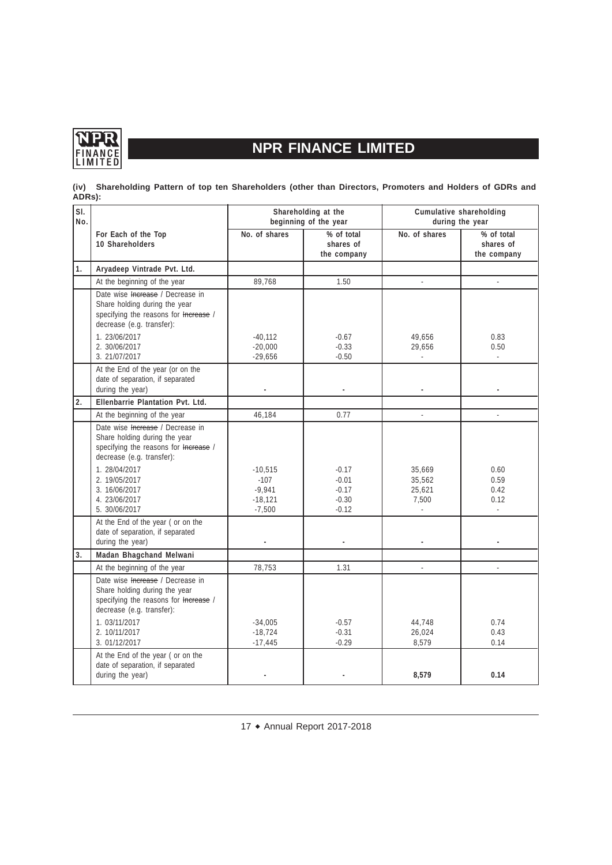

#### **(iv) Shareholding Pattern of top ten Shareholders (other than Directors, Promoters and Holders of GDRs and ADRs):**

| SI.<br>No.       |                                                                                                                                         |                                                          | Shareholding at the<br>beginning of the year        | Cumulative shareholding<br>during the year              |                                          |
|------------------|-----------------------------------------------------------------------------------------------------------------------------------------|----------------------------------------------------------|-----------------------------------------------------|---------------------------------------------------------|------------------------------------------|
|                  | For Each of the Top<br>10 Shareholders                                                                                                  | No. of shares                                            | % of total<br>shares of<br>the company              | No. of shares                                           | % of total<br>shares of<br>the company   |
| 1.               | Aryadeep Vintrade Pvt. Ltd.                                                                                                             |                                                          |                                                     |                                                         |                                          |
|                  | At the beginning of the year                                                                                                            | 89.768                                                   | 1.50                                                | $\overline{a}$                                          |                                          |
|                  | Date wise Increase / Decrease in<br>Share holding during the year<br>specifying the reasons for Increase /<br>decrease (e.g. transfer): |                                                          |                                                     |                                                         |                                          |
|                  | 1.23/06/2017<br>2. 30/06/2017<br>3. 21/07/2017                                                                                          | $-40.112$<br>$-20,000$<br>$-29,656$                      | $-0.67$<br>$-0.33$<br>$-0.50$                       | 49.656<br>29,656                                        | 0.83<br>0.50                             |
|                  | At the End of the year (or on the<br>date of separation, if separated<br>during the year)                                               |                                                          |                                                     |                                                         |                                          |
| $\overline{2}$ . | Ellenbarrie Plantation Pvt. Ltd.                                                                                                        |                                                          |                                                     |                                                         |                                          |
|                  | At the beginning of the year                                                                                                            | 46.184                                                   | 0.77                                                |                                                         |                                          |
|                  | Date wise Increase / Decrease in<br>Share holding during the year<br>specifying the reasons for Increase /<br>decrease (e.g. transfer): |                                                          |                                                     |                                                         |                                          |
|                  | 1.28/04/2017<br>2.19/05/2017<br>3. 16/06/2017<br>4. 23/06/2017<br>5. 30/06/2017                                                         | $-10,515$<br>$-107$<br>$-9,941$<br>$-18,121$<br>$-7,500$ | $-0.17$<br>$-0.01$<br>$-0.17$<br>$-0.30$<br>$-0.12$ | 35.669<br>35,562<br>25,621<br>7,500<br>$\omega_{\rm c}$ | 0.60<br>0.59<br>0.42<br>0.12<br>$\omega$ |
|                  | At the End of the year ( or on the<br>date of separation, if separated<br>during the year)                                              |                                                          |                                                     |                                                         |                                          |
| 3.               | Madan Bhagchand Melwani                                                                                                                 |                                                          |                                                     |                                                         |                                          |
|                  | At the beginning of the year                                                                                                            | 78,753                                                   | 1.31                                                |                                                         |                                          |
|                  | Date wise Increase / Decrease in<br>Share holding during the year<br>specifying the reasons for Increase /<br>decrease (e.g. transfer): |                                                          |                                                     |                                                         |                                          |
|                  | 1. 03/11/2017<br>2. 10/11/2017<br>3. 01/12/2017                                                                                         | $-34,005$<br>$-18.724$<br>$-17,445$                      | $-0.57$<br>$-0.31$<br>$-0.29$                       | 44,748<br>26,024<br>8,579                               | 0.74<br>0.43<br>0.14                     |
|                  | At the End of the year ( or on the<br>date of separation, if separated<br>during the year)                                              |                                                          |                                                     | 8.579                                                   | 0.14                                     |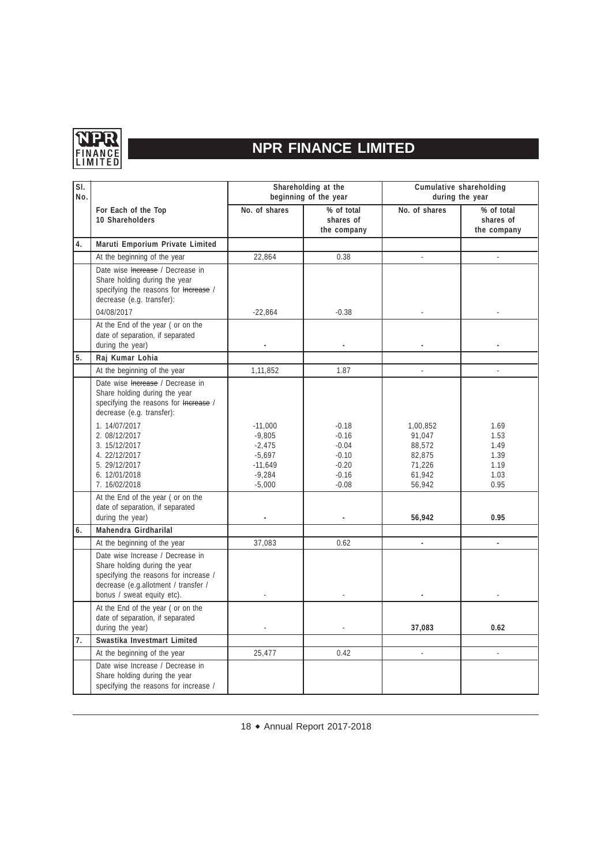

| $\overline{\mathsf{SI}}$ .<br>No. |                                                                                                                                                                                  |                                                                                    | Shareholding at the<br>beginning of the year                              |                                                                      | Cumulative shareholding<br>during the year           |
|-----------------------------------|----------------------------------------------------------------------------------------------------------------------------------------------------------------------------------|------------------------------------------------------------------------------------|---------------------------------------------------------------------------|----------------------------------------------------------------------|------------------------------------------------------|
|                                   | For Each of the Top<br>10 Shareholders                                                                                                                                           | No. of shares                                                                      | % of total<br>shares of<br>the company                                    | No. of shares                                                        | % of total<br>shares of<br>the company               |
| 4.                                | Maruti Emporium Private Limited                                                                                                                                                  |                                                                                    |                                                                           |                                                                      |                                                      |
|                                   | At the beginning of the year                                                                                                                                                     | 22,864                                                                             | 0.38                                                                      | $\mathbf{r}$                                                         | $\mathcal{L}$                                        |
|                                   | Date wise Increase / Decrease in<br>Share holding during the year<br>specifying the reasons for Increase /<br>decrease (e.g. transfer):                                          |                                                                                    |                                                                           |                                                                      |                                                      |
|                                   | 04/08/2017                                                                                                                                                                       | $-22,864$                                                                          | $-0.38$                                                                   | $\sim$                                                               |                                                      |
|                                   | At the End of the year ( or on the<br>date of separation, if separated<br>during the year)                                                                                       |                                                                                    |                                                                           |                                                                      |                                                      |
| 5.                                | Raj Kumar Lohia                                                                                                                                                                  |                                                                                    |                                                                           |                                                                      |                                                      |
|                                   | At the beginning of the year                                                                                                                                                     | 1,11,852                                                                           | 1.87                                                                      |                                                                      |                                                      |
|                                   | Date wise Increase / Decrease in<br>Share holding during the year<br>specifying the reasons for Increase /<br>decrease (e.g. transfer):                                          |                                                                                    |                                                                           |                                                                      |                                                      |
|                                   | 1. 14/07/2017<br>2. 08/12/2017<br>3. 15/12/2017<br>4. 22/12/2017<br>5. 29/12/2017<br>6. 12/01/2018<br>7. 16/02/2018                                                              | $-11,000$<br>$-9,805$<br>$-2.475$<br>$-5,697$<br>$-11,649$<br>$-9,284$<br>$-5,000$ | $-0.18$<br>$-0.16$<br>$-0.04$<br>$-0.10$<br>$-0.20$<br>$-0.16$<br>$-0.08$ | 1,00,852<br>91,047<br>88,572<br>82,875<br>71,226<br>61,942<br>56,942 | 1.69<br>1.53<br>1.49<br>1.39<br>1.19<br>1.03<br>0.95 |
|                                   | At the End of the year ( or on the<br>date of separation, if separated<br>during the year)                                                                                       |                                                                                    |                                                                           | 56,942                                                               | 0.95                                                 |
| 6.                                | Mahendra Girdharilal                                                                                                                                                             |                                                                                    |                                                                           |                                                                      |                                                      |
|                                   | At the beginning of the year                                                                                                                                                     | 37,083                                                                             | 0.62                                                                      | $\mathbb{Z}^2$                                                       | ÷                                                    |
|                                   | Date wise Increase / Decrease in<br>Share holding during the year<br>specifying the reasons for increase /<br>decrease (e.g.allotment / transfer /<br>bonus / sweat equity etc). |                                                                                    |                                                                           |                                                                      |                                                      |
|                                   | At the End of the year ( or on the<br>date of separation, if separated<br>during the year)                                                                                       |                                                                                    |                                                                           | 37,083                                                               | 0.62                                                 |
| 7.                                | Swastika Investmart Limited                                                                                                                                                      |                                                                                    |                                                                           |                                                                      |                                                      |
|                                   | At the beginning of the year                                                                                                                                                     | 25,477                                                                             | 0.42                                                                      | $\mathbf{r}$                                                         | $\overline{a}$                                       |
|                                   | Date wise Increase / Decrease in<br>Share holding during the year<br>specifying the reasons for increase /                                                                       |                                                                                    |                                                                           |                                                                      |                                                      |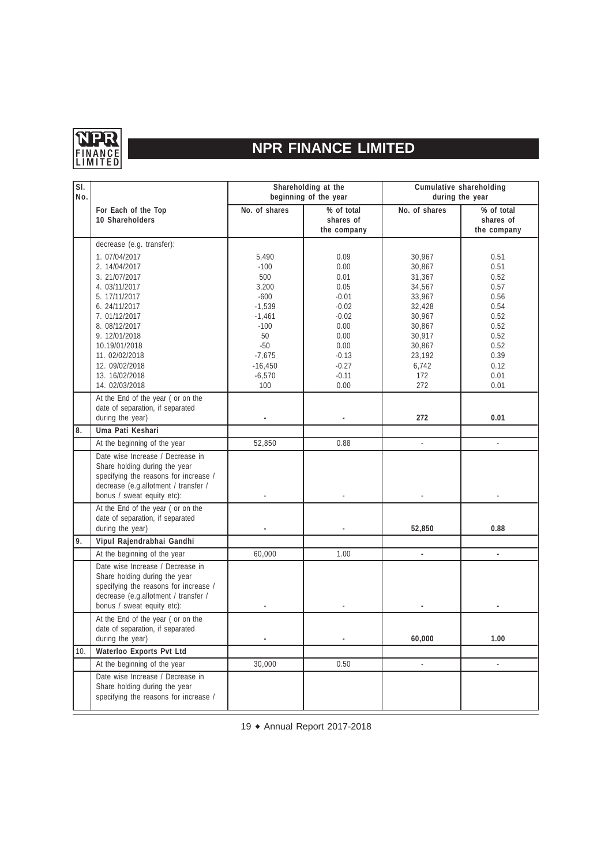

| SI.<br>No. |                                                                                                                                                                                                                            |                                                                                                                                 | Shareholding at the<br>beginning of the year                                                                           |                                                                                                                            | Cumulative shareholding<br>during the year                                                           |  |
|------------|----------------------------------------------------------------------------------------------------------------------------------------------------------------------------------------------------------------------------|---------------------------------------------------------------------------------------------------------------------------------|------------------------------------------------------------------------------------------------------------------------|----------------------------------------------------------------------------------------------------------------------------|------------------------------------------------------------------------------------------------------|--|
|            | For Each of the Top<br>10 Shareholders                                                                                                                                                                                     | No. of shares                                                                                                                   | % of total<br>shares of<br>the company                                                                                 | No. of shares                                                                                                              | % of total<br>shares of<br>the company                                                               |  |
|            | decrease (e.g. transfer):                                                                                                                                                                                                  |                                                                                                                                 |                                                                                                                        |                                                                                                                            |                                                                                                      |  |
|            | 1. 07/04/2017<br>2. 14/04/2017<br>3. 21/07/2017<br>4. 03/11/2017<br>5. 17/11/2017<br>6. 24/11/2017<br>7.01/12/2017<br>8. 08/12/2017<br>9.12/01/2018<br>10.19/01/2018<br>11. 02/02/2018<br>12. 09/02/2018<br>13. 16/02/2018 | 5.490<br>$-100$<br>500<br>3,200<br>$-600$<br>$-1,539$<br>$-1,461$<br>$-100$<br>50<br>$-50$<br>$-7.675$<br>$-16,450$<br>$-6,570$ | 0.09<br>0.00<br>0.01<br>0.05<br>$-0.01$<br>$-0.02$<br>$-0.02$<br>0.00<br>0.00<br>0.00<br>$-0.13$<br>$-0.27$<br>$-0.11$ | 30,967<br>30,867<br>31,367<br>34,567<br>33,967<br>32,428<br>30,967<br>30,867<br>30,917<br>30,867<br>23,192<br>6,742<br>172 | 0.51<br>0.51<br>0.52<br>0.57<br>0.56<br>0.54<br>0.52<br>0.52<br>0.52<br>0.52<br>0.39<br>0.12<br>0.01 |  |
|            | 14. 02/03/2018<br>At the End of the year ( or on the                                                                                                                                                                       | 100                                                                                                                             | 0.00                                                                                                                   | 272                                                                                                                        | 0.01                                                                                                 |  |
|            | date of separation, if separated<br>during the year)                                                                                                                                                                       |                                                                                                                                 |                                                                                                                        | 272                                                                                                                        | 0.01                                                                                                 |  |
| 8.         | Uma Pati Keshari                                                                                                                                                                                                           |                                                                                                                                 |                                                                                                                        |                                                                                                                            |                                                                                                      |  |
|            | At the beginning of the year                                                                                                                                                                                               | 52,850                                                                                                                          | 0.88                                                                                                                   |                                                                                                                            |                                                                                                      |  |
|            | Date wise Increase / Decrease in<br>Share holding during the year<br>specifying the reasons for increase /<br>decrease (e.g.allotment / transfer /<br>bonus / sweat equity etc):                                           |                                                                                                                                 |                                                                                                                        |                                                                                                                            |                                                                                                      |  |
|            | At the End of the year (or on the<br>date of separation, if separated<br>during the year)                                                                                                                                  |                                                                                                                                 |                                                                                                                        | 52,850                                                                                                                     | 0.88                                                                                                 |  |
| 9.         | Vipul Rajendrabhai Gandhi                                                                                                                                                                                                  |                                                                                                                                 |                                                                                                                        |                                                                                                                            |                                                                                                      |  |
|            | At the beginning of the year                                                                                                                                                                                               | 60,000                                                                                                                          | 1.00                                                                                                                   | $\overline{\phantom{a}}$                                                                                                   | $\overline{\phantom{a}}$                                                                             |  |
|            | Date wise Increase / Decrease in<br>Share holding during the year<br>specifying the reasons for increase /<br>decrease (e.g.allotment / transfer /<br>bonus / sweat equity etc):                                           |                                                                                                                                 |                                                                                                                        |                                                                                                                            |                                                                                                      |  |
|            | At the End of the year ( or on the<br>date of separation, if separated<br>during the year)                                                                                                                                 |                                                                                                                                 |                                                                                                                        | 60,000                                                                                                                     | 1.00                                                                                                 |  |
| 10.        | Waterloo Exports Pvt Ltd                                                                                                                                                                                                   |                                                                                                                                 |                                                                                                                        |                                                                                                                            |                                                                                                      |  |
|            | At the beginning of the year                                                                                                                                                                                               | 30,000                                                                                                                          | 0.50                                                                                                                   | L,                                                                                                                         | ÷,                                                                                                   |  |
|            | Date wise Increase / Decrease in<br>Share holding during the year<br>specifying the reasons for increase /                                                                                                                 |                                                                                                                                 |                                                                                                                        |                                                                                                                            |                                                                                                      |  |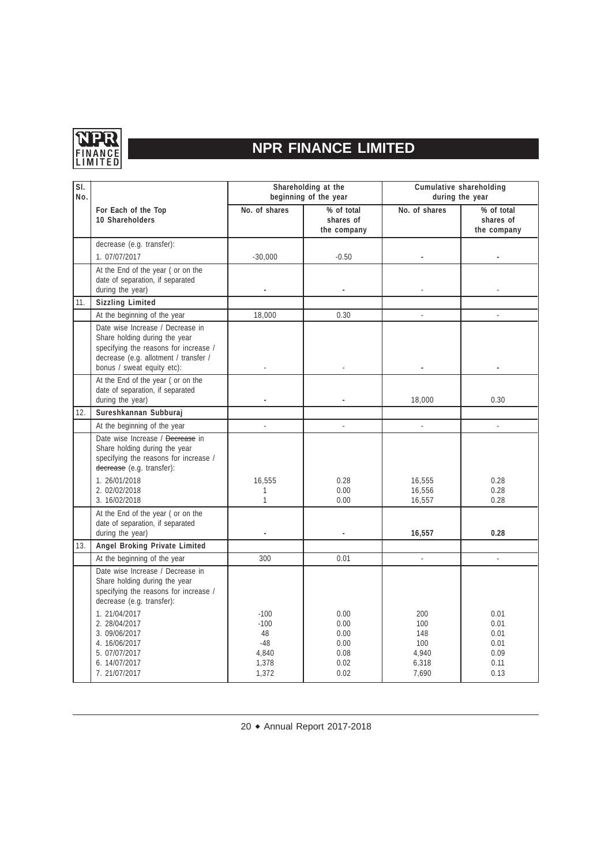

| SI.<br>No. |                                                                                                                                                                                   |                                                  | Shareholding at the<br>beginning of the year |                                              | Cumulative shareholding<br>during the year   |
|------------|-----------------------------------------------------------------------------------------------------------------------------------------------------------------------------------|--------------------------------------------------|----------------------------------------------|----------------------------------------------|----------------------------------------------|
|            | For Each of the Top<br>10 Shareholders                                                                                                                                            | No. of shares                                    | % of total<br>shares of<br>the company       | No. of shares                                | % of total<br>shares of<br>the company       |
|            | decrease (e.g. transfer):<br>1.07/07/2017                                                                                                                                         | $-30.000$                                        | $-0.50$                                      |                                              |                                              |
|            | At the End of the year (or on the<br>date of separation, if separated<br>during the year)                                                                                         |                                                  |                                              |                                              |                                              |
| 11.        | <b>Sizzling Limited</b>                                                                                                                                                           |                                                  |                                              |                                              |                                              |
|            | At the beginning of the year                                                                                                                                                      | 18,000                                           | 0.30                                         | $\overline{\phantom{a}}$                     | $\overline{\phantom{a}}$                     |
|            | Date wise Increase / Decrease in<br>Share holding during the year<br>specifying the reasons for increase /<br>decrease (e.g. allotment / transfer /<br>bonus / sweat equity etc): |                                                  |                                              |                                              |                                              |
|            | At the End of the year (or on the<br>date of separation, if separated<br>during the year)                                                                                         |                                                  |                                              | 18,000                                       | 0.30                                         |
| 12.        | Sureshkannan Subburaj                                                                                                                                                             |                                                  |                                              |                                              |                                              |
|            | At the beginning of the year                                                                                                                                                      | $\overline{a}$                                   | $\overline{a}$                               | L.                                           | ÷.                                           |
|            | Date wise Increase / Decrease in<br>Share holding during the year<br>specifying the reasons for increase /<br>decrease (e.g. transfer):                                           |                                                  |                                              |                                              |                                              |
|            | 1. 26/01/2018<br>2. 02/02/2018<br>3. 16/02/2018                                                                                                                                   | 16,555<br>$\mathbf{1}$<br>$\mathbf{1}$           | 0.28<br>0.00<br>0.00                         | 16,555<br>16,556<br>16,557                   | 0.28<br>0.28<br>0.28                         |
|            | At the End of the year ( or on the<br>date of separation, if separated<br>during the year)                                                                                        |                                                  |                                              | 16,557                                       | 0.28                                         |
| 13.        | Angel Broking Private Limited                                                                                                                                                     |                                                  |                                              |                                              |                                              |
|            | At the beginning of the year                                                                                                                                                      | 300                                              | 0.01                                         | $\blacksquare$                               | $\bar{\phantom{a}}$                          |
|            | Date wise Increase / Decrease in<br>Share holding during the year<br>specifying the reasons for increase /<br>decrease (e.g. transfer):<br>1. 21/04/2017                          | $-100$                                           | 0.00                                         | 200                                          | 0.01                                         |
|            | 2. 28/04/2017<br>3. 09/06/2017<br>4. 16/06/2017<br>5. 07/07/2017<br>6.14/07/2017<br>7. 21/07/2017                                                                                 | $-100$<br>48<br>$-48$<br>4,840<br>1,378<br>1,372 | 0.00<br>0.00<br>0.00<br>0.08<br>0.02<br>0.02 | 100<br>148<br>100<br>4,940<br>6,318<br>7,690 | 0.01<br>0.01<br>0.01<br>0.09<br>0.11<br>0.13 |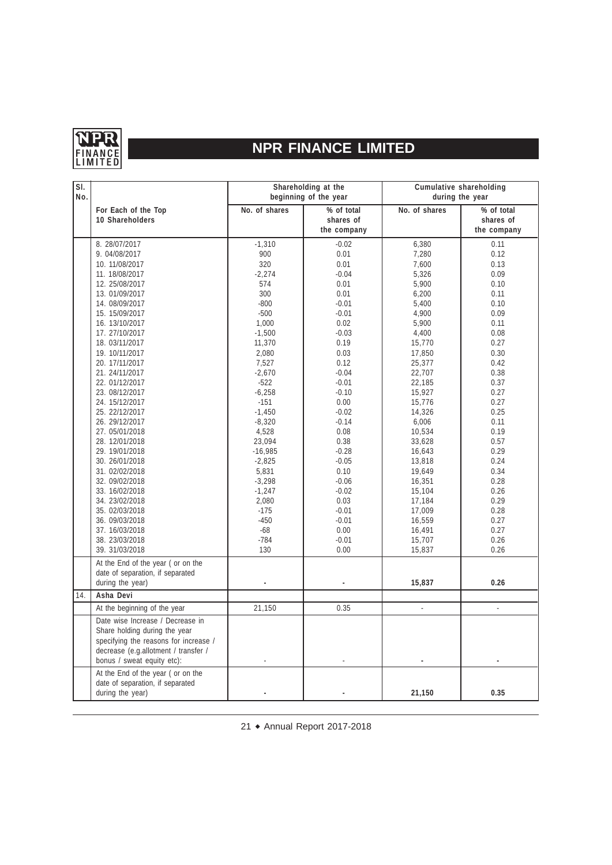

| $\overline{\mathsf{SL}}$<br>No. |                                                                                                                                                                                                                                                                                                                                                                                                                                                                                                                                                                                                                                | Shareholding at the<br>beginning of the year                                                                                                                                                                                                                                                                                  |                                                                                                                                                                                                                                                                                                                 |                                                                                                                                                                                                                                                                                                                   | Cumulative shareholding<br>during the year                                                                                                                                                                                                                   |
|---------------------------------|--------------------------------------------------------------------------------------------------------------------------------------------------------------------------------------------------------------------------------------------------------------------------------------------------------------------------------------------------------------------------------------------------------------------------------------------------------------------------------------------------------------------------------------------------------------------------------------------------------------------------------|-------------------------------------------------------------------------------------------------------------------------------------------------------------------------------------------------------------------------------------------------------------------------------------------------------------------------------|-----------------------------------------------------------------------------------------------------------------------------------------------------------------------------------------------------------------------------------------------------------------------------------------------------------------|-------------------------------------------------------------------------------------------------------------------------------------------------------------------------------------------------------------------------------------------------------------------------------------------------------------------|--------------------------------------------------------------------------------------------------------------------------------------------------------------------------------------------------------------------------------------------------------------|
|                                 | For Each of the Top<br>10 Shareholders                                                                                                                                                                                                                                                                                                                                                                                                                                                                                                                                                                                         | No. of shares                                                                                                                                                                                                                                                                                                                 | % of total<br>shares of<br>the company                                                                                                                                                                                                                                                                          | No. of shares                                                                                                                                                                                                                                                                                                     | % of total<br>shares of<br>the company                                                                                                                                                                                                                       |
|                                 | 8. 28/07/2017<br>9. 04/08/2017<br>10. 11/08/2017<br>11. 18/08/2017<br>12. 25/08/2017<br>13. 01/09/2017<br>14. 08/09/2017<br>15. 15/09/2017<br>16. 13/10/2017<br>17.27/10/2017<br>18. 03/11/2017<br>19. 10/11/2017<br>20. 17/11/2017<br>21. 24/11/2017<br>22. 01/12/2017<br>23. 08/12/2017<br>24. 15/12/2017<br>25. 22/12/2017<br>26. 29/12/2017<br>27. 05/01/2018<br>28. 12/01/2018<br>29. 19/01/2018<br>30. 26/01/2018<br>31. 02/02/2018<br>32. 09/02/2018<br>33. 16/02/2018<br>34. 23/02/2018<br>35. 02/03/2018<br>36. 09/03/2018<br>37. 16/03/2018<br>38. 23/03/2018<br>39. 31/03/2018<br>At the End of the year (or on the | $-1,310$<br>900<br>320<br>$-2,274$<br>574<br>300<br>$-800$<br>$-500$<br>1,000<br>$-1,500$<br>11,370<br>2,080<br>7,527<br>$-2,670$<br>$-522$<br>$-6,258$<br>$-151$<br>$-1,450$<br>$-8,320$<br>4,528<br>23.094<br>$-16,985$<br>$-2,825$<br>5,831<br>$-3,298$<br>$-1,247$<br>2,080<br>$-175$<br>$-450$<br>$-68$<br>$-784$<br>130 | $-0.02$<br>0.01<br>0.01<br>$-0.04$<br>0.01<br>0.01<br>$-0.01$<br>$-0.01$<br>0.02<br>$-0.03$<br>0.19<br>0.03<br>0.12<br>$-0.04$<br>$-0.01$<br>$-0.10$<br>0.00<br>$-0.02$<br>$-0.14$<br>0.08<br>0.38<br>$-0.28$<br>$-0.05$<br>0.10<br>$-0.06$<br>$-0.02$<br>0.03<br>$-0.01$<br>$-0.01$<br>0.00<br>$-0.01$<br>0.00 | 6,380<br>7,280<br>7,600<br>5,326<br>5,900<br>6,200<br>5,400<br>4,900<br>5,900<br>4,400<br>15,770<br>17,850<br>25,377<br>22,707<br>22,185<br>15,927<br>15,776<br>14,326<br>6,006<br>10,534<br>33,628<br>16,643<br>13,818<br>19,649<br>16,351<br>15,104<br>17,184<br>17,009<br>16,559<br>16,491<br>15,707<br>15,837 | 0.11<br>0.12<br>0.13<br>0.09<br>0.10<br>0.11<br>0.10<br>0.09<br>0.11<br>0.08<br>0.27<br>0.30<br>0.42<br>0.38<br>0.37<br>0.27<br>0.27<br>0.25<br>0.11<br>0.19<br>0.57<br>0.29<br>0.24<br>0.34<br>0.28<br>0.26<br>0.29<br>0.28<br>0.27<br>0.27<br>0.26<br>0.26 |
| 14.                             | date of separation, if separated<br>during the year)<br>Asha Devi                                                                                                                                                                                                                                                                                                                                                                                                                                                                                                                                                              |                                                                                                                                                                                                                                                                                                                               |                                                                                                                                                                                                                                                                                                                 | 15,837                                                                                                                                                                                                                                                                                                            | 0.26                                                                                                                                                                                                                                                         |
|                                 | At the beginning of the year                                                                                                                                                                                                                                                                                                                                                                                                                                                                                                                                                                                                   | 21.150                                                                                                                                                                                                                                                                                                                        | 0.35                                                                                                                                                                                                                                                                                                            |                                                                                                                                                                                                                                                                                                                   |                                                                                                                                                                                                                                                              |
|                                 | Date wise Increase / Decrease in<br>Share holding during the year<br>specifying the reasons for increase /<br>decrease (e.g.allotment / transfer /<br>bonus / sweat equity etc):<br>At the End of the year ( or on the                                                                                                                                                                                                                                                                                                                                                                                                         |                                                                                                                                                                                                                                                                                                                               |                                                                                                                                                                                                                                                                                                                 |                                                                                                                                                                                                                                                                                                                   |                                                                                                                                                                                                                                                              |
|                                 | date of separation, if separated<br>during the year)                                                                                                                                                                                                                                                                                                                                                                                                                                                                                                                                                                           |                                                                                                                                                                                                                                                                                                                               |                                                                                                                                                                                                                                                                                                                 | 21,150                                                                                                                                                                                                                                                                                                            | 0.35                                                                                                                                                                                                                                                         |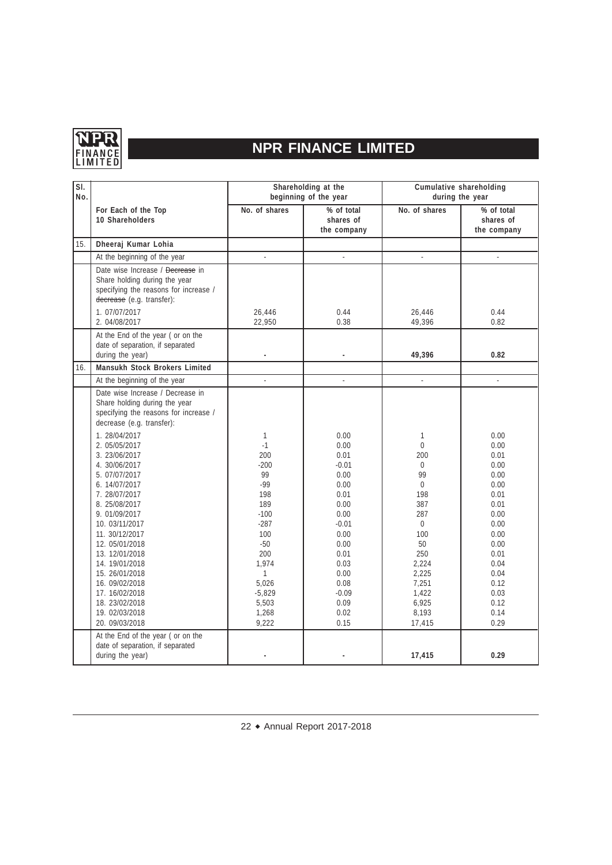

| $\overline{\mathsf{SI}}$ .<br>No. |                                                                                                                                                                                                                                                                                                                                                             |                                                                                                                                                                                        | Shareholding at the<br>beginning of the year                                                                                                                          |                                                                                                                                                                                           | Cumulative shareholding<br>during the year                                                                                                                   |  |
|-----------------------------------|-------------------------------------------------------------------------------------------------------------------------------------------------------------------------------------------------------------------------------------------------------------------------------------------------------------------------------------------------------------|----------------------------------------------------------------------------------------------------------------------------------------------------------------------------------------|-----------------------------------------------------------------------------------------------------------------------------------------------------------------------|-------------------------------------------------------------------------------------------------------------------------------------------------------------------------------------------|--------------------------------------------------------------------------------------------------------------------------------------------------------------|--|
|                                   | For Each of the Top<br>10 Shareholders                                                                                                                                                                                                                                                                                                                      | No. of shares                                                                                                                                                                          | % of total<br>shares of<br>the company                                                                                                                                | No. of shares                                                                                                                                                                             | % of total<br>shares of<br>the company                                                                                                                       |  |
| 15.                               | Dheeraj Kumar Lohia                                                                                                                                                                                                                                                                                                                                         |                                                                                                                                                                                        |                                                                                                                                                                       |                                                                                                                                                                                           |                                                                                                                                                              |  |
|                                   | At the beginning of the year                                                                                                                                                                                                                                                                                                                                | $\omega$                                                                                                                                                                               | $\Box$                                                                                                                                                                | ä,                                                                                                                                                                                        | $\sim$                                                                                                                                                       |  |
|                                   | Date wise Increase / Decrease in<br>Share holding during the year<br>specifying the reasons for increase /<br>decrease (e.g. transfer):                                                                                                                                                                                                                     |                                                                                                                                                                                        |                                                                                                                                                                       |                                                                                                                                                                                           |                                                                                                                                                              |  |
|                                   | 1.07/07/2017<br>2. 04/08/2017                                                                                                                                                                                                                                                                                                                               | 26,446<br>22,950                                                                                                                                                                       | 0.44<br>0.38                                                                                                                                                          | 26,446<br>49,396                                                                                                                                                                          | 0.44<br>0.82                                                                                                                                                 |  |
|                                   | At the End of the year ( or on the<br>date of separation, if separated<br>during the year)                                                                                                                                                                                                                                                                  |                                                                                                                                                                                        |                                                                                                                                                                       | 49,396                                                                                                                                                                                    | 0.82                                                                                                                                                         |  |
| 16.                               | Mansukh Stock Brokers Limited                                                                                                                                                                                                                                                                                                                               |                                                                                                                                                                                        |                                                                                                                                                                       |                                                                                                                                                                                           |                                                                                                                                                              |  |
|                                   | At the beginning of the year                                                                                                                                                                                                                                                                                                                                |                                                                                                                                                                                        | $\overline{a}$                                                                                                                                                        |                                                                                                                                                                                           | $\overline{a}$                                                                                                                                               |  |
|                                   | Date wise Increase / Decrease in<br>Share holding during the year<br>specifying the reasons for increase /<br>decrease (e.g. transfer):                                                                                                                                                                                                                     |                                                                                                                                                                                        |                                                                                                                                                                       |                                                                                                                                                                                           |                                                                                                                                                              |  |
|                                   | 1. 28/04/2017<br>2. 05/05/2017<br>3. 23/06/2017<br>4. 30/06/2017<br>5. 07/07/2017<br>6. 14/07/2017<br>7. 28/07/2017<br>8. 25/08/2017<br>9. 01/09/2017<br>10. 03/11/2017<br>11. 30/12/2017<br>12. 05/01/2018<br>13. 12/01/2018<br>14. 19/01/2018<br>15. 26/01/2018<br>16. 09/02/2018<br>17. 16/02/2018<br>18. 23/02/2018<br>19. 02/03/2018<br>20. 09/03/2018 | $\mathbf{1}$<br>$-1$<br>200<br>$-200$<br>99<br>$-99$<br>198<br>189<br>$-100$<br>$-287$<br>100<br>$-50$<br>200<br>1.974<br>$\mathbf{1}$<br>5,026<br>$-5,829$<br>5,503<br>1,268<br>9,222 | 0.00<br>0.00<br>0.01<br>$-0.01$<br>0.00<br>0.00<br>0.01<br>0.00<br>0.00<br>$-0.01$<br>0.00<br>0.00<br>0.01<br>0.03<br>0.00<br>0.08<br>$-0.09$<br>0.09<br>0.02<br>0.15 | 1<br>$\overline{0}$<br>200<br>$\overline{0}$<br>99<br>$\Omega$<br>198<br>387<br>287<br>$\overline{0}$<br>100<br>50<br>250<br>2.224<br>2,225<br>7,251<br>1,422<br>6,925<br>8,193<br>17,415 | 0.00<br>0.00<br>0.01<br>0.00<br>0.00<br>0.00<br>0.01<br>0.01<br>0.00<br>0.00<br>0.00<br>0.00<br>0.01<br>0.04<br>0.04<br>0.12<br>0.03<br>0.12<br>0.14<br>0.29 |  |
|                                   | At the End of the year ( or on the<br>date of separation, if separated<br>during the year)                                                                                                                                                                                                                                                                  |                                                                                                                                                                                        |                                                                                                                                                                       | 17,415                                                                                                                                                                                    | 0.29                                                                                                                                                         |  |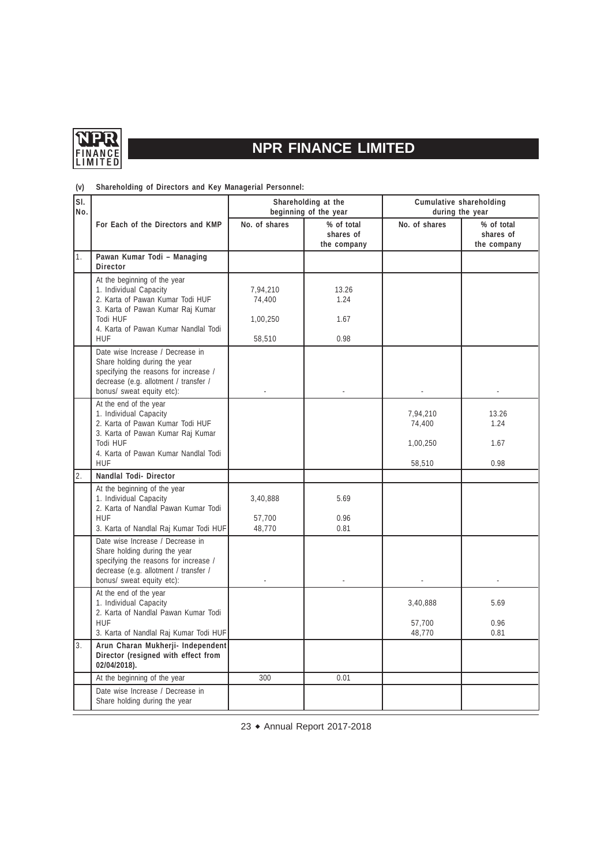

#### **(v) Shareholding of Directors and Key Managerial Personnel:**

| SI.<br>No.       |                                                                                                                                                                                                   |                                          | Shareholding at the<br>beginning of the year | Cumulative shareholding<br>during the year |                                        |
|------------------|---------------------------------------------------------------------------------------------------------------------------------------------------------------------------------------------------|------------------------------------------|----------------------------------------------|--------------------------------------------|----------------------------------------|
|                  | For Each of the Directors and KMP                                                                                                                                                                 | No. of shares                            | % of total<br>shares of<br>the company       | No. of shares                              | % of total<br>shares of<br>the company |
| $\overline{1}$ . | Pawan Kumar Todi - Managing<br>Director                                                                                                                                                           |                                          |                                              |                                            |                                        |
|                  | At the beginning of the year<br>1. Individual Capacity<br>2. Karta of Pawan Kumar Todi HUF<br>3. Karta of Pawan Kumar Raj Kumar<br>Todi HUF<br>4. Karta of Pawan Kumar Nandlal Todi<br><b>HUF</b> | 7,94,210<br>74,400<br>1,00,250<br>58,510 | 13.26<br>1.24<br>1.67<br>0.98                |                                            |                                        |
|                  | Date wise Increase / Decrease in<br>Share holding during the year<br>specifying the reasons for increase /<br>decrease (e.g. allotment / transfer /<br>bonus/ sweat equity etc):                  |                                          |                                              |                                            |                                        |
|                  | At the end of the year<br>1. Individual Capacity<br>2. Karta of Pawan Kumar Todi HUF<br>3. Karta of Pawan Kumar Raj Kumar<br>Todi HUF<br>4. Karta of Pawan Kumar Nandlal Todi<br><b>HUF</b>       |                                          |                                              | 7,94,210<br>74,400<br>1,00,250<br>58,510   | 13.26<br>1.24<br>1.67<br>0.98          |
| $\overline{2}$ . | Nandlal Todi- Director                                                                                                                                                                            |                                          |                                              |                                            |                                        |
|                  | At the beginning of the year<br>1. Individual Capacity<br>2. Karta of Nandlal Pawan Kumar Todi<br><b>HUF</b><br>3. Karta of Nandlal Raj Kumar Todi HUF                                            | 3,40,888<br>57,700<br>48.770             | 5.69<br>0.96<br>0.81                         |                                            |                                        |
|                  | Date wise Increase / Decrease in<br>Share holding during the year<br>specifying the reasons for increase /<br>decrease (e.g. allotment / transfer /<br>bonus/ sweat equity etc):                  |                                          |                                              |                                            |                                        |
|                  | At the end of the year<br>1. Individual Capacity<br>2. Karta of Nandlal Pawan Kumar Todi<br><b>HUF</b><br>3. Karta of Nandlal Raj Kumar Todi HUF                                                  |                                          |                                              | 3,40,888<br>57,700<br>48,770               | 5.69<br>0.96<br>0.81                   |
| 3.               | Arun Charan Mukherji- Independent<br>Director (resigned with effect from<br>02/04/2018).                                                                                                          |                                          |                                              |                                            |                                        |
|                  | At the beginning of the year                                                                                                                                                                      | 300                                      | 0.01                                         |                                            |                                        |
|                  | Date wise Increase / Decrease in<br>Share holding during the year                                                                                                                                 |                                          |                                              |                                            |                                        |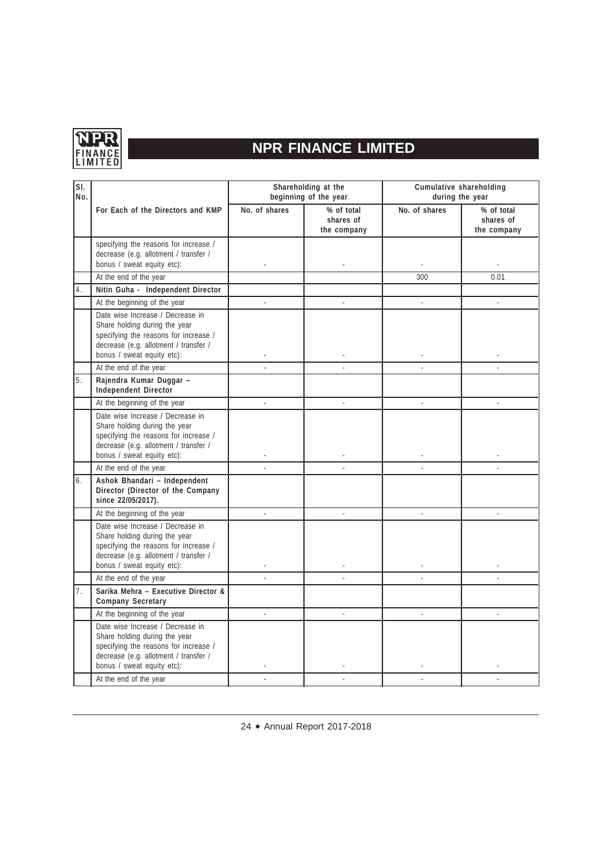

| SI.<br>No. |                                                                                                                                                                                   |                          | Shareholding at the<br>beginning of the year | Cumulative shareholding<br>during the year |                                        |  |
|------------|-----------------------------------------------------------------------------------------------------------------------------------------------------------------------------------|--------------------------|----------------------------------------------|--------------------------------------------|----------------------------------------|--|
|            | For Each of the Directors and KMP                                                                                                                                                 | No. of shares            | % of total<br>shares of<br>the company       | No. of shares                              | % of total<br>shares of<br>the company |  |
|            | specifying the reasons for increase /<br>decrease (e.g. allotment / transfer /<br>bonus / sweat equity etc):                                                                      |                          |                                              |                                            |                                        |  |
|            | At the end of the year                                                                                                                                                            |                          |                                              | 300                                        | 0.01                                   |  |
| 4.         | Nitin Guha - Independent Director                                                                                                                                                 |                          |                                              |                                            |                                        |  |
|            | At the beginning of the year                                                                                                                                                      | $\overline{\phantom{a}}$ | $\overline{\phantom{a}}$                     | $\overline{a}$                             |                                        |  |
|            | Date wise Increase / Decrease in<br>Share holding during the year<br>specifying the reasons for increase /<br>decrease (e.g. allotment / transfer /<br>bonus / sweat equity etc): |                          |                                              |                                            |                                        |  |
|            | At the end of the year                                                                                                                                                            |                          |                                              |                                            |                                        |  |
| 5.         | Rajendra Kumar Duggar -<br><b>Independent Director</b>                                                                                                                            |                          |                                              |                                            |                                        |  |
|            | At the beginning of the year                                                                                                                                                      | $\overline{a}$           | $\overline{a}$                               | $\overline{a}$                             |                                        |  |
|            | Date wise Increase / Decrease in<br>Share holding during the year<br>specifying the reasons for increase /<br>decrease (e.g. allotment / transfer /<br>bonus / sweat equity etc): |                          |                                              |                                            |                                        |  |
|            | At the end of the year                                                                                                                                                            |                          |                                              |                                            |                                        |  |
| 6.         | Ashok Bhandari - Independent<br>Director (Director of the Company<br>since 22/05/2017).                                                                                           |                          |                                              |                                            |                                        |  |
|            | At the beginning of the year                                                                                                                                                      | $\blacksquare$           | $\overline{\phantom{a}}$                     | ÷,                                         |                                        |  |
|            | Date wise Increase / Decrease in<br>Share holding during the year<br>specifying the reasons for increase /<br>decrease (e.g. allotment / transfer /<br>bonus / sweat equity etc): |                          |                                              |                                            |                                        |  |
|            | At the end of the year                                                                                                                                                            |                          |                                              |                                            |                                        |  |
| 7.         | Sarika Mehra - Executive Director &<br>Company Secretary                                                                                                                          |                          |                                              |                                            |                                        |  |
|            | At the beginning of the year                                                                                                                                                      | ÷.                       | L.                                           |                                            |                                        |  |
|            | Date wise Increase / Decrease in<br>Share holding during the year<br>specifying the reasons for increase /<br>decrease (e.g. allotment / transfer /<br>bonus / sweat equity etc): |                          |                                              |                                            |                                        |  |
|            | At the end of the year                                                                                                                                                            |                          |                                              |                                            |                                        |  |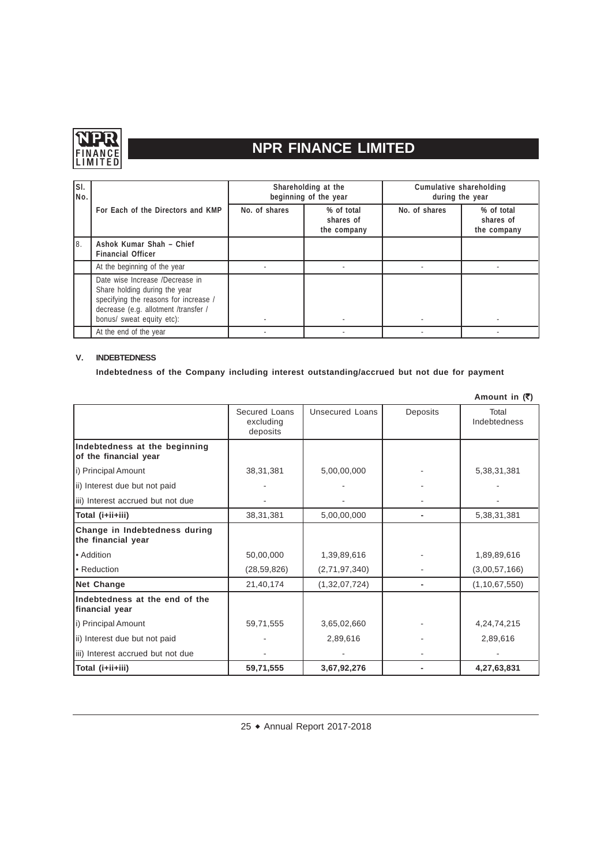

| SI.<br>No. |                                                                                                                                                                                |               | Shareholding at the<br>beginning of the year | Cumulative shareholding<br>during the year |                                        |
|------------|--------------------------------------------------------------------------------------------------------------------------------------------------------------------------------|---------------|----------------------------------------------|--------------------------------------------|----------------------------------------|
|            | For Each of the Directors and KMP                                                                                                                                              | No. of shares | % of total<br>shares of<br>the company       | No. of shares                              | % of total<br>shares of<br>the company |
| 8.         | Ashok Kumar Shah - Chief<br><b>Financial Officer</b>                                                                                                                           |               |                                              |                                            |                                        |
|            | At the beginning of the year                                                                                                                                                   |               |                                              |                                            |                                        |
|            | Date wise Increase /Decrease in<br>Share holding during the year<br>specifying the reasons for increase /<br>decrease (e.g. allotment /transfer /<br>bonus/ sweat equity etc): |               |                                              |                                            |                                        |
|            | At the end of the year                                                                                                                                                         |               |                                              |                                            |                                        |

#### **V. INDEBTEDNESS**

**Indebtedness of the Company including interest outstanding/accrued but not due for payment**

|                                                        |                                        |                        |          | Amount in (र)         |
|--------------------------------------------------------|----------------------------------------|------------------------|----------|-----------------------|
|                                                        | Secured Loans<br>excluding<br>deposits | <b>Unsecured Loans</b> | Deposits | Total<br>Indebtedness |
| Indebtedness at the beginning<br>of the financial year |                                        |                        |          |                       |
| i) Principal Amount                                    | 38, 31, 381                            | 5,00,00,000            |          | 5,38,31,381           |
| ii) Interest due but not paid                          |                                        |                        |          |                       |
| iii) Interest accrued but not due                      |                                        |                        |          |                       |
| Total (i+ii+iii)                                       | 38, 31, 381                            | 5,00,00,000            |          | 5,38,31,381           |
| Change in Indebtedness during<br>the financial year    |                                        |                        |          |                       |
| • Addition                                             | 50,00,000                              | 1,39,89,616            |          | 1,89,89,616           |
| • Reduction                                            | (28, 59, 826)                          | (2,71,97,340)          |          | (3,00,57,166)         |
| <b>Net Change</b>                                      | 21,40,174                              | (1, 32, 07, 724)       |          | (1, 10, 67, 550)      |
| Indebtedness at the end of the<br>financial year       |                                        |                        |          |                       |
| i) Principal Amount                                    | 59,71,555                              | 3,65,02,660            |          | 4,24,74,215           |
| ii) Interest due but not paid                          |                                        | 2,89,616               |          | 2,89,616              |
| iii) Interest accrued but not due                      |                                        |                        |          |                       |
| Total (i+ii+iii)                                       | 59,71,555                              | 3,67,92,276            |          | 4,27,63,831           |

**Amount in (**`**)**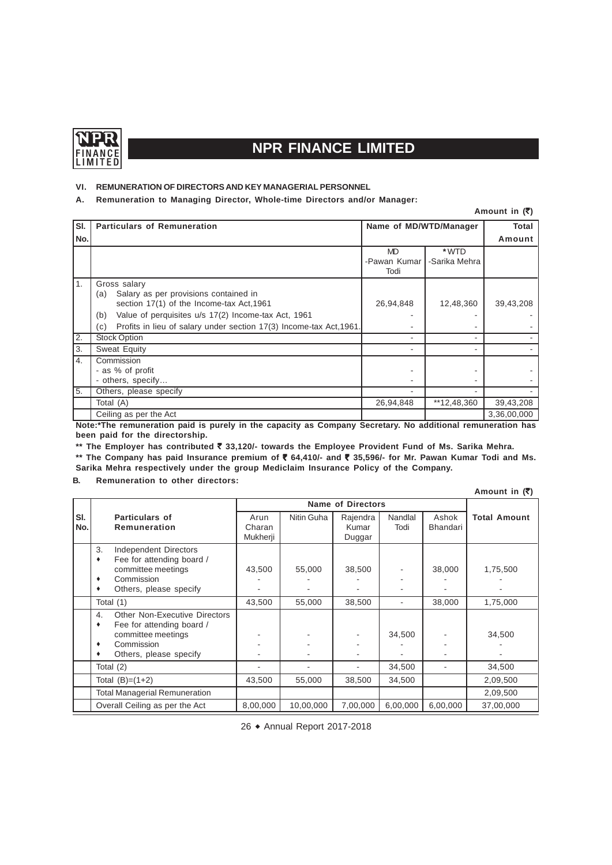

#### **VI. REMUNERATION OF DIRECTORS AND KEY MANAGERIAL PERSONNEL**

#### **A. Remuneration to Managing Director, Whole-time Directors and/or Manager:**

|                  | Amount in $(3)$                                                                                           |                           |                        |             |  |  |
|------------------|-----------------------------------------------------------------------------------------------------------|---------------------------|------------------------|-------------|--|--|
| SI.              | <b>Particulars of Remuneration</b>                                                                        | Name of MD/WTD/Manager    |                        | Total       |  |  |
| No.              |                                                                                                           |                           |                        | Amount      |  |  |
|                  |                                                                                                           | <b>MD</b><br>-Pawan Kumar | * WTD<br>-Sarika Mehra |             |  |  |
|                  |                                                                                                           | Todi                      |                        |             |  |  |
| 1.               | Gross salary<br>Salary as per provisions contained in<br>(a)<br>section 17(1) of the Income-tax Act, 1961 | 26,94,848                 |                        | 39,43,208   |  |  |
|                  | Value of perquisites u/s 17(2) Income-tax Act, 1961<br>(b)                                                |                           | 12,48,360              |             |  |  |
|                  | Profits in lieu of salary under section 17(3) Income-tax Act, 1961.<br>(c)                                |                           |                        |             |  |  |
| 2.               | <b>Stock Option</b>                                                                                       | ۰                         |                        |             |  |  |
| 3.               | Sweat Equity                                                                                              |                           |                        |             |  |  |
| $\overline{4}$ . | Commission<br>- as % of profit<br>- others, specify                                                       |                           |                        |             |  |  |
| $\overline{5}$ . | Others, please specify                                                                                    | ٠                         |                        |             |  |  |
|                  | Total (A)                                                                                                 | 26,94,848                 | **12,48,360            | 39,43,208   |  |  |
|                  | Ceiling as per the Act                                                                                    |                           |                        | 3,36,00,000 |  |  |

**Note:\*The remuneration paid is purely in the capacity as Company Secretary. No additional remuneration has been paid for the directorship.**

**\*\* The Employer has contributed** ` **33,120/- towards the Employee Provident Fund of Ms. Sarika Mehra.**

**\*\* The Company has paid Insurance premium of** ` **64,410/- and** ` **35,596/- for Mr. Pawan Kumar Todi and Ms. Sarika Mehra respectively under the group Mediclaim Insurance Policy of the Company.**

**B. Remuneration to other directors:**

Amount in (そ) **Name of Directors Sl. Particulars of** Arun Nitin Guha Rajendra Nandlal Ashok **Total Amount No. Remuneration Charan Charan Kumar** Todi Bhandari Duggar 3. Independent Directors Fee for attending board / committee meetings 43,500 55,000 38,500 - 38,000 1,75,500 Commission - - - - - -  $\bullet$  Others, please specify  $\begin{vmatrix} \cdot & \cdot & \cdot \\ \cdot & \cdot & \cdot \end{vmatrix}$  . Total (1) | 43,500 | 55,000 | 38,500 | - | 38,000 | 1,75,000 4. Other Non-Executive Directors Fee for attending board / committee meetings  $\begin{vmatrix} -1 & 1 & 1 \\ 1 & -1 & -1 \end{vmatrix}$   $\begin{vmatrix} 34,500 & -1 \\ -1 & 34,500 \end{vmatrix}$   $\begin{vmatrix} 34,500 & -1 \\ -1 & 34,500 \end{vmatrix}$ Commission  $\begin{vmatrix} 1 & 1 & 1 \\ 1 & 1 & 1 \end{vmatrix}$  .  $\begin{vmatrix} 1 & 1 & 1 \\ 1 & 1 & 1 \end{vmatrix}$  . • Others, please specify  $\begin{vmatrix} -1 & 1 & 1 \\ 1 & -1 & -1 \end{vmatrix}$  . Total (2) 34,500 34,500 Total (B)=(1+2) 43,500 55,000 38,500 34,500 2,09,500 Total Managerial Remuneration 2,09,500 Overall Ceiling as per the Act 8,00,000 10,00,000 7,00,000 6,00,000 6,00,000 37,00,000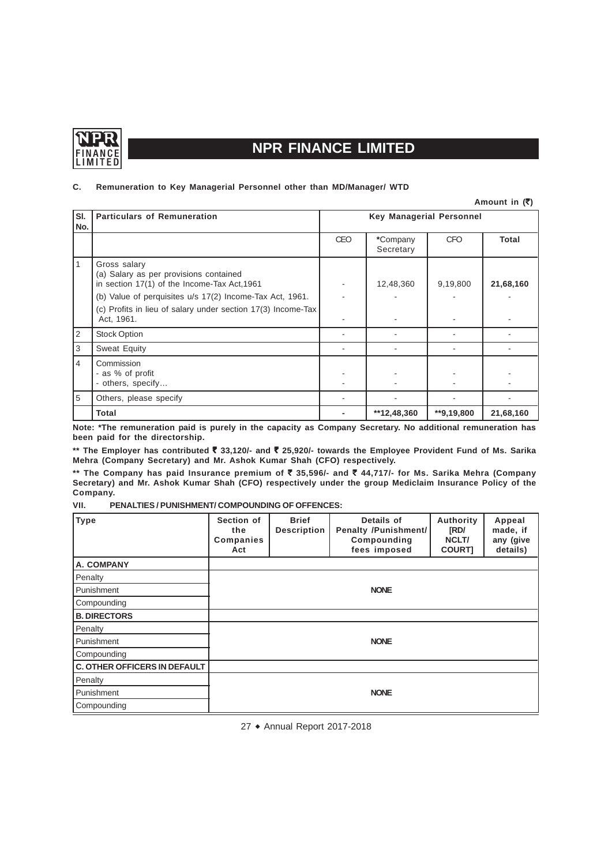

#### **C. Remuneration to Key Managerial Personnel other than MD/Manager/ WTD**

#### $A$ mount in  $\overline{5}$

|                | $11119$ with $111$ , $13$                                                                                                                                                                                                                        |                                 |                       |            |              |
|----------------|--------------------------------------------------------------------------------------------------------------------------------------------------------------------------------------------------------------------------------------------------|---------------------------------|-----------------------|------------|--------------|
| SI.<br>No.     | <b>Particulars of Remuneration</b>                                                                                                                                                                                                               | <b>Key Managerial Personnel</b> |                       |            |              |
|                |                                                                                                                                                                                                                                                  | <b>CEO</b>                      | *Company<br>Secretary | <b>CFO</b> | <b>Total</b> |
| 11             | Gross salary<br>(a) Salary as per provisions contained<br>in section 17(1) of the Income-Tax Act, 1961<br>(b) Value of perquisites u/s 17(2) Income-Tax Act, 1961.<br>(c) Profits in lieu of salary under section 17(3) Income-Tax<br>Act. 1961. |                                 | 12,48,360             | 9,19,800   | 21,68,160    |
| $\sqrt{2}$     | <b>Stock Option</b>                                                                                                                                                                                                                              |                                 |                       |            |              |
| $\sqrt{3}$     | Sweat Equity                                                                                                                                                                                                                                     |                                 |                       |            |              |
| 14             | Commission<br>- as % of profit<br>- others, specify                                                                                                                                                                                              |                                 |                       |            |              |
| $\overline{5}$ | Others, please specify                                                                                                                                                                                                                           |                                 |                       |            |              |
|                | <b>Total</b>                                                                                                                                                                                                                                     |                                 | **12,48,360           | **9,19,800 | 21,68,160    |

**Note: \*The remuneration paid is purely in the capacity as Company Secretary. No additional remuneration has been paid for the directorship.**

**\*\* The Employer has contributed** ` **33,120/- and** ` **25,920/- towards the Employee Provident Fund of Ms. Sarika Mehra (Company Secretary) and Mr. Ashok Kumar Shah (CFO) respectively.**

**\*\* The Company has paid Insurance premium of** ` **35,596/- and** ` **44,717/- for Ms. Sarika Mehra (Company Secretary) and Mr. Ashok Kumar Shah (CFO) respectively under the group Mediclaim Insurance Policy of the Company.**

**VII. PENALTIES / PUNISHMENT/ COMPOUNDING OF OFFENCES:**

| Type                         | Section of<br>the<br>Companies<br>Act | <b>Brief</b><br><b>Description</b> | Details of<br><b>Penalty /Punishment/</b><br>Compounding<br>fees imposed | Authority<br>[RD/<br><b>NCLT/</b><br><b>COURT]</b> | Appeal<br>made, if<br>any (give<br>details) |
|------------------------------|---------------------------------------|------------------------------------|--------------------------------------------------------------------------|----------------------------------------------------|---------------------------------------------|
| A. COMPANY                   |                                       |                                    |                                                                          |                                                    |                                             |
| Penalty                      |                                       |                                    |                                                                          |                                                    |                                             |
| l Punishment                 | <b>NONE</b>                           |                                    |                                                                          |                                                    |                                             |
| Compounding                  |                                       |                                    |                                                                          |                                                    |                                             |
| <b>B. DIRECTORS</b>          |                                       |                                    |                                                                          |                                                    |                                             |
| Penalty                      |                                       |                                    |                                                                          |                                                    |                                             |
| Punishment                   | <b>NONE</b>                           |                                    |                                                                          |                                                    |                                             |
| Compounding                  |                                       |                                    |                                                                          |                                                    |                                             |
| C. OTHER OFFICERS IN DEFAULT |                                       |                                    |                                                                          |                                                    |                                             |
| Penalty                      |                                       |                                    |                                                                          |                                                    |                                             |
| Punishment                   | <b>NONE</b>                           |                                    |                                                                          |                                                    |                                             |
| Compounding                  |                                       |                                    |                                                                          |                                                    |                                             |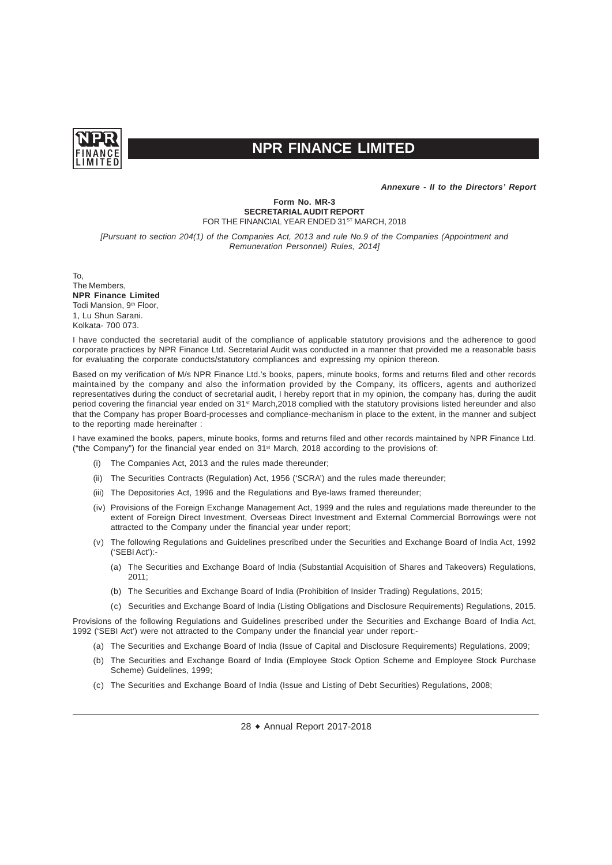

*Annexure - II to the Directors' Report*

#### **Form No. MR-3 SECRETARIAL AUDIT REPORT** FOR THE FINANCIAL YEAR ENDED 31ST MARCH, 2018

*[Pursuant to section 204(1) of the Companies Act, 2013 and rule No.9 of the Companies (Appointment and Remuneration Personnel) Rules, 2014]*

To, The Members, **NPR Finance Limited** Todi Mansion, 9<sup>th</sup> Floor, 1, Lu Shun Sarani. Kolkata- 700 073.

I have conducted the secretarial audit of the compliance of applicable statutory provisions and the adherence to good corporate practices by NPR Finance Ltd. Secretarial Audit was conducted in a manner that provided me a reasonable basis for evaluating the corporate conducts/statutory compliances and expressing my opinion thereon.

Based on my verification of M/s NPR Finance Ltd.'s books, papers, minute books, forms and returns filed and other records maintained by the company and also the information provided by the Company, its officers, agents and authorized representatives during the conduct of secretarial audit, I hereby report that in my opinion, the company has, during the audit period covering the financial year ended on 31<sup>st</sup> March,2018 complied with the statutory provisions listed hereunder and also that the Company has proper Board-processes and compliance-mechanism in place to the extent, in the manner and subject to the reporting made hereinafter :

I have examined the books, papers, minute books, forms and returns filed and other records maintained by NPR Finance Ltd. ("the Company") for the financial year ended on 31st March, 2018 according to the provisions of:

- (i) The Companies Act, 2013 and the rules made thereunder;
- (ii) The Securities Contracts (Regulation) Act, 1956 ('SCRA') and the rules made thereunder;
- (iii) The Depositories Act, 1996 and the Regulations and Bye-laws framed thereunder;
- (iv) Provisions of the Foreign Exchange Management Act, 1999 and the rules and regulations made thereunder to the extent of Foreign Direct Investment, Overseas Direct Investment and External Commercial Borrowings were not attracted to the Company under the financial year under report;
- (v) The following Regulations and Guidelines prescribed under the Securities and Exchange Board of India Act, 1992 ('SEBI Act'):-
	- (a) The Securities and Exchange Board of India (Substantial Acquisition of Shares and Takeovers) Regulations, 2011;
	- (b) The Securities and Exchange Board of India (Prohibition of Insider Trading) Regulations, 2015;
	- (c) Securities and Exchange Board of India (Listing Obligations and Disclosure Requirements) Regulations, 2015.

Provisions of the following Regulations and Guidelines prescribed under the Securities and Exchange Board of India Act, 1992 ('SEBI Act') were not attracted to the Company under the financial year under report:-

- (a) The Securities and Exchange Board of India (Issue of Capital and Disclosure Requirements) Regulations, 2009;
- (b) The Securities and Exchange Board of India (Employee Stock Option Scheme and Employee Stock Purchase Scheme) Guidelines, 1999;
- (c) The Securities and Exchange Board of India (Issue and Listing of Debt Securities) Regulations, 2008;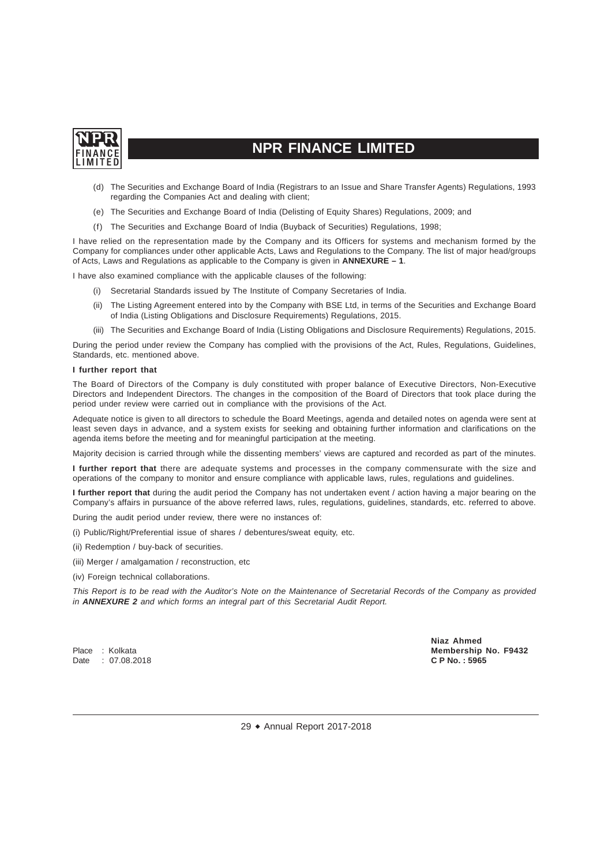

- (d) The Securities and Exchange Board of India (Registrars to an Issue and Share Transfer Agents) Regulations, 1993 regarding the Companies Act and dealing with client;
- (e) The Securities and Exchange Board of India (Delisting of Equity Shares) Regulations, 2009; and
- (f) The Securities and Exchange Board of India (Buyback of Securities) Regulations, 1998;

I have relied on the representation made by the Company and its Officers for systems and mechanism formed by the Company for compliances under other applicable Acts, Laws and Regulations to the Company. The list of major head/groups of Acts, Laws and Regulations as applicable to the Company is given in **ANNEXURE – 1**.

I have also examined compliance with the applicable clauses of the following:

- (i) Secretarial Standards issued by The Institute of Company Secretaries of India.
- (ii) The Listing Agreement entered into by the Company with BSE Ltd, in terms of the Securities and Exchange Board of India (Listing Obligations and Disclosure Requirements) Regulations, 2015.
- (iii) The Securities and Exchange Board of India (Listing Obligations and Disclosure Requirements) Regulations, 2015.

During the period under review the Company has complied with the provisions of the Act, Rules, Regulations, Guidelines, Standards, etc. mentioned above.

#### **I further report that**

The Board of Directors of the Company is duly constituted with proper balance of Executive Directors, Non-Executive Directors and Independent Directors. The changes in the composition of the Board of Directors that took place during the period under review were carried out in compliance with the provisions of the Act.

Adequate notice is given to all directors to schedule the Board Meetings, agenda and detailed notes on agenda were sent at least seven days in advance, and a system exists for seeking and obtaining further information and clarifications on the agenda items before the meeting and for meaningful participation at the meeting.

Majority decision is carried through while the dissenting members' views are captured and recorded as part of the minutes.

**I further report that** there are adequate systems and processes in the company commensurate with the size and operations of the company to monitor and ensure compliance with applicable laws, rules, regulations and guidelines.

**I further report that** during the audit period the Company has not undertaken event / action having a major bearing on the Company's affairs in pursuance of the above referred laws, rules, regulations, guidelines, standards, etc. referred to above.

During the audit period under review, there were no instances of:

(i) Public/Right/Preferential issue of shares / debentures/sweat equity, etc.

(ii) Redemption / buy-back of securities.

(iii) Merger / amalgamation / reconstruction, etc

(iv) Foreign technical collaborations.

*This Report is to be read with the Auditor's Note on the Maintenance of Secretarial Records of the Company as provided in ANNEXURE 2 and which forms an integral part of this Secretarial Audit Report.*

Date : 07.08.2018 **C P No. : 5965**

**Niaz Ahmed** Place : Kolkata **Membership No. F9432**<br>Date : 07.08.2018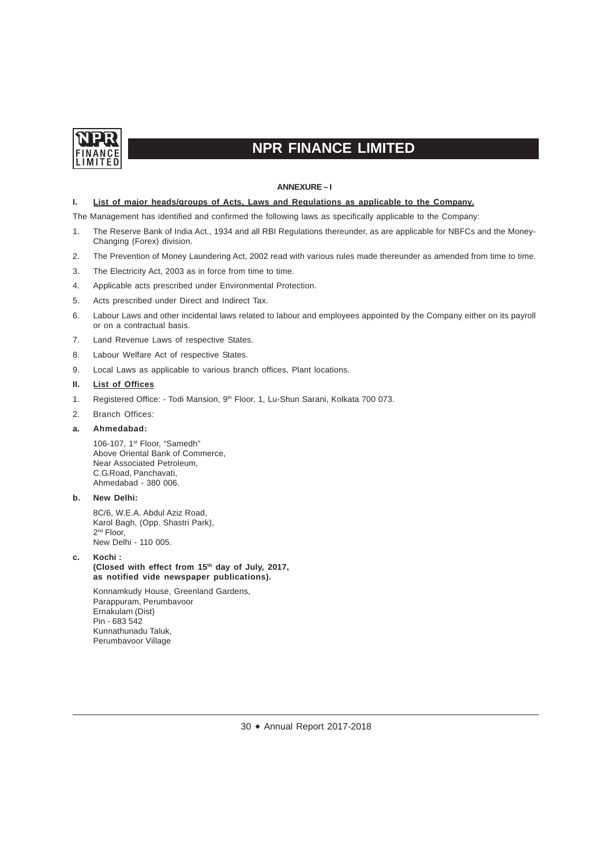

#### **ANNEXURE – I**

#### **I. List of major heads/groups of Acts, Laws and Regulations as applicable to the Company.**

The Management has identified and confirmed the following laws as specifically applicable to the Company:

- 1. The Reserve Bank of India Act., 1934 and all RBI Regulations thereunder, as are applicable for NBFCs and the Money-Changing (Forex) division.
- 2. The Prevention of Money Laundering Act, 2002 read with various rules made thereunder as amended from time to time.
- 3. The Electricity Act, 2003 as in force from time to time.
- 4. Applicable acts prescribed under Environmental Protection.
- 5. Acts prescribed under Direct and Indirect Tax.
- 6. Labour Laws and other incidental laws related to labour and employees appointed by the Company either on its payroll or on a contractual basis.
- 7. Land Revenue Laws of respective States.
- 8. Labour Welfare Act of respective States.
- 9. Local Laws as applicable to various branch offices, Plant locations.

#### **II. List of Offices**

- 1. Registered Office: Todi Mansion, 9<sup>th</sup> Floor, 1, Lu-Shun Sarani, Kolkata 700 073.
- 2. Branch Offices:

#### **a. Ahmedabad:**

106-107, 1<sup>st</sup> Floor, "Samedh" Above Oriental Bank of Commerce, Near Associated Petroleum, C.G.Road, Panchavati, Ahmedabad - 380 006.

#### **b. New Delhi:**

8C/6, W.E.A. Abdul Aziz Road, Karol Bagh, (Opp. Shastri Park), 2<sup>nd</sup> Floor, New Delhi - 110 005.

**c. Kochi : (Closed with effect from 15th day of July, 2017,**

#### **as notified vide newspaper publications).**

Konnamkudy House, Greenland Gardens, Parappuram, Perumbavoor Ernakulam (Dist) Pin - 683 542 Kunnathunadu Taluk, Perumbavoor Village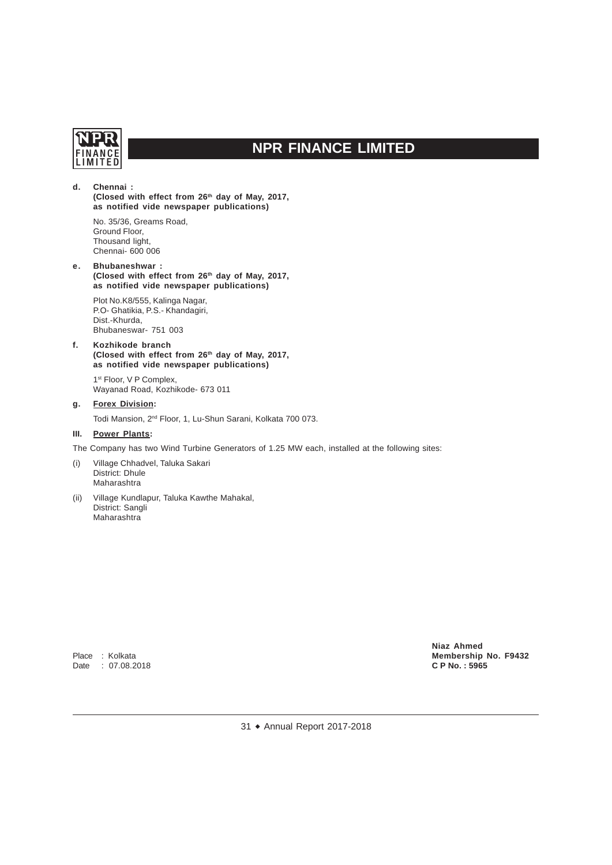

#### **d. Chennai : (Closed with effect from 26th day of May, 2017, as notified vide newspaper publications)**

No. 35/36, Greams Road, Ground Floor, Thousand light, Chennai- 600 006

#### **e. Bhubaneshwar : (Closed with effect from 26th day of May, 2017, as notified vide newspaper publications)**

Plot No.K8/555, Kalinga Nagar, P.O- Ghatikia, P.S.- Khandagiri, Dist.-Khurda, Bhubaneswar- 751 003

#### **f. Kozhikode branch (Closed with effect from 26th day of May, 2017, as notified vide newspaper publications)**

1st Floor, V P Complex, Wayanad Road, Kozhikode- 673 011

#### **g. Forex Division:**

Todi Mansion, 2nd Floor, 1, Lu-Shun Sarani, Kolkata 700 073.

#### **III. Power Plants:**

- The Company has two Wind Turbine Generators of 1.25 MW each, installed at the following sites:
- (i) Village Chhadvel, Taluka Sakari District: Dhule Maharashtra
- (ii) Village Kundlapur, Taluka Kawthe Mahakal, District: Sangli **Maharashtra**

Date : 07.08.2018 **C P No. : 5965**

**Niaz Ahmed** Place : Kolkata **Membership No. F9432**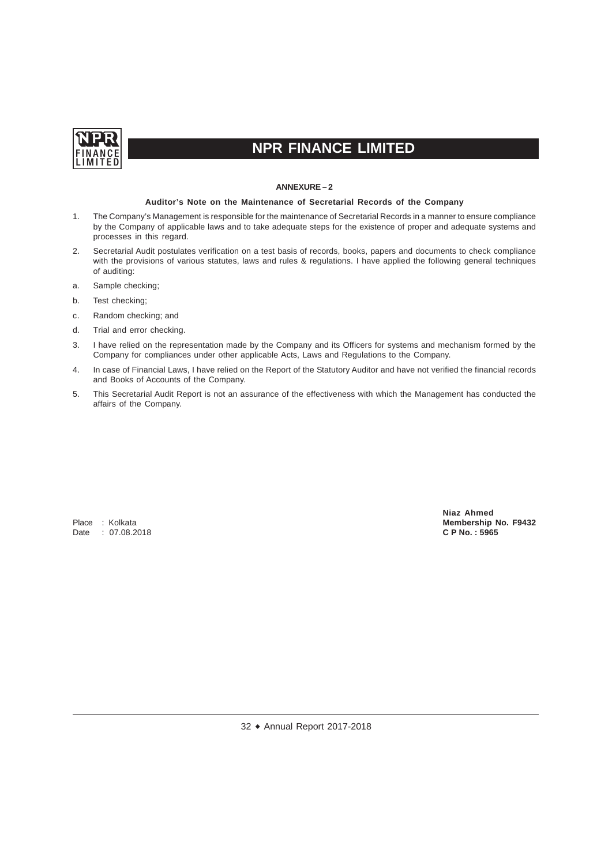

#### **ANNEXURE – 2**

#### **Auditor's Note on the Maintenance of Secretarial Records of the Company**

- 1. The Company's Management is responsible for the maintenance of Secretarial Records in a manner to ensure compliance by the Company of applicable laws and to take adequate steps for the existence of proper and adequate systems and processes in this regard.
- 2. Secretarial Audit postulates verification on a test basis of records, books, papers and documents to check compliance with the provisions of various statutes, laws and rules & regulations. I have applied the following general techniques of auditing:
- a. Sample checking;
- b. Test checking;
- c. Random checking; and
- d. Trial and error checking.
- 3. I have relied on the representation made by the Company and its Officers for systems and mechanism formed by the Company for compliances under other applicable Acts, Laws and Regulations to the Company.
- 4. In case of Financial Laws, I have relied on the Report of the Statutory Auditor and have not verified the financial records and Books of Accounts of the Company.
- 5. This Secretarial Audit Report is not an assurance of the effectiveness with which the Management has conducted the affairs of the Company.

Date : 07.08.2018

**Niaz Ahmed** Place : Kolkata **Membership No. F9432**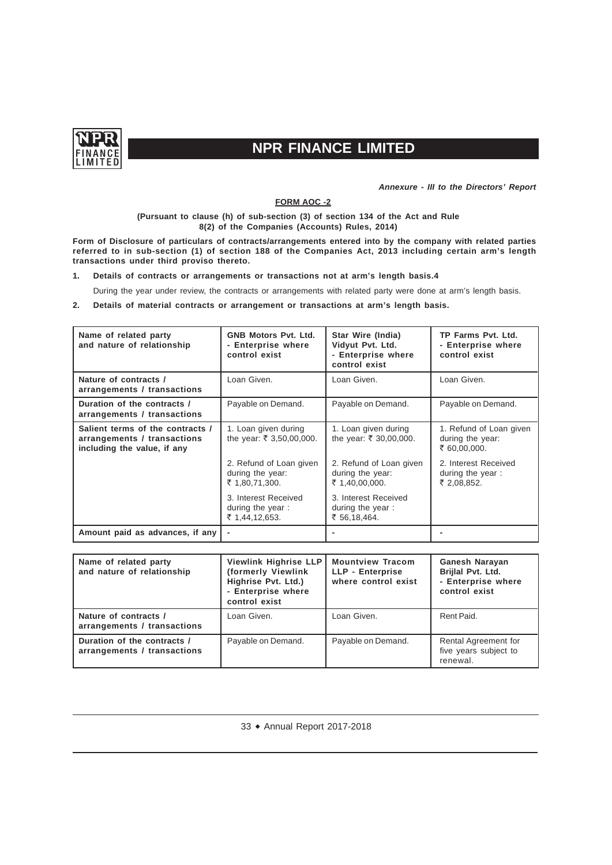

*Annexure - III to the Directors' Report*

#### **FORM AOC -2**

**(Pursuant to clause (h) of sub-section (3) of section 134 of the Act and Rule 8(2) of the Companies (Accounts) Rules, 2014)**

**Form of Disclosure of particulars of contracts/arrangements entered into by the company with related parties referred to in sub-section (1) of section 188 of the Companies Act, 2013 including certain arm's length transactions under third proviso thereto.**

**1. Details of contracts or arrangements or transactions not at arm's length basis.4**

During the year under review, the contracts or arrangements with related party were done at arm's length basis.

**2. Details of material contracts or arrangement or transactions at arm's length basis.**

| Name of related party<br>and nature of relationship                                            | <b>GNB Motors Pvt. Ltd.</b><br>- Enterprise where<br>control exist | Star Wire (India)<br>Vidyut Pvt. Ltd.<br>- Enterprise where<br>control exist | TP Farms Pvt. Ltd.<br>- Enterprise where<br>control exist   |
|------------------------------------------------------------------------------------------------|--------------------------------------------------------------------|------------------------------------------------------------------------------|-------------------------------------------------------------|
| Nature of contracts /<br>arrangements / transactions                                           | Loan Given.                                                        | Loan Given.                                                                  | Loan Given.                                                 |
| Duration of the contracts /<br>arrangements / transactions                                     | Payable on Demand.                                                 | Payable on Demand.                                                           | Payable on Demand.                                          |
| Salient terms of the contracts /<br>arrangements / transactions<br>including the value, if any | 1. Loan given during<br>the year: $\bar{\tau}$ 3,50,00,000.        | 1. Loan given during<br>the year: ₹ 30,00,000.                               | 1. Refund of Loan given<br>during the year:<br>₹ 60,00,000. |
|                                                                                                | 2. Refund of Loan given<br>during the year:<br>₹ 1,80,71,300.      | 2. Refund of Loan given<br>during the year:<br>₹ 1,40,00,000.                | 2. Interest Received<br>during the year:<br>₹ 2,08,852.     |
|                                                                                                | 3. Interest Received<br>during the year:<br>₹ 1,44,12,653.         | 3. Interest Received<br>during the year:<br>₹ 56,18,464.                     |                                                             |
| Amount paid as advances, if any                                                                |                                                                    |                                                                              |                                                             |

| Name of related party<br>and nature of relationship        | <b>Viewlink Highrise LLP</b><br>(formerly Viewlink<br>Highrise Pvt. Ltd.)<br>- Enterprise where<br>control exist | <b>Mountview Tracom</b><br>LLP - Enterprise<br>where control exist | <b>Ganesh Narayan</b><br>Brijlal Pvt. Ltd.<br>- Enterprise where<br>control exist |
|------------------------------------------------------------|------------------------------------------------------------------------------------------------------------------|--------------------------------------------------------------------|-----------------------------------------------------------------------------------|
| Nature of contracts /<br>arrangements / transactions       | Loan Given.                                                                                                      | Loan Given.                                                        | Rent Paid.                                                                        |
| Duration of the contracts /<br>arrangements / transactions | Payable on Demand.                                                                                               | Payable on Demand.                                                 | Rental Agreement for<br>five years subject to<br>renewal.                         |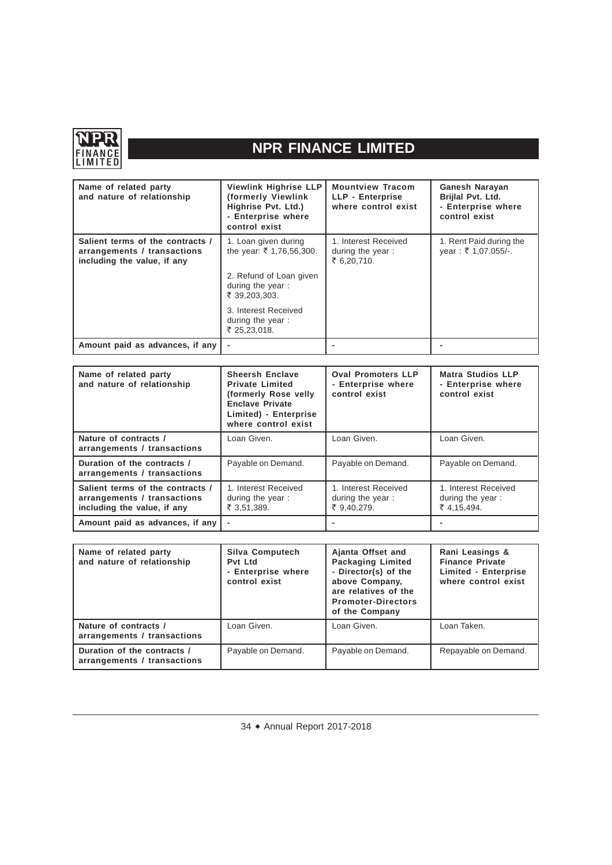

| Name of related party<br>and nature of relationship                                            | <b>Viewlink Highrise LLP</b><br>(formerly Viewlink<br>Highrise Pvt. Ltd.)<br>- Enterprise where<br>control exist                                                             | <b>Mountview Tracom</b><br>LLP - Enterprise<br>where control exist | Ganesh Narayan<br>Brijlal Pvt. Ltd.<br>- Enterprise where<br>control exist |
|------------------------------------------------------------------------------------------------|------------------------------------------------------------------------------------------------------------------------------------------------------------------------------|--------------------------------------------------------------------|----------------------------------------------------------------------------|
| Salient terms of the contracts /<br>arrangements / transactions<br>including the value, if any | 1. Loan given during<br>the year: ₹ 1,76,56,300.<br>2. Refund of Loan given<br>during the year:<br>₹ 39,203,303.<br>3. Interest Received<br>during the year:<br>₹ 25,23,018. | 1. Interest Received<br>during the year:<br>₹ 6,20,710.            | 1. Rent Paid during the<br>$year: ₹ 1,07,055/-.$                           |
| Amount paid as advances, if any                                                                |                                                                                                                                                                              |                                                                    |                                                                            |

| Name of related party<br>and nature of relationship                                                                                                       | <b>Sheersh Enclave</b><br><b>Private Limited</b><br>(formerly Rose velly<br><b>Enclave Private</b><br>Limited) - Enterprise<br>where control exist | <b>Oval Promoters LLP</b><br>- Enterprise where<br>control exist | <b>Matra Studios LLP</b><br>- Enterprise where<br>control exist |
|-----------------------------------------------------------------------------------------------------------------------------------------------------------|----------------------------------------------------------------------------------------------------------------------------------------------------|------------------------------------------------------------------|-----------------------------------------------------------------|
| Nature of contracts /<br>arrangements / transactions                                                                                                      | Loan Given.                                                                                                                                        | Loan Given.                                                      | Loan Given.                                                     |
| Duration of the contracts /<br>arrangements / transactions                                                                                                | Payable on Demand.                                                                                                                                 | Payable on Demand.                                               | Payable on Demand.                                              |
| Salient terms of the contracts /<br>1. Interest Received<br>during the year:<br>arrangements / transactions<br>including the value, if any<br>₹ 3.51.389. |                                                                                                                                                    | 1. Interest Received<br>during the year:<br>₹ 9.40.279.          | 1. Interest Received<br>during the year:<br>₹4.15.494.          |
| Amount paid as advances, if any                                                                                                                           |                                                                                                                                                    |                                                                  |                                                                 |

| Name of related party<br>and nature of relationship        | Silva Computech<br>Pvt Ltd<br>- Enterprise where<br>control exist | Ajanta Offset and<br><b>Packaging Limited</b><br>- Director(s) of the<br>above Company,<br>are relatives of the<br><b>Promoter-Directors</b><br>of the Company | Rani Leasings &<br><b>Finance Private</b><br><b>Limited - Enterprise</b><br>where control exist |
|------------------------------------------------------------|-------------------------------------------------------------------|----------------------------------------------------------------------------------------------------------------------------------------------------------------|-------------------------------------------------------------------------------------------------|
| Nature of contracts /<br>arrangements / transactions       | Loan Given.                                                       | Loan Given.                                                                                                                                                    | Loan Taken.                                                                                     |
| Duration of the contracts /<br>arrangements / transactions | Payable on Demand.                                                | Payable on Demand.                                                                                                                                             | Repayable on Demand.                                                                            |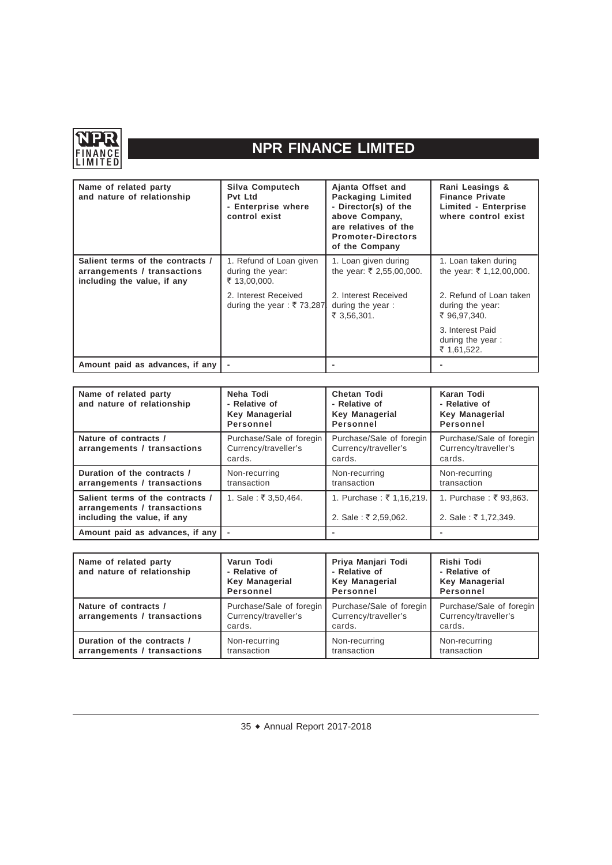

| Name of related party<br>and nature of relationship                                            | <b>Silva Computech</b><br>Pvt Ltd<br>- Enterprise where<br>control exist | Ajanta Offset and<br><b>Packaging Limited</b><br>- Director(s) of the<br>above Company,<br>are relatives of the<br><b>Promoter-Directors</b><br>of the Company | Rani Leasings &<br><b>Finance Private</b><br>Limited - Enterprise<br>where control exist |
|------------------------------------------------------------------------------------------------|--------------------------------------------------------------------------|----------------------------------------------------------------------------------------------------------------------------------------------------------------|------------------------------------------------------------------------------------------|
| Salient terms of the contracts /<br>arrangements / transactions<br>including the value, if any | 1. Refund of Loan given<br>during the year:<br>₹ 13,00,000.              | 1. Loan given during<br>the year: ₹ 2,55,00,000.                                                                                                               | 1. Loan taken during<br>the year: $\bar{\tau}$ 1,12,00,000.                              |
|                                                                                                | 2. Interest Received<br>during the year : ₹73,287                        | 2. Interest Received<br>during the year:<br>₹ 3,56,301.                                                                                                        | 2. Refund of Loan taken<br>during the year:<br>₹ 96.97.340.                              |
|                                                                                                |                                                                          |                                                                                                                                                                | 3. Interest Paid<br>during the year:<br>₹ 1,61,522.                                      |
| Amount paid as advances, if any                                                                |                                                                          |                                                                                                                                                                |                                                                                          |

| Name of related party<br>and nature of relationship                                            | Neha Todi<br>- Relative of<br><b>Key Managerial</b><br>Personnel | Chetan Todi<br>- Relative of<br><b>Key Managerial</b><br>Personnel | Karan Todi<br>- Relative of<br><b>Key Managerial</b><br>Personnel |
|------------------------------------------------------------------------------------------------|------------------------------------------------------------------|--------------------------------------------------------------------|-------------------------------------------------------------------|
| Nature of contracts /<br>arrangements / transactions                                           | Purchase/Sale of foregin<br>Currency/traveller's<br>cards.       | Purchase/Sale of foregin<br>Currency/traveller's<br>cards.         | Purchase/Sale of foregin<br>Currency/traveller's<br>cards.        |
| Duration of the contracts /<br>arrangements / transactions                                     | Non-recurring<br>transaction                                     | Non-recurring<br>transaction                                       | Non-recurring<br>transaction                                      |
| Salient terms of the contracts /<br>arrangements / transactions<br>including the value, if any | 1. Sale: ₹ 3.50.464.                                             | 1. Purchase: ₹ 1,16,219.<br>2. Sale: ₹ 2,59,062.                   | 1. Purchase: ₹93.863.<br>2. Sale: ₹ 1,72,349.                     |
| Amount paid as advances, if any                                                                |                                                                  |                                                                    |                                                                   |

| Name of related party<br>and nature of relationship        | Varun Todi<br>- Relative of<br><b>Key Managerial</b><br>Personnel | Priya Manjari Todi<br>- Relative of<br><b>Key Managerial</b><br>Personnel | Rishi Todi<br>- Relative of<br><b>Key Managerial</b><br>Personnel |
|------------------------------------------------------------|-------------------------------------------------------------------|---------------------------------------------------------------------------|-------------------------------------------------------------------|
| Nature of contracts /<br>arrangements / transactions       | Purchase/Sale of foregin<br>Currency/traveller's<br>cards.        | Purchase/Sale of foregin<br>Currency/traveller's<br>cards.                | Purchase/Sale of foregin<br>Currency/traveller's<br>cards.        |
| Duration of the contracts /<br>arrangements / transactions | Non-recurring<br>transaction                                      | Non-recurring<br>transaction                                              | Non-recurring<br>transaction                                      |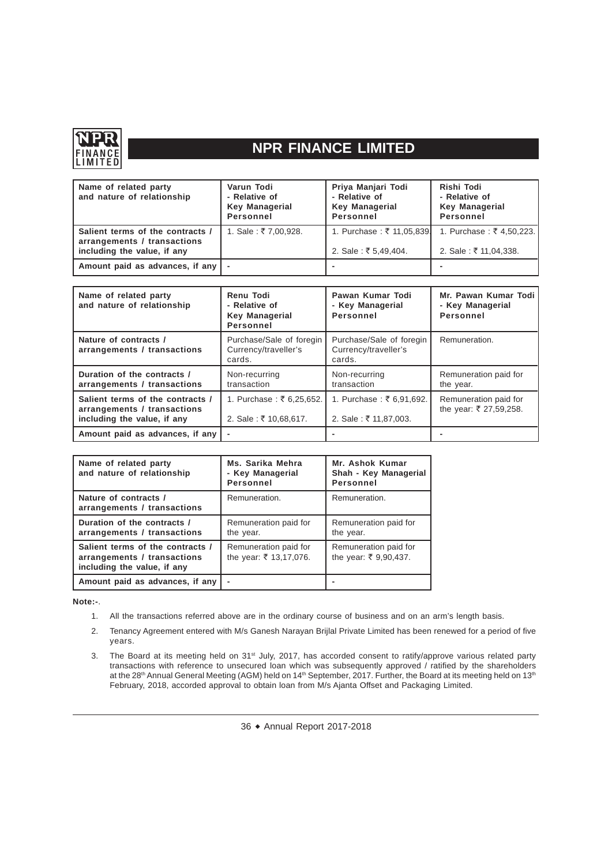

| Name of related party<br>and nature of relationship                                            | Varun Todi<br>- Relative of<br><b>Key Managerial</b><br><b>Personnel</b> | Priya Manjari Todi<br>- Relative of<br><b>Key Managerial</b><br><b>Personnel</b> | Rishi Todi<br>- Relative of<br><b>Key Managerial</b><br>Personnel |
|------------------------------------------------------------------------------------------------|--------------------------------------------------------------------------|----------------------------------------------------------------------------------|-------------------------------------------------------------------|
| Salient terms of the contracts /<br>arrangements / transactions<br>including the value, if any | 1. Sale: ₹7.00.928.                                                      | 1. Purchase: ₹ 11,05,839<br>2. Sale: ₹ 5,49,404.                                 | 1. Purchase: ₹4,50,223.<br>2. Sale: ₹11,04,338.                   |
| Amount paid as advances, if any                                                                |                                                                          |                                                                                  |                                                                   |

| Name of related party<br>and nature of relationship                                            | Renu Todi<br>- Relative of<br><b>Key Managerial</b><br>Personnel | Pawan Kumar Todi<br>- Key Managerial<br>Personnel          | Mr. Pawan Kumar Todi<br>- Key Managerial<br>Personnel |
|------------------------------------------------------------------------------------------------|------------------------------------------------------------------|------------------------------------------------------------|-------------------------------------------------------|
| Nature of contracts /<br>arrangements / transactions                                           | Purchase/Sale of foregin<br>Currency/traveller's<br>cards.       | Purchase/Sale of foregin<br>Currency/traveller's<br>cards. | Remuneration.                                         |
| Duration of the contracts /<br>arrangements / transactions                                     | Non-recurring<br>transaction                                     | Non-recurring<br>transaction                               | Remuneration paid for<br>the year.                    |
| Salient terms of the contracts /<br>arrangements / transactions<br>including the value, if any | 1. Purchase: ₹6,25,652.<br>2. Sale: ₹ 10,68,617.                 | 1. Purchase: ₹6,91,692.<br>2. Sale: ₹ 11,87,003.           | Remuneration paid for<br>the year: ₹ 27,59,258.       |
| Amount paid as advances, if any                                                                |                                                                  |                                                            |                                                       |

| Name of related party<br>and nature of relationship                                            | Ms. Sarika Mehra<br>- Key Managerial<br><b>Personnel</b> | Mr. Ashok Kumar<br>Shah - Key Managerial<br><b>Personnel</b> |
|------------------------------------------------------------------------------------------------|----------------------------------------------------------|--------------------------------------------------------------|
| Nature of contracts /<br>arrangements / transactions                                           | Remuneration.                                            | Remuneration.                                                |
| Duration of the contracts /<br>arrangements / transactions                                     | Remuneration paid for<br>the year.                       | Remuneration paid for<br>the year.                           |
| Salient terms of the contracts /<br>arrangements / transactions<br>including the value, if any | Remuneration paid for<br>the year: ₹ 13,17,076.          | Remuneration paid for<br>the year: ₹ 9,90,437.               |
| Amount paid as advances, if any                                                                |                                                          |                                                              |

**Note:-**.

- 1. All the transactions referred above are in the ordinary course of business and on an arm's length basis.
- 2. Tenancy Agreement entered with M/s Ganesh Narayan Brijlal Private Limited has been renewed for a period of five years.
- 3. The Board at its meeting held on 31<sup>st</sup> July, 2017, has accorded consent to ratify/approve various related party transactions with reference to unsecured loan which was subsequently approved / ratified by the shareholders at the 28<sup>th</sup> Annual General Meeting (AGM) held on 14<sup>th</sup> September, 2017. Further, the Board at its meeting held on 13<sup>th</sup> February, 2018, accorded approval to obtain loan from M/s Ajanta Offset and Packaging Limited.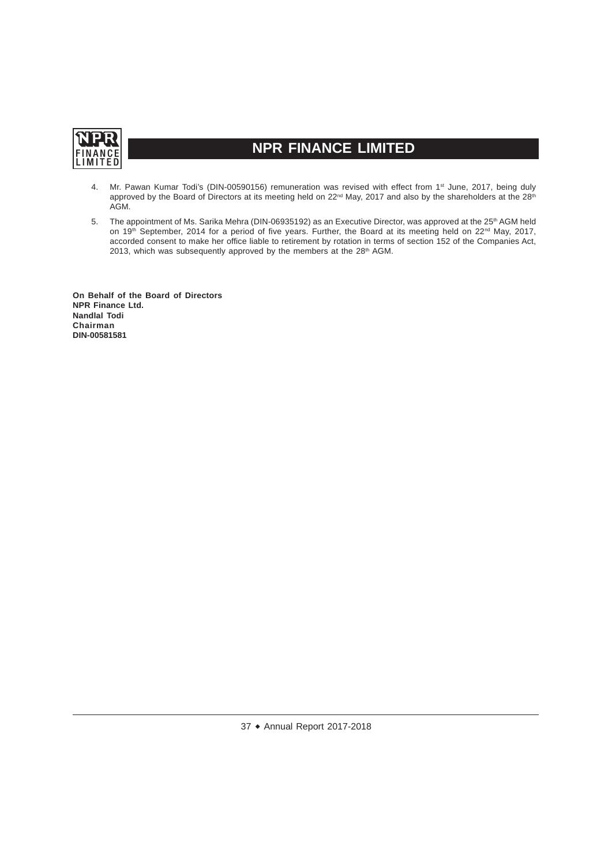

- 4. Mr. Pawan Kumar Todi's (DIN-00590156) remuneration was revised with effect from 1<sup>st</sup> June, 2017, being duly approved by the Board of Directors at its meeting held on 22<sup>nd</sup> May, 2017 and also by the shareholders at the 28<sup>th</sup> AGM.
- 5. The appointment of Ms. Sarika Mehra (DIN-06935192) as an Executive Director, was approved at the 25<sup>th</sup> AGM held on 19<sup>th</sup> September, 2014 for a period of five years. Further, the Board at its meeting held on 22<sup>nd</sup> May, 2017, accorded consent to make her office liable to retirement by rotation in terms of section 152 of the Companies Act, 2013, which was subsequently approved by the members at the 28<sup>th</sup> AGM.

**On Behalf of the Board of Directors NPR Finance Ltd. Nandlal Todi Chairman DIN-00581581**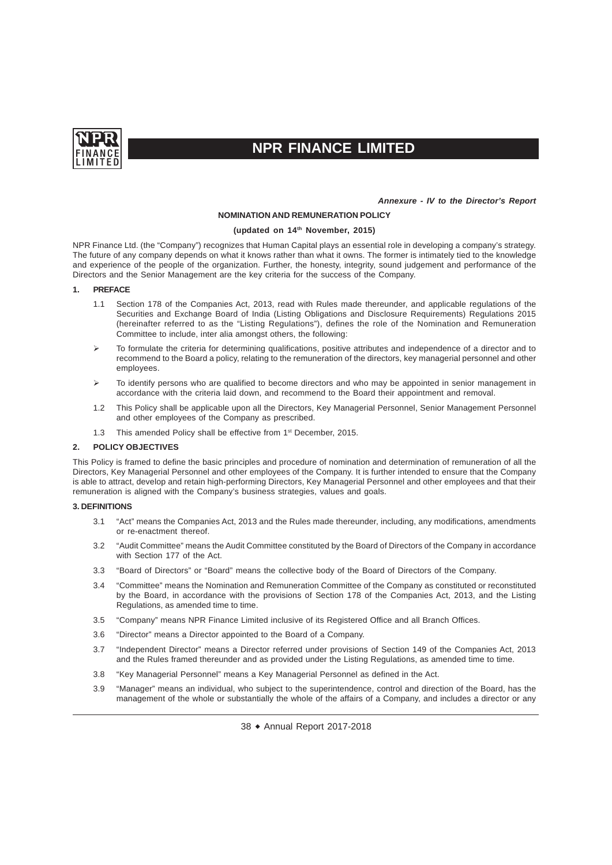

### *Annexure - IV to the Director's Report*

#### **NOMINATION AND REMUNERATION POLICY**

### **(updated on 14th November, 2015)**

NPR Finance Ltd. (the "Company") recognizes that Human Capital plays an essential role in developing a company's strategy. The future of any company depends on what it knows rather than what it owns. The former is intimately tied to the knowledge and experience of the people of the organization. Further, the honesty, integrity, sound judgement and performance of the Directors and the Senior Management are the key criteria for the success of the Company.

### **1. PREFACE**

- 1.1 Section 178 of the Companies Act, 2013, read with Rules made thereunder, and applicable regulations of the Securities and Exchange Board of India (Listing Obligations and Disclosure Requirements) Regulations 2015 (hereinafter referred to as the "Listing Regulations"), defines the role of the Nomination and Remuneration Committee to include, inter alia amongst others, the following:
- $\triangleright$  To formulate the criteria for determining qualifications, positive attributes and independence of a director and to recommend to the Board a policy, relating to the remuneration of the directors, key managerial personnel and other employees.
- ¾ To identify persons who are qualified to become directors and who may be appointed in senior management in accordance with the criteria laid down, and recommend to the Board their appointment and removal.
- 1.2 This Policy shall be applicable upon all the Directors, Key Managerial Personnel, Senior Management Personnel and other employees of the Company as prescribed.
- 1.3 This amended Policy shall be effective from 1<sup>st</sup> December, 2015.

#### **2. POLICY OBJECTIVES**

This Policy is framed to define the basic principles and procedure of nomination and determination of remuneration of all the Directors, Key Managerial Personnel and other employees of the Company. It is further intended to ensure that the Company is able to attract, develop and retain high-performing Directors, Key Managerial Personnel and other employees and that their remuneration is aligned with the Company's business strategies, values and goals.

#### **3. DEFINITIONS**

- 3.1 "Act" means the Companies Act, 2013 and the Rules made thereunder, including, any modifications, amendments or re-enactment thereof.
- 3.2 "Audit Committee" means the Audit Committee constituted by the Board of Directors of the Company in accordance with Section 177 of the Act.
- 3.3 "Board of Directors" or "Board" means the collective body of the Board of Directors of the Company.
- 3.4 "Committee" means the Nomination and Remuneration Committee of the Company as constituted or reconstituted by the Board, in accordance with the provisions of Section 178 of the Companies Act, 2013, and the Listing Regulations, as amended time to time.
- 3.5 "Company" means NPR Finance Limited inclusive of its Registered Office and all Branch Offices.
- 3.6 "Director" means a Director appointed to the Board of a Company.
- 3.7 "Independent Director" means a Director referred under provisions of Section 149 of the Companies Act, 2013 and the Rules framed thereunder and as provided under the Listing Regulations, as amended time to time.
- 3.8 "Key Managerial Personnel" means a Key Managerial Personnel as defined in the Act.
- 3.9 "Manager" means an individual, who subject to the superintendence, control and direction of the Board, has the management of the whole or substantially the whole of the affairs of a Company, and includes a director or any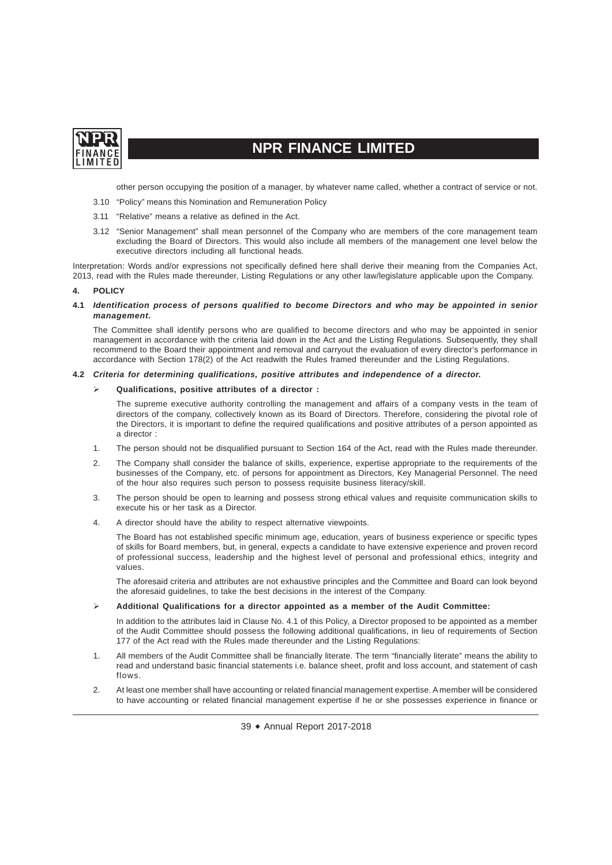

other person occupying the position of a manager, by whatever name called, whether a contract of service or not.

- 3.10 "Policy" means this Nomination and Remuneration Policy
- 3.11 "Relative" means a relative as defined in the Act.
- 3.12 "Senior Management" shall mean personnel of the Company who are members of the core management team excluding the Board of Directors. This would also include all members of the management one level below the executive directors including all functional heads.

Interpretation: Words and/or expressions not specifically defined here shall derive their meaning from the Companies Act, 2013, read with the Rules made thereunder, Listing Regulations or any other law/legislature applicable upon the Company.

#### **4. POLICY**

**4.1** *Identification process of persons qualified to become Directors and who may be appointed in senior management.*

The Committee shall identify persons who are qualified to become directors and who may be appointed in senior management in accordance with the criteria laid down in the Act and the Listing Regulations. Subsequently, they shall recommend to the Board their appointment and removal and carryout the evaluation of every director's performance in accordance with Section 178(2) of the Act readwith the Rules framed thereunder and the Listing Regulations.

#### **4.2** *Criteria for determining qualifications, positive attributes and independence of a director.*

## ¾ **Qualifications, positive attributes of a director :**

The supreme executive authority controlling the management and affairs of a company vests in the team of directors of the company, collectively known as its Board of Directors. Therefore, considering the pivotal role of the Directors, it is important to define the required qualifications and positive attributes of a person appointed as a director :

- 1. The person should not be disqualified pursuant to Section 164 of the Act, read with the Rules made thereunder.
- 2. The Company shall consider the balance of skills, experience, expertise appropriate to the requirements of the businesses of the Company, etc. of persons for appointment as Directors, Key Managerial Personnel. The need of the hour also requires such person to possess requisite business literacy/skill.
- 3. The person should be open to learning and possess strong ethical values and requisite communication skills to execute his or her task as a Director.
- 4. A director should have the ability to respect alternative viewpoints.

The Board has not established specific minimum age, education, years of business experience or specific types of skills for Board members, but, in general, expects a candidate to have extensive experience and proven record of professional success, leadership and the highest level of personal and professional ethics, integrity and values.

The aforesaid criteria and attributes are not exhaustive principles and the Committee and Board can look beyond the aforesaid guidelines, to take the best decisions in the interest of the Company.

#### ¾ **Additional Qualifications for a director appointed as a member of the Audit Committee:**

In addition to the attributes laid in Clause No. 4.1 of this Policy, a Director proposed to be appointed as a member of the Audit Committee should possess the following additional qualifications, in lieu of requirements of Section 177 of the Act read with the Rules made thereunder and the Listing Regulations:

- 1. All members of the Audit Committee shall be financially literate. The term "financially literate" means the ability to read and understand basic financial statements i.e. balance sheet, profit and loss account, and statement of cash flows.
- 2. At least one member shall have accounting or related financial management expertise. A member will be considered to have accounting or related financial management expertise if he or she possesses experience in finance or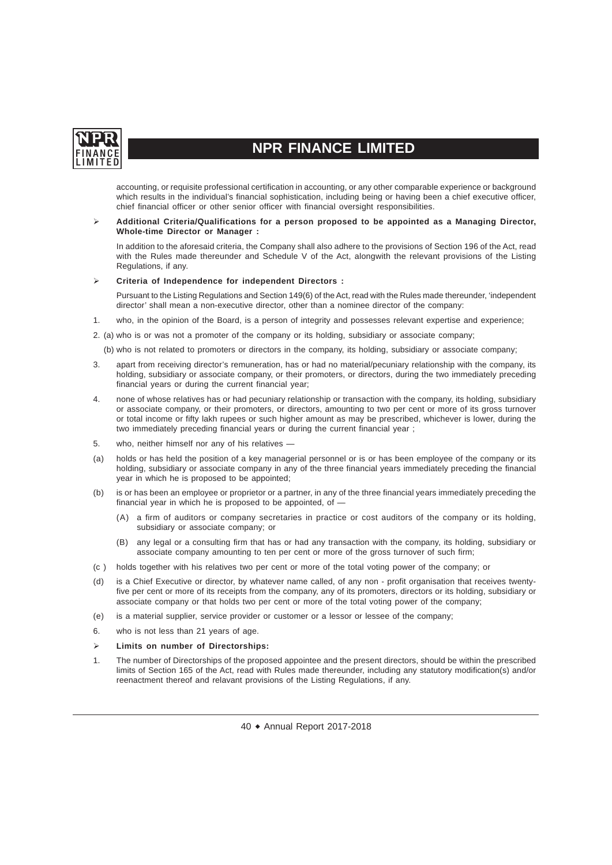

accounting, or requisite professional certification in accounting, or any other comparable experience or background which results in the individual's financial sophistication, including being or having been a chief executive officer, chief financial officer or other senior officer with financial oversight responsibilities.

¾ **Additional Criteria/Qualifications for a person proposed to be appointed as a Managing Director, Whole-time Director or Manager :**

In addition to the aforesaid criteria, the Company shall also adhere to the provisions of Section 196 of the Act, read with the Rules made thereunder and Schedule V of the Act, alongwith the relevant provisions of the Listing Regulations, if any.

### ¾ **Criteria of Independence for independent Directors :**

Pursuant to the Listing Regulations and Section 149(6) of the Act, read with the Rules made thereunder, 'independent director' shall mean a non-executive director, other than a nominee director of the company:

- 1. who, in the opinion of the Board, is a person of integrity and possesses relevant expertise and experience;
- 2. (a) who is or was not a promoter of the company or its holding, subsidiary or associate company;

(b) who is not related to promoters or directors in the company, its holding, subsidiary or associate company;

- 3. apart from receiving director's remuneration, has or had no material/pecuniary relationship with the company, its holding, subsidiary or associate company, or their promoters, or directors, during the two immediately preceding financial years or during the current financial year;
- 4. none of whose relatives has or had pecuniary relationship or transaction with the company, its holding, subsidiary or associate company, or their promoters, or directors, amounting to two per cent or more of its gross turnover or total income or fifty lakh rupees or such higher amount as may be prescribed, whichever is lower, during the two immediately preceding financial years or during the current financial year ;
- 5. who, neither himself nor any of his relatives -
- (a) holds or has held the position of a key managerial personnel or is or has been employee of the company or its holding, subsidiary or associate company in any of the three financial years immediately preceding the financial year in which he is proposed to be appointed;
- (b) is or has been an employee or proprietor or a partner, in any of the three financial years immediately preceding the financial year in which he is proposed to be appointed, of —
	- (A) a firm of auditors or company secretaries in practice or cost auditors of the company or its holding, subsidiary or associate company; or
	- (B) any legal or a consulting firm that has or had any transaction with the company, its holding, subsidiary or associate company amounting to ten per cent or more of the gross turnover of such firm;
- (c ) holds together with his relatives two per cent or more of the total voting power of the company; or
- (d) is a Chief Executive or director, by whatever name called, of any non profit organisation that receives twentyfive per cent or more of its receipts from the company, any of its promoters, directors or its holding, subsidiary or associate company or that holds two per cent or more of the total voting power of the company;
- (e) is a material supplier, service provider or customer or a lessor or lessee of the company;
- 6. who is not less than 21 years of age.
- ¾ **Limits on number of Directorships:**
- 1. The number of Directorships of the proposed appointee and the present directors, should be within the prescribed limits of Section 165 of the Act, read with Rules made thereunder, including any statutory modification(s) and/or reenactment thereof and relavant provisions of the Listing Regulations, if any.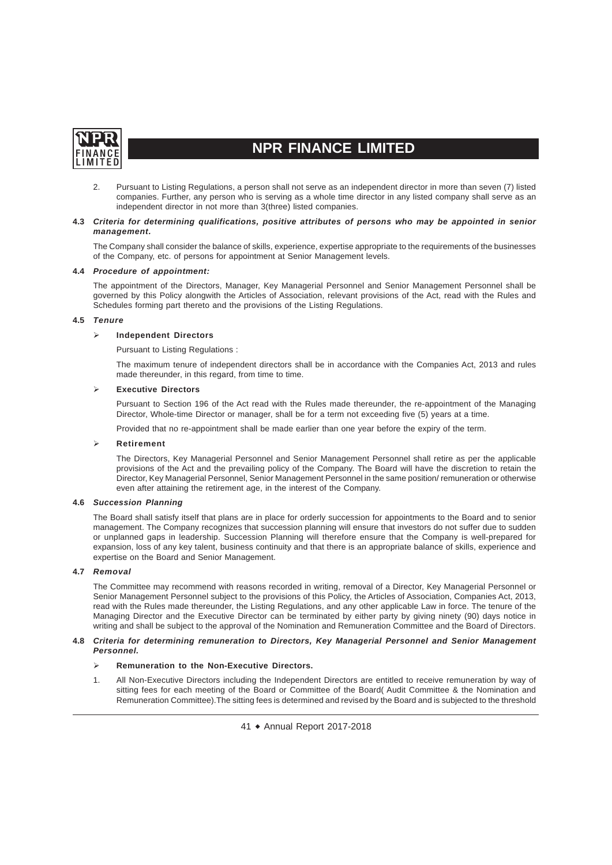

2. Pursuant to Listing Regulations, a person shall not serve as an independent director in more than seven (7) listed companies. Further, any person who is serving as a whole time director in any listed company shall serve as an independent director in not more than 3(three) listed companies.

### **4.3** *Criteria for determining qualifications, positive attributes of persons who may be appointed in senior management.*

The Company shall consider the balance of skills, experience, expertise appropriate to the requirements of the businesses of the Company, etc. of persons for appointment at Senior Management levels.

### **4.4** *Procedure of appointment:*

The appointment of the Directors, Manager, Key Managerial Personnel and Senior Management Personnel shall be governed by this Policy alongwith the Articles of Association, relevant provisions of the Act, read with the Rules and Schedules forming part thereto and the provisions of the Listing Regulations.

## **4.5** *Tenure*

## ¾ **Independent Directors**

Pursuant to Listing Regulations :

The maximum tenure of independent directors shall be in accordance with the Companies Act, 2013 and rules made thereunder, in this regard, from time to time.

### ¾ **Executive Directors**

Pursuant to Section 196 of the Act read with the Rules made thereunder, the re-appointment of the Managing Director, Whole-time Director or manager, shall be for a term not exceeding five (5) years at a time.

Provided that no re-appointment shall be made earlier than one year before the expiry of the term.

## ¾ **Retirement**

The Directors, Key Managerial Personnel and Senior Management Personnel shall retire as per the applicable provisions of the Act and the prevailing policy of the Company. The Board will have the discretion to retain the Director, Key Managerial Personnel, Senior Management Personnel in the same position/ remuneration or otherwise even after attaining the retirement age, in the interest of the Company.

### **4.6** *Succession Planning*

The Board shall satisfy itself that plans are in place for orderly succession for appointments to the Board and to senior management. The Company recognizes that succession planning will ensure that investors do not suffer due to sudden or unplanned gaps in leadership. Succession Planning will therefore ensure that the Company is well-prepared for expansion, loss of any key talent, business continuity and that there is an appropriate balance of skills, experience and expertise on the Board and Senior Management.

### **4.7** *Removal*

The Committee may recommend with reasons recorded in writing, removal of a Director, Key Managerial Personnel or Senior Management Personnel subject to the provisions of this Policy, the Articles of Association, Companies Act, 2013, read with the Rules made thereunder, the Listing Regulations, and any other applicable Law in force. The tenure of the Managing Director and the Executive Director can be terminated by either party by giving ninety (90) days notice in writing and shall be subject to the approval of the Nomination and Remuneration Committee and the Board of Directors.

## **4.8** *Criteria for determining remuneration to Directors, Key Managerial Personnel and Senior Management Personnel.*

## ¾ **Remuneration to the Non-Executive Directors.**

1. All Non-Executive Directors including the Independent Directors are entitled to receive remuneration by way of sitting fees for each meeting of the Board or Committee of the Board( Audit Committee & the Nomination and Remuneration Committee).The sitting fees is determined and revised by the Board and is subjected to the threshold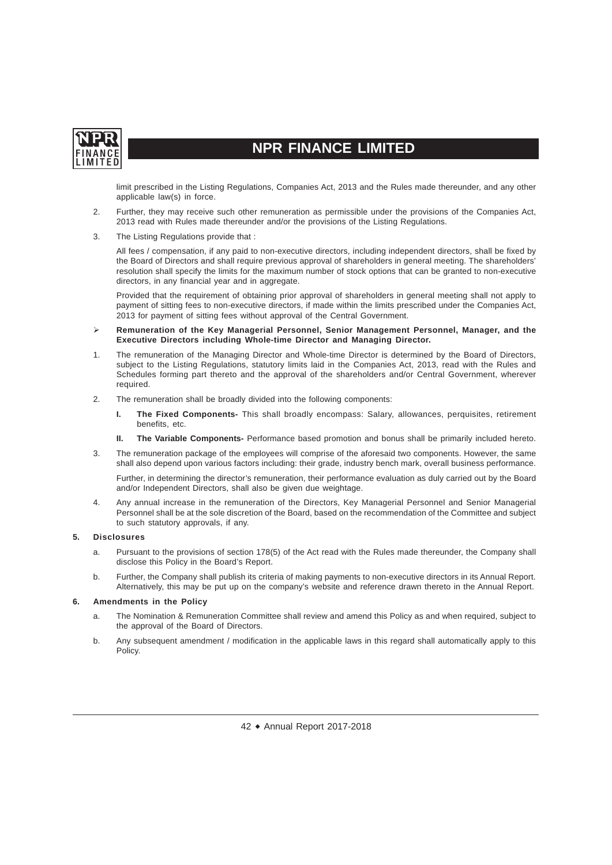

limit prescribed in the Listing Regulations, Companies Act, 2013 and the Rules made thereunder, and any other applicable law(s) in force.

- 2. Further, they may receive such other remuneration as permissible under the provisions of the Companies Act, 2013 read with Rules made thereunder and/or the provisions of the Listing Regulations.
- 3. The Listing Regulations provide that :

All fees / compensation, if any paid to non-executive directors, including independent directors, shall be fixed by the Board of Directors and shall require previous approval of shareholders in general meeting. The shareholders' resolution shall specify the limits for the maximum number of stock options that can be granted to non-executive directors, in any financial year and in aggregate.

Provided that the requirement of obtaining prior approval of shareholders in general meeting shall not apply to payment of sitting fees to non-executive directors, if made within the limits prescribed under the Companies Act, 2013 for payment of sitting fees without approval of the Central Government.

- ¾ **Remuneration of the Key Managerial Personnel, Senior Management Personnel, Manager, and the Executive Directors including Whole-time Director and Managing Director.**
- 1. The remuneration of the Managing Director and Whole-time Director is determined by the Board of Directors, subject to the Listing Regulations, statutory limits laid in the Companies Act, 2013, read with the Rules and Schedules forming part thereto and the approval of the shareholders and/or Central Government, wherever required.
- 2. The remuneration shall be broadly divided into the following components:
	- **I. The Fixed Components-** This shall broadly encompass: Salary, allowances, perquisites, retirement benefits, etc.
	- **II. The Variable Components-** Performance based promotion and bonus shall be primarily included hereto.
- 3. The remuneration package of the employees will comprise of the aforesaid two components. However, the same shall also depend upon various factors including: their grade, industry bench mark, overall business performance.

Further, in determining the director's remuneration, their performance evaluation as duly carried out by the Board and/or Independent Directors, shall also be given due weightage.

4. Any annual increase in the remuneration of the Directors, Key Managerial Personnel and Senior Managerial Personnel shall be at the sole discretion of the Board, based on the recommendation of the Committee and subject to such statutory approvals, if any.

### **5. Disclosures**

- a. Pursuant to the provisions of section 178(5) of the Act read with the Rules made thereunder, the Company shall disclose this Policy in the Board's Report.
- b. Further, the Company shall publish its criteria of making payments to non-executive directors in its Annual Report. Alternatively, this may be put up on the company's website and reference drawn thereto in the Annual Report.

### **6. Amendments in the Policy**

- a. The Nomination & Remuneration Committee shall review and amend this Policy as and when required, subject to the approval of the Board of Directors.
- b. Any subsequent amendment / modification in the applicable laws in this regard shall automatically apply to this Policy.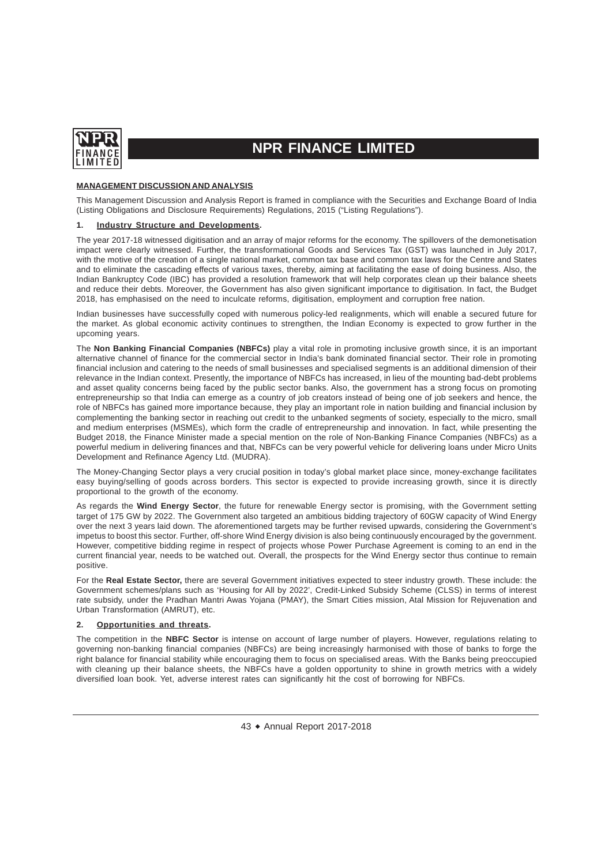

## **MANAGEMENT DISCUSSION AND ANALYSIS**

This Management Discussion and Analysis Report is framed in compliance with the Securities and Exchange Board of India (Listing Obligations and Disclosure Requirements) Regulations, 2015 ("Listing Regulations").

### **1. Industry Structure and Developments.**

The year 2017-18 witnessed digitisation and an array of major reforms for the economy. The spillovers of the demonetisation impact were clearly witnessed. Further, the transformational Goods and Services Tax (GST) was launched in July 2017, with the motive of the creation of a single national market, common tax base and common tax laws for the Centre and States and to eliminate the cascading effects of various taxes, thereby, aiming at facilitating the ease of doing business. Also, the Indian Bankruptcy Code (IBC) has provided a resolution framework that will help corporates clean up their balance sheets and reduce their debts. Moreover, the Government has also given significant importance to digitisation. In fact, the Budget 2018, has emphasised on the need to inculcate reforms, digitisation, employment and corruption free nation.

Indian businesses have successfully coped with numerous policy-led realignments, which will enable a secured future for the market. As global economic activity continues to strengthen, the Indian Economy is expected to grow further in the upcoming years.

The **Non Banking Financial Companies (NBFCs)** play a vital role in promoting inclusive growth since, it is an important alternative channel of finance for the commercial sector in India's bank dominated financial sector. Their role in promoting financial inclusion and catering to the needs of small businesses and specialised segments is an additional dimension of their relevance in the Indian context. Presently, the importance of NBFCs has increased, in lieu of the mounting bad-debt problems and asset quality concerns being faced by the public sector banks. Also, the government has a strong focus on promoting entrepreneurship so that India can emerge as a country of job creators instead of being one of job seekers and hence, the role of NBFCs has gained more importance because, they play an important role in nation building and financial inclusion by complementing the banking sector in reaching out credit to the unbanked segments of society, especially to the micro, small and medium enterprises (MSMEs), which form the cradle of entrepreneurship and innovation. In fact, while presenting the Budget 2018, the Finance Minister made a special mention on the role of Non-Banking Finance Companies (NBFCs) as a powerful medium in delivering finances and that, NBFCs can be very powerful vehicle for delivering loans under Micro Units Development and Refinance Agency Ltd. (MUDRA).

The Money-Changing Sector plays a very crucial position in today's global market place since, money-exchange facilitates easy buying/selling of goods across borders. This sector is expected to provide increasing growth, since it is directly proportional to the growth of the economy.

As regards the **Wind Energy Sector**, the future for renewable Energy sector is promising, with the Government setting target of 175 GW by 2022. The Government also targeted an ambitious bidding trajectory of 60GW capacity of Wind Energy over the next 3 years laid down. The aforementioned targets may be further revised upwards, considering the Government's impetus to boost this sector. Further, off-shore Wind Energy division is also being continuously encouraged by the government. However, competitive bidding regime in respect of projects whose Power Purchase Agreement is coming to an end in the current financial year, needs to be watched out. Overall, the prospects for the Wind Energy sector thus continue to remain positive.

For the **Real Estate Sector,** there are several Government initiatives expected to steer industry growth. These include: the Government schemes/plans such as 'Housing for All by 2022', Credit-Linked Subsidy Scheme (CLSS) in terms of interest rate subsidy, under the Pradhan Mantri Awas Yojana (PMAY), the Smart Cities mission, Atal Mission for Rejuvenation and Urban Transformation (AMRUT), etc.

## **2. Opportunities and threats.**

The competition in the **NBFC Sector** is intense on account of large number of players. However, regulations relating to governing non-banking financial companies (NBFCs) are being increasingly harmonised with those of banks to forge the right balance for financial stability while encouraging them to focus on specialised areas. With the Banks being preoccupied with cleaning up their balance sheets, the NBFCs have a golden opportunity to shine in growth metrics with a widely diversified loan book. Yet, adverse interest rates can significantly hit the cost of borrowing for NBFCs.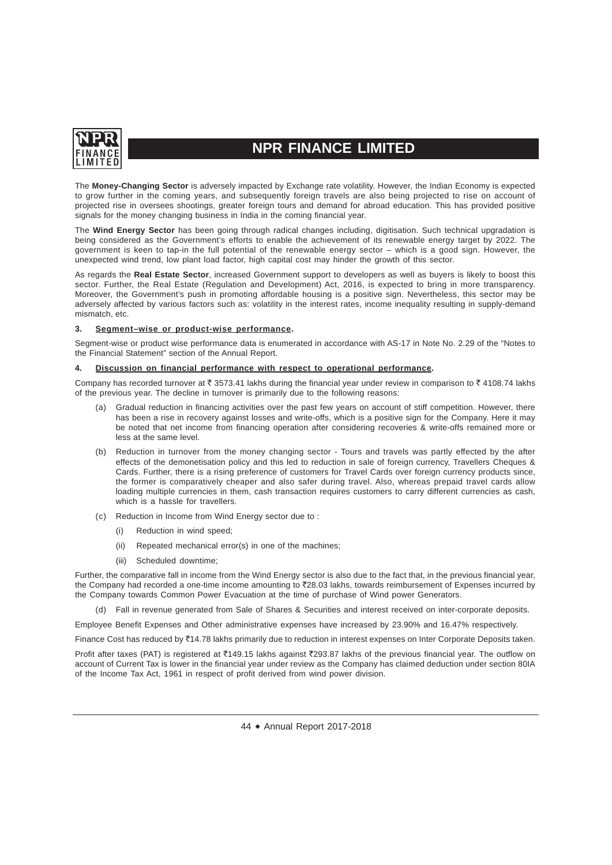

The **Money-Changing Sector** is adversely impacted by Exchange rate volatility. However, the Indian Economy is expected to grow further in the coming years, and subsequently foreign travels are also being projected to rise on account of projected rise in oversees shootings, greater foreign tours and demand for abroad education. This has provided positive signals for the money changing business in India in the coming financial year.

The **Wind Energy Sector** has been going through radical changes including, digitisation. Such technical upgradation is being considered as the Government's efforts to enable the achievement of its renewable energy target by 2022. The government is keen to tap-in the full potential of the renewable energy sector – which is a good sign. However, the unexpected wind trend, low plant load factor, high capital cost may hinder the growth of this sector.

As regards the **Real Estate Sector**, increased Government support to developers as well as buyers is likely to boost this sector. Further, the Real Estate (Regulation and Development) Act, 2016, is expected to bring in more transparency. Moreover, the Government's push in promoting affordable housing is a positive sign. Nevertheless, this sector may be adversely affected by various factors such as: volatility in the interest rates, income inequality resulting in supply-demand mismatch, etc.

## **3. Segment–wise or product-wise performance.**

Segment-wise or product wise performance data is enumerated in accordance with AS-17 in Note No. 2.29 of the "Notes to the Financial Statement" section of the Annual Report.

## **4. Discussion on financial performance with respect to operational performance.**

Company has recorded turnover at  $\bar{\tau}$  3573.41 lakhs during the financial year under review in comparison to  $\bar{\tau}$  4108.74 lakhs of the previous year. The decline in turnover is primarily due to the following reasons:

- Gradual reduction in financing activities over the past few years on account of stiff competition. However, there has been a rise in recovery against losses and write-offs, which is a positive sign for the Company. Here it may be noted that net income from financing operation after considering recoveries & write-offs remained more or less at the same level.
- (b) Reduction in turnover from the money changing sector Tours and travels was partly effected by the after effects of the demonetisation policy and this led to reduction in sale of foreign currency, Travellers Cheques & Cards. Further, there is a rising preference of customers for Travel Cards over foreign currency products since, the former is comparatively cheaper and also safer during travel. Also, whereas prepaid travel cards allow loading multiple currencies in them, cash transaction requires customers to carry different currencies as cash, which is a hassle for travellers.
- (c) Reduction in Income from Wind Energy sector due to :
	- (i) Reduction in wind speed;
	- (ii) Repeated mechanical error(s) in one of the machines;
	- (iii) Scheduled downtime;

Further, the comparative fall in income from the Wind Energy sector is also due to the fact that, in the previous financial year, the Company had recorded a one-time income amounting to ₹28.03 lakhs, towards reimbursement of Expenses incurred by the Company towards Common Power Evacuation at the time of purchase of Wind power Generators.

Fall in revenue generated from Sale of Shares & Securities and interest received on inter-corporate deposits.

Employee Benefit Expenses and Other administrative expenses have increased by 23.90% and 16.47% respectively.

Finance Cost has reduced by ₹14.78 lakhs primarily due to reduction in interest expenses on Inter Corporate Deposits taken.

Profit after taxes (PAT) is registered at ₹149.15 lakhs against ₹293.87 lakhs of the previous financial year. The outflow on account of Current Tax is lower in the financial year under review as the Company has claimed deduction under section 80IA of the Income Tax Act, 1961 in respect of profit derived from wind power division.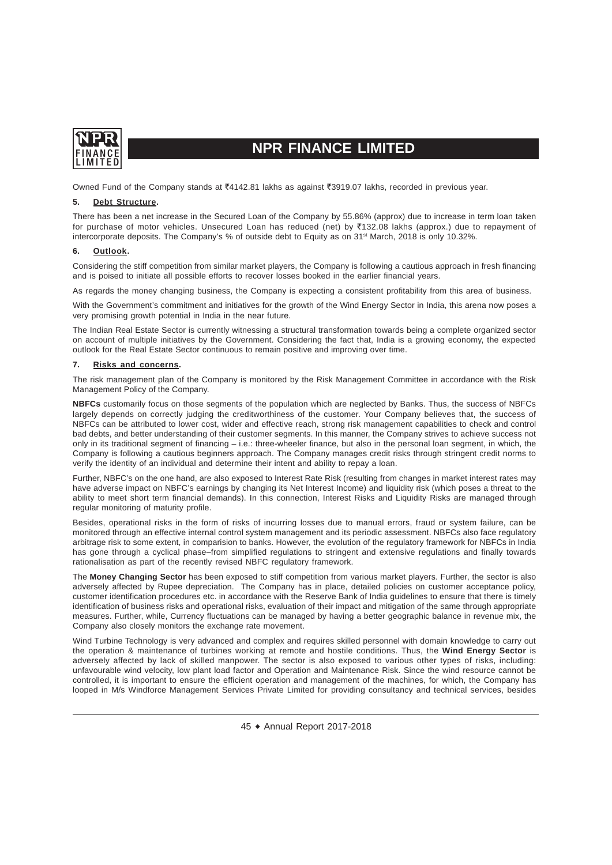

Owned Fund of the Company stands at ₹4142.81 lakhs as against ₹3919.07 lakhs, recorded in previous year.

### **5. Debt Structure.**

There has been a net increase in the Secured Loan of the Company by 55.86% (approx) due to increase in term loan taken for purchase of motor vehicles. Unsecured Loan has reduced (net) by `132.08 lakhs (approx.) due to repayment of intercorporate deposits. The Company's % of outside debt to Equity as on 31<sup>st</sup> March, 2018 is only 10.32%.

## **6. Outlook.**

Considering the stiff competition from similar market players, the Company is following a cautious approach in fresh financing and is poised to initiate all possible efforts to recover losses booked in the earlier financial years.

As regards the money changing business, the Company is expecting a consistent profitability from this area of business.

With the Government's commitment and initiatives for the growth of the Wind Energy Sector in India, this arena now poses a very promising growth potential in India in the near future.

The Indian Real Estate Sector is currently witnessing a structural transformation towards being a complete organized sector on account of multiple initiatives by the Government. Considering the fact that, India is a growing economy, the expected outlook for the Real Estate Sector continuous to remain positive and improving over time.

### **7. Risks and concerns.**

The risk management plan of the Company is monitored by the Risk Management Committee in accordance with the Risk Management Policy of the Company.

**NBFCs** customarily focus on those segments of the population which are neglected by Banks. Thus, the success of NBFCs largely depends on correctly judging the creditworthiness of the customer. Your Company believes that, the success of NBFCs can be attributed to lower cost, wider and effective reach, strong risk management capabilities to check and control bad debts, and better understanding of their customer segments. In this manner, the Company strives to achieve success not only in its traditional segment of financing – i.e.: three-wheeler finance, but also in the personal loan segment, in which, the Company is following a cautious beginners approach. The Company manages credit risks through stringent credit norms to verify the identity of an individual and determine their intent and ability to repay a loan.

Further, NBFC's on the one hand, are also exposed to Interest Rate Risk (resulting from changes in market interest rates may have adverse impact on NBFC's earnings by changing its Net Interest Income) and liquidity risk (which poses a threat to the ability to meet short term financial demands). In this connection, Interest Risks and Liquidity Risks are managed through regular monitoring of maturity profile.

Besides, operational risks in the form of risks of incurring losses due to manual errors, fraud or system failure, can be monitored through an effective internal control system management and its periodic assessment. NBFCs also face regulatory arbitrage risk to some extent, in comparision to banks. However, the evolution of the regulatory framework for NBFCs in India has gone through a cyclical phase–from simplified regulations to stringent and extensive regulations and finally towards rationalisation as part of the recently revised NBFC regulatory framework.

The **Money Changing Sector** has been exposed to stiff competition from various market players. Further, the sector is also adversely affected by Rupee depreciation. The Company has in place, detailed policies on customer acceptance policy, customer identification procedures etc. in accordance with the Reserve Bank of India guidelines to ensure that there is timely identification of business risks and operational risks, evaluation of their impact and mitigation of the same through appropriate measures. Further, while, Currency fluctuations can be managed by having a better geographic balance in revenue mix, the Company also closely monitors the exchange rate movement.

Wind Turbine Technology is very advanced and complex and requires skilled personnel with domain knowledge to carry out the operation & maintenance of turbines working at remote and hostile conditions. Thus, the **Wind Energy Sector** is adversely affected by lack of skilled manpower. The sector is also exposed to various other types of risks, including: unfavourable wind velocity, low plant load factor and Operation and Maintenance Risk. Since the wind resource cannot be controlled, it is important to ensure the efficient operation and management of the machines, for which, the Company has looped in M/s Windforce Management Services Private Limited for providing consultancy and technical services, besides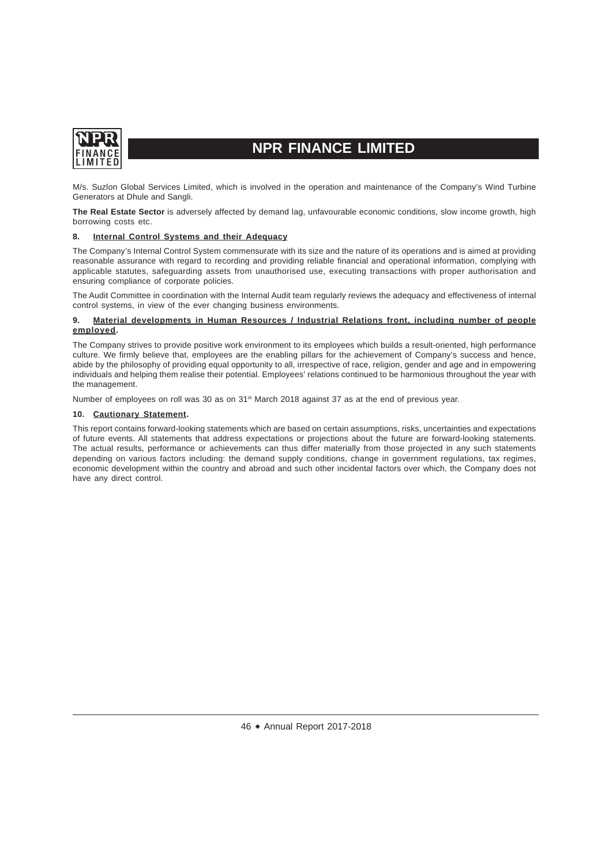

M/s. Suzlon Global Services Limited, which is involved in the operation and maintenance of the Company's Wind Turbine Generators at Dhule and Sangli.

**The Real Estate Sector** is adversely affected by demand lag, unfavourable economic conditions, slow income growth, high borrowing costs etc.

## **8. Internal Control Systems and their Adequacy**

The Company's Internal Control System commensurate with its size and the nature of its operations and is aimed at providing reasonable assurance with regard to recording and providing reliable financial and operational information, complying with applicable statutes, safeguarding assets from unauthorised use, executing transactions with proper authorisation and ensuring compliance of corporate policies.

The Audit Committee in coordination with the Internal Audit team regularly reviews the adequacy and effectiveness of internal control systems, in view of the ever changing business environments.

## **9. Material developments in Human Resources / Industrial Relations front, including number of people employed.**

The Company strives to provide positive work environment to its employees which builds a result-oriented, high performance culture. We firmly believe that, employees are the enabling pillars for the achievement of Company's success and hence, abide by the philosophy of providing equal opportunity to all, irrespective of race, religion, gender and age and in empowering individuals and helping them realise their potential. Employees' relations continued to be harmonious throughout the year with the management.

Number of employees on roll was 30 as on 31st March 2018 against 37 as at the end of previous year.

## **10. Cautionary Statement.**

This report contains forward-looking statements which are based on certain assumptions, risks, uncertainties and expectations of future events. All statements that address expectations or projections about the future are forward-looking statements. The actual results, performance or achievements can thus differ materially from those projected in any such statements depending on various factors including: the demand supply conditions, change in government regulations, tax regimes, economic development within the country and abroad and such other incidental factors over which, the Company does not have any direct control.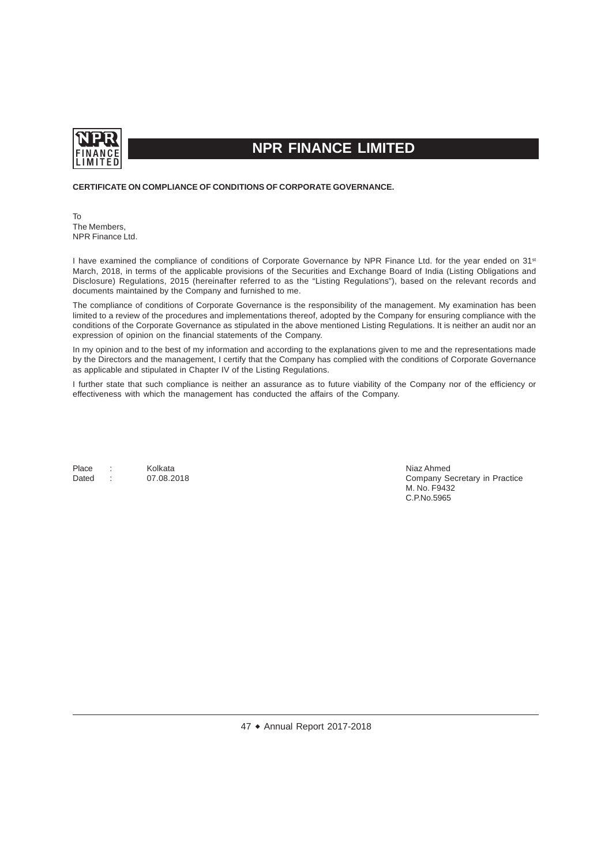

## **CERTIFICATE ON COMPLIANCE OF CONDITIONS OF CORPORATE GOVERNANCE.**

To The Members, NPR Finance Ltd.

I have examined the compliance of conditions of Corporate Governance by NPR Finance Ltd. for the year ended on 31<sup>st</sup> March, 2018, in terms of the applicable provisions of the Securities and Exchange Board of India (Listing Obligations and Disclosure) Regulations, 2015 (hereinafter referred to as the "Listing Regulations"), based on the relevant records and documents maintained by the Company and furnished to me.

The compliance of conditions of Corporate Governance is the responsibility of the management. My examination has been limited to a review of the procedures and implementations thereof, adopted by the Company for ensuring compliance with the conditions of the Corporate Governance as stipulated in the above mentioned Listing Regulations. It is neither an audit nor an expression of opinion on the financial statements of the Company.

In my opinion and to the best of my information and according to the explanations given to me and the representations made by the Directors and the management, I certify that the Company has complied with the conditions of Corporate Governance as applicable and stipulated in Chapter IV of the Listing Regulations.

I further state that such compliance is neither an assurance as to future viability of the Company nor of the efficiency or effectiveness with which the management has conducted the affairs of the Company.

Place : Kolkata Niaz Ahmed Niaz Ahmed Niaz Ahmed Niaz Ahmed Niaz Ahmed Niaz Ahmed Niaz Ahmed Niaz Ahmed Niaz A

Dated : 07.08.2018 07.08.2018 Company Secretary in Practice M. No. F9432 C.P.No.5965

47 ◆ Annual Report 2017-2018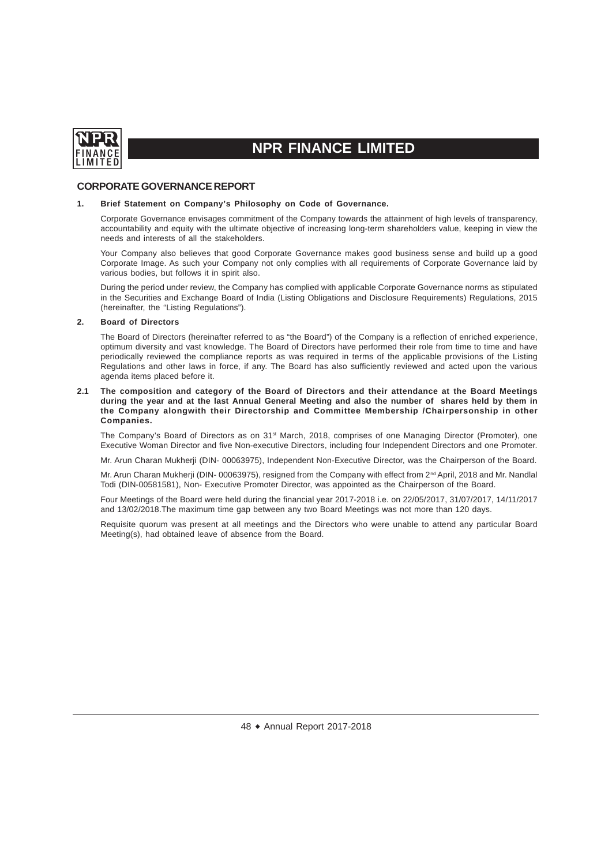

## **CORPORATE GOVERNANCE REPORT**

#### **1. Brief Statement on Company's Philosophy on Code of Governance.**

Corporate Governance envisages commitment of the Company towards the attainment of high levels of transparency, accountability and equity with the ultimate objective of increasing long-term shareholders value, keeping in view the needs and interests of all the stakeholders.

Your Company also believes that good Corporate Governance makes good business sense and build up a good Corporate Image. As such your Company not only complies with all requirements of Corporate Governance laid by various bodies, but follows it in spirit also.

During the period under review, the Company has complied with applicable Corporate Governance norms as stipulated in the Securities and Exchange Board of India (Listing Obligations and Disclosure Requirements) Regulations, 2015 (hereinafter, the "Listing Regulations").

## **2. Board of Directors**

The Board of Directors (hereinafter referred to as "the Board") of the Company is a reflection of enriched experience, optimum diversity and vast knowledge. The Board of Directors have performed their role from time to time and have periodically reviewed the compliance reports as was required in terms of the applicable provisions of the Listing Regulations and other laws in force, if any. The Board has also sufficiently reviewed and acted upon the various agenda items placed before it.

**2.1 The composition and category of the Board of Directors and their attendance at the Board Meetings during the year and at the last Annual General Meeting and also the number of shares held by them in the Company alongwith their Directorship and Committee Membership /Chairpersonship in other Companies.**

The Company's Board of Directors as on 31<sup>st</sup> March, 2018, comprises of one Managing Director (Promoter), one Executive Woman Director and five Non-executive Directors, including four Independent Directors and one Promoter.

Mr. Arun Charan Mukherji (DIN- 00063975), Independent Non-Executive Director, was the Chairperson of the Board.

Mr. Arun Charan Mukherji (DIN- 00063975), resigned from the Company with effect from 2<sup>nd</sup> April, 2018 and Mr. Nandlal Todi (DIN-00581581), Non- Executive Promoter Director, was appointed as the Chairperson of the Board.

Four Meetings of the Board were held during the financial year 2017-2018 i.e. on 22/05/2017, 31/07/2017, 14/11/2017 and 13/02/2018.The maximum time gap between any two Board Meetings was not more than 120 days.

Requisite quorum was present at all meetings and the Directors who were unable to attend any particular Board Meeting(s), had obtained leave of absence from the Board.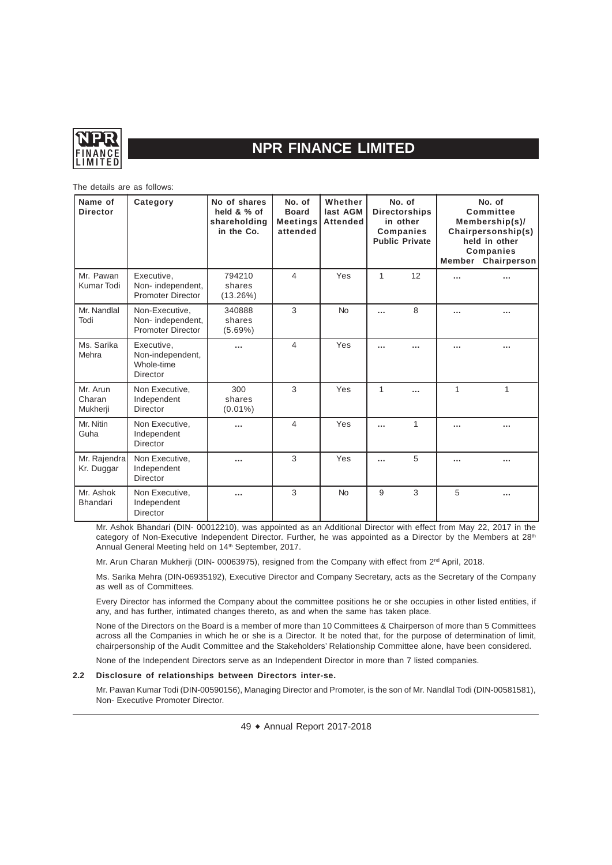

The details are as follows:

| Name of<br><b>Director</b>     | Category                                                        | No of shares<br>held & % of<br>shareholding<br>in the Co. | No. of<br><b>Board</b><br><b>Meetings</b><br>attended | Whether<br>last AGM<br><b>Attended</b> |              | No. of<br><b>Directorships</b><br>in other<br><b>Companies</b><br><b>Public Private</b> | Member | No. of<br>Committee<br>Membership(s)/<br>Chairpersonship(s)<br>held in other<br><b>Companies</b><br>Chairperson |
|--------------------------------|-----------------------------------------------------------------|-----------------------------------------------------------|-------------------------------------------------------|----------------------------------------|--------------|-----------------------------------------------------------------------------------------|--------|-----------------------------------------------------------------------------------------------------------------|
| Mr. Pawan<br>Kumar Todi        | Executive.<br>Non-independent,<br><b>Promoter Director</b>      | 794210<br>shares<br>(13.26%)                              | 4                                                     | Yes                                    | $\mathbf{1}$ | 12                                                                                      |        |                                                                                                                 |
| Mr. Nandlal<br>Todi            | Non-Executive,<br>Non-independent,<br>Promoter Director         | 340888<br>shares<br>$(5.69\%)$                            | 3                                                     | <b>No</b>                              |              | 8                                                                                       |        |                                                                                                                 |
| Ms. Sarika<br>Mehra            | Executive,<br>Non-independent,<br>Whole-time<br><b>Director</b> | $\cdots$                                                  | 4                                                     | Yes                                    |              |                                                                                         |        |                                                                                                                 |
| Mr. Arun<br>Charan<br>Mukherji | Non Executive,<br>Independent<br><b>Director</b>                | 300<br>shares<br>$(0.01\%)$                               | 3                                                     | Yes                                    | $\mathbf{1}$ |                                                                                         | 1      | 1                                                                                                               |
| Mr. Nitin<br>Guha              | Non Executive,<br>Independent<br>Director                       | $\cdots$                                                  | 4                                                     | Yes                                    | $\cdots$     | 1                                                                                       |        | .                                                                                                               |
| Mr. Rajendra<br>Kr. Duggar     | Non Executive,<br>Independent<br><b>Director</b>                | $\cdots$                                                  | 3                                                     | Yes                                    |              | 5                                                                                       |        |                                                                                                                 |
| Mr. Ashok<br>Bhandari          | Non Executive,<br>Independent<br>Director                       |                                                           | 3                                                     | <b>No</b>                              | 9            | 3                                                                                       | 5      |                                                                                                                 |

Mr. Ashok Bhandari (DIN- 00012210), was appointed as an Additional Director with effect from May 22, 2017 in the category of Non-Executive Independent Director. Further, he was appointed as a Director by the Members at 28<sup>th</sup> Annual General Meeting held on 14<sup>th</sup> September, 2017.

Mr. Arun Charan Mukherji (DIN- 00063975), resigned from the Company with effect from 2<sup>nd</sup> April, 2018.

Ms. Sarika Mehra (DIN-06935192), Executive Director and Company Secretary, acts as the Secretary of the Company as well as of Committees.

Every Director has informed the Company about the committee positions he or she occupies in other listed entities, if any, and has further, intimated changes thereto, as and when the same has taken place.

None of the Directors on the Board is a member of more than 10 Committees & Chairperson of more than 5 Committees across all the Companies in which he or she is a Director. It be noted that, for the purpose of determination of limit, chairpersonship of the Audit Committee and the Stakeholders' Relationship Committee alone, have been considered.

None of the Independent Directors serve as an Independent Director in more than 7 listed companies.

## **2.2 Disclosure of relationships between Directors inter-se.**

Mr. Pawan Kumar Todi (DIN-00590156), Managing Director and Promoter, is the son of Mr. Nandlal Todi (DIN-00581581), Non- Executive Promoter Director.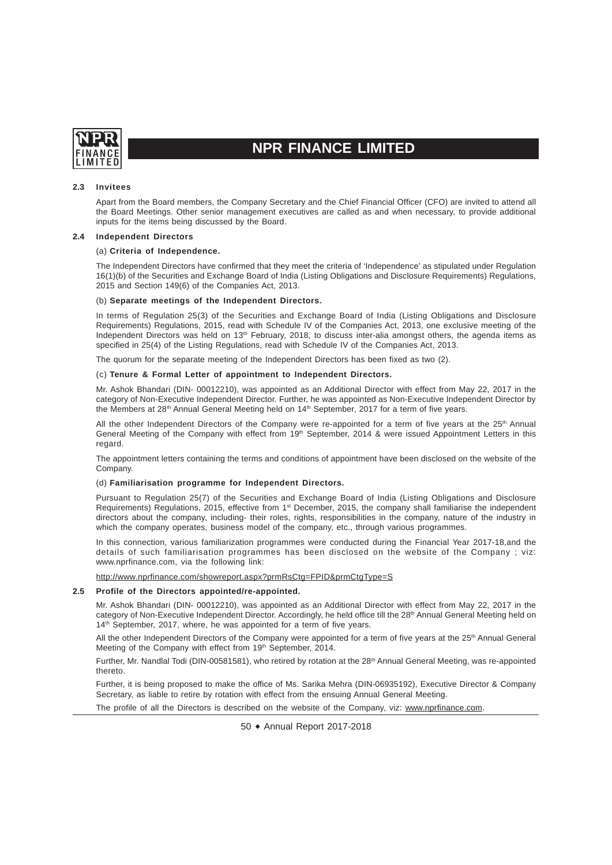

### **2.3 Invitees**

Apart from the Board members, the Company Secretary and the Chief Financial Officer (CFO) are invited to attend all the Board Meetings. Other senior management executives are called as and when necessary, to provide additional inputs for the items being discussed by the Board.

#### **2.4 Independent Directors**

## (a) **Criteria of Independence.**

The Independent Directors have confirmed that they meet the criteria of 'Independence' as stipulated under Regulation 16(1)(b) of the Securities and Exchange Board of India (Listing Obligations and Disclosure Requirements) Regulations, 2015 and Section 149(6) of the Companies Act, 2013.

### (b) **Separate meetings of the Independent Directors.**

In terms of Regulation 25(3) of the Securities and Exchange Board of India (Listing Obligations and Disclosure Requirements) Regulations, 2015, read with Schedule IV of the Companies Act, 2013, one exclusive meeting of the Independent Directors was held on 13<sup>th</sup> February, 2018, to discuss inter-alia amongst others, the agenda items as specified in 25(4) of the Listing Regulations, read with Schedule IV of the Companies Act, 2013.

The quorum for the separate meeting of the Independent Directors has been fixed as two (2).

## (c) **Tenure & Formal Letter of appointment to Independent Directors.**

Mr. Ashok Bhandari (DIN- 00012210), was appointed as an Additional Director with effect from May 22, 2017 in the category of Non-Executive Independent Director. Further, he was appointed as Non-Executive Independent Director by the Members at 28<sup>th</sup> Annual General Meeting held on 14<sup>th</sup> September, 2017 for a term of five years.

All the other Independent Directors of the Company were re-appointed for a term of five years at the 25<sup>th</sup> Annual General Meeting of the Company with effect from 19<sup>th</sup> September, 2014 & were issued Appointment Letters in this regard.

The appointment letters containing the terms and conditions of appointment have been disclosed on the website of the Company.

#### (d) **Familiarisation programme for Independent Directors.**

Pursuant to Regulation 25(7) of the Securities and Exchange Board of India (Listing Obligations and Disclosure Requirements) Regulations, 2015, effective from 1st December, 2015, the company shall familiarise the independent directors about the company, including- their roles, rights, responsibilities in the company, nature of the industry in which the company operates, business model of the company, etc., through various programmes.

In this connection, various familiarization programmes were conducted during the Financial Year 2017-18, and the details of such familiarisation programmes has been disclosed on the website of the Company ; viz: www.nprfinance.com, via the following link:

http://www.nprfinance.com/showreport.aspx?prmRsCtg=FPID&prmCtgType=S

## **2.5 Profile of the Directors appointed/re-appointed.**

Mr. Ashok Bhandari (DIN- 00012210), was appointed as an Additional Director with effect from May 22, 2017 in the category of Non-Executive Independent Director. Accordingly, he held office till the 28<sup>th</sup> Annual General Meeting held on 14<sup>th</sup> September, 2017, where, he was appointed for a term of five years.

All the other Independent Directors of the Company were appointed for a term of five years at the  $25<sup>th</sup>$  Annual General Meeting of the Company with effect from 19th September, 2014.

Further, Mr. Nandlal Todi (DIN-00581581), who retired by rotation at the 28<sup>th</sup> Annual General Meeting, was re-appointed thereto.

Further, it is being proposed to make the office of Ms. Sarika Mehra (DIN-06935192), Executive Director & Company Secretary, as liable to retire by rotation with effect from the ensuing Annual General Meeting.

The profile of all the Directors is described on the website of the Company, viz: www.nprfinance.com.

50 Annual Report 2017-2018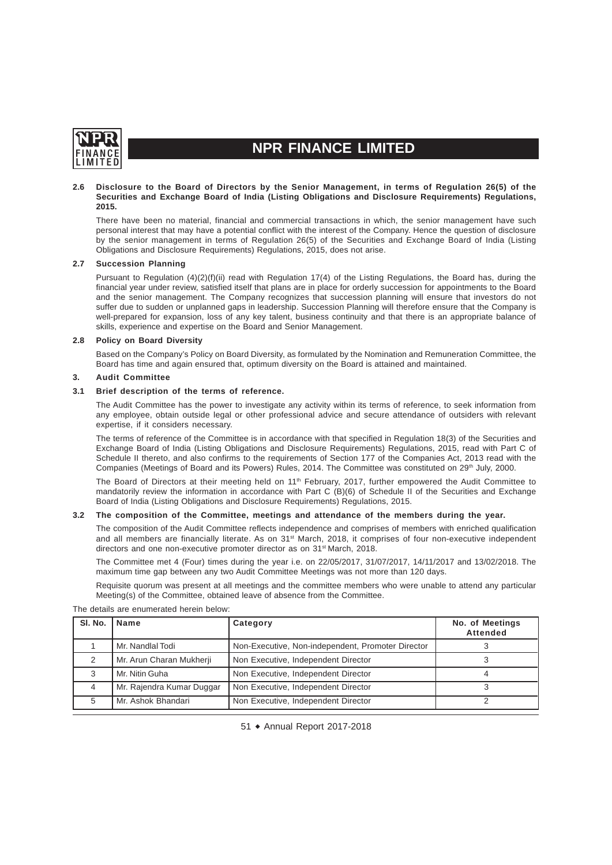

## **2.6 Disclosure to the Board of Directors by the Senior Management, in terms of Regulation 26(5) of the Securities and Exchange Board of India (Listing Obligations and Disclosure Requirements) Regulations, 2015.**

There have been no material, financial and commercial transactions in which, the senior management have such personal interest that may have a potential conflict with the interest of the Company. Hence the question of disclosure by the senior management in terms of Regulation 26(5) of the Securities and Exchange Board of India (Listing Obligations and Disclosure Requirements) Regulations, 2015, does not arise.

## **2.7 Succession Planning**

Pursuant to Regulation (4)(2)(f)(ii) read with Regulation 17(4) of the Listing Regulations, the Board has, during the financial year under review, satisfied itself that plans are in place for orderly succession for appointments to the Board and the senior management. The Company recognizes that succession planning will ensure that investors do not suffer due to sudden or unplanned gaps in leadership. Succession Planning will therefore ensure that the Company is well-prepared for expansion, loss of any key talent, business continuity and that there is an appropriate balance of skills, experience and expertise on the Board and Senior Management.

#### **2.8 Policy on Board Diversity**

Based on the Company's Policy on Board Diversity, as formulated by the Nomination and Remuneration Committee, the Board has time and again ensured that, optimum diversity on the Board is attained and maintained.

## **3. Audit Committee**

#### **3.1 Brief description of the terms of reference.**

The Audit Committee has the power to investigate any activity within its terms of reference, to seek information from any employee, obtain outside legal or other professional advice and secure attendance of outsiders with relevant expertise, if it considers necessary.

The terms of reference of the Committee is in accordance with that specified in Regulation 18(3) of the Securities and Exchange Board of India (Listing Obligations and Disclosure Requirements) Regulations, 2015, read with Part C of Schedule II thereto, and also confirms to the requirements of Section 177 of the Companies Act, 2013 read with the Companies (Meetings of Board and its Powers) Rules, 2014. The Committee was constituted on 29<sup>th</sup> July, 2000.

The Board of Directors at their meeting held on 11<sup>th</sup> February, 2017, further empowered the Audit Committee to mandatorily review the information in accordance with Part C (B)(6) of Schedule II of the Securities and Exchange Board of India (Listing Obligations and Disclosure Requirements) Regulations, 2015.

## **3.2 The composition of the Committee, meetings and attendance of the members during the year.**

The composition of the Audit Committee reflects independence and comprises of members with enriched qualification and all members are financially literate. As on 31st March, 2018, it comprises of four non-executive independent directors and one non-executive promoter director as on 31<sup>st</sup> March, 2018.

The Committee met 4 (Four) times during the year i.e. on 22/05/2017, 31/07/2017, 14/11/2017 and 13/02/2018. The maximum time gap between any two Audit Committee Meetings was not more than 120 days.

Requisite quorum was present at all meetings and the committee members who were unable to attend any particular Meeting(s) of the Committee, obtained leave of absence from the Committee.

| SI. No. | l Name                    | Category                                          | No. of Meetings<br><b>Attended</b> |
|---------|---------------------------|---------------------------------------------------|------------------------------------|
|         | Mr. Nandlal Todi          | Non-Executive, Non-independent, Promoter Director |                                    |
| 2       | Mr. Arun Charan Mukherji  | Non Executive, Independent Director               |                                    |
| 3       | Mr. Nitin Guha            | Non Executive, Independent Director               |                                    |
| 4       | Mr. Rajendra Kumar Duggar | Non Executive, Independent Director               |                                    |
| 5       | Mr. Ashok Bhandari        | Non Executive, Independent Director               |                                    |

The details are enumerated herein below:

51 ◆ Annual Report 2017-2018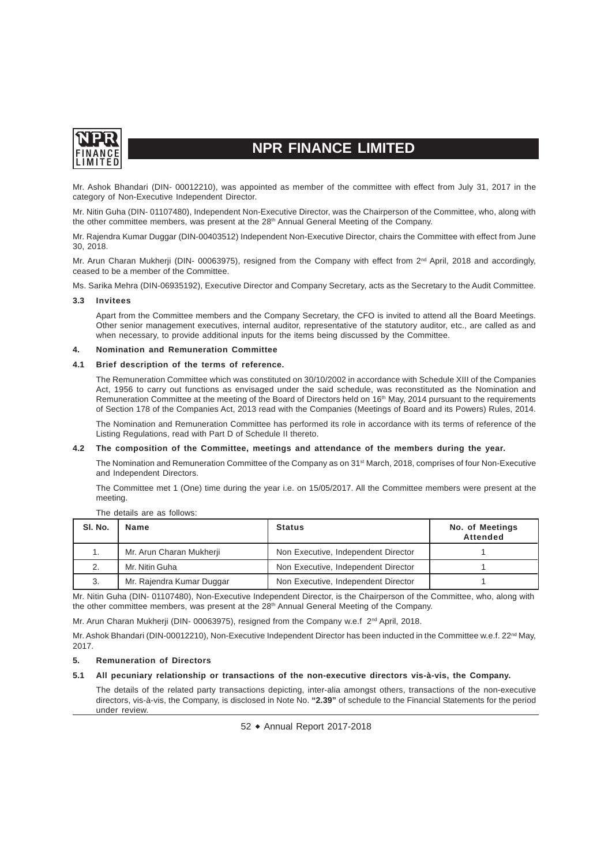

Mr. Ashok Bhandari (DIN- 00012210), was appointed as member of the committee with effect from July 31, 2017 in the category of Non-Executive Independent Director.

Mr. Nitin Guha (DIN- 01107480), Independent Non-Executive Director, was the Chairperson of the Committee, who, along with the other committee members, was present at the 28<sup>th</sup> Annual General Meeting of the Company.

Mr. Rajendra Kumar Duggar (DIN-00403512) Independent Non-Executive Director, chairs the Committee with effect from June 30, 2018.

Mr. Arun Charan Mukherji (DIN- 00063975), resigned from the Company with effect from 2<sup>nd</sup> April, 2018 and accordingly, ceased to be a member of the Committee.

Ms. Sarika Mehra (DIN-06935192), Executive Director and Company Secretary, acts as the Secretary to the Audit Committee.

## **3.3 Invitees**

Apart from the Committee members and the Company Secretary, the CFO is invited to attend all the Board Meetings. Other senior management executives, internal auditor, representative of the statutory auditor, etc., are called as and when necessary, to provide additional inputs for the items being discussed by the Committee.

#### **4. Nomination and Remuneration Committee**

## **4.1 Brief description of the terms of reference.**

The Remuneration Committee which was constituted on 30/10/2002 in accordance with Schedule XIII of the Companies Act, 1956 to carry out functions as envisaged under the said schedule, was reconstituted as the Nomination and Remuneration Committee at the meeting of the Board of Directors held on 16<sup>th</sup> May, 2014 pursuant to the requirements of Section 178 of the Companies Act, 2013 read with the Companies (Meetings of Board and its Powers) Rules, 2014.

The Nomination and Remuneration Committee has performed its role in accordance with its terms of reference of the Listing Regulations, read with Part D of Schedule II thereto.

### **4.2 The composition of the Committee, meetings and attendance of the members during the year.**

The Nomination and Remuneration Committee of the Company as on 31<sup>st</sup> March, 2018, comprises of four Non-Executive and Independent Directors.

The Committee met 1 (One) time during the year i.e. on 15/05/2017. All the Committee members were present at the meeting.

The details are as follows:

| SI. No. | Name                      | <b>Status</b>                       | No. of Meetings<br><b>Attended</b> |
|---------|---------------------------|-------------------------------------|------------------------------------|
|         | Mr. Arun Charan Mukherji  | Non Executive, Independent Director |                                    |
|         | Mr. Nitin Guha            | Non Executive, Independent Director |                                    |
| 3.      | Mr. Rajendra Kumar Duggar | Non Executive, Independent Director |                                    |

Mr. Nitin Guha (DIN- 01107480), Non-Executive Independent Director, is the Chairperson of the Committee, who, along with the other committee members, was present at the 28<sup>th</sup> Annual General Meeting of the Company.

Mr. Arun Charan Mukherji (DIN- 00063975), resigned from the Company w.e.f 2<sup>nd</sup> April, 2018.

Mr. Ashok Bhandari (DIN-00012210), Non-Executive Independent Director has been inducted in the Committee w.e.f. 22<sup>nd</sup> May, 2017.

### **5. Remuneration of Directors**

### **5.1 All pecuniary relationship or transactions of the non-executive directors vis-à-vis, the Company.**

The details of the related party transactions depicting, inter-alia amongst others, transactions of the non-executive directors, vis-à-vis, the Company, is disclosed in Note No. **"2.39"** of schedule to the Financial Statements for the period under review.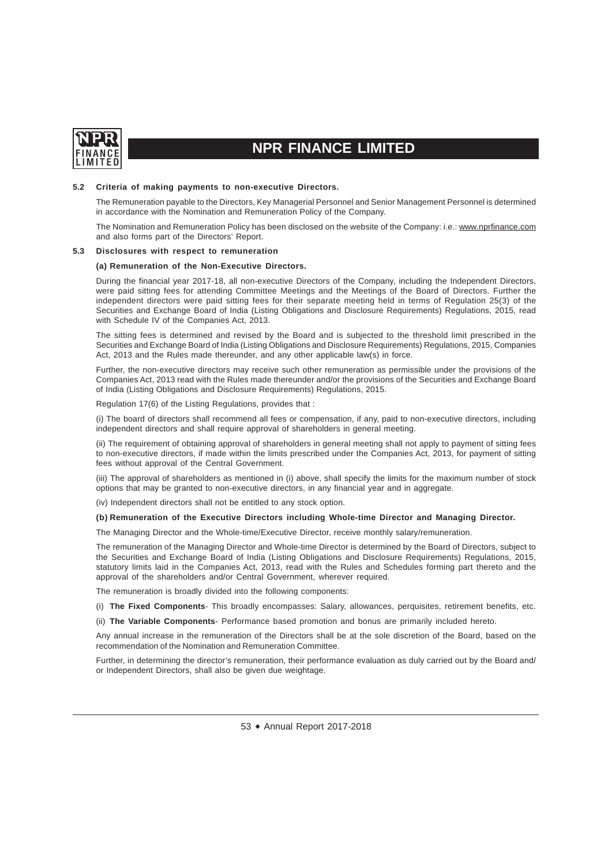

#### **5.2 Criteria of making payments to non-executive Directors.**

The Remuneration payable to the Directors, Key Managerial Personnel and Senior Management Personnel is determined in accordance with the Nomination and Remuneration Policy of the Company.

The Nomination and Remuneration Policy has been disclosed on the website of the Company: i.e.: www.nprfinance.com and also forms part of the Directors' Report.

## **5.3 Disclosures with respect to remuneration**

#### **(a) Remuneration of the Non-Executive Directors.**

During the financial year 2017-18, all non-executive Directors of the Company, including the Independent Directors, were paid sitting fees for attending Committee Meetings and the Meetings of the Board of Directors. Further the independent directors were paid sitting fees for their separate meeting held in terms of Regulation 25(3) of the Securities and Exchange Board of India (Listing Obligations and Disclosure Requirements) Regulations, 2015, read with Schedule IV of the Companies Act, 2013.

The sitting fees is determined and revised by the Board and is subjected to the threshold limit prescribed in the Securities and Exchange Board of India (Listing Obligations and Disclosure Requirements) Regulations, 2015, Companies Act, 2013 and the Rules made thereunder, and any other applicable law(s) in force.

Further, the non-executive directors may receive such other remuneration as permissible under the provisions of the Companies Act, 2013 read with the Rules made thereunder and/or the provisions of the Securities and Exchange Board of India (Listing Obligations and Disclosure Requirements) Regulations, 2015.

Regulation 17(6) of the Listing Regulations, provides that :

(i) The board of directors shall recommend all fees or compensation, if any, paid to non-executive directors, including independent directors and shall require approval of shareholders in general meeting.

(ii) The requirement of obtaining approval of shareholders in general meeting shall not apply to payment of sitting fees to non-executive directors, if made within the limits prescribed under the Companies Act, 2013, for payment of sitting fees without approval of the Central Government.

(iii) The approval of shareholders as mentioned in (i) above, shall specify the limits for the maximum number of stock options that may be granted to non-executive directors, in any financial year and in aggregate.

(iv) Independent directors shall not be entitled to any stock option.

**(b) Remuneration of the Executive Directors including Whole-time Director and Managing Director.**

The Managing Director and the Whole-time/Executive Director, receive monthly salary/remuneration.

The remuneration of the Managing Director and Whole-time Director is determined by the Board of Directors, subject to the Securities and Exchange Board of India (Listing Obligations and Disclosure Requirements) Regulations, 2015, statutory limits laid in the Companies Act, 2013, read with the Rules and Schedules forming part thereto and the approval of the shareholders and/or Central Government, wherever required.

The remuneration is broadly divided into the following components:

(i) **The Fixed Components**- This broadly encompasses: Salary, allowances, perquisites, retirement benefits, etc.

(ii) **The Variable Components**- Performance based promotion and bonus are primarily included hereto.

Any annual increase in the remuneration of the Directors shall be at the sole discretion of the Board, based on the recommendation of the Nomination and Remuneration Committee.

Further, in determining the director's remuneration, their performance evaluation as duly carried out by the Board and/ or Independent Directors, shall also be given due weightage.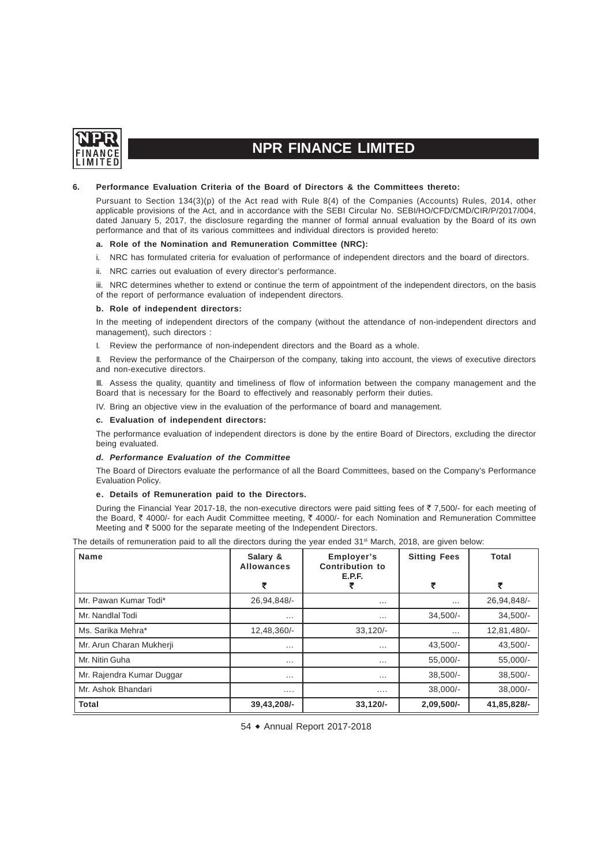

### **6. Performance Evaluation Criteria of the Board of Directors & the Committees thereto:**

Pursuant to Section 134(3)(p) of the Act read with Rule 8(4) of the Companies (Accounts) Rules, 2014, other applicable provisions of the Act, and in accordance with the SEBI Circular No. SEBI/HO/CFD/CMD/CIR/P/2017/004, dated January 5, 2017, the disclosure regarding the manner of formal annual evaluation by the Board of its own performance and that of its various committees and individual directors is provided hereto:

#### **a. Role of the Nomination and Remuneration Committee (NRC):**

- i. NRC has formulated criteria for evaluation of performance of independent directors and the board of directors.
- ii. NRC carries out evaluation of every director's performance.

iii. NRC determines whether to extend or continue the term of appointment of the independent directors, on the basis of the report of performance evaluation of independent directors.

### **b. Role of independent directors:**

In the meeting of independent directors of the company (without the attendance of non-independent directors and management), such directors :

I. Review the performance of non-independent directors and the Board as a whole.

II. Review the performance of the Chairperson of the company, taking into account, the views of executive directors and non-executive directors.

III. Assess the quality, quantity and timeliness of flow of information between the company management and the Board that is necessary for the Board to effectively and reasonably perform their duties.

IV. Bring an objective view in the evaluation of the performance of board and management.

#### **c. Evaluation of independent directors:**

The performance evaluation of independent directors is done by the entire Board of Directors, excluding the director being evaluated.

#### *d. Performance Evaluation of the Committee*

The Board of Directors evaluate the performance of all the Board Committees, based on the Company's Performance Evaluation Policy.

## **e. Details of Remuneration paid to the Directors.**

During the Financial Year 2017-18, the non-executive directors were paid sitting fees of  $\bar{z}$  7,500/- for each meeting of the Board, ₹ 4000/- for each Audit Committee meeting, ₹ 4000/- for each Nomination and Remuneration Committee Meeting and  $\bar{\tau}$  5000 for the separate meeting of the Independent Directors.

The details of remuneration paid to all the directors during the year ended 31<sup>st</sup> March, 2018, are given below:

| <b>Name</b>               | Salary &<br><b>Allowances</b> | Employer's<br>Contribution to<br>E.P.F. | <b>Sitting Fees</b> | <b>Total</b> |
|---------------------------|-------------------------------|-----------------------------------------|---------------------|--------------|
|                           | ₹                             |                                         | ₹                   | ₹            |
| Mr. Pawan Kumar Todi*     | 26,94,848/-                   | $\cdots$                                | $\cdots$            | 26,94,848/-  |
| Mr. Nandlal Todi          | $\cdots$                      | $\cdots$                                | $34,500/-$          | $34,500/-$   |
| Ms. Sarika Mehra*         | 12,48,360/-                   | $33,120/-$                              | $\cdots$            | 12,81,480/-  |
| Mr. Arun Charan Mukherji  | $\cdots$                      | $\cdots$                                | $43,500/-$          | 43,500/-     |
| Mr. Nitin Guha            | $\cdots$                      | $\cdots$                                | $55,000/-$          | 55,000/-     |
| Mr. Rajendra Kumar Duggar | $\cdots$                      | $\cdots$                                | $38,500/-$          | $38,500/-$   |
| Mr. Ashok Bhandari        | .                             | .                                       | $38,000/-$          | $38,000/-$   |
| <b>Total</b>              | 39,43,208/-                   | $33,120/-$                              | $2,09,500/-$        | 41,85,828/-  |

54 Annual Report 2017-2018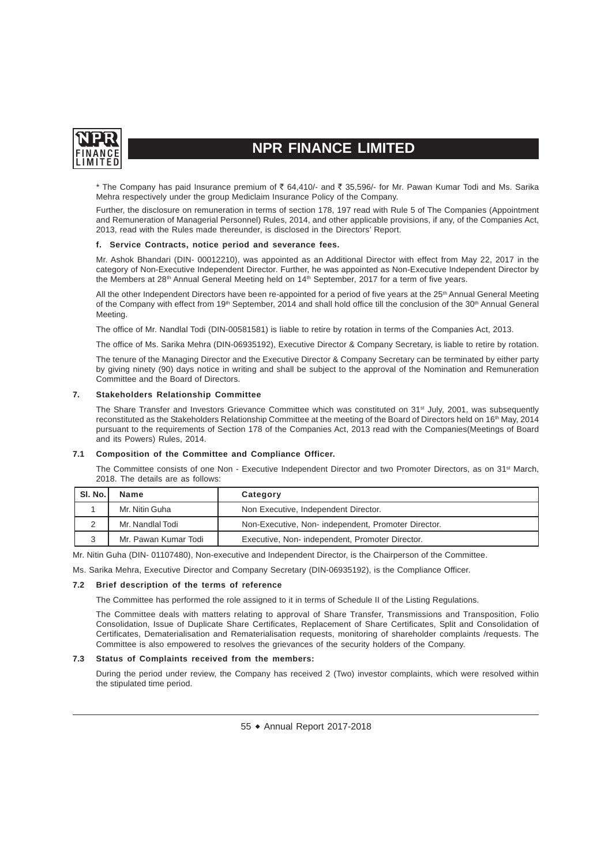

\* The Company has paid Insurance premium of  $\bar{\tau}$  64,410/- and  $\bar{\tau}$  35,596/- for Mr. Pawan Kumar Todi and Ms. Sarika Mehra respectively under the group Mediclaim Insurance Policy of the Company.

Further, the disclosure on remuneration in terms of section 178, 197 read with Rule 5 of The Companies (Appointment and Remuneration of Managerial Personnel) Rules, 2014, and other applicable provisions, if any, of the Companies Act, 2013, read with the Rules made thereunder, is disclosed in the Directors' Report.

### **f. Service Contracts, notice period and severance fees.**

Mr. Ashok Bhandari (DIN- 00012210), was appointed as an Additional Director with effect from May 22, 2017 in the category of Non-Executive Independent Director. Further, he was appointed as Non-Executive Independent Director by the Members at 28<sup>th</sup> Annual General Meeting held on 14<sup>th</sup> September, 2017 for a term of five years.

All the other Independent Directors have been re-appointed for a period of five years at the 25<sup>th</sup> Annual General Meeting of the Company with effect from 19<sup>th</sup> September, 2014 and shall hold office till the conclusion of the 30<sup>th</sup> Annual General Meeting.

The office of Mr. Nandlal Todi (DIN-00581581) is liable to retire by rotation in terms of the Companies Act, 2013.

The office of Ms. Sarika Mehra (DIN-06935192), Executive Director & Company Secretary, is liable to retire by rotation.

The tenure of the Managing Director and the Executive Director & Company Secretary can be terminated by either party by giving ninety (90) days notice in writing and shall be subject to the approval of the Nomination and Remuneration Committee and the Board of Directors.

### **7. Stakeholders Relationship Committee**

The Share Transfer and Investors Grievance Committee which was constituted on 31<sup>st</sup> July, 2001, was subsequently reconstituted as the Stakeholders Relationship Committee at the meeting of the Board of Directors held on 16<sup>th</sup> May, 2014 pursuant to the requirements of Section 178 of the Companies Act, 2013 read with the Companies(Meetings of Board and its Powers) Rules, 2014.

#### **7.1 Composition of the Committee and Compliance Officer.**

The Committee consists of one Non - Executive Independent Director and two Promoter Directors, as on 31<sup>st</sup> March, 2018. The details are as follows:

| SI. No. | Name                 | Category                                           |
|---------|----------------------|----------------------------------------------------|
|         | Mr. Nitin Guha       | Non Executive, Independent Director.               |
|         | Mr. Nandlal Todi     | Non-Executive, Non-independent, Promoter Director. |
|         | Mr. Pawan Kumar Todi | Executive, Non-independent, Promoter Director.     |

Mr. Nitin Guha (DIN- 01107480), Non-executive and Independent Director, is the Chairperson of the Committee.

Ms. Sarika Mehra, Executive Director and Company Secretary (DIN-06935192), is the Compliance Officer.

#### **7.2 Brief description of the terms of reference**

The Committee has performed the role assigned to it in terms of Schedule II of the Listing Regulations.

The Committee deals with matters relating to approval of Share Transfer, Transmissions and Transposition, Folio Consolidation, Issue of Duplicate Share Certificates, Replacement of Share Certificates, Split and Consolidation of Certificates, Dematerialisation and Rematerialisation requests, monitoring of shareholder complaints /requests. The Committee is also empowered to resolves the grievances of the security holders of the Company.

### **7.3 Status of Complaints received from the members:**

During the period under review, the Company has received 2 (Two) investor complaints, which were resolved within the stipulated time period.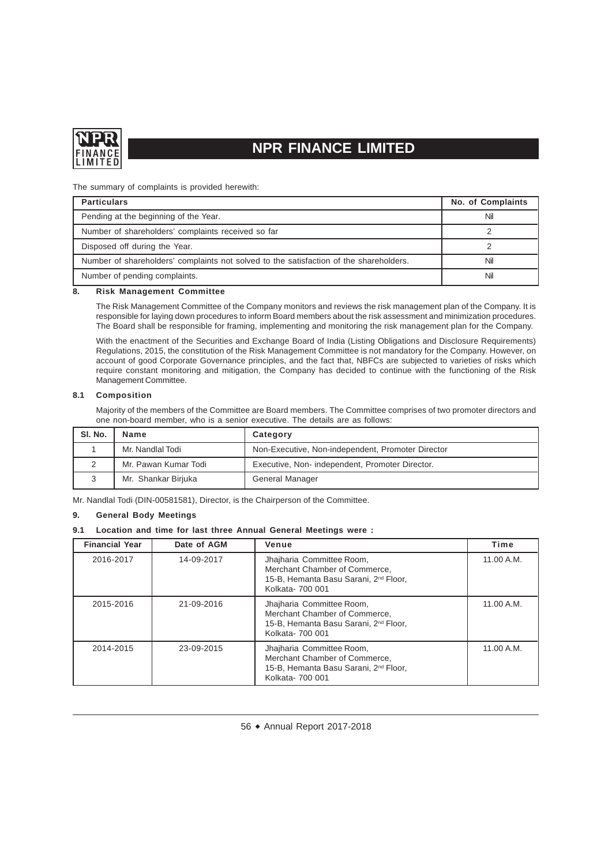

## The summary of complaints is provided herewith:

| <b>Particulars</b>                                                                     | No. of Complaints |
|----------------------------------------------------------------------------------------|-------------------|
| Pending at the beginning of the Year.                                                  | Nil               |
| Number of shareholders' complaints received so far                                     |                   |
| Disposed off during the Year.                                                          |                   |
| Number of shareholders' complaints not solved to the satisfaction of the shareholders. | Nil               |
| Number of pending complaints.                                                          | Nil               |

## **8. Risk Management Committee**

The Risk Management Committee of the Company monitors and reviews the risk management plan of the Company. It is responsible for laying down procedures to inform Board members about the risk assessment and minimization procedures. The Board shall be responsible for framing, implementing and monitoring the risk management plan for the Company.

With the enactment of the Securities and Exchange Board of India (Listing Obligations and Disclosure Requirements) Regulations, 2015, the constitution of the Risk Management Committee is not mandatory for the Company. However, on account of good Corporate Governance principles, and the fact that, NBFCs are subjected to varieties of risks which require constant monitoring and mitigation, the Company has decided to continue with the functioning of the Risk Management Committee.

## **8.1 Composition**

Majority of the members of the Committee are Board members. The Committee comprises of two promoter directors and one non-board member, who is a senior executive. The details are as follows:

| SI. No. | Name                 | Category                                          |
|---------|----------------------|---------------------------------------------------|
|         | Mr. Nandlal Todi     | Non-Executive, Non-independent, Promoter Director |
|         | Mr. Pawan Kumar Todi | Executive, Non-independent, Promoter Director.    |
| հ       | Mr. Shankar Birjuka  | General Manager                                   |

Mr. Nandlal Todi (DIN-00581581), Director, is the Chairperson of the Committee.

## **9. General Body Meetings**

## **9.1 Location and time for last three Annual General Meetings were :**

| <b>Financial Year</b> | Date of AGM | Venue                                                                                                                               | Time       |
|-----------------------|-------------|-------------------------------------------------------------------------------------------------------------------------------------|------------|
| 2016-2017             | 14-09-2017  | Jhajharia Committee Room,<br>Merchant Chamber of Commerce.<br>15-B, Hemanta Basu Sarani, 2 <sup>nd</sup> Floor,<br>Kolkata- 700 001 | 11.00 A.M. |
| 2015-2016             | 21-09-2016  | Jhajharia Committee Room,<br>Merchant Chamber of Commerce,<br>15-B, Hemanta Basu Sarani, 2 <sup>nd</sup> Floor,<br>Kolkata- 700 001 | 11.00 A.M. |
| 2014-2015             | 23-09-2015  | Jhajharia Committee Room,<br>Merchant Chamber of Commerce.<br>15-B, Hemanta Basu Sarani, 2 <sup>nd</sup> Floor,<br>Kolkata- 700 001 | 11.00 A.M. |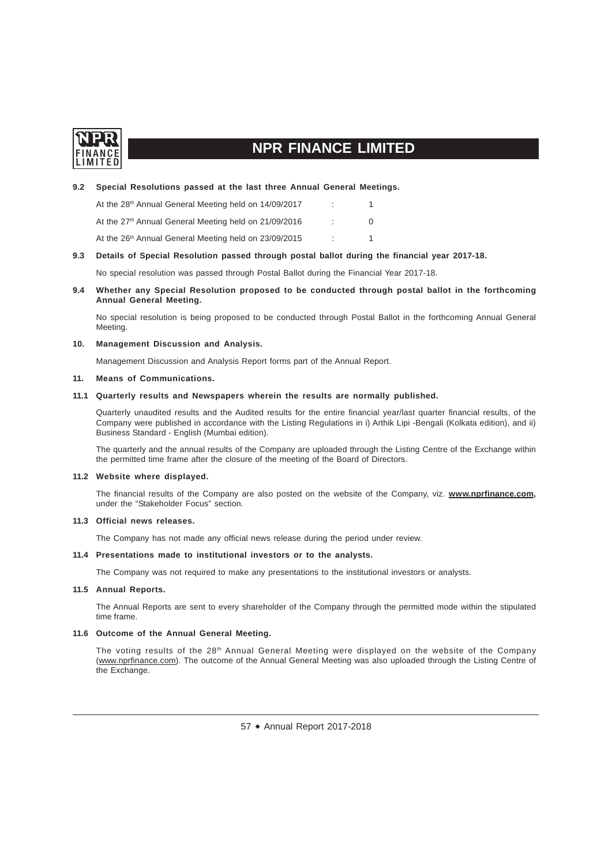

## **9.2 Special Resolutions passed at the last three Annual General Meetings.**

| At the 28 <sup>th</sup> Annual General Meeting held on 14/09/2017 |  |
|-------------------------------------------------------------------|--|
| At the 27 <sup>th</sup> Annual General Meeting held on 21/09/2016 |  |
| At the 26 <sup>th</sup> Annual General Meeting held on 23/09/2015 |  |

**9.3 Details of Special Resolution passed through postal ballot during the financial year 2017-18.**

No special resolution was passed through Postal Ballot during the Financial Year 2017-18.

**9.4 Whether any Special Resolution proposed to be conducted through postal ballot in the forthcoming Annual General Meeting.**

No special resolution is being proposed to be conducted through Postal Ballot in the forthcoming Annual General Meeting.

## **10. Management Discussion and Analysis.**

Management Discussion and Analysis Report forms part of the Annual Report.

## **11. Means of Communications.**

### **11.1 Quarterly results and Newspapers wherein the results are normally published.**

Quarterly unaudited results and the Audited results for the entire financial year/last quarter financial results, of the Company were published in accordance with the Listing Regulations in i) Arthik Lipi -Bengali (Kolkata edition), and ii) Business Standard - English (Mumbai edition).

The quarterly and the annual results of the Company are uploaded through the Listing Centre of the Exchange within the permitted time frame after the closure of the meeting of the Board of Directors.

## **11.2 Website where displayed.**

The financial results of the Company are also posted on the website of the Company, viz. **www.nprfinance.com,** under the "Stakeholder Focus" section.

## **11.3 Official news releases.**

The Company has not made any official news release during the period under review.

## **11.4 Presentations made to institutional investors or to the analysts.**

The Company was not required to make any presentations to the institutional investors or analysts.

## **11.5 Annual Reports.**

The Annual Reports are sent to every shareholder of the Company through the permitted mode within the stipulated time frame.

## **11.6 Outcome of the Annual General Meeting.**

The voting results of the 28<sup>th</sup> Annual General Meeting were displayed on the website of the Company (www.nprfinance.com). The outcome of the Annual General Meeting was also uploaded through the Listing Centre of the Exchange.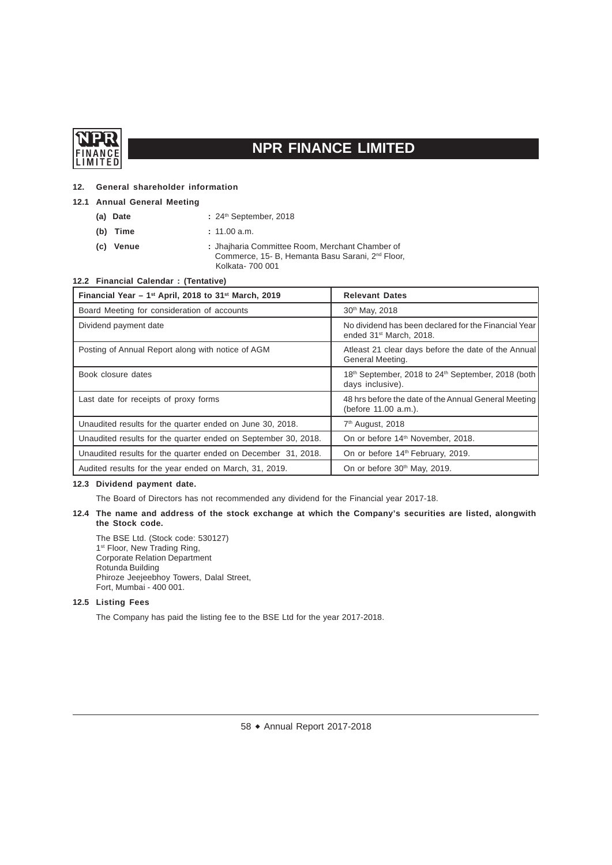

## **12. General shareholder information**

## **12.1 Annual General Meeting**

- **(a) Date :** 24th September, 2018
- **(b) Time :** 11.00 a.m.
	-
- 
- **(c) Venue :** Jhajharia Committee Room, Merchant Chamber of Commerce, 15- B, Hemanta Basu Sarani, 2nd Floor, Kolkata- 700 001

## **12.2 Financial Calendar : (Tentative)**

| Financial Year - 1 <sup>st</sup> April, 2018 to 31 <sup>st</sup> March, 2019 | <b>Relevant Dates</b>                                                                       |
|------------------------------------------------------------------------------|---------------------------------------------------------------------------------------------|
| Board Meeting for consideration of accounts                                  | 30th May, 2018                                                                              |
| Dividend payment date                                                        | No dividend has been declared for the Financial Year<br>ended 31 <sup>st</sup> March, 2018. |
| Posting of Annual Report along with notice of AGM                            | Atleast 21 clear days before the date of the Annual<br>General Meeting.                     |
| Book closure dates                                                           | 18th September, 2018 to 24th September, 2018 (both<br>days inclusive).                      |
| Last date for receipts of proxy forms                                        | 48 hrs before the date of the Annual General Meeting<br>(before 11.00 a.m.).                |
| Unaudited results for the quarter ended on June 30, 2018.                    | 7 <sup>th</sup> August, 2018                                                                |
| Unaudited results for the quarter ended on September 30, 2018.               | On or before 14 <sup>th</sup> November, 2018.                                               |
| Unaudited results for the quarter ended on December 31, 2018.                | On or before 14 <sup>th</sup> February, 2019.                                               |
| Audited results for the year ended on March, 31, 2019.                       | On or before 30 <sup>th</sup> May, 2019.                                                    |

### **12.3 Dividend payment date.**

The Board of Directors has not recommended any dividend for the Financial year 2017-18.

## **12.4 The name and address of the stock exchange at which the Company's securities are listed, alongwith the Stock code.**

The BSE Ltd. (Stock code: 530127) 1<sup>st</sup> Floor, New Trading Ring, Corporate Relation Department Rotunda Building Phiroze Jeejeebhoy Towers, Dalal Street, Fort, Mumbai - 400 001.

## **12.5 Listing Fees**

The Company has paid the listing fee to the BSE Ltd for the year 2017-2018.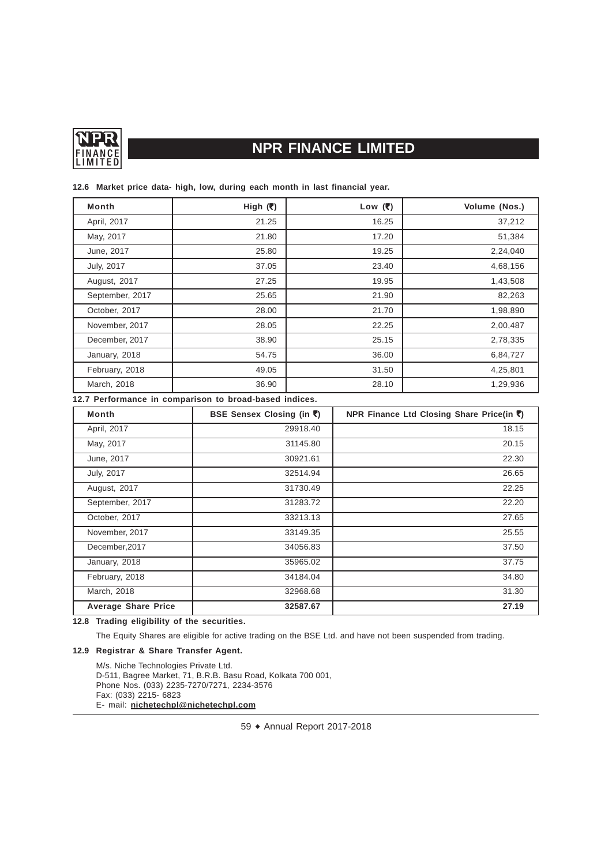

**12.6 Market price data- high, low, during each month in last financial year.**

| Month           | High $(3)$ | Low $(\overline{\zeta})$ | Volume (Nos.) |
|-----------------|------------|--------------------------|---------------|
| April, 2017     | 21.25      | 16.25                    | 37,212        |
| May, 2017       | 21.80      | 17.20                    | 51,384        |
| June, 2017      | 25.80      | 19.25                    | 2,24,040      |
| July, 2017      | 37.05      | 23.40                    | 4,68,156      |
| August, 2017    | 27.25      | 19.95                    | 1,43,508      |
| September, 2017 | 25.65      | 21.90                    | 82,263        |
| October, 2017   | 28.00      | 21.70                    | 1,98,890      |
| November, 2017  | 28.05      | 22.25                    | 2,00,487      |
| December, 2017  | 38.90      | 25.15                    | 2,78,335      |
| January, 2018   | 54.75      | 36.00                    | 6,84,727      |
| February, 2018  | 49.05      | 31.50                    | 4,25,801      |
| March, 2018     | 36.90      | 28.10                    | 1,29,936      |

## **12.7 Performance in comparison to broad-based indices.**

| Month                      | BSE Sensex Closing (in ₹) | NPR Finance Ltd Closing Share Price(in ₹) |
|----------------------------|---------------------------|-------------------------------------------|
| April, 2017                | 29918.40                  | 18.15                                     |
| May, 2017                  | 31145.80                  | 20.15                                     |
| June, 2017                 | 30921.61                  | 22.30                                     |
| July, 2017                 | 32514.94                  | 26.65                                     |
| August, 2017               | 31730.49                  | 22.25                                     |
| September, 2017            | 31283.72                  | 22.20                                     |
| October, 2017              | 33213.13                  | 27.65                                     |
| November, 2017             | 33149.35                  | 25.55                                     |
| December, 2017             | 34056.83                  | 37.50                                     |
| January, 2018              | 35965.02                  | 37.75                                     |
| February, 2018             | 34184.04                  | 34.80                                     |
| March, 2018                | 32968.68                  | 31.30                                     |
| <b>Average Share Price</b> | 32587.67                  | 27.19                                     |

## **12.8 Trading eligibility of the securities.**

The Equity Shares are eligible for active trading on the BSE Ltd. and have not been suspended from trading.

## **12.9 Registrar & Share Transfer Agent.**

M/s. Niche Technologies Private Ltd. D-511, Bagree Market, 71, B.R.B. Basu Road, Kolkata 700 001, Phone Nos. (033) 2235-7270/7271, 2234-3576 Fax: (033) 2215- 6823 E- mail: **nichetechpl@nichetechpl.com**

59 Annual Report 2017-2018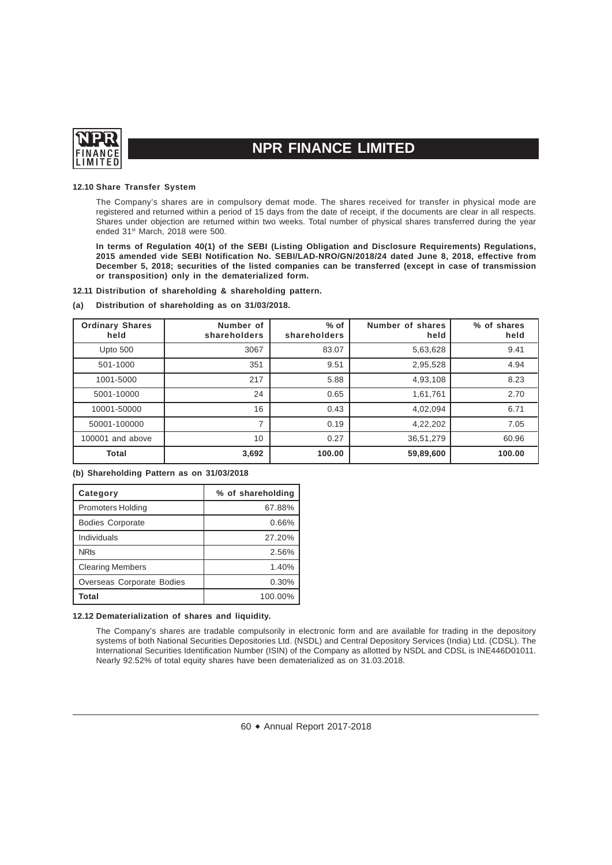

## **12.10 Share Transfer System**

The Company's shares are in compulsory demat mode. The shares received for transfer in physical mode are registered and returned within a period of 15 days from the date of receipt, if the documents are clear in all respects. Shares under objection are returned within two weeks. Total number of physical shares transferred during the year ended 31st March, 2018 were 500.

**In terms of Regulation 40(1) of the SEBI (Listing Obligation and Disclosure Requirements) Regulations, 2015 amended vide SEBI Notification No. SEBI/LAD-NRO/GN/2018/24 dated June 8, 2018, effective from December 5, 2018; securities of the listed companies can be transferred (except in case of transmission or transposition) only in the dematerialized form.**

### **12.11 Distribution of shareholding & shareholding pattern.**

#### **(a) Distribution of shareholding as on 31/03/2018.**

| <b>Ordinary Shares</b><br>held | Number of<br>shareholders | $%$ of<br>shareholders | Number of shares<br>held | % of shares<br>held |
|--------------------------------|---------------------------|------------------------|--------------------------|---------------------|
| Upto 500                       | 3067                      | 83.07                  | 5,63,628                 | 9.41                |
| 501-1000                       | 351                       | 9.51                   | 2,95,528                 | 4.94                |
| 1001-5000                      | 217                       | 5.88                   | 4,93,108                 | 8.23                |
| 5001-10000                     | 24                        | 0.65                   | 1,61,761                 | 2.70                |
| 10001-50000                    | 16                        | 0.43                   | 4,02,094                 | 6.71                |
| 50001-100000                   | $\overline{7}$            | 0.19                   | 4,22,202                 | 7.05                |
| 100001 and above               | 10                        | 0.27                   | 36,51,279                | 60.96               |
| <b>Total</b>                   | 3,692                     | 100.00                 | 59,89,600                | 100.00              |

## **(b) Shareholding Pattern as on 31/03/2018**

| Category                  | % of shareholding |
|---------------------------|-------------------|
| <b>Promoters Holding</b>  | 67.88%            |
| <b>Bodies Corporate</b>   | 0.66%             |
| Individuals               | 27.20%            |
| <b>NRIS</b>               | 2.56%             |
| <b>Clearing Members</b>   | 1.40%             |
| Overseas Corporate Bodies | 0.30%             |
| Total                     | 100.00%           |

### **12.12 Dematerialization of shares and liquidity.**

The Company's shares are tradable compulsorily in electronic form and are available for trading in the depository systems of both National Securities Depositories Ltd. (NSDL) and Central Depository Services (India) Ltd. (CDSL). The International Securities Identification Number (ISIN) of the Company as allotted by NSDL and CDSL is INE446D01011. Nearly 92.52% of total equity shares have been dematerialized as on 31.03.2018.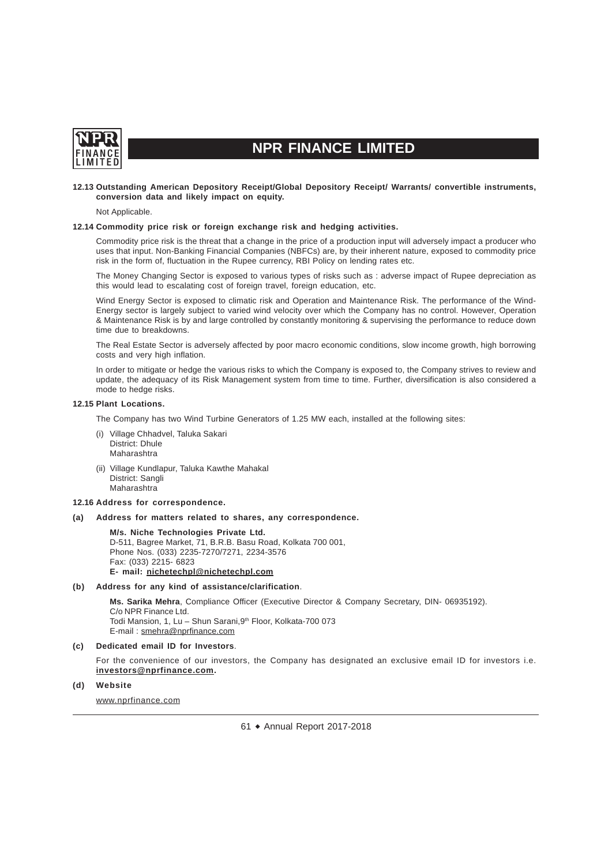

### **12.13 Outstanding American Depository Receipt/Global Depository Receipt/ Warrants/ convertible instruments, conversion data and likely impact on equity.**

Not Applicable.

#### **12.14 Commodity price risk or foreign exchange risk and hedging activities.**

Commodity price risk is the threat that a change in the price of a production input will adversely impact a producer who uses that input. Non-Banking Financial Companies (NBFCs) are, by their inherent nature, exposed to commodity price risk in the form of, fluctuation in the Rupee currency, RBI Policy on lending rates etc.

The Money Changing Sector is exposed to various types of risks such as : adverse impact of Rupee depreciation as this would lead to escalating cost of foreign travel, foreign education, etc.

Wind Energy Sector is exposed to climatic risk and Operation and Maintenance Risk. The performance of the Wind-Energy sector is largely subject to varied wind velocity over which the Company has no control. However, Operation & Maintenance Risk is by and large controlled by constantly monitoring & supervising the performance to reduce down time due to breakdowns.

The Real Estate Sector is adversely affected by poor macro economic conditions, slow income growth, high borrowing costs and very high inflation.

In order to mitigate or hedge the various risks to which the Company is exposed to, the Company strives to review and update, the adequacy of its Risk Management system from time to time. Further, diversification is also considered a mode to hedge risks.

## **12.15 Plant Locations.**

The Company has two Wind Turbine Generators of 1.25 MW each, installed at the following sites:

- (i) Village Chhadvel, Taluka Sakari District: Dhule Maharashtra
- (ii) Village Kundlapur, Taluka Kawthe Mahakal District: Sangli Maharashtra

#### **12.16 Address for correspondence.**

**(a) Address for matters related to shares, any correspondence.**

**M/s. Niche Technologies Private Ltd.** D-511, Bagree Market, 71, B.R.B. Basu Road, Kolkata 700 001, Phone Nos. (033) 2235-7270/7271, 2234-3576 Fax: (033) 2215- 6823 **E- mail: nichetechpl@nichetechpl.com**

### **(b) Address for any kind of assistance/clarification**.

**Ms. Sarika Mehra**, Compliance Officer (Executive Director & Company Secretary, DIN- 06935192). C/o NPR Finance Ltd. Todi Mansion, 1, Lu - Shun Sarani, 9<sup>th</sup> Floor, Kolkata-700 073 E-mail : smehra@nprfinance.com

## **(c) Dedicated email ID for Investors**.

For the convenience of our investors, the Company has designated an exclusive email ID for investors i.e. **investors@nprfinance.com.**

**(d) Website**

www.nprfinance.com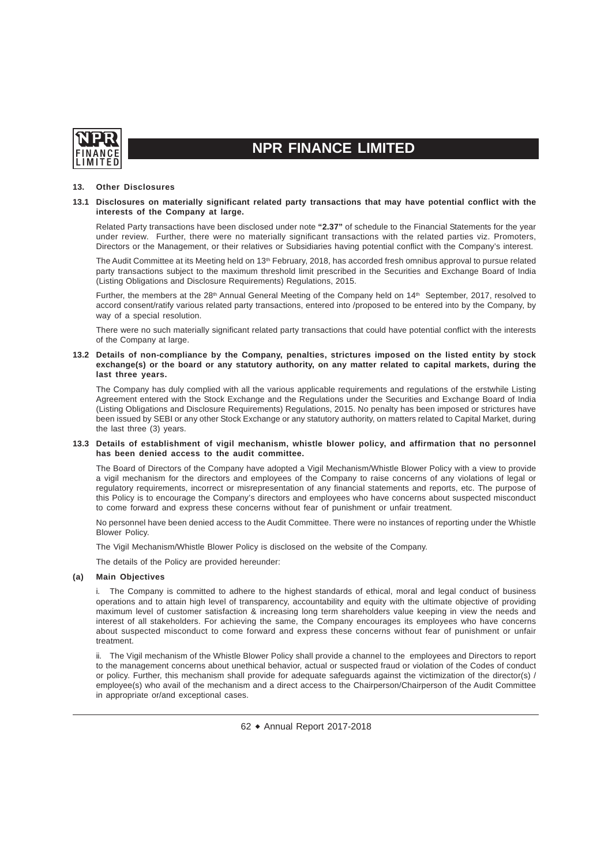

### **13. Other Disclosures**

## **13.1 Disclosures on materially significant related party transactions that may have potential conflict with the interests of the Company at large.**

Related Party transactions have been disclosed under note **"2.37"** of schedule to the Financial Statements for the year under review. Further, there were no materially significant transactions with the related parties viz. Promoters, Directors or the Management, or their relatives or Subsidiaries having potential conflict with the Company's interest.

The Audit Committee at its Meeting held on 13<sup>th</sup> February, 2018, has accorded fresh omnibus approval to pursue related party transactions subject to the maximum threshold limit prescribed in the Securities and Exchange Board of India (Listing Obligations and Disclosure Requirements) Regulations, 2015.

Further, the members at the 28<sup>th</sup> Annual General Meeting of the Company held on 14<sup>th</sup> September, 2017, resolved to accord consent/ratify various related party transactions, entered into /proposed to be entered into by the Company, by way of a special resolution.

There were no such materially significant related party transactions that could have potential conflict with the interests of the Company at large.

## **13.2 Details of non-compliance by the Company, penalties, strictures imposed on the listed entity by stock exchange(s) or the board or any statutory authority, on any matter related to capital markets, during the last three years.**

The Company has duly complied with all the various applicable requirements and regulations of the erstwhile Listing Agreement entered with the Stock Exchange and the Regulations under the Securities and Exchange Board of India (Listing Obligations and Disclosure Requirements) Regulations, 2015. No penalty has been imposed or strictures have been issued by SEBI or any other Stock Exchange or any statutory authority, on matters related to Capital Market, during the last three (3) years.

### **13.3 Details of establishment of vigil mechanism, whistle blower policy, and affirmation that no personnel has been denied access to the audit committee.**

The Board of Directors of the Company have adopted a Vigil Mechanism/Whistle Blower Policy with a view to provide a vigil mechanism for the directors and employees of the Company to raise concerns of any violations of legal or regulatory requirements, incorrect or misrepresentation of any financial statements and reports, etc. The purpose of this Policy is to encourage the Company's directors and employees who have concerns about suspected misconduct to come forward and express these concerns without fear of punishment or unfair treatment.

No personnel have been denied access to the Audit Committee. There were no instances of reporting under the Whistle Blower Policy.

The Vigil Mechanism/Whistle Blower Policy is disclosed on the website of the Company.

The details of the Policy are provided hereunder:

## **(a) Main Objectives**

i. The Company is committed to adhere to the highest standards of ethical, moral and legal conduct of business operations and to attain high level of transparency, accountability and equity with the ultimate objective of providing maximum level of customer satisfaction & increasing long term shareholders value keeping in view the needs and interest of all stakeholders. For achieving the same, the Company encourages its employees who have concerns about suspected misconduct to come forward and express these concerns without fear of punishment or unfair treatment.

ii. The Vigil mechanism of the Whistle Blower Policy shall provide a channel to the employees and Directors to report to the management concerns about unethical behavior, actual or suspected fraud or violation of the Codes of conduct or policy. Further, this mechanism shall provide for adequate safeguards against the victimization of the director(s) / employee(s) who avail of the mechanism and a direct access to the Chairperson/Chairperson of the Audit Committee in appropriate or/and exceptional cases.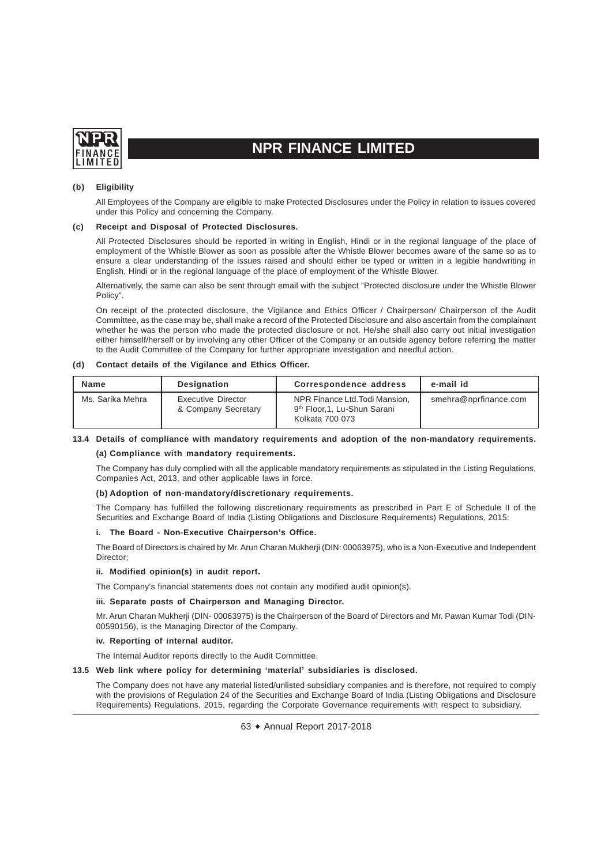

### **(b) Eligibility**

All Employees of the Company are eligible to make Protected Disclosures under the Policy in relation to issues covered under this Policy and concerning the Company.

#### **(c) Receipt and Disposal of Protected Disclosures.**

All Protected Disclosures should be reported in writing in English, Hindi or in the regional language of the place of employment of the Whistle Blower as soon as possible after the Whistle Blower becomes aware of the same so as to ensure a clear understanding of the issues raised and should either be typed or written in a legible handwriting in English, Hindi or in the regional language of the place of employment of the Whistle Blower.

Alternatively, the same can also be sent through email with the subject "Protected disclosure under the Whistle Blower Policy".

On receipt of the protected disclosure, the Vigilance and Ethics Officer / Chairperson/ Chairperson of the Audit Committee, as the case may be, shall make a record of the Protected Disclosure and also ascertain from the complainant whether he was the person who made the protected disclosure or not. He/she shall also carry out initial investigation either himself/herself or by involving any other Officer of the Company or an outside agency before referring the matter to the Audit Committee of the Company for further appropriate investigation and needful action.

## **(d) Contact details of the Vigilance and Ethics Officer.**

| Name             | Designation                               | Correspondence address                                                                        | e-mail id             |
|------------------|-------------------------------------------|-----------------------------------------------------------------------------------------------|-----------------------|
| Ms. Sarika Mehra | Executive Director<br>& Company Secretary | NPR Finance Ltd. Todi Mansion,<br>9 <sup>th</sup> Floor, 1, Lu-Shun Sarani<br>Kolkata 700 073 | smehra@nprfinance.com |

### **13.4 Details of compliance with mandatory requirements and adoption of the non-mandatory requirements.**

## **(a) Compliance with mandatory requirements.**

The Company has duly complied with all the applicable mandatory requirements as stipulated in the Listing Regulations, Companies Act, 2013, and other applicable laws in force.

#### **(b) Adoption of non-mandatory/discretionary requirements.**

The Company has fulfilled the following discretionary requirements as prescribed in Part E of Schedule II of the Securities and Exchange Board of India (Listing Obligations and Disclosure Requirements) Regulations, 2015:

#### **i. The Board - Non-Executive Chairperson's Office.**

The Board of Directors is chaired by Mr. Arun Charan Mukherji (DIN: 00063975), who is a Non-Executive and Independent Director;

### **ii. Modified opinion(s) in audit report.**

The Company's financial statements does not contain any modified audit opinion(s).

## **iii. Separate posts of Chairperson and Managing Director.**

Mr. Arun Charan Mukherji (DIN- 00063975) is the Chairperson of the Board of Directors and Mr. Pawan Kumar Todi (DIN-00590156), is the Managing Director of the Company.

#### **iv. Reporting of internal auditor.**

The Internal Auditor reports directly to the Audit Committee.

#### **13.5 Web link where policy for determining 'material' subsidiaries is disclosed.**

The Company does not have any material listed/unlisted subsidiary companies and is therefore, not required to comply with the provisions of Regulation 24 of the Securities and Exchange Board of India (Listing Obligations and Disclosure Requirements) Regulations, 2015, regarding the Corporate Governance requirements with respect to subsidiary.

63 ◆ Annual Report 2017-2018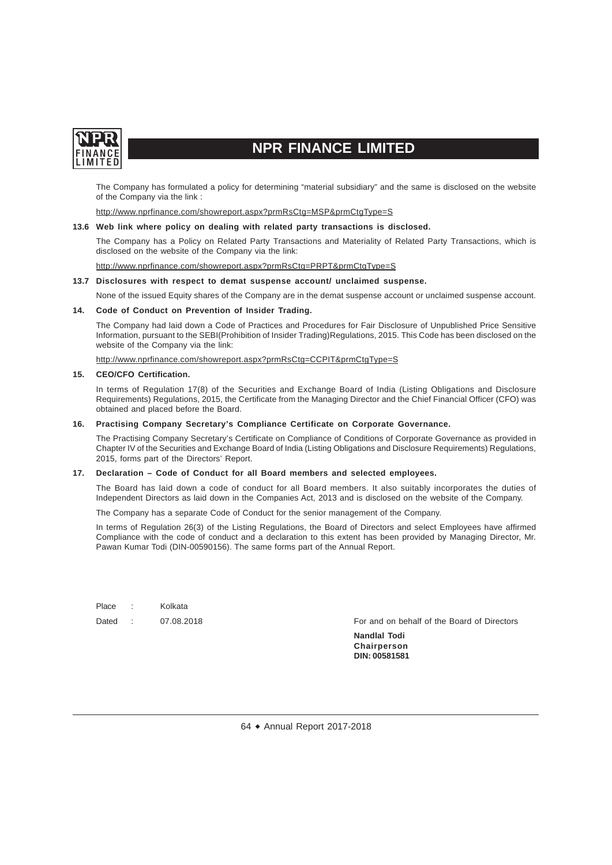

The Company has formulated a policy for determining "material subsidiary" and the same is disclosed on the website of the Company via the link :

#### http://www.nprfinance.com/showreport.aspx?prmRsCtg=MSP&prmCtgType=S

### **13.6 Web link where policy on dealing with related party transactions is disclosed.**

The Company has a Policy on Related Party Transactions and Materiality of Related Party Transactions, which is disclosed on the website of the Company via the link:

http://www.nprfinance.com/showreport.aspx?prmRsCtg=PRPT&prmCtgType=S

## **13.7 Disclosures with respect to demat suspense account/ unclaimed suspense.**

None of the issued Equity shares of the Company are in the demat suspense account or unclaimed suspense account.

#### **14. Code of Conduct on Prevention of Insider Trading.**

The Company had laid down a Code of Practices and Procedures for Fair Disclosure of Unpublished Price Sensitive Information, pursuant to the SEBI(Prohibition of Insider Trading)Regulations, 2015. This Code has been disclosed on the website of the Company via the link:

http://www.nprfinance.com/showreport.aspx?prmRsCtg=CCPIT&prmCtgType=S

#### **15. CEO/CFO Certification.**

In terms of Regulation 17(8) of the Securities and Exchange Board of India (Listing Obligations and Disclosure Requirements) Regulations, 2015, the Certificate from the Managing Director and the Chief Financial Officer (CFO) was obtained and placed before the Board.

### **16. Practising Company Secretary's Compliance Certificate on Corporate Governance.**

The Practising Company Secretary's Certificate on Compliance of Conditions of Corporate Governance as provided in Chapter IV of the Securities and Exchange Board of India (Listing Obligations and Disclosure Requirements) Regulations, 2015, forms part of the Directors' Report.

#### **17. Declaration – Code of Conduct for all Board members and selected employees.**

The Board has laid down a code of conduct for all Board members. It also suitably incorporates the duties of Independent Directors as laid down in the Companies Act, 2013 and is disclosed on the website of the Company.

The Company has a separate Code of Conduct for the senior management of the Company.

In terms of Regulation 26(3) of the Listing Regulations, the Board of Directors and select Employees have affirmed Compliance with the code of conduct and a declaration to this extent has been provided by Managing Director, Mr. Pawan Kumar Todi (DIN-00590156). The same forms part of the Annual Report.

Place : Kolkata

Dated : 07.08.2018 **For and on behalf of the Board of Directors** 

**Nandlal Todi Chairperson DIN: 00581581**

64 Annual Report 2017-2018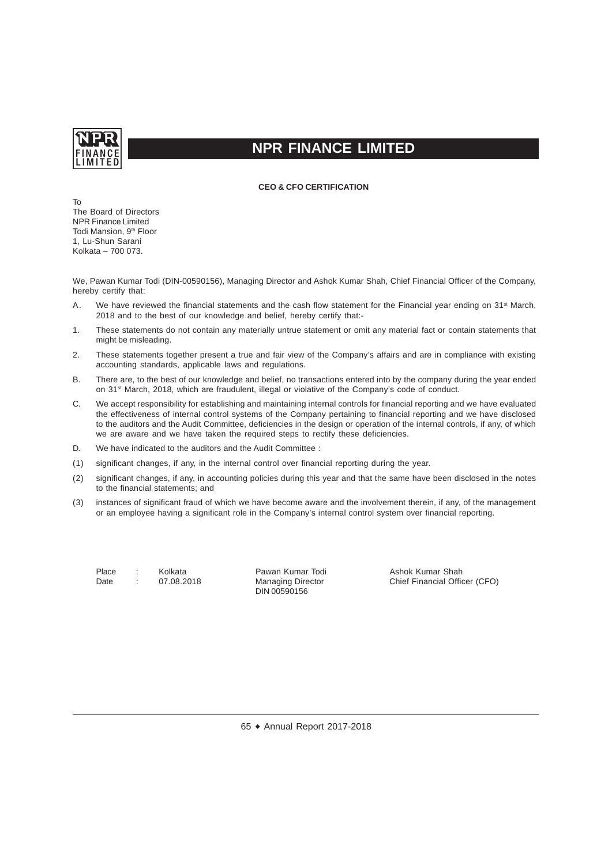

## **CEO & CFO CERTIFICATION**

To The Board of Directors NPR Finance Limited Todi Mansion, 9<sup>th</sup> Floor 1, Lu-Shun Sarani Kolkata – 700 073.

We, Pawan Kumar Todi (DIN-00590156), Managing Director and Ashok Kumar Shah, Chief Financial Officer of the Company, hereby certify that:

- A. We have reviewed the financial statements and the cash flow statement for the Financial year ending on  $31^{st}$  March, 2018 and to the best of our knowledge and belief, hereby certify that:-
- 1. These statements do not contain any materially untrue statement or omit any material fact or contain statements that might be misleading.
- 2. These statements together present a true and fair view of the Company's affairs and are in compliance with existing accounting standards, applicable laws and regulations.
- B. There are, to the best of our knowledge and belief, no transactions entered into by the company during the year ended on 31st March, 2018, which are fraudulent, illegal or violative of the Company's code of conduct.
- C. We accept responsibility for establishing and maintaining internal controls for financial reporting and we have evaluated the effectiveness of internal control systems of the Company pertaining to financial reporting and we have disclosed to the auditors and the Audit Committee, deficiencies in the design or operation of the internal controls, if any, of which we are aware and we have taken the required steps to rectify these deficiencies.
- D. We have indicated to the auditors and the Audit Committee :
- (1) significant changes, if any, in the internal control over financial reporting during the year.
- (2) significant changes, if any, in accounting policies during this year and that the same have been disclosed in the notes to the financial statements; and
- (3) instances of significant fraud of which we have become aware and the involvement therein, if any, of the management or an employee having a significant role in the Company's internal control system over financial reporting.

| Place | Kolkata    | Pawan Kumar Todi         | Ashok Kumar Shah             |
|-------|------------|--------------------------|------------------------------|
| Date  | 07.08.2018 | <b>Managing Director</b> | <b>Chief Financial Offic</b> |

DIN 00590156

Managing Director Chief Financial Officer (CFO)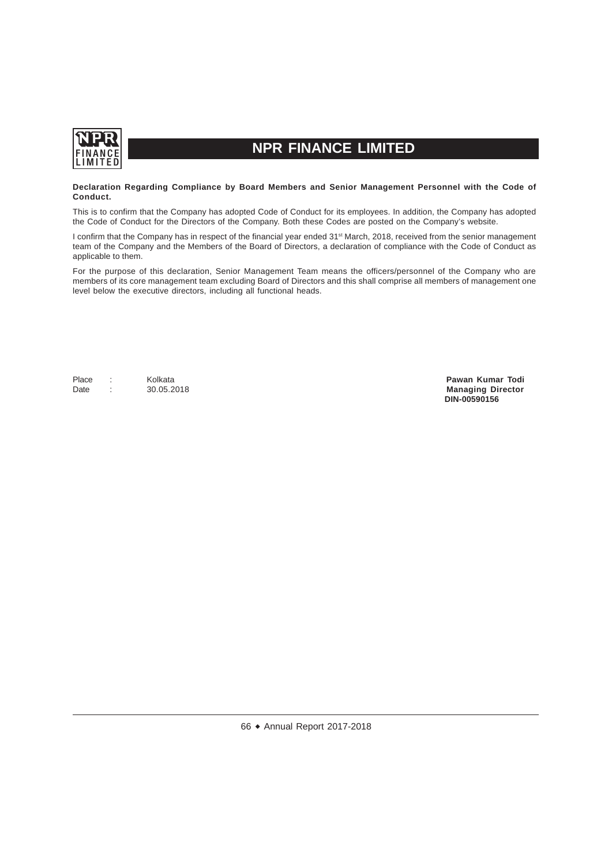

## **Declaration Regarding Compliance by Board Members and Senior Management Personnel with the Code of Conduct.**

This is to confirm that the Company has adopted Code of Conduct for its employees. In addition, the Company has adopted the Code of Conduct for the Directors of the Company. Both these Codes are posted on the Company's website.

I confirm that the Company has in respect of the financial year ended 31<sup>st</sup> March, 2018, received from the senior management team of the Company and the Members of the Board of Directors, a declaration of compliance with the Code of Conduct as applicable to them.

For the purpose of this declaration, Senior Management Team means the officers/personnel of the Company who are members of its core management team excluding Board of Directors and this shall comprise all members of management one level below the executive directors, including all functional heads.

Place : Kolkata **Pawan Kumar Todi**

**Managing Director DIN-00590156**

66 Annual Report 2017-2018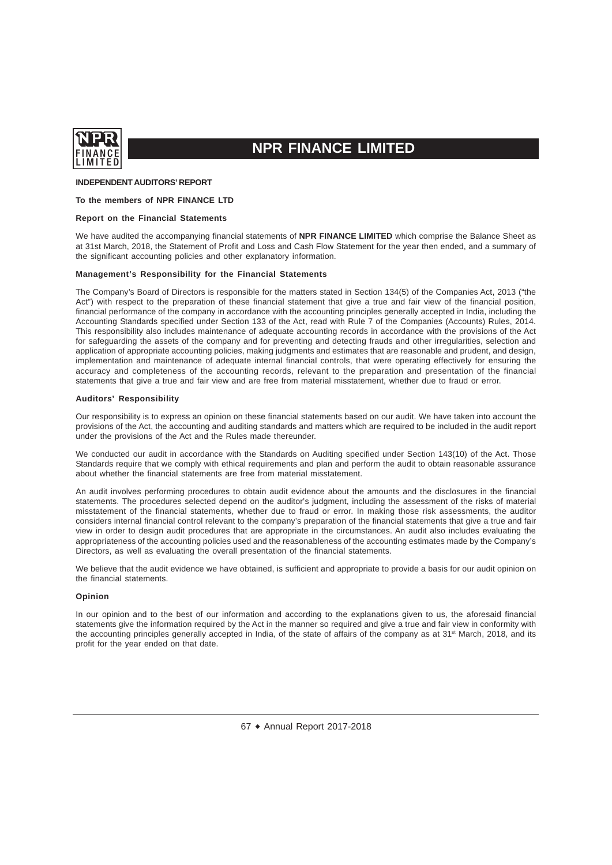

#### **INDEPENDENT AUDITORS' REPORT**

#### **To the members of NPR FINANCE LTD**

#### **Report on the Financial Statements**

We have audited the accompanying financial statements of **NPR FINANCE LIMITED** which comprise the Balance Sheet as at 31st March, 2018, the Statement of Profit and Loss and Cash Flow Statement for the year then ended, and a summary of the significant accounting policies and other explanatory information.

#### **Management's Responsibility for the Financial Statements**

The Company's Board of Directors is responsible for the matters stated in Section 134(5) of the Companies Act, 2013 ("the Act") with respect to the preparation of these financial statement that give a true and fair view of the financial position, financial performance of the company in accordance with the accounting principles generally accepted in India, including the Accounting Standards specified under Section 133 of the Act, read with Rule 7 of the Companies (Accounts) Rules, 2014. This responsibility also includes maintenance of adequate accounting records in accordance with the provisions of the Act for safeguarding the assets of the company and for preventing and detecting frauds and other irregularities, selection and application of appropriate accounting policies, making judgments and estimates that are reasonable and prudent, and design, implementation and maintenance of adequate internal financial controls, that were operating effectively for ensuring the accuracy and completeness of the accounting records, relevant to the preparation and presentation of the financial statements that give a true and fair view and are free from material misstatement, whether due to fraud or error.

## **Auditors' Responsibility**

Our responsibility is to express an opinion on these financial statements based on our audit. We have taken into account the provisions of the Act, the accounting and auditing standards and matters which are required to be included in the audit report under the provisions of the Act and the Rules made thereunder.

We conducted our audit in accordance with the Standards on Auditing specified under Section 143(10) of the Act. Those Standards require that we comply with ethical requirements and plan and perform the audit to obtain reasonable assurance about whether the financial statements are free from material misstatement.

An audit involves performing procedures to obtain audit evidence about the amounts and the disclosures in the financial statements. The procedures selected depend on the auditor's judgment, including the assessment of the risks of material misstatement of the financial statements, whether due to fraud or error. In making those risk assessments, the auditor considers internal financial control relevant to the company's preparation of the financial statements that give a true and fair view in order to design audit procedures that are appropriate in the circumstances. An audit also includes evaluating the appropriateness of the accounting policies used and the reasonableness of the accounting estimates made by the Company's Directors, as well as evaluating the overall presentation of the financial statements.

We believe that the audit evidence we have obtained, is sufficient and appropriate to provide a basis for our audit opinion on the financial statements.

#### **Opinion**

In our opinion and to the best of our information and according to the explanations given to us, the aforesaid financial statements give the information required by the Act in the manner so required and give a true and fair view in conformity with the accounting principles generally accepted in India, of the state of affairs of the company as at 31<sup>st</sup> March, 2018, and its profit for the year ended on that date.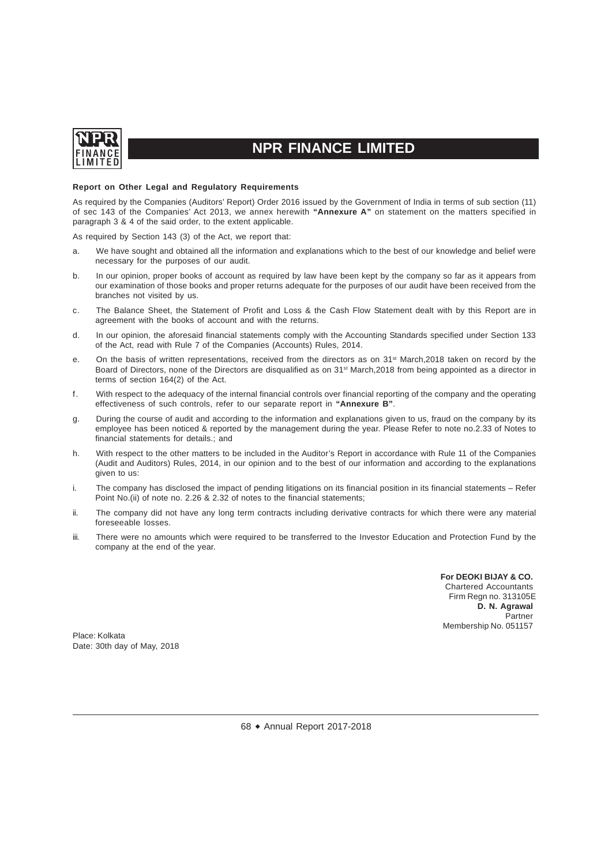

### **Report on Other Legal and Regulatory Requirements**

As required by the Companies (Auditors' Report) Order 2016 issued by the Government of India in terms of sub section (11) of sec 143 of the Companies' Act 2013, we annex herewith **"Annexure A"** on statement on the matters specified in paragraph 3 & 4 of the said order, to the extent applicable.

As required by Section 143 (3) of the Act, we report that:

- a. We have sought and obtained all the information and explanations which to the best of our knowledge and belief were necessary for the purposes of our audit.
- b. In our opinion, proper books of account as required by law have been kept by the company so far as it appears from our examination of those books and proper returns adequate for the purposes of our audit have been received from the branches not visited by us.
- c. The Balance Sheet, the Statement of Profit and Loss & the Cash Flow Statement dealt with by this Report are in agreement with the books of account and with the returns.
- d. In our opinion, the aforesaid financial statements comply with the Accounting Standards specified under Section 133 of the Act, read with Rule 7 of the Companies (Accounts) Rules, 2014.
- e. On the basis of written representations, received from the directors as on 31<sup>st</sup> March,2018 taken on record by the Board of Directors, none of the Directors are disqualified as on 31st March,2018 from being appointed as a director in terms of section 164(2) of the Act.
- f. With respect to the adequacy of the internal financial controls over financial reporting of the company and the operating effectiveness of such controls, refer to our separate report in **"Annexure B"**.
- g. During the course of audit and according to the information and explanations given to us, fraud on the company by its employee has been noticed & reported by the management during the year. Please Refer to note no.2.33 of Notes to financial statements for details.; and
- h. With respect to the other matters to be included in the Auditor's Report in accordance with Rule 11 of the Companies (Audit and Auditors) Rules, 2014, in our opinion and to the best of our information and according to the explanations given to us:
- i. The company has disclosed the impact of pending litigations on its financial position in its financial statements Refer Point No.(ii) of note no. 2.26 & 2.32 of notes to the financial statements;
- ii. The company did not have any long term contracts including derivative contracts for which there were any material foreseeable losses.
- iii. There were no amounts which were required to be transferred to the Investor Education and Protection Fund by the company at the end of the year.

**For DEOKI BIJAY & CO.** Chartered Accountants Firm Regn no. 313105E **D. N. Agrawal** Partner Membership No. 051157

Place: Kolkata Date: 30th day of May, 2018

68 Annual Report 2017-2018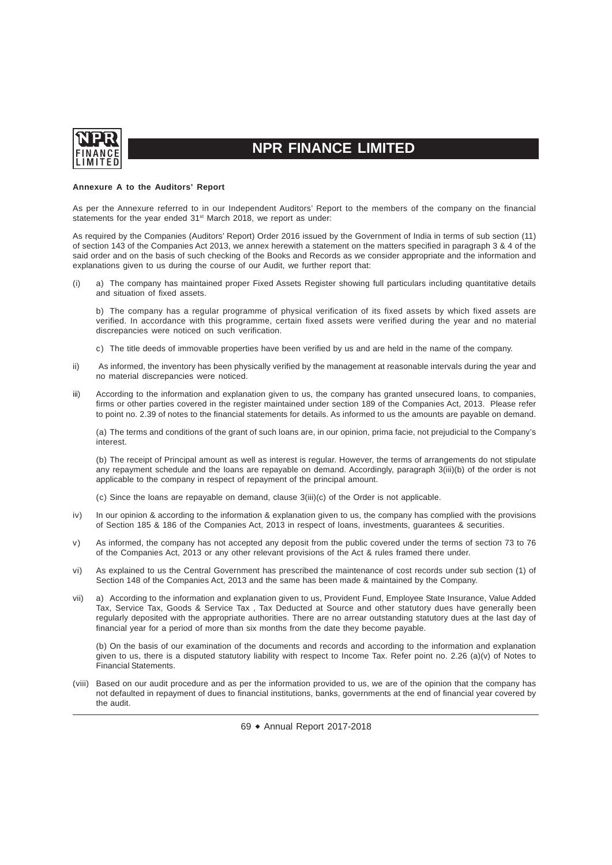

#### **Annexure A to the Auditors' Report**

As per the Annexure referred to in our Independent Auditors' Report to the members of the company on the financial statements for the year ended 31<sup>st</sup> March 2018, we report as under:

As required by the Companies (Auditors' Report) Order 2016 issued by the Government of India in terms of sub section (11) of section 143 of the Companies Act 2013, we annex herewith a statement on the matters specified in paragraph 3 & 4 of the said order and on the basis of such checking of the Books and Records as we consider appropriate and the information and explanations given to us during the course of our Audit, we further report that:

(i) a) The company has maintained proper Fixed Assets Register showing full particulars including quantitative details and situation of fixed assets.

b) The company has a regular programme of physical verification of its fixed assets by which fixed assets are verified. In accordance with this programme, certain fixed assets were verified during the year and no material discrepancies were noticed on such verification.

- c) The title deeds of immovable properties have been verified by us and are held in the name of the company.
- ii) As informed, the inventory has been physically verified by the management at reasonable intervals during the year and no material discrepancies were noticed.
- iii) According to the information and explanation given to us, the company has granted unsecured loans, to companies, firms or other parties covered in the register maintained under section 189 of the Companies Act, 2013. Please refer to point no. 2.39 of notes to the financial statements for details. As informed to us the amounts are payable on demand.

(a) The terms and conditions of the grant of such loans are, in our opinion, prima facie, not prejudicial to the Company's interest.

(b) The receipt of Principal amount as well as interest is regular. However, the terms of arrangements do not stipulate any repayment schedule and the loans are repayable on demand. Accordingly, paragraph 3(iii)(b) of the order is not applicable to the company in respect of repayment of the principal amount.

(c) Since the loans are repayable on demand, clause 3(iii)(c) of the Order is not applicable.

- iv) In our opinion & according to the information & explanation given to us, the company has complied with the provisions of Section 185 & 186 of the Companies Act, 2013 in respect of loans, investments, guarantees & securities.
- v) As informed, the company has not accepted any deposit from the public covered under the terms of section 73 to 76 of the Companies Act, 2013 or any other relevant provisions of the Act & rules framed there under.
- vi) As explained to us the Central Government has prescribed the maintenance of cost records under sub section (1) of Section 148 of the Companies Act, 2013 and the same has been made & maintained by the Company.
- vii) a) According to the information and explanation given to us, Provident Fund, Employee State Insurance, Value Added Tax, Service Tax, Goods & Service Tax , Tax Deducted at Source and other statutory dues have generally been regularly deposited with the appropriate authorities. There are no arrear outstanding statutory dues at the last day of financial year for a period of more than six months from the date they become payable.

(b) On the basis of our examination of the documents and records and according to the information and explanation given to us, there is a disputed statutory liability with respect to Income Tax. Refer point no. 2.26 (a)(v) of Notes to Financial Statements.

(viii) Based on our audit procedure and as per the information provided to us, we are of the opinion that the company has not defaulted in repayment of dues to financial institutions, banks, governments at the end of financial year covered by the audit.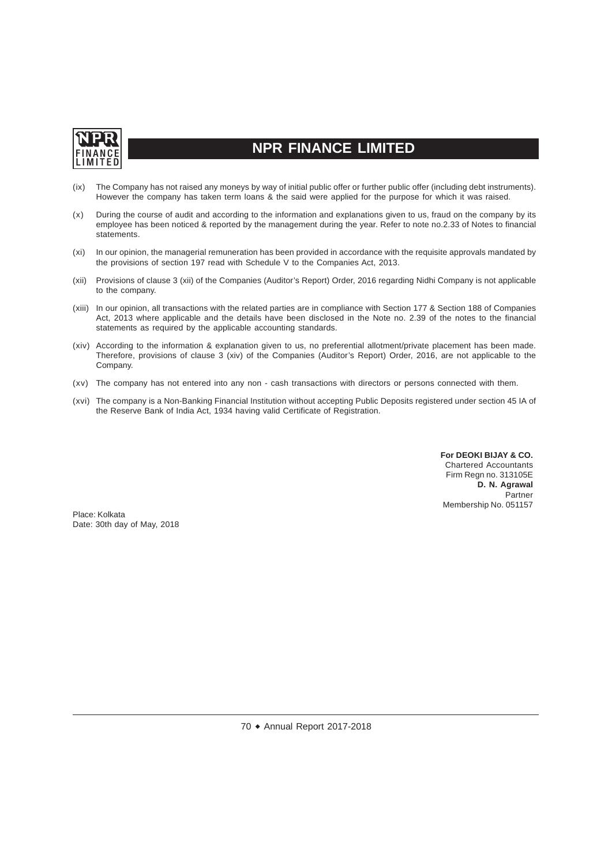

- (ix) The Company has not raised any moneys by way of initial public offer or further public offer (including debt instruments). However the company has taken term loans & the said were applied for the purpose for which it was raised.
- (x) During the course of audit and according to the information and explanations given to us, fraud on the company by its employee has been noticed & reported by the management during the year. Refer to note no.2.33 of Notes to financial statements.
- (xi) In our opinion, the managerial remuneration has been provided in accordance with the requisite approvals mandated by the provisions of section 197 read with Schedule V to the Companies Act, 2013.
- (xii) Provisions of clause 3 (xii) of the Companies (Auditor's Report) Order, 2016 regarding Nidhi Company is not applicable to the company.
- (xiii) In our opinion, all transactions with the related parties are in compliance with Section 177 & Section 188 of Companies Act, 2013 where applicable and the details have been disclosed in the Note no. 2.39 of the notes to the financial statements as required by the applicable accounting standards.
- (xiv) According to the information & explanation given to us, no preferential allotment/private placement has been made. Therefore, provisions of clause 3 (xiv) of the Companies (Auditor's Report) Order, 2016, are not applicable to the Company.
- (xv) The company has not entered into any non cash transactions with directors or persons connected with them.
- (xvi) The company is a Non-Banking Financial Institution without accepting Public Deposits registered under section 45 IA of the Reserve Bank of India Act, 1934 having valid Certificate of Registration.

**For DEOKI BIJAY & CO.** Chartered Accountants Firm Regn no. 313105E **D. N. Agrawal** Partner Membership No. 051157

Place: Kolkata Date: 30th day of May, 2018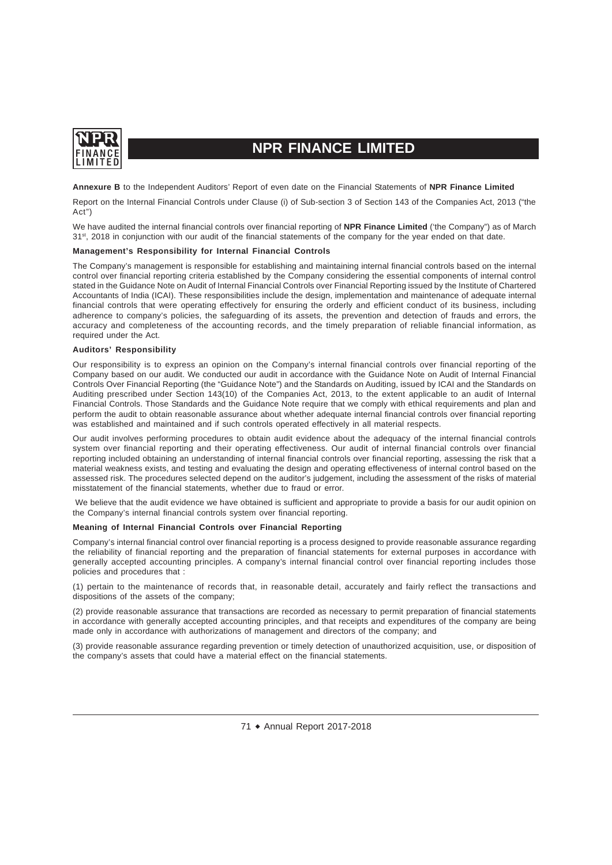

**Annexure B** to the Independent Auditors' Report of even date on the Financial Statements of **NPR Finance Limited**

Report on the Internal Financial Controls under Clause (i) of Sub-section 3 of Section 143 of the Companies Act, 2013 ("the Act")

We have audited the internal financial controls over financial reporting of **NPR Finance Limited** ('the Company") as of March 31st, 2018 in conjunction with our audit of the financial statements of the company for the year ended on that date.

#### **Management's Responsibility for Internal Financial Controls**

The Company's management is responsible for establishing and maintaining internal financial controls based on the internal control over financial reporting criteria established by the Company considering the essential components of internal control stated in the Guidance Note on Audit of Internal Financial Controls over Financial Reporting issued by the Institute of Chartered Accountants of India (ICAI). These responsibilities include the design, implementation and maintenance of adequate internal financial controls that were operating effectively for ensuring the orderly and efficient conduct of its business, including adherence to company's policies, the safeguarding of its assets, the prevention and detection of frauds and errors, the accuracy and completeness of the accounting records, and the timely preparation of reliable financial information, as required under the Act.

#### **Auditors' Responsibility**

Our responsibility is to express an opinion on the Company's internal financial controls over financial reporting of the Company based on our audit. We conducted our audit in accordance with the Guidance Note on Audit of Internal Financial Controls Over Financial Reporting (the "Guidance Note") and the Standards on Auditing, issued by ICAI and the Standards on Auditing prescribed under Section 143(10) of the Companies Act, 2013, to the extent applicable to an audit of Internal Financial Controls. Those Standards and the Guidance Note require that we comply with ethical requirements and plan and perform the audit to obtain reasonable assurance about whether adequate internal financial controls over financial reporting was established and maintained and if such controls operated effectively in all material respects.

Our audit involves performing procedures to obtain audit evidence about the adequacy of the internal financial controls system over financial reporting and their operating effectiveness. Our audit of internal financial controls over financial reporting included obtaining an understanding of internal financial controls over financial reporting, assessing the risk that a material weakness exists, and testing and evaluating the design and operating effectiveness of internal control based on the assessed risk. The procedures selected depend on the auditor's judgement, including the assessment of the risks of material misstatement of the financial statements, whether due to fraud or error.

 We believe that the audit evidence we have obtained is sufficient and appropriate to provide a basis for our audit opinion on the Company's internal financial controls system over financial reporting.

#### **Meaning of Internal Financial Controls over Financial Reporting**

Company's internal financial control over financial reporting is a process designed to provide reasonable assurance regarding the reliability of financial reporting and the preparation of financial statements for external purposes in accordance with generally accepted accounting principles. A company's internal financial control over financial reporting includes those policies and procedures that :

(1) pertain to the maintenance of records that, in reasonable detail, accurately and fairly reflect the transactions and dispositions of the assets of the company;

(2) provide reasonable assurance that transactions are recorded as necessary to permit preparation of financial statements in accordance with generally accepted accounting principles, and that receipts and expenditures of the company are being made only in accordance with authorizations of management and directors of the company; and

(3) provide reasonable assurance regarding prevention or timely detection of unauthorized acquisition, use, or disposition of the company's assets that could have a material effect on the financial statements.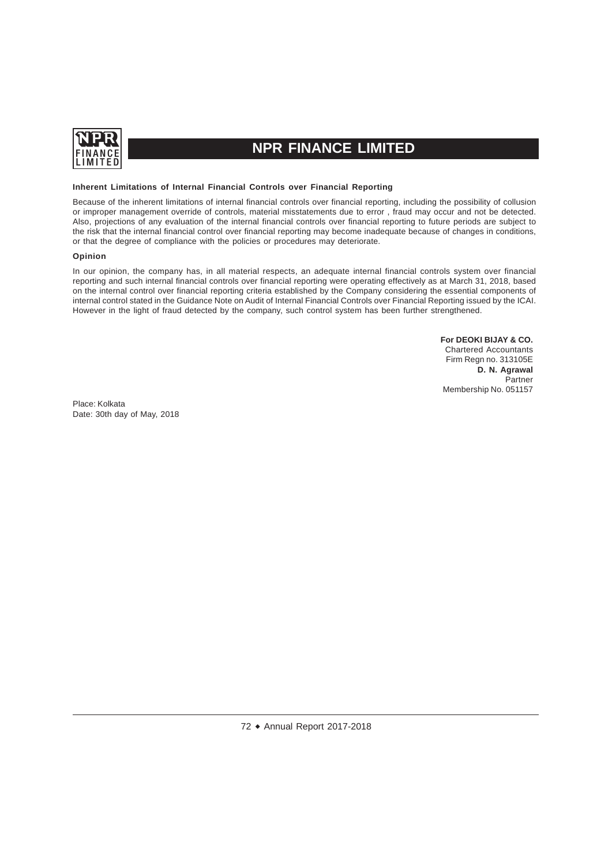

#### **Inherent Limitations of Internal Financial Controls over Financial Reporting**

Because of the inherent limitations of internal financial controls over financial reporting, including the possibility of collusion or improper management override of controls, material misstatements due to error , fraud may occur and not be detected. Also, projections of any evaluation of the internal financial controls over financial reporting to future periods are subject to the risk that the internal financial control over financial reporting may become inadequate because of changes in conditions, or that the degree of compliance with the policies or procedures may deteriorate.

#### **Opinion**

In our opinion, the company has, in all material respects, an adequate internal financial controls system over financial reporting and such internal financial controls over financial reporting were operating effectively as at March 31, 2018, based on the internal control over financial reporting criteria established by the Company considering the essential components of internal control stated in the Guidance Note on Audit of Internal Financial Controls over Financial Reporting issued by the ICAI. However in the light of fraud detected by the company, such control system has been further strengthened.

> **For DEOKI BIJAY & CO.** Chartered Accountants Firm Regn no. 313105E **D. N. Agrawal** Partner Membership No. 051157

Place: Kolkata Date: 30th day of May, 2018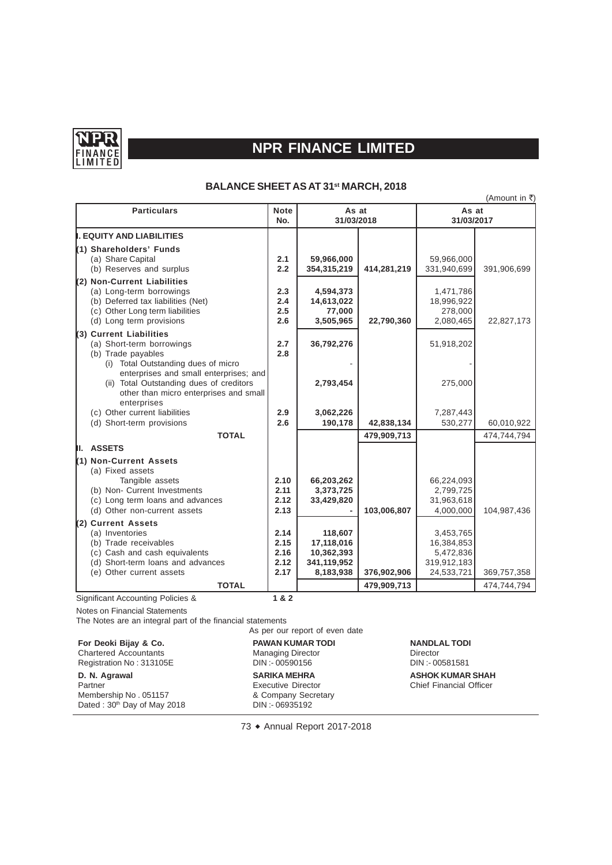

### **BALANCE SHEET AS AT 31st MARCH, 2018**

|                                                                                    | (Amount in ₹) |             |             |             |             |  |
|------------------------------------------------------------------------------------|---------------|-------------|-------------|-------------|-------------|--|
| <b>Particulars</b>                                                                 |               | As at       |             | As at       |             |  |
|                                                                                    | No.           | 31/03/2018  |             |             | 31/03/2017  |  |
| <b>I. EQUITY AND LIABILITIES</b>                                                   |               |             |             |             |             |  |
| (1) Shareholders' Funds                                                            |               |             |             |             |             |  |
| (a) Share Capital                                                                  | 2.1           | 59,966,000  |             | 59,966,000  |             |  |
| (b) Reserves and surplus                                                           | 2.2           | 354,315,219 | 414,281,219 | 331,940,699 | 391,906,699 |  |
| (2) Non-Current Liabilities                                                        |               |             |             |             |             |  |
| (a) Long-term borrowings                                                           | 2.3           | 4,594,373   |             | 1,471,786   |             |  |
| (b) Deferred tax liabilities (Net)                                                 | 2.4           | 14,613,022  |             | 18,996,922  |             |  |
| (c) Other Long term liabilities                                                    | 2.5           | 77,000      |             | 278,000     |             |  |
| (d) Long term provisions                                                           | 2.6           | 3,505,965   | 22,790,360  | 2,080,465   | 22,827,173  |  |
| (3) Current Liabilities                                                            |               |             |             |             |             |  |
| (a) Short-term borrowings                                                          | 2.7           | 36,792,276  |             | 51,918,202  |             |  |
| (b) Trade payables                                                                 | 2.8           |             |             |             |             |  |
| (i) Total Outstanding dues of micro                                                |               |             |             |             |             |  |
| enterprises and small enterprises; and<br>(ii) Total Outstanding dues of creditors |               |             |             | 275,000     |             |  |
| other than micro enterprises and small                                             |               | 2,793,454   |             |             |             |  |
| enterprises                                                                        |               |             |             |             |             |  |
| (c) Other current liabilities                                                      | 2.9           | 3,062,226   |             | 7,287,443   |             |  |
| (d) Short-term provisions                                                          | 2.6           | 190,178     | 42,838,134  | 530,277     | 60,010,922  |  |
| <b>TOTAL</b>                                                                       |               |             | 479,909,713 |             | 474,744,794 |  |
| <b>II. ASSETS</b>                                                                  |               |             |             |             |             |  |
| (1) Non-Current Assets                                                             |               |             |             |             |             |  |
| (a) Fixed assets                                                                   |               |             |             |             |             |  |
| Tangible assets                                                                    | 2.10          | 66,203,262  |             | 66,224,093  |             |  |
| (b) Non- Current Investments                                                       | 2.11          | 3,373,725   |             | 2,799,725   |             |  |
| (c) Long term loans and advances                                                   | 2.12          | 33,429,820  |             | 31,963,618  |             |  |
| (d) Other non-current assets                                                       | 2.13          |             | 103,006,807 | 4,000,000   | 104,987,436 |  |
| (2) Current Assets                                                                 |               |             |             |             |             |  |
| (a) Inventories                                                                    | 2.14          | 118,607     |             | 3,453,765   |             |  |
| (b) Trade receivables                                                              | 2.15          | 17,118,016  |             | 16,384,853  |             |  |
| (c) Cash and cash equivalents                                                      | 2.16          | 10,362,393  |             | 5,472,836   |             |  |
| (d) Short-term loans and advances                                                  | 2.12          | 341,119,952 |             | 319,912,183 |             |  |
| (e) Other current assets                                                           | 2.17          | 8,183,938   | 376,902,906 | 24,533,721  | 369,757,358 |  |
| <b>TOTAL</b>                                                                       |               |             | 479,909,713 |             | 474,744,794 |  |

Significant Accounting Policies & **1 & 2**

Notes on Financial Statements

The Notes are an integral part of the financial statements

As per our report of even date

**For Deoki Bijay & Co. PAWAN KUMAR TODI NANDLAL TODI** Chartered Accountants **NANDLAL TODI Managing Director Director** Chartered Accountants **Managing Director** Director **Director** Director **Registration No: 313105E** DIN :- 00590156 DIN :- 00581581 Registration No: 313105E

Partner **Executive Director** Chief Financial Officer<br>
Membership No. 051157 **8. Company Secretary** Chief Financial Officer Membership No . 051157 and the structure of the Secretary Sec<br>Dated : 30<sup>th</sup> Day of May 2018 **blue** DIN :- 06935192 Dated : 30<sup>th</sup> Day of May 2018

**D. N. Agrawal Community COMEX SARIKA MEHRA ASHOK KUMAR SHAH**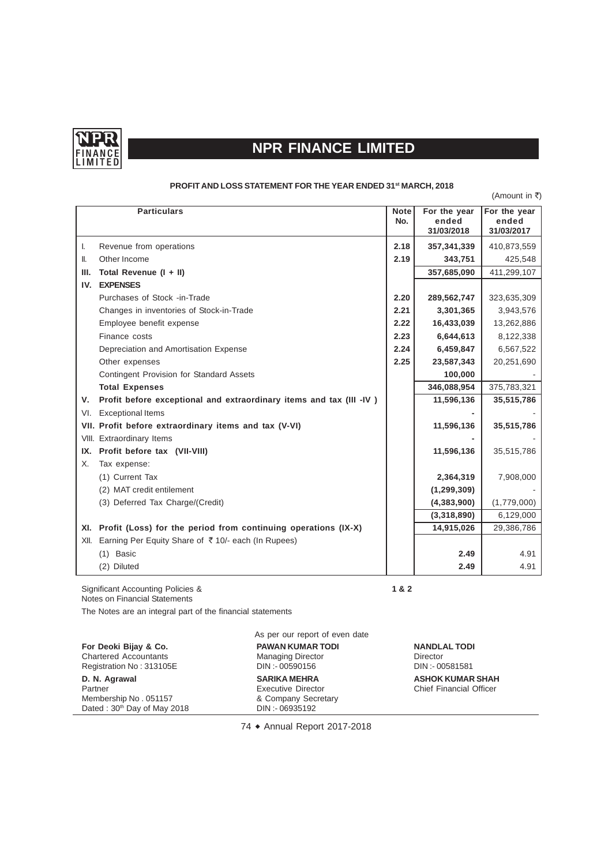

#### **PROFIT AND LOSS STATEMENT FOR THE YEAR ENDED 31st MARCH, 2018**

(Amount in  $\overline{\tau}$ )

|      | <b>Particulars</b>                                                  | <b>Note</b><br>No. | For the year<br>ended<br>31/03/2018 | For the year<br>ended<br>31/03/2017 |
|------|---------------------------------------------------------------------|--------------------|-------------------------------------|-------------------------------------|
| I.   | Revenue from operations                                             | 2.18               | 357,341,339                         | 410,873,559                         |
| II.  | Other Income                                                        | 2.19               | 343,751                             | 425,548                             |
| III. | Total Revenue (I + II)                                              |                    | 357,685,090                         | 411,299,107                         |
| IV.  | <b>EXPENSES</b>                                                     |                    |                                     |                                     |
|      | Purchases of Stock -in-Trade                                        | 2.20               | 289,562,747                         | 323,635,309                         |
|      | Changes in inventories of Stock-in-Trade                            | 2.21               | 3,301,365                           | 3,943,576                           |
|      | Employee benefit expense                                            | 2.22               | 16,433,039                          | 13,262,886                          |
|      | Finance costs                                                       | 2.23               | 6,644,613                           | 8,122,338                           |
|      | Depreciation and Amortisation Expense                               | 2.24               | 6,459,847                           | 6,567,522                           |
|      | Other expenses                                                      | 2.25               | 23,587,343                          | 20,251,690                          |
|      | Contingent Provision for Standard Assets                            |                    | 100,000                             |                                     |
|      | <b>Total Expenses</b>                                               |                    | 346,088,954                         | 375,783,321                         |
| v.   | Profit before exceptional and extraordinary items and tax (III -IV) |                    | 11,596,136                          | 35,515,786                          |
| VI.  | <b>Exceptional Items</b>                                            |                    |                                     |                                     |
|      | VII. Profit before extraordinary items and tax (V-VI)               |                    | 11,596,136                          | 35,515,786                          |
|      | VIII. Extraordinary Items                                           |                    |                                     |                                     |
|      | IX. Profit before tax (VII-VIII)                                    |                    | 11,596,136                          | 35,515,786                          |
| Х.   | Tax expense:                                                        |                    |                                     |                                     |
|      | (1) Current Tax                                                     |                    | 2,364,319                           | 7,908,000                           |
|      | (2) MAT credit entilement                                           |                    | (1, 299, 309)                       |                                     |
|      | (3) Deferred Tax Charge/(Credit)                                    |                    | (4,383,900)                         | (1,779,000)                         |
|      |                                                                     |                    | (3,318,890)                         | 6,129,000                           |
| XI.  | Profit (Loss) for the period from continuing operations (IX-X)      |                    | 14,915,026                          | 29,386,786                          |
| XII. | Earning Per Equity Share of ₹10/- each (In Rupees)                  |                    |                                     |                                     |
|      | $(1)$ Basic                                                         |                    | 2.49                                | 4.91                                |
|      | (2) Diluted                                                         |                    | 2.49                                | 4.91                                |

Significant Accounting Policies & **1 & 2** Notes on Financial Statements

The Notes are an integral part of the financial statements

Chartered Accountants

Membership No . 051157 Dated : 30<sup>th</sup> Day of May 2018

As per our report of even date **For Deoki Bijay & Co. PAWAN KUMAR TODI NANDLAL TODI** Chartered Accountants **NANDLAL TODI** Managing Director **NANDLAL TODI** Registration No : 313105E DIN :- 00590156 DIN :- 00581581 **D. N. Agrawal Community COMEX SARIKA MEHRA ASHOK KUMAR SHAH** Partner Executive Director Chief Financial Officer<br>
Membership No. 051157 8. Company Secretary<br>
Dated : 30<sup>th</sup> Day of May 2018 DIN :- 06935192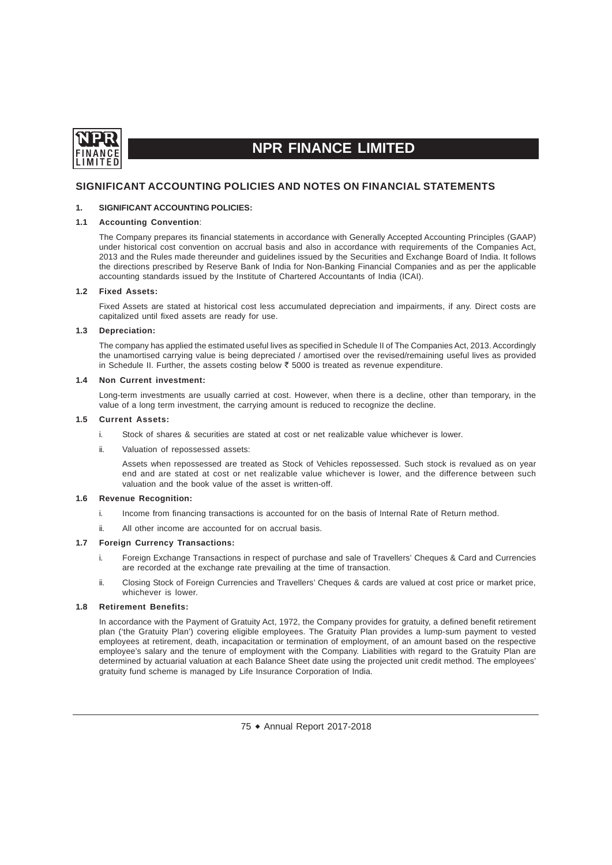

#### **SIGNIFICANT ACCOUNTING POLICIES AND NOTES ON FINANCIAL STATEMENTS**

#### **1. SIGNIFICANT ACCOUNTING POLICIES:**

#### **1.1 Accounting Convention**:

The Company prepares its financial statements in accordance with Generally Accepted Accounting Principles (GAAP) under historical cost convention on accrual basis and also in accordance with requirements of the Companies Act, 2013 and the Rules made thereunder and guidelines issued by the Securities and Exchange Board of India. It follows the directions prescribed by Reserve Bank of India for Non-Banking Financial Companies and as per the applicable accounting standards issued by the Institute of Chartered Accountants of India (ICAI).

#### **1.2 Fixed Assets:**

Fixed Assets are stated at historical cost less accumulated depreciation and impairments, if any. Direct costs are capitalized until fixed assets are ready for use.

#### **1.3 Depreciation:**

The company has applied the estimated useful lives as specified in Schedule II of The Companies Act, 2013. Accordingly the unamortised carrying value is being depreciated / amortised over the revised/remaining useful lives as provided in Schedule II. Further, the assets costing below  $\bar{\tau}$  5000 is treated as revenue expenditure.

#### **1.4 Non Current investment:**

Long-term investments are usually carried at cost. However, when there is a decline, other than temporary, in the value of a long term investment, the carrying amount is reduced to recognize the decline.

#### **1.5 Current Assets:**

- i. Stock of shares & securities are stated at cost or net realizable value whichever is lower.
- ii. Valuation of repossessed assets:

Assets when repossessed are treated as Stock of Vehicles repossessed. Such stock is revalued as on year end and are stated at cost or net realizable value whichever is lower, and the difference between such valuation and the book value of the asset is written-off.

#### **1.6 Revenue Recognition:**

- i. Income from financing transactions is accounted for on the basis of Internal Rate of Return method.
- ii. All other income are accounted for on accrual basis.

#### **1.7 Foreign Currency Transactions:**

- i. Foreign Exchange Transactions in respect of purchase and sale of Travellers' Cheques & Card and Currencies are recorded at the exchange rate prevailing at the time of transaction.
- ii. Closing Stock of Foreign Currencies and Travellers' Cheques & cards are valued at cost price or market price, whichever is lower.

#### **1.8 Retirement Benefits:**

In accordance with the Payment of Gratuity Act, 1972, the Company provides for gratuity, a defined benefit retirement plan ('the Gratuity Plan') covering eligible employees. The Gratuity Plan provides a lump-sum payment to vested employees at retirement, death, incapacitation or termination of employment, of an amount based on the respective employee's salary and the tenure of employment with the Company. Liabilities with regard to the Gratuity Plan are determined by actuarial valuation at each Balance Sheet date using the projected unit credit method. The employees' gratuity fund scheme is managed by Life Insurance Corporation of India.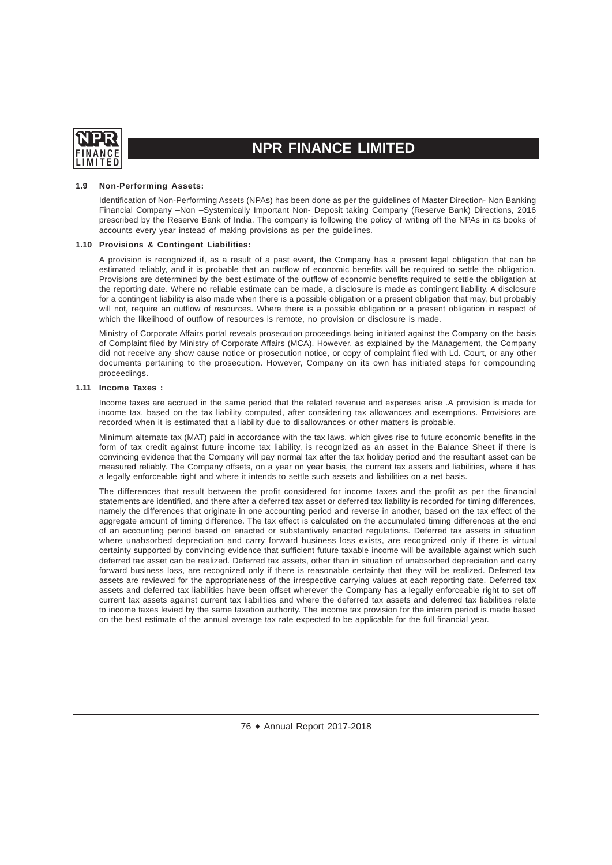

#### **1.9 Non-Performing Assets:**

Identification of Non-Performing Assets (NPAs) has been done as per the guidelines of Master Direction- Non Banking Financial Company –Non –Systemically Important Non- Deposit taking Company (Reserve Bank) Directions, 2016 prescribed by the Reserve Bank of India. The company is following the policy of writing off the NPAs in its books of accounts every year instead of making provisions as per the guidelines.

#### **1.10 Provisions & Contingent Liabilities:**

A provision is recognized if, as a result of a past event, the Company has a present legal obligation that can be estimated reliably, and it is probable that an outflow of economic benefits will be required to settle the obligation. Provisions are determined by the best estimate of the outflow of economic benefits required to settle the obligation at the reporting date. Where no reliable estimate can be made, a disclosure is made as contingent liability. A disclosure for a contingent liability is also made when there is a possible obligation or a present obligation that may, but probably will not, require an outflow of resources. Where there is a possible obligation or a present obligation in respect of which the likelihood of outflow of resources is remote, no provision or disclosure is made.

Ministry of Corporate Affairs portal reveals prosecution proceedings being initiated against the Company on the basis of Complaint filed by Ministry of Corporate Affairs (MCA). However, as explained by the Management, the Company did not receive any show cause notice or prosecution notice, or copy of complaint filed with Ld. Court, or any other documents pertaining to the prosecution. However, Company on its own has initiated steps for compounding proceedings.

#### **1.11 Income Taxes :**

Income taxes are accrued in the same period that the related revenue and expenses arise .A provision is made for income tax, based on the tax liability computed, after considering tax allowances and exemptions. Provisions are recorded when it is estimated that a liability due to disallowances or other matters is probable.

Minimum alternate tax (MAT) paid in accordance with the tax laws, which gives rise to future economic benefits in the form of tax credit against future income tax liability, is recognized as an asset in the Balance Sheet if there is convincing evidence that the Company will pay normal tax after the tax holiday period and the resultant asset can be measured reliably. The Company offsets, on a year on year basis, the current tax assets and liabilities, where it has a legally enforceable right and where it intends to settle such assets and liabilities on a net basis.

The differences that result between the profit considered for income taxes and the profit as per the financial statements are identified, and there after a deferred tax asset or deferred tax liability is recorded for timing differences, namely the differences that originate in one accounting period and reverse in another, based on the tax effect of the aggregate amount of timing difference. The tax effect is calculated on the accumulated timing differences at the end of an accounting period based on enacted or substantively enacted regulations. Deferred tax assets in situation where unabsorbed depreciation and carry forward business loss exists, are recognized only if there is virtual certainty supported by convincing evidence that sufficient future taxable income will be available against which such deferred tax asset can be realized. Deferred tax assets, other than in situation of unabsorbed depreciation and carry forward business loss, are recognized only if there is reasonable certainty that they will be realized. Deferred tax assets are reviewed for the appropriateness of the irrespective carrying values at each reporting date. Deferred tax assets and deferred tax liabilities have been offset wherever the Company has a legally enforceable right to set off current tax assets against current tax liabilities and where the deferred tax assets and deferred tax liabilities relate to income taxes levied by the same taxation authority. The income tax provision for the interim period is made based on the best estimate of the annual average tax rate expected to be applicable for the full financial year.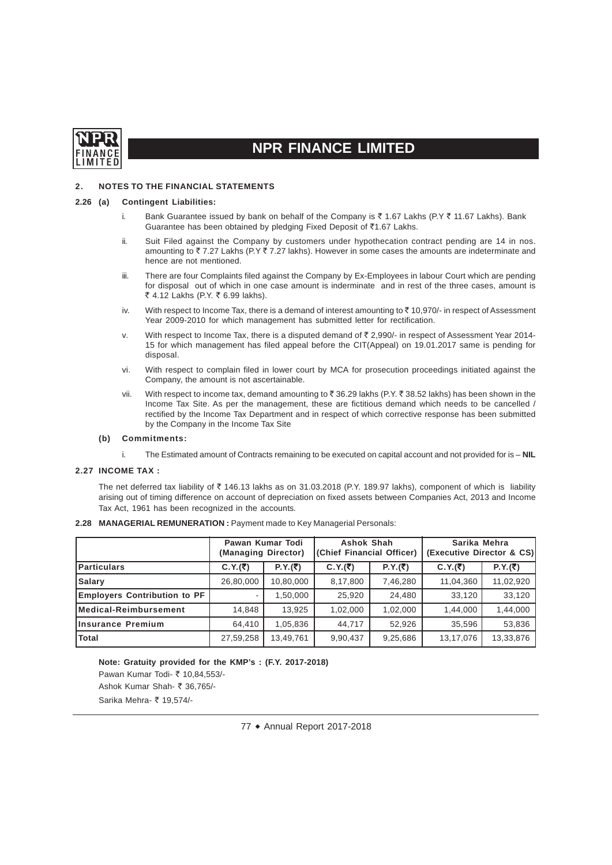

#### **2. NOTES TO THE FINANCIAL STATEMENTS**

#### **2.26 (a) Contingent Liabilities:**

- i. Bank Guarantee issued by bank on behalf of the Company is  $\bar{\zeta}$  1.67 Lakhs (P.Y  $\bar{\zeta}$  11.67 Lakhs). Bank Guarantee has been obtained by pledging Fixed Deposit of ₹1.67 Lakhs.
- ii. Suit Filed against the Company by customers under hypothecation contract pending are 14 in nos. amounting to  $\bar{\tau}$  7.27 Lakhs (P.Y  $\bar{\tau}$  7.27 lakhs). However in some cases the amounts are indeterminate and hence are not mentioned.
- iii. There are four Complaints filed against the Company by Ex-Employees in labour Court which are pending for disposal out of which in one case amount is inderminate and in rest of the three cases, amount is ₹ 4.12 Lakhs (P.Y. ₹ 6.99 lakhs).
- iv. With respect to Income Tax, there is a demand of interest amounting to  $\bar{z}$  10,970/- in respect of Assessment Year 2009-2010 for which management has submitted letter for rectification.
- v. With respect to Income Tax, there is a disputed demand of  $\bar{\xi}$  2,990/- in respect of Assessment Year 2014-15 for which management has filed appeal before the CIT(Appeal) on 19.01.2017 same is pending for disposal.
- vi. With respect to complain filed in lower court by MCA for prosecution proceedings initiated against the Company, the amount is not ascertainable.
- vii. With respect to income tax, demand amounting to ₹ 36.29 lakhs (P.Y. ₹ 38.52 lakhs) has been shown in the Income Tax Site. As per the management, these are fictitious demand which needs to be cancelled / rectified by the Income Tax Department and in respect of which corrective response has been submitted by the Company in the Income Tax Site

#### **(b) Commitments:**

i. The Estimated amount of Contracts remaining to be executed on capital account and not provided for is – **NIL**

#### **2.27 INCOME TAX :**

The net deferred tax liability of  $\bar{\tau}$  146.13 lakhs as on 31.03.2018 (P.Y. 189.97 lakhs), component of which is liability arising out of timing difference on account of depreciation on fixed assets between Companies Act, 2013 and Income Tax Act, 1961 has been recognized in the accounts.

|                                     | (Managing Director) | Pawan Kumar Todi                | Ashok Shah<br>(Chief Financial Officer) |            | Sarika Mehra<br>(Executive Director & CS) |            |
|-------------------------------------|---------------------|---------------------------------|-----------------------------------------|------------|-------------------------------------------|------------|
| <b>Particulars</b>                  | $C.Y.$ (₹)          | $P.Y.(\overline{\overline{S}})$ | C.Y. $($ ₹)                             | P.Y. $(5)$ | C.Y. $($ ₹)                               | $P.Y.$ (₹) |
| <b>Salary</b>                       | 26,80,000           | 10,80,000                       | 8,17,800                                | 7,46,280   | 11,04,360                                 | 11,02,920  |
| <b>Employers Contribution to PF</b> |                     | 1,50,000                        | 25,920                                  | 24.480     | 33.120                                    | 33,120     |
| Medical-Reimbursement               | 14,848              | 13,925                          | 1.02.000                                | 1.02.000   | 1.44.000                                  | 1,44,000   |
| Insurance Premium                   | 64.410              | 1,05,836                        | 44.717                                  | 52.926     | 35.596                                    | 53,836     |
| <b>Total</b>                        | 27,59,258           | 13,49,761                       | 9,90,437                                | 9,25,686   | 13,17,076                                 | 13,33,876  |

#### 2.28 **MANAGERIAL REMUNERATION :** Payment made to Key Managerial Personals:

#### **Note: Gratuity provided for the KMP's : (F.Y. 2017-2018)**

Pawan Kumar Todi- ₹ 10,84,553/-

Ashok Kumar Shah- ₹ 36,765/-

Sarika Mehra- ₹ 19,574/-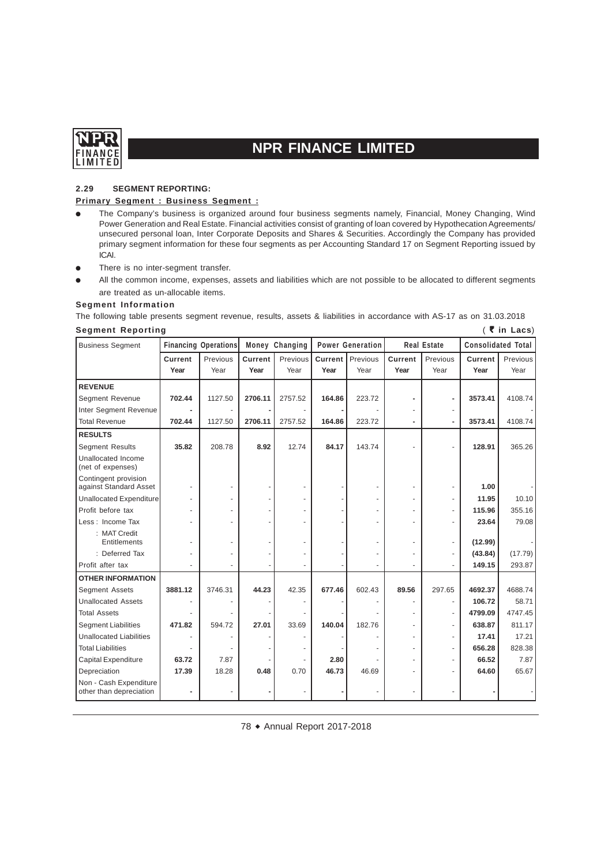

#### **2.29 SEGMENT REPORTING:**

#### **Primary Segment : Business Segment :**

- O The Company's business is organized around four business segments namely, Financial, Money Changing, Wind Power Generation and Real Estate. Financial activities consist of granting of loan covered by Hypothecation Agreements/ unsecured personal loan, Inter Corporate Deposits and Shares & Securities. Accordingly the Company has provided primary segment information for these four segments as per Accounting Standard 17 on Segment Reporting issued by ICAI.
- There is no inter-segment transfer.
- All the common income, expenses, assets and liabilities which are not possible to be allocated to different segments are treated as un-allocable items.

#### **Segment Information**

The following table presents segment revenue, results, assets & liabilities in accordance with AS-17 as on 31.03.2018

#### **Segment Reporting** ( ` **in Lacs**)

| <b>Business Segment</b>                           |         | Financing Operations |                | Money Changing |                | Power Generation |                | <b>Real Estate</b> |                | <b>Consolidated Total</b> |
|---------------------------------------------------|---------|----------------------|----------------|----------------|----------------|------------------|----------------|--------------------|----------------|---------------------------|
|                                                   | Current | Previous             | <b>Current</b> | Previous       | <b>Current</b> | Previous         | <b>Current</b> | Previous           | <b>Current</b> | Previous                  |
|                                                   | Year    | Year                 | Year           | Year           | Year           | Year             | Year           | Year               | Year           | Year                      |
| <b>REVENUE</b>                                    |         |                      |                |                |                |                  |                |                    |                |                           |
| Segment Revenue                                   | 702.44  | 1127.50              | 2706.11        | 2757.52        | 164.86         | 223.72           |                |                    | 3573.41        | 4108.74                   |
| Inter Segment Revenue                             |         |                      |                |                |                |                  |                |                    |                |                           |
| <b>Total Revenue</b>                              | 702.44  | 1127.50              | 2706.11        | 2757.52        | 164.86         | 223.72           |                |                    | 3573.41        | 4108.74                   |
| <b>RESULTS</b>                                    |         |                      |                |                |                |                  |                |                    |                |                           |
| <b>Segment Results</b>                            | 35.82   | 208.78               | 8.92           | 12.74          | 84.17          | 143.74           |                |                    | 128.91         | 365.26                    |
| Unallocated Income<br>(net of expenses)           |         |                      |                |                |                |                  |                |                    |                |                           |
| Contingent provision<br>against Standard Asset    |         |                      |                |                |                |                  |                |                    | 1.00           |                           |
| Unallocated Expenditure                           |         |                      |                |                |                |                  |                |                    | 11.95          | 10.10                     |
| Profit before tax                                 |         |                      |                |                |                |                  |                |                    | 115.96         | 355.16                    |
| Less : Income Tax                                 |         |                      |                |                |                |                  |                |                    | 23.64          | 79.08                     |
| : MAT Credit<br>Entitlements                      |         |                      |                |                |                |                  |                |                    | (12.99)        |                           |
| : Deferred Tax                                    |         |                      |                |                |                |                  |                |                    | (43.84)        | (17.79)                   |
| Profit after tax                                  |         |                      |                |                |                |                  |                |                    | 149.15         | 293.87                    |
| <b>OTHER INFORMATION</b>                          |         |                      |                |                |                |                  |                |                    |                |                           |
| Segment Assets                                    | 3881.12 | 3746.31              | 44.23          | 42.35          | 677.46         | 602.43           | 89.56          | 297.65             | 4692.37        | 4688.74                   |
| <b>Unallocated Assets</b>                         |         |                      |                |                |                |                  |                |                    | 106.72         | 58.71                     |
| <b>Total Assets</b>                               |         |                      |                |                |                |                  |                |                    | 4799.09        | 4747.45                   |
| <b>Segment Liabilities</b>                        | 471.82  | 594.72               | 27.01          | 33.69          | 140.04         | 182.76           |                |                    | 638.87         | 811.17                    |
| <b>Unallocated Liabilities</b>                    |         |                      |                |                |                |                  |                |                    | 17.41          | 17.21                     |
| <b>Total Liabilities</b>                          |         |                      |                |                |                |                  |                |                    | 656.28         | 828.38                    |
| Capital Expenditure                               | 63.72   | 7.87                 |                |                | 2.80           |                  |                |                    | 66.52          | 7.87                      |
| Depreciation                                      | 17.39   | 18.28                | 0.48           | 0.70           | 46.73          | 46.69            |                |                    | 64.60          | 65.67                     |
| Non - Cash Expenditure<br>other than depreciation |         |                      |                |                |                |                  |                |                    |                |                           |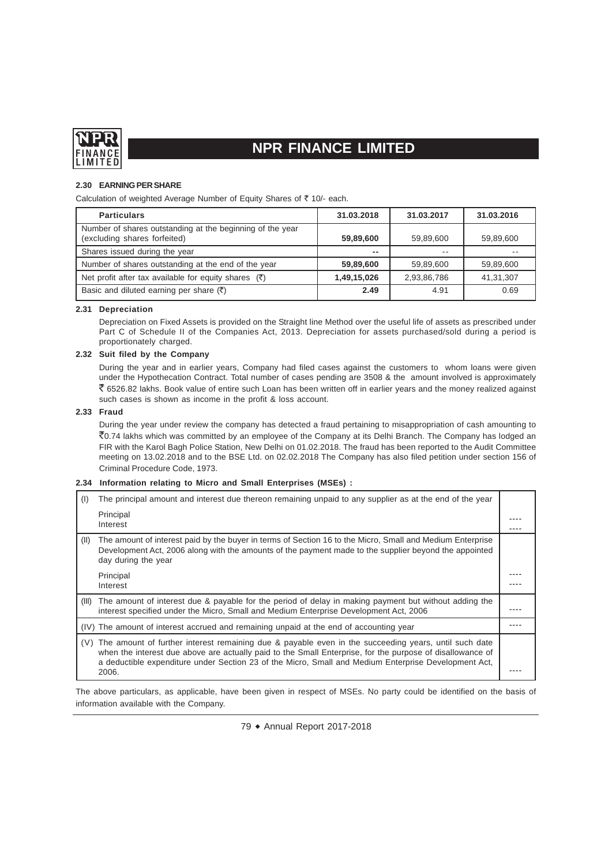

#### **2.30 EARNING PER SHARE**

Calculation of weighted Average Number of Equity Shares of  $\bar{\tau}$  10/- each.

| <b>Particulars</b>                                                                        | 31.03.2018  | 31.03.2017  | 31.03.2016 |
|-------------------------------------------------------------------------------------------|-------------|-------------|------------|
| Number of shares outstanding at the beginning of the year<br>(excluding shares forfeited) | 59,89,600   | 59,89,600   | 59,89,600  |
| Shares issued during the year                                                             | $- -$       | --          | --         |
| Number of shares outstanding at the end of the year                                       | 59,89,600   | 59,89,600   | 59,89,600  |
| Net profit after tax available for equity shares $(3)$                                    | 1,49,15,026 | 2,93,86,786 | 41,31,307  |
| Basic and diluted earning per share $(\bar{\zeta})$                                       | 2.49        | 4.91        | 0.69       |

#### **2.31 Depreciation**

Depreciation on Fixed Assets is provided on the Straight line Method over the useful life of assets as prescribed under Part C of Schedule II of the Companies Act, 2013. Depreciation for assets purchased/sold during a period is proportionately charged.

#### **2.32 Suit filed by the Company**

During the year and in earlier years, Company had filed cases against the customers to whom loans were given under the Hypothecation Contract. Total number of cases pending are 3508 & the amount involved is approximately  $\bar{\zeta}$  6526.82 lakhs. Book value of entire such Loan has been written off in earlier years and the money realized against such cases is shown as income in the profit & loss account.

#### **2.33 Fraud**

During the year under review the company has detected a fraud pertaining to misappropriation of cash amounting to  $\bar{z}$ 0.74 lakhs which was committed by an employee of the Company at its Delhi Branch. The Company has lodged an FIR with the Karol Bagh Police Station, New Delhi on 01.02.2018. The fraud has been reported to the Audit Committee meeting on 13.02.2018 and to the BSE Ltd. on 02.02.2018 The Company has also filed petition under section 156 of Criminal Procedure Code, 1973.

#### **2.34 Information relating to Micro and Small Enterprises (MSEs) :**

| (1)   | The principal amount and interest due thereon remaining unpaid to any supplier as at the end of the year                                                                                                                                                                                                                               |  |
|-------|----------------------------------------------------------------------------------------------------------------------------------------------------------------------------------------------------------------------------------------------------------------------------------------------------------------------------------------|--|
|       | Principal<br>Interest                                                                                                                                                                                                                                                                                                                  |  |
| (II)  | The amount of interest paid by the buyer in terms of Section 16 to the Micro, Small and Medium Enterprise<br>Development Act, 2006 along with the amounts of the payment made to the supplier beyond the appointed<br>day during the year                                                                                              |  |
|       | Principal<br>Interest                                                                                                                                                                                                                                                                                                                  |  |
| (III) | The amount of interest due & payable for the period of delay in making payment but without adding the<br>interest specified under the Micro, Small and Medium Enterprise Development Act, 2006                                                                                                                                         |  |
|       | (IV) The amount of interest accrued and remaining unpaid at the end of accounting year                                                                                                                                                                                                                                                 |  |
|       | (V) The amount of further interest remaining due & payable even in the succeeding years, until such date<br>when the interest due above are actually paid to the Small Enterprise, for the purpose of disallowance of<br>a deductible expenditure under Section 23 of the Micro, Small and Medium Enterprise Development Act,<br>2006. |  |

The above particulars, as applicable, have been given in respect of MSEs. No party could be identified on the basis of information available with the Company.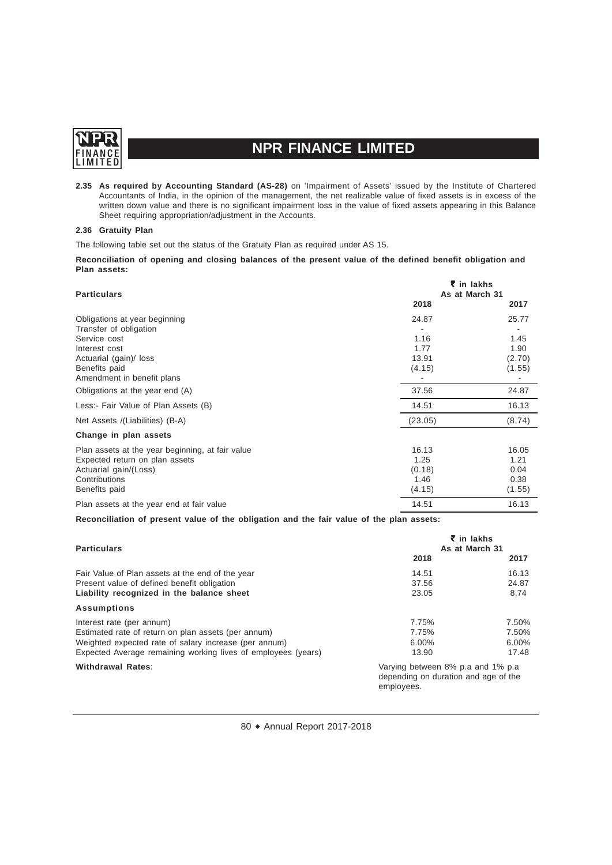

**2.35 As required by Accounting Standard (AS-28)** on 'Impairment of Assets' issued by the Institute of Chartered Accountants of India, in the opinion of the management, the net realizable value of fixed assets is in excess of the written down value and there is no significant impairment loss in the value of fixed assets appearing in this Balance Sheet requiring appropriation/adjustment in the Accounts.

#### **2.36 Gratuity Plan**

The following table set out the status of the Gratuity Plan as required under AS 15.

**Reconciliation of opening and closing balances of the present value of the defined benefit obligation and Plan assets:**

| <b>Particulars</b>                                                                                                                            | $\bar{\tau}$ in lakhs<br>As at March 31   |                                         |  |
|-----------------------------------------------------------------------------------------------------------------------------------------------|-------------------------------------------|-----------------------------------------|--|
|                                                                                                                                               | 2018                                      | 2017                                    |  |
| Obligations at year beginning<br>Transfer of obligation<br>Service cost                                                                       | 24.87<br>1.16                             | 25.77<br>1.45                           |  |
| Interest cost<br>Actuarial (gain)/ loss<br>Benefits paid<br>Amendment in benefit plans                                                        | 1.77<br>13.91<br>(4.15)                   | 1.90<br>(2.70)<br>(1.55)                |  |
| Obligations at the year end (A)                                                                                                               | 37.56                                     | 24.87                                   |  |
| Less:- Fair Value of Plan Assets (B)                                                                                                          | 14.51                                     | 16.13                                   |  |
| Net Assets /(Liabilities) (B-A)                                                                                                               | (23.05)                                   | (8.74)                                  |  |
| Change in plan assets                                                                                                                         |                                           |                                         |  |
| Plan assets at the year beginning, at fair value<br>Expected return on plan assets<br>Actuarial gain/(Loss)<br>Contributions<br>Benefits paid | 16.13<br>1.25<br>(0.18)<br>1.46<br>(4.15) | 16.05<br>1.21<br>0.04<br>0.38<br>(1.55) |  |
| Plan assets at the year end at fair value                                                                                                     | 14.51                                     | 16.13                                   |  |

**Reconciliation of present value of the obligation and the fair value of the plan assets:**

| <b>Particulars</b>                                            | $\bar{\bar{\mathbf{x}}}$ in lakhs<br>As at March 31                       |          |  |  |
|---------------------------------------------------------------|---------------------------------------------------------------------------|----------|--|--|
|                                                               | 2018                                                                      | 2017     |  |  |
| Fair Value of Plan assets at the end of the year              | 14.51                                                                     | 16.13    |  |  |
| Present value of defined benefit obligation                   | 37.56                                                                     | 24.87    |  |  |
| Liability recognized in the balance sheet                     | 23.05                                                                     | 8.74     |  |  |
| <b>Assumptions</b>                                            |                                                                           |          |  |  |
| Interest rate (per annum)                                     | 7.75%                                                                     | 7.50%    |  |  |
| Estimated rate of return on plan assets (per annum)           | 7.75%                                                                     | 7.50%    |  |  |
| Weighted expected rate of salary increase (per annum)         | $6.00\%$                                                                  | $6.00\%$ |  |  |
| Expected Average remaining working lives of employees (years) | 13.90                                                                     | 17.48    |  |  |
| <b>Withdrawal Rates:</b>                                      | Varying between 8% p.a and 1% p.a<br>depending on duration and ago of the |          |  |  |

depending on duration and age of the employees.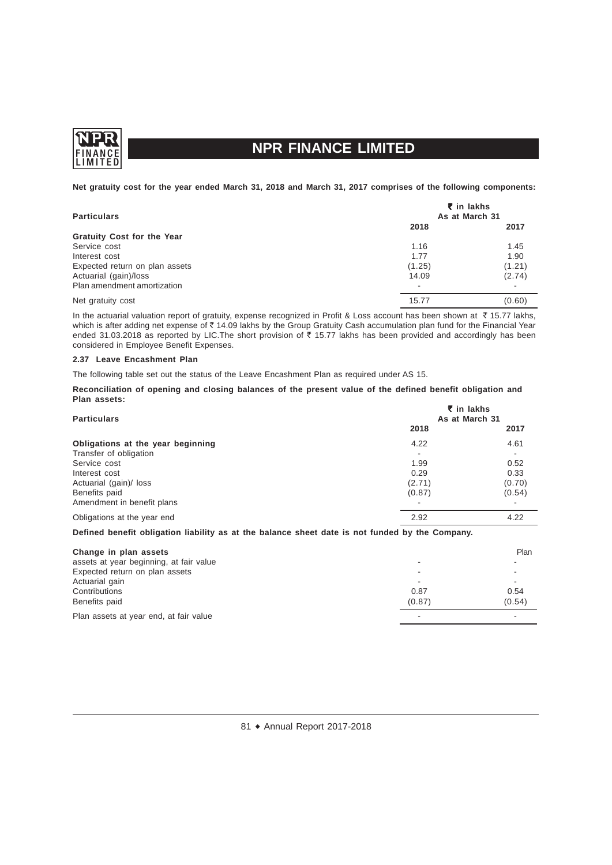

**Net gratuity cost for the year ended March 31, 2018 and March 31, 2017 comprises of the following components:**

| <b>Particulars</b>             | ₹ in lakhs<br>As at March 31 |        |  |
|--------------------------------|------------------------------|--------|--|
|                                | 2018                         | 2017   |  |
| Gratuity Cost for the Year     |                              |        |  |
| Service cost                   | 1.16                         | 1.45   |  |
| Interest cost                  | 1.77                         | 1.90   |  |
| Expected return on plan assets | (1.25)                       | (1.21) |  |
| Actuarial (gain)/loss          | 14.09                        | (2.74) |  |
| Plan amendment amortization    |                              |        |  |
| Net gratuity cost              | 15.77                        | (0.60) |  |

In the actuarial valuation report of gratuity, expense recognized in Profit & Loss account has been shown at  $\bar{\tau}$  15.77 lakhs, which is after adding net expense of  $\bar{z}$  14.09 lakhs by the Group Gratuity Cash accumulation plan fund for the Financial Year ended 31.03.2018 as reported by LIC. The short provision of  $\bar{x}$  15.77 lakhs has been provided and accordingly has been considered in Employee Benefit Expenses.

#### **2.37 Leave Encashment Plan**

The following table set out the status of the Leave Encashment Plan as required under AS 15.

**Reconciliation of opening and closing balances of the present value of the defined benefit obligation and Plan assets:** ` **in lakhs**

| <b>Particulars</b>                | र in lakhs<br>As at March 31 |        |  |  |
|-----------------------------------|------------------------------|--------|--|--|
|                                   | 2018                         | 2017   |  |  |
| Obligations at the year beginning | 4.22                         | 4.61   |  |  |
| Transfer of obligation            | ۰                            |        |  |  |
| Service cost                      | 1.99                         | 0.52   |  |  |
| Interest cost                     | 0.29                         | 0.33   |  |  |
| Actuarial (gain)/ loss            | (2.71)                       | (0.70) |  |  |
| Benefits paid                     | (0.87)                       | (0.54) |  |  |
| Amendment in benefit plans        | ۰                            |        |  |  |
| Obligations at the year end       | 2.92                         | 4.22   |  |  |

#### **Defined benefit obligation liability as at the balance sheet date is not funded by the Company.**

| Change in plan assets                   |        | Plan                     |
|-----------------------------------------|--------|--------------------------|
| assets at year beginning, at fair value |        | $\overline{\phantom{a}}$ |
| Expected return on plan assets          |        |                          |
| Actuarial gain                          |        |                          |
| Contributions                           | 0.87   | 0.54                     |
| Benefits paid                           | (0.87) | (0.54)                   |
| Plan assets at year end, at fair value  |        |                          |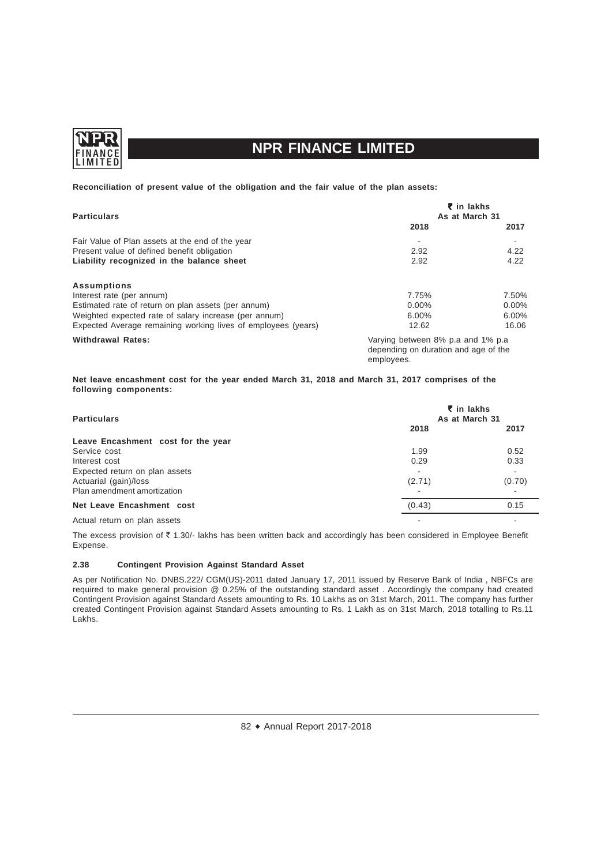

**Reconciliation of present value of the obligation and the fair value of the plan assets:**

| <b>Particulars</b>                                            | $\bar{\tau}$ in lakhs<br>As at March 31                                                 |          |  |
|---------------------------------------------------------------|-----------------------------------------------------------------------------------------|----------|--|
|                                                               | 2018                                                                                    | 2017     |  |
| Fair Value of Plan assets at the end of the year              |                                                                                         |          |  |
| Present value of defined benefit obligation                   | 2.92                                                                                    | 4.22     |  |
| Liability recognized in the balance sheet                     | 2.92                                                                                    | 4.22     |  |
| <b>Assumptions</b>                                            |                                                                                         |          |  |
| Interest rate (per annum)                                     | 7.75%                                                                                   | 7.50%    |  |
| Estimated rate of return on plan assets (per annum)           | $0.00\%$                                                                                | $0.00\%$ |  |
| Weighted expected rate of salary increase (per annum)         | $6.00\%$                                                                                | 6.00%    |  |
| Expected Average remaining working lives of employees (years) | 12.62                                                                                   | 16.06    |  |
| <b>Withdrawal Rates:</b>                                      | Varying between 8% p.a and 1% p.a<br>depending on duration and age of the<br>employees. |          |  |

**Net leave encashment cost for the year ended March 31, 2018 and March 31, 2017 comprises of the**

**following components:**

| <b>Particulars</b>                 | ₹ in lakhs<br>As at March 31 |        |  |  |
|------------------------------------|------------------------------|--------|--|--|
|                                    | 2018                         | 2017   |  |  |
| Leave Encashment cost for the year |                              |        |  |  |
| Service cost                       | 1.99                         | 0.52   |  |  |
| Interest cost                      | 0.29                         | 0.33   |  |  |
| Expected return on plan assets     |                              |        |  |  |
| Actuarial (gain)/loss              | (2.71)                       | (0.70) |  |  |
| Plan amendment amortization        |                              |        |  |  |
| Net Leave Encashment cost          | (0.43)                       | 0.15   |  |  |
|                                    |                              |        |  |  |

Actual return on plan assets

The excess provision of  $\bar{\tau}$  1.30/- lakhs has been written back and accordingly has been considered in Employee Benefit Expense.

#### **2.38 Contingent Provision Against Standard Asset**

As per Notification No. DNBS.222/ CGM(US)-2011 dated January 17, 2011 issued by Reserve Bank of India , NBFCs are required to make general provision @ 0.25% of the outstanding standard asset . Accordingly the company had created Contingent Provision against Standard Assets amounting to Rs. 10 Lakhs as on 31st March, 2011. The company has further created Contingent Provision against Standard Assets amounting to Rs. 1 Lakh as on 31st March, 2018 totalling to Rs.11 Lakhs.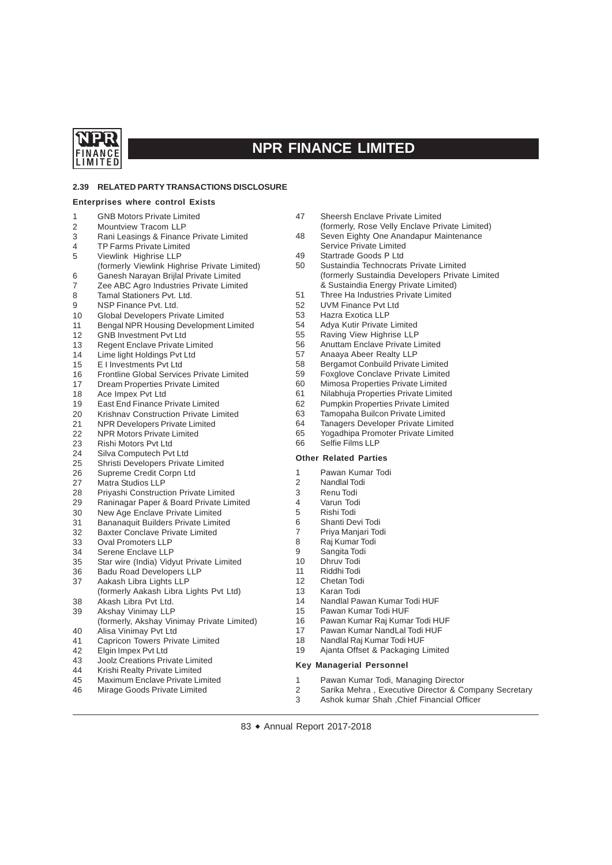

#### **2.39 RELATED PARTY TRANSACTIONS DISCLOSURE**

#### **Enterprises where control Exists**

- 1 GNB Motors Private Limited
- 2 Mountview Tracom LLP<br>3 Rani Leasings & Financ
- Rani Leasings & Finance Private Limited
- 4 TP Farms Private Limited
- 5 Viewlink Highrise LLP
- (formerly Viewlink Highrise Private Limited)
- 6 Ganesh Narayan Brijlal Private Limited
- Zee ABC Agro Industries Private Limited
- 8 Tamal Stationers Pvt. Ltd.
- 9 NSP Finance Pvt. Ltd.<br>10 Global Developers Pri
- 10 Global Developers Private Limited
- 11 Bengal NPR Housing Development Limited<br>12 GNB Investment Pvt Ltd GNB Investment Pvt Ltd
- 
- 13 Regent Enclave Private Limited
- 14 Lime light Holdings Pvt Ltd<br>15 El Investments Pvt Ltd 15 E I Investments Pvt Ltd
- 
- 16 Frontline Global Services Private Limited 17 Dream Properties Private Limited
- 
- 18 Ace Impex Pvt Ltd
- 19 East End Finance Private Limited 20 Krishnav Construction Private Limited
- 
- 21 NPR Developers Private Limited<br>22 NPR Motors Private Limited
- 22 NPR Motors Private Limited<br>23 Rishi Motors Pvt Ltd Rishi Motors Pvt Ltd
- 24 Silva Computech Pvt Ltd
- 
- 25 Shristi Developers Private Limited<br>26 Supreme Credit Corpn Ltd Supreme Credit Corpn Ltd
- 27 Matra Studios LLP
- 28 Priyashi Construction Private Limited
- 29 Raninagar Paper & Board Private Limited
- 
- 30 New Age Enclave Private Limited<br>31 Bananaquit Builders Private Limite Bananaquit Builders Private Limited
- 32 Baxter Conclave Private Limited
- 33 Oval Promoters LLP
- 34 Serene Enclave LLP
- 35 Star wire (India) Vidyut Private Limited
- Badu Road Developers LLP
- 37 Aakash Libra Lights LLP
- (formerly Aakash Libra Lights Pvt Ltd)
- 38 Akash Libra Pvt Ltd.<br>39 Akshav Vinimav LLP Akshay Vinimay LLP
- (formerly, Akshay Vinimay Private Limited)
- 40 Alisa Vinimay Pvt Ltd<br>41 Capricon Towers Prive
- Capricon Towers Private Limited
- 42 Elgin Impex Pvt Ltd<br>43 Joolz Creations Priv
- 43 Joolz Creations Private Limited
- 44 Krishi Realty Private Limited<br>45 Maximum Enclave Private Lir
- 45 Maximum Enclave Private Limited<br>46 Mirage Goods Private Limited
- Mirage Goods Private Limited
- 47 Sheersh Enclave Private Limited
- (formerly, Rose Velly Enclave Private Limited) 48 Seven Eighty One Anandapur Maintenance
- Service Private Limited
- 49 Startrade Goods P Ltd
- 50 Sustaindia Technocrats Private Limited
- (formerly Sustaindia Developers Private Limited & Sustaindia Energy Private Limited)
- 51 Three Ha Industries Private Limited
- 52 UVM Finance Pvt Ltd
- 53 Hazra Exotica LLP
- 54 Adya Kutir Private Limited<br>55 Raving View Highrise LLP
- 
- 55 Raving View Highrise LLP<br>56 Anuttam Enclave Private Li
- 56 Anuttam Enclave Private Limited<br>57 Anaaya Abeer Realty LLP
- 57 Anaaya Abeer Realty LLP<br>58 Bergamot Conbuild Private 58 Bergamot Conbuild Private Limited
- 59 Foxglove Conclave Private Limited
- 60 Mimosa Properties Private Limited
- 
- 61 Nilabhuja Properties Private Limited<br>62 Pumpkin Properties Private Limited Pumpkin Properties Private Limited
- 63 Tamopaha Builcon Private Limited
- 64 Tanagers Developer Private Limited<br>65 Yogadhina Promoter Private Limited
- Yogadhipa Promoter Private Limited
- 66 Selfie Films LLP

#### **Other Related Parties**

- 1 Pawan Kumar Todi
- 2 Nandlal Todi
- 3 Renu Todi<br>4 Varun Tod
- Varun Todi
- 5 Rishi Todi
- 6 Shanti Devi Todi
- 7 Priya Manjari Todi
- 8 Raj Kumar Todi
- 9 Sangita Todi
- 10 Dhruv Todi
- 11 Riddhi Todi
- 12 Chetan Todi<br>13 Karan Todi
- Karan Todi
- 14 Nandlal Pawan Kumar Todi HUF<br>15 Pawan Kumar Todi HUF
- Pawan Kumar Todi HUF
- 16 Pawan Kumar Raj Kumar Todi HUF
- 17 Pawan Kumar NandLal Todi HUF<br>18 Nandlal Rai Kumar Todi HUF
- Nandlal Raj Kumar Todi HUF
- 19 Ajanta Offset & Packaging Limited

#### **Key Managerial Personnel**

- 
- 1 Pawan Kumar Todi, Managing Director<br>2 Sarika Mehra, Executive Director & Co Sarika Mehra, Executive Director & Company Secretary
- 3 Ashok kumar Shah ,Chief Financial Officer
-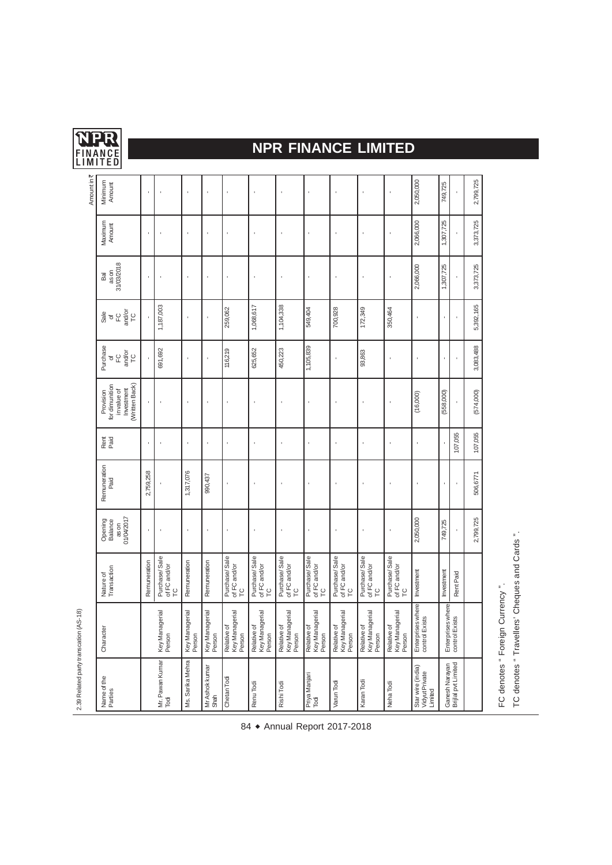**NPR FINANCE** 

2.39 Related party transcation (AS-18)

2.39 Related party transcation (AS-18)

## **NPR FINANCE LIMITED**

| Amount in ₹ | Minimum<br>Amount                                                                                                 |              |                                     |                          | ×,                       |                                           |                                                |                                                |                                                 |                                                |                                                 |                                                | 2,050,000                                      | 749,725    |                                       | 2,799,725 |
|-------------|-------------------------------------------------------------------------------------------------------------------|--------------|-------------------------------------|--------------------------|--------------------------|-------------------------------------------|------------------------------------------------|------------------------------------------------|-------------------------------------------------|------------------------------------------------|-------------------------------------------------|------------------------------------------------|------------------------------------------------|------------|---------------------------------------|-----------|
|             | Maximum<br>Amount                                                                                                 |              |                                     |                          |                          |                                           |                                                |                                                |                                                 |                                                |                                                 |                                                | 2,066,000                                      | 1,307,725  |                                       | 3,373,725 |
|             | 31/03/2018<br>as on<br>Bal                                                                                        |              |                                     |                          |                          |                                           |                                                |                                                |                                                 |                                                |                                                 |                                                | 2,066,000                                      | 1,307,725  |                                       | 3,373,725 |
|             | $rac{1}{T}$ C<br>Sale<br>$\sigma_{\text{L}}$                                                                      |              | 1,187,003                           |                          | ٠                        | 259,062                                   | 1,068,617                                      | 1,104,338                                      | 549,404                                         | 700,928                                        | 172,349                                         | 350,464                                        |                                                |            | J.                                    | 5,392,165 |
|             | Purchase<br>$\begin{array}{c}\n\text{A} \\ \text{B} \\ \text{C} \\ \text{D} \\ \text{D} \\ \text{D}\n\end{array}$ |              | 691,692                             |                          | f,                       | 116,219                                   | 625,652                                        | 450,223                                        | 1,105,839                                       |                                                | 93,863                                          |                                                |                                                |            | ï                                     | 3,083,488 |
|             | Investment<br>(Written Back)<br>for dimunition<br>Provision<br>in value of                                        | í.           |                                     |                          | ٠                        |                                           |                                                |                                                |                                                 |                                                |                                                 |                                                | (16,000)                                       | (558,000)  | $\blacksquare$                        | (574,000) |
|             | Rent<br>Paid                                                                                                      | f,           |                                     |                          | f,                       |                                           |                                                |                                                |                                                 |                                                |                                                 |                                                |                                                |            | 107,055                               | 107,055   |
|             | Remuneration<br>Paid                                                                                              | 2,759,258    |                                     | 1,317,076                | 990,437                  |                                           |                                                |                                                |                                                 |                                                |                                                 |                                                |                                                |            | f,                                    | 506,6771  |
|             | 01/04/2017<br>Opening<br>Balance<br>as on                                                                         | í.           |                                     |                          | f,                       |                                           |                                                |                                                |                                                 |                                                |                                                 |                                                | 2,050,000                                      | 749,725    |                                       | 2,799,725 |
|             | Nature of<br>Transaction                                                                                          | Remuneration | Purchase/Sale<br>of FC and/or<br>TC | Remuneration             | Remuneration             | Purchase/Sale<br>of FC and/or<br>$\Gamma$ | Purchase/Sale<br>of FC and/or<br>$\frac{0}{1}$ | Purchase/Sale<br>of FC and/or<br>$\frac{0}{1}$ | Purchase/Sale<br>of FC and/or<br>$\overline{C}$ | Purchase/Sale<br>of FC and/or<br>$\frac{0}{1}$ | Purchase/Sale<br>of FC and/or<br>$\overline{C}$ | Purchase/Sale<br>of FC and/or<br>$\frac{0}{1}$ | Investment                                     | Investment | Rent Paid                             |           |
|             | Character                                                                                                         |              | Key Managerial<br>Person            | Key Managerial<br>Person | Key Managerial<br>Person | Relative of<br>Key Managerial<br>Person   | Relative of<br>Key Managerial<br>Person        | Relative of<br>Key Managerial<br>Person        | Relative of<br>Key Managerial<br>Person         | Relative of<br>Key Managerial<br>Person        | Relative of<br>Key Managerial<br>Person         | Relative of<br>Key Managerial<br>Person        | Enterprises where<br>control Exists            | ises where | Exists<br>Enterpris<br>control E      |           |
|             | Name of the<br>Parties                                                                                            |              | Mr. Pawan Kumar<br>Todi             | Ms. Sarika Mehra         | Mr Ashok kumar<br>Shah   | Chetan Todi                               | Renu Todi                                      | Rishi Todi                                     | Priya Manjari<br>Todi                           | Varun Todi                                     | Karan Todi                                      | Neha Todi                                      | Star wire (india)<br>Vidyut Private<br>Limited |            | Ganesh Narayan<br>Brijlal pvt Limited |           |

FC denotes " Foreign Currency ".<br>TC denotes " Travellers' Cheques and Cards ". TC denotes " Travellers' Cheques and Cards ".FC denotes " Foreign Currency ".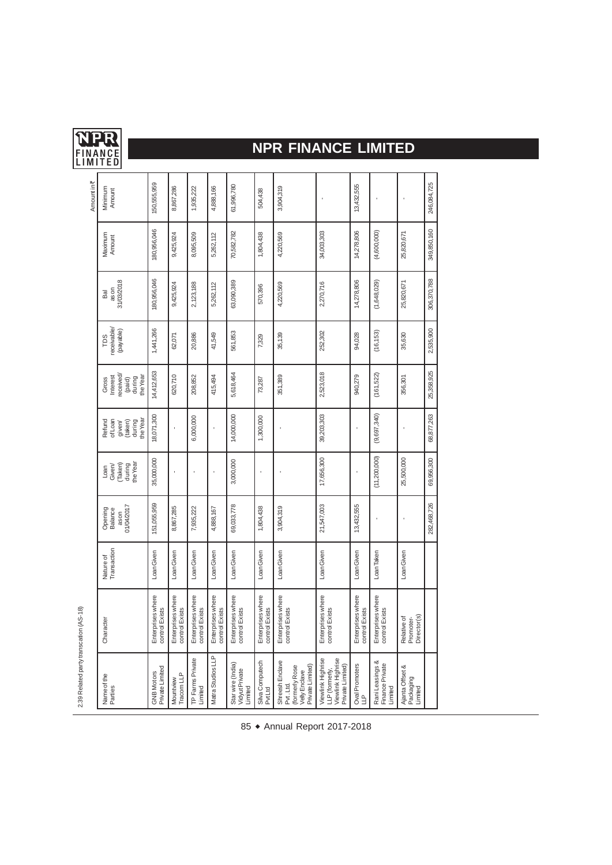

2.39 Related party transcation (AS-18)

2.39 Related party transcation (AS-18)

# **NPR FINANCE LIMITED**

| Amountin <sup>₹</sup> | Minimum<br>Amount                                            | 150,555,959                          | 8,867,286                           | 1,935,222                           | 4,888,166                           | 61,996,780                                     | 504,438                             | 3,904,319                                                                          |                                                                              | 13,432,555                              |                                                     |                                         | 246,084,725 |
|-----------------------|--------------------------------------------------------------|--------------------------------------|-------------------------------------|-------------------------------------|-------------------------------------|------------------------------------------------|-------------------------------------|------------------------------------------------------------------------------------|------------------------------------------------------------------------------|-----------------------------------------|-----------------------------------------------------|-----------------------------------------|-------------|
|                       | Maximum<br>Amount                                            | 180,956,046                          | 9,425,924                           | 8,095,509                           | 5,262,112                           | 70,582,782                                     | 1,804,438                           | 4,220,569                                                                          | 34,003,303                                                                   | 14,278,806                              | (4,600,000)                                         | 25,820,671                              | 349,850,160 |
|                       | 31/03/2018<br>ason<br>Bal                                    | 180,956,046                          | 9,425,924                           | 2,123,188                           | 5,262,112                           | 63,090,389                                     | 570,396                             | 4,220,569                                                                          | 2,270,716                                                                    | 14,278,806                              | (1,648,029)                                         | 25,820,671                              | 306,370,788 |
|                       | eceivable/<br>(payable)<br>TDS                               | 1,441,266                            | 62,071                              | 20,886                              | 41,549                              | 561,853                                        | 7,329                               | 35,139                                                                             | 252,302                                                                      | 94,028                                  | (16, 153)                                           | 35,630                                  | 2,535,900   |
|                       | eceived<br>the Year<br>Interest<br>during<br>Gross<br>(paid) | 14,412,653                           | 620,710                             | 208,852                             | 415,494                             | 5,618,464                                      | 73,287                              | 351,389                                                                            | 2,523,018                                                                    | 940,279                                 | (161, 522)                                          | 356,301                                 | 25,358,925  |
|                       | Refund<br>of Loan<br>the Year<br>(taken)<br>during<br>given/ | 18,071,300                           |                                     | 6,000,000                           |                                     | 14,000,000                                     | 1,300,000                           |                                                                                    | 39,203,303                                                                   |                                         | (9,697,340)                                         |                                         | 68,877,263  |
|                       | he Year<br>(Taken)<br>during<br>Given/<br>Loan               | 35,000,000                           |                                     |                                     |                                     | 3,000,000                                      |                                     |                                                                                    | 17,656,300                                                                   |                                         | (11,200,000)                                        | 25,500,000                              | 69,956,300  |
|                       | ason<br>01/04/2017<br>Opening<br>Balance                     | 151,055,959                          | 8,867,285                           | 7,935,222                           | 4,888,167                           | 69,033,778                                     | 1,804,438                           | 3,904,319                                                                          | 21,547,003                                                                   | 13,432,555                              |                                                     |                                         | 282,468,726 |
|                       | Transaction<br>Nature of                                     | Loan Given                           | Loan Given                          | Loan Given                          | Loan Given                          | Loan Given                                     | Loan Given                          | Loan Given                                                                         | Loan Given                                                                   | Loan Given                              | Loan Taken                                          | Loan Given                              |             |
|                       | Character                                                    | Enterprises where<br>control Exists  | Enterprises where<br>control Exists | Enterprises where<br>control Exists | Enterprises where<br>control Exists | Enterprises where<br>control Exists            | Enterprises where<br>control Exists | Enterprises where<br>control Exists                                                | Enterprises where<br>control Exists                                          | Enterprises where<br>control Exists     | Enterprises where<br>control Exists                 | Relative of<br>Promoter-<br>Director(s) |             |
|                       | Name of the<br>Parties                                       | Private Limited<br><b>GNB Motors</b> | Tracom LLP<br>Mountview             | TP Farms Private<br>Limited         | Matra Studios LLP                   | Star wire (India)<br>Vidyut Private<br>Limited | Silva Computech<br>PvtLtd           | Shreesh Endave<br>(formerly Rose<br>Private Limited)<br>Velly Enclave<br>Pvt. Ltd. | Viewlink Highrise<br>Viewlink Highrise<br>Private Limited)<br>LLP (formerly, | <b>Oval Promoters</b><br>$\overline{a}$ | Rani Leasings &<br>Finance Private<br><i>imited</i> | Ajanta Offset &<br>Packaging<br>Limited |             |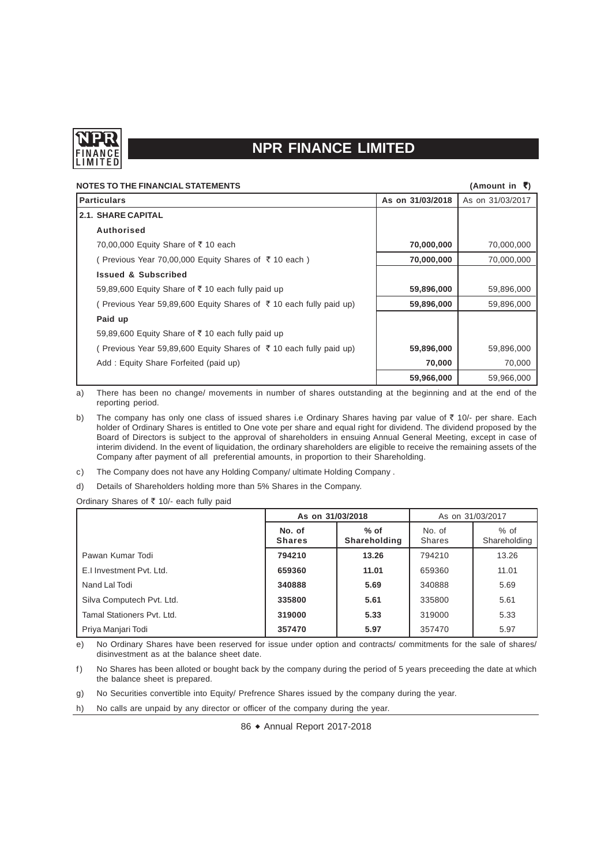

#### **NOTES TO THE FINANCIAL STATEMENTS (Amount in ₹) (Amount in ₹)**

| <b>Particulars</b>                                                            | As on 31/03/2018 | As on 31/03/2017 |
|-------------------------------------------------------------------------------|------------------|------------------|
| <b>2.1. SHARE CAPITAL</b>                                                     |                  |                  |
| Authorised                                                                    |                  |                  |
| 70,00,000 Equity Share of ₹10 each                                            | 70,000,000       | 70,000,000       |
| (Previous Year 70,00,000 Equity Shares of ₹10 each)                           | 70,000,000       | 70,000,000       |
| <b>Issued &amp; Subscribed</b>                                                |                  |                  |
| 59,89,600 Equity Share of ₹10 each fully paid up                              | 59,896,000       | 59,896,000       |
| (Previous Year 59,89,600 Equity Shares of $\bar{\tau}$ 10 each fully paid up) | 59,896,000       | 59,896,000       |
| Paid up                                                                       |                  |                  |
| 59,89,600 Equity Share of ₹10 each fully paid up                              |                  |                  |
| (Previous Year 59,89,600 Equity Shares of ₹10 each fully paid up)             | 59,896,000       | 59,896,000       |
| Add: Equity Share Forfeited (paid up)                                         | 70,000           | 70,000           |
|                                                                               | 59,966,000       | 59,966,000       |

a) There has been no change/ movements in number of shares outstanding at the beginning and at the end of the reporting period.

b) The company has only one class of issued shares i.e Ordinary Shares having par value of  $\bar{z}$  10/- per share. Each holder of Ordinary Shares is entitled to One vote per share and equal right for dividend. The dividend proposed by the Board of Directors is subject to the approval of shareholders in ensuing Annual General Meeting, except in case of interim dividend. In the event of liquidation, the ordinary shareholders are eligible to receive the remaining assets of the Company after payment of all preferential amounts, in proportion to their Shareholding.

c) The Company does not have any Holding Company/ ultimate Holding Company .

d) Details of Shareholders holding more than 5% Shares in the Company.

Ordinary Shares of  $\bar{\tau}$  10/- each fully paid

|                            | As on 31/03/2018        |                        | As on 31/03/2017        |                        |  |
|----------------------------|-------------------------|------------------------|-------------------------|------------------------|--|
|                            | No. of<br><b>Shares</b> | $%$ of<br>Shareholding | No. of<br><b>Shares</b> | $%$ of<br>Shareholding |  |
| Pawan Kumar Todi           | 794210                  | 13.26                  | 794210                  | 13.26                  |  |
| E.I Investment Pyt. Ltd.   | 659360                  | 11.01                  | 659360                  | 11.01                  |  |
| Nand Lal Todi              | 340888                  | 5.69                   | 340888                  | 5.69                   |  |
| Silva Computech Pvt. Ltd.  | 335800                  | 5.61                   | 335800                  | 5.61                   |  |
| Tamal Stationers Pvt. Ltd. | 319000                  | 5.33                   | 319000                  | 5.33                   |  |
| Priya Manjari Todi         | 357470                  | 5.97                   | 357470                  | 5.97                   |  |

e) No Ordinary Shares have been reserved for issue under option and contracts/ commitments for the sale of shares/ disinvestment as at the balance sheet date.

f) No Shares has been alloted or bought back by the company during the period of 5 years preceeding the date at which the balance sheet is prepared.

g) No Securities convertible into Equity/ Prefrence Shares issued by the company during the year.

h) No calls are unpaid by any director or officer of the company during the year.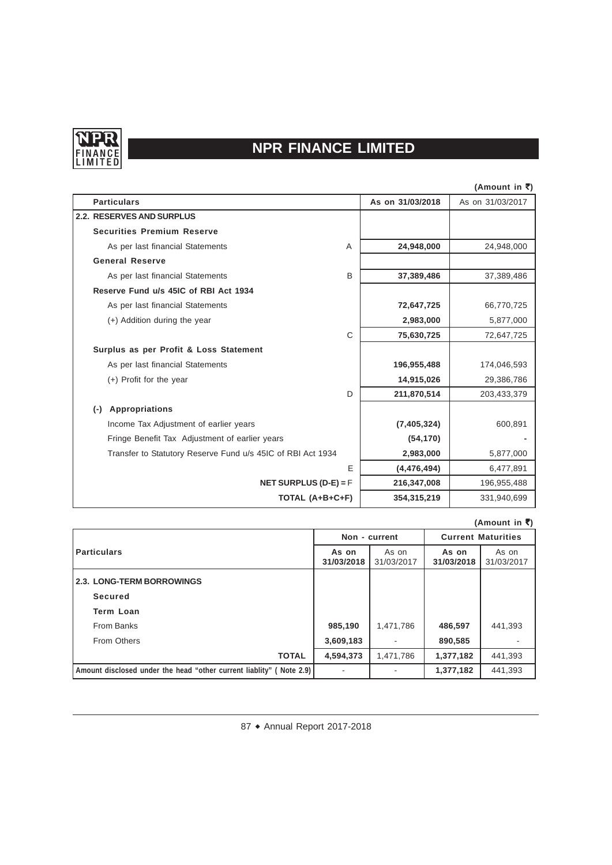

**Secured Term Loan**

## **NPR FINANCE LIMITED**

|                                                             |   |                  | (Amount in $\bar{x}$ ) |
|-------------------------------------------------------------|---|------------------|------------------------|
| <b>Particulars</b>                                          |   | As on 31/03/2018 | As on 31/03/2017       |
| <b>2.2. RESERVES AND SURPLUS</b>                            |   |                  |                        |
| <b>Securities Premium Reserve</b>                           |   |                  |                        |
| As per last financial Statements                            | A | 24,948,000       | 24,948,000             |
| <b>General Reserve</b>                                      |   |                  |                        |
| As per last financial Statements                            | B | 37,389,486       | 37,389,486             |
| Reserve Fund u/s 45IC of RBI Act 1934                       |   |                  |                        |
| As per last financial Statements                            |   | 72,647,725       | 66,770,725             |
| $(+)$ Addition during the year                              |   | 2,983,000        | 5,877,000              |
|                                                             | C | 75,630,725       | 72,647,725             |
| Surplus as per Profit & Loss Statement                      |   |                  |                        |
| As per last financial Statements                            |   | 196,955,488      | 174,046,593            |
| $(+)$ Profit for the year                                   |   | 14,915,026       | 29,386,786             |
|                                                             | D | 211,870,514      | 203,433,379            |
| Appropriations<br>$(-)$                                     |   |                  |                        |
| Income Tax Adjustment of earlier years                      |   | (7, 405, 324)    | 600,891                |
| Fringe Benefit Tax Adjustment of earlier years              |   | (54, 170)        |                        |
| Transfer to Statutory Reserve Fund u/s 45IC of RBI Act 1934 |   | 2,983,000        | 5,877,000              |
|                                                             | E | (4, 476, 494)    | 6,477,891              |
| NET SURPLUS $(D-E) = F$                                     |   | 216,347,008      | 196,955,488            |
| TOTAL (A+B+C+F)                                             |   | 354,315,219      | 331,940,699            |
|                                                             |   |                  |                        |

## **(Amount in** `**) Non - current Current Maturities Particulars As on As on As on As on As on As on As on As on As on As on As on As on As on As on As on As on As on As on As on As on As on As on As on As on As on As on 31/03/2018** 31/03/2017 **31/03/2018** 31/03/2017 **2.3. LONG-TERM BORROWINGS**

| From Banks                                                          | 985.190   | 1.471.786                | 486.597   | 441.393 |
|---------------------------------------------------------------------|-----------|--------------------------|-----------|---------|
| From Others                                                         | 3.609.183 | ٠                        | 890.585   |         |
| <b>TOTAL</b>                                                        | 4.594.373 | 1.471.786                | 1.377.182 | 441.393 |
| Amount disclosed under the head "other current liablity" (Note 2.9) | -         | $\overline{\phantom{0}}$ | 1,377,182 | 441.393 |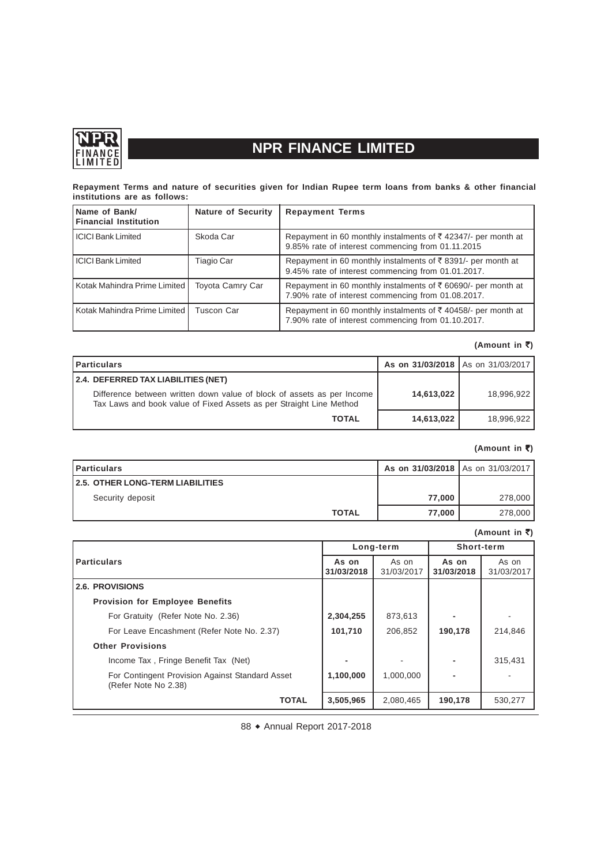

#### **Repayment Terms and nature of securities given for Indian Rupee term loans from banks & other financial institutions are as follows:**

| Name of Bank/<br><b>Financial Institution</b> | <b>Nature of Security</b> | <b>Repayment Terms</b>                                                                                             |
|-----------------------------------------------|---------------------------|--------------------------------------------------------------------------------------------------------------------|
| <b>ICICI Bank Limited</b>                     | Skoda Car                 | Repayment in 60 monthly instalments of ₹42347/- per month at<br>9.85% rate of interest commencing from 01.11.2015  |
| <b>ICICI Bank Limited</b>                     | Tiagio Car                | Repayment in 60 monthly instalments of ₹8391/- per month at<br>9.45% rate of interest commencing from 01.01.2017.  |
| Kotak Mahindra Prime Limited                  | <b>Toyota Camry Car</b>   | Repayment in 60 monthly instalments of ₹60690/- per month at<br>7.90% rate of interest commencing from 01.08.2017. |
| Kotak Mahindra Prime Limited I                | Tuscon Car                | Repayment in 60 monthly instalments of ₹40458/- per month at<br>7.90% rate of interest commencing from 01.10.2017. |

#### **(Amount in** `**)**

| <b>Particulars</b>                                                                                                                            | As on 31/03/2018   As on 31/03/2017 |            |
|-----------------------------------------------------------------------------------------------------------------------------------------------|-------------------------------------|------------|
| 2.4. DEFERRED TAX LIABILITIES (NET)                                                                                                           |                                     |            |
| Difference between written down value of block of assets as per Income<br>Tax Laws and book value of Fixed Assets as per Straight Line Method | 14,613,022                          | 18,996,922 |
| <b>TOTAL</b>                                                                                                                                  | 14,613,022                          | 18,996,922 |

#### **(Amount in** `**)**

| l Particulars                           |              | As on 31/03/2018   As on 31/03/2017 |         |
|-----------------------------------------|--------------|-------------------------------------|---------|
| <b>2.5. OTHER LONG-TERM LIABILITIES</b> |              |                                     |         |
| Security deposit                        |              | 77.000                              | 278,000 |
|                                         | <b>TOTAL</b> | 77,000                              | 278,000 |

#### **(Amount in** `**)**

|                                                                         |                          | Long-term           | Short-term          |                     |  |
|-------------------------------------------------------------------------|--------------------------|---------------------|---------------------|---------------------|--|
| <b>Particulars</b>                                                      | As on<br>31/03/2018      | As on<br>31/03/2017 | As on<br>31/03/2018 | As on<br>31/03/2017 |  |
| <b>2.6. PROVISIONS</b>                                                  |                          |                     |                     |                     |  |
| <b>Provision for Employee Benefits</b>                                  |                          |                     |                     |                     |  |
| For Gratuity (Refer Note No. 2.36)                                      | 2,304,255                | 873,613             |                     |                     |  |
| For Leave Encashment (Refer Note No. 2.37)                              | 101,710                  | 206,852             | 190,178             | 214,846             |  |
| <b>Other Provisions</b>                                                 |                          |                     |                     |                     |  |
| Income Tax, Fringe Benefit Tax (Net)                                    | $\overline{\phantom{a}}$ |                     |                     | 315,431             |  |
| For Contingent Provision Against Standard Asset<br>(Refer Note No 2.38) | 1,100,000                | 1,000,000           |                     |                     |  |
| <b>TOTAL</b>                                                            | 3,505,965                | 2,080,465           | 190,178             | 530.277             |  |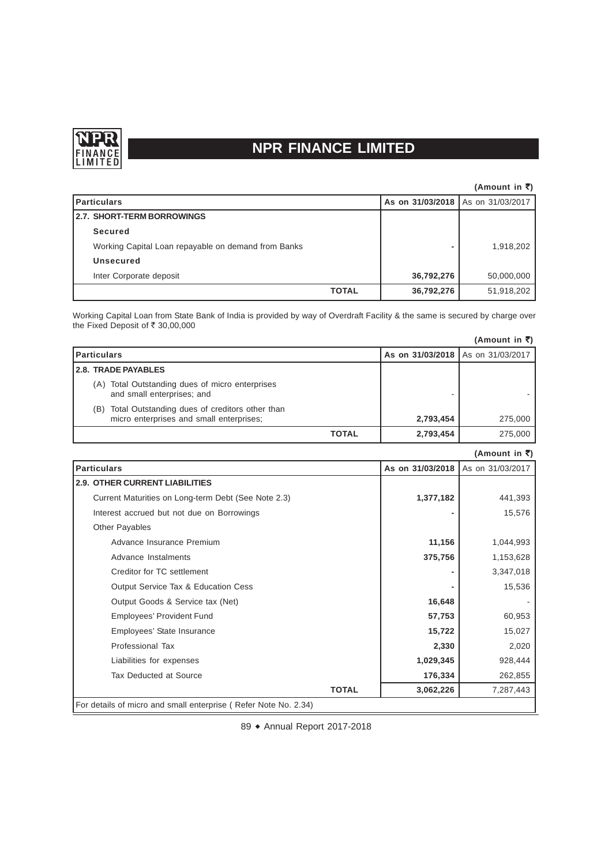

#### $(Amount in **3**)$

| <b>Particulars</b>                                  | As on 31/03/2018   As on 31/03/2017 |            |
|-----------------------------------------------------|-------------------------------------|------------|
| <b>2.7. SHORT-TERM BORROWINGS</b>                   |                                     |            |
| <b>Secured</b>                                      |                                     |            |
| Working Capital Loan repayable on demand from Banks |                                     | 1,918,202  |
| Unsecured                                           |                                     |            |
| Inter Corporate deposit                             | 36,792,276                          | 50,000,000 |
| <b>TOTAL</b>                                        | 36,792,276                          | 51,918,202 |

Working Capital Loan from State Bank of India is provided by way of Overdraft Facility & the same is secured by charge over the Fixed Deposit of ₹ 30,00,000

|                                                                                                   |                                     | (Amount in ₹) |
|---------------------------------------------------------------------------------------------------|-------------------------------------|---------------|
| <b>Particulars</b>                                                                                | As on 31/03/2018   As on 31/03/2017 |               |
| <b>2.8. TRADE PAYABLES</b>                                                                        |                                     |               |
| (A) Total Outstanding dues of micro enterprises<br>and small enterprises; and                     |                                     |               |
| Total Outstanding dues of creditors other than<br>(B)<br>micro enterprises and small enterprises; | 2,793,454                           | 275,000       |
| <b>TOTAL</b>                                                                                      | 2,793,454                           | 275,000       |

#### **(Amount in** `**)**

| <b>Particulars</b>                                              | As on 31/03/2018          | As on 31/03/2017 |
|-----------------------------------------------------------------|---------------------------|------------------|
| <b>2.9. OTHER CURRENT LIABILITIES</b>                           |                           |                  |
| Current Maturities on Long-term Debt (See Note 2.3)             | 1,377,182                 | 441,393          |
| Interest accrued but not due on Borrowings                      |                           | 15,576           |
| <b>Other Payables</b>                                           |                           |                  |
| Advance Insurance Premium                                       | 11,156                    | 1,044,993        |
| Advance Instalments                                             | 375,756                   | 1,153,628        |
| Creditor for TC settlement                                      |                           | 3,347,018        |
| Output Service Tax & Education Cess                             |                           | 15,536           |
| Output Goods & Service tax (Net)                                | 16,648                    |                  |
| Employees' Provident Fund                                       | 57,753                    | 60,953           |
| Employees' State Insurance                                      | 15,722                    | 15,027           |
| Professional Tax                                                | 2,330                     | 2,020            |
| Liabilities for expenses                                        | 1,029,345                 | 928,444          |
| <b>Tax Deducted at Source</b>                                   | 176,334                   | 262,855          |
|                                                                 | <b>TOTAL</b><br>3,062,226 | 7,287,443        |
| For details of micro and small enterprise (Refer Note No. 2.34) |                           |                  |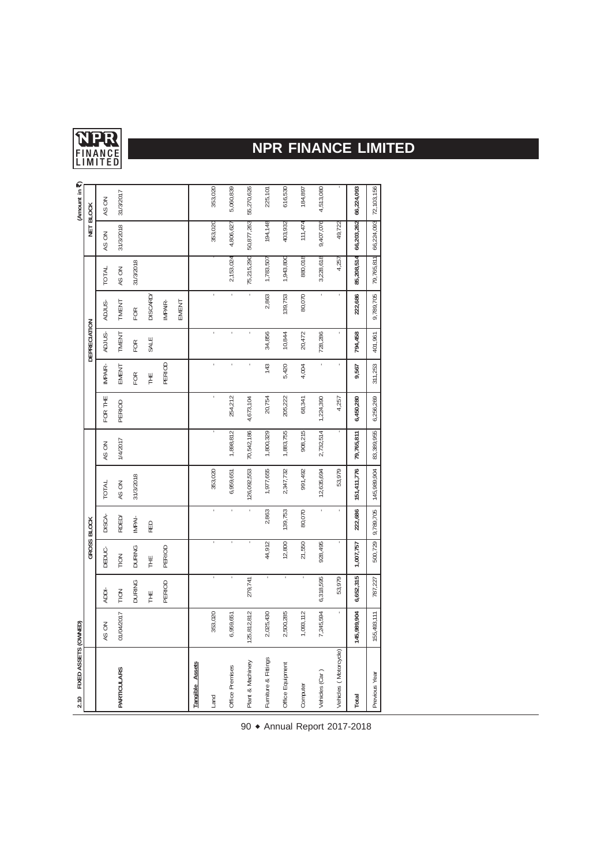

| FIXED ASSETS (OWNED)                        |  |         |             |            |           |         |                     |                |             |                                  | (Amount in ₹)    |
|---------------------------------------------|--|---------|-------------|------------|-----------|---------|---------------------|----------------|-------------|----------------------------------|------------------|
| GROSS BLOCK                                 |  |         |             |            |           |         | <b>DEPRECIATION</b> |                |             |                                  | <b>NET BLOCK</b> |
| DEDUC-<br>ADDI-<br>AS ON                    |  | DISCA-  | TOTAL       | AS ON      | FOR THE   | IMPAIR- | ADJUS-              | ADJUS-         | TOTAL       | AS ON                            | AS ON            |
| <b>TION</b><br>TION<br>01/04/2017           |  | RDED/   | AS ON       | 1/4/2017   | PERIOD    | EMENT   | TMENT               | TMENT          | AS ON       | 31/3/2018                        | 31/3/2017        |
| <b>DURING</b><br><b>DURING</b>              |  | IMPAI-  | 31/3/2018   |            |           | FOR     | FOR                 | FOR            | 31/3/2018   |                                  |                  |
| Ë<br>当<br>三                                 |  | RED     |             |            |           | Ë       | SALE                | <b>DISCARD</b> |             |                                  |                  |
| PERIOD<br>PERIOD                            |  |         |             |            |           | PERIOD  |                     | IMPAIR-        |             |                                  |                  |
|                                             |  |         |             |            |           |         |                     | EMENT          |             |                                  |                  |
|                                             |  |         |             |            |           |         |                     |                |             |                                  |                  |
| 353,020                                     |  |         | 353,020     |            | Î,        |         | í.                  |                |             | 353,020                          | 353,020          |
| 6,959,651                                   |  | Î,      | 6,959,651   | 1,898,812  | 254,212   |         | Î,                  |                | 2, 153, 024 | 4,806,627                        | 5,060,839        |
| 279,741<br>125,812,812                      |  |         | 126,092,553 | 70,542,186 | 4,673,104 | ï       | Î,                  |                | 75,215,290  | 50,877,263                       | 55,270,626       |
| 44,912<br>2,025,430                         |  | 2,863   | 1,977,655   | 1,800,329  | 20,754    | 143     | 34,856              | 2,863          | 1,783,507   | 194,148                          | 225,101          |
| 12,800<br>2,500,285                         |  | 139,753 | 2,347,732   | 1,883,755  | 205,222   | 5,420   | 10,844              | 139,753        | 1,943,800   | 403,932                          | 616,530          |
| 21,550<br>1,093,112                         |  | 80,070  | 991,492     | 908,215    | 68,341    | 4,004   | 20,472              | 80,070         | 880,018     | 111,474                          | 184,897          |
| 928,495<br>6,318,595<br>7,245,594           |  | ł       | 12,635,694  | 2,732,514  | 1,224,390 |         | 728,286             | ï              | 3,228,618   | 9,407,076                        | 4,513,080        |
| 53,979<br>í.                                |  | ł,      | 53,979      |            | 4,257     | í.      |                     | í,             | 4,257       | 49,722                           |                  |
| 1,007,757<br>6,652,315<br>145,989,904       |  | 222,686 | 151,411,776 | 79,765,811 | 6,450,280 | 9,567   | 794,458             | 222,686        | 85,208,514  | 66,203,262                       | 66,224,093       |
| 500,729 9,789,705<br>787,227<br>155,493,111 |  |         | 145,989,904 | 83,389,955 | 6,256,269 | 311,253 | 401,961             | 9,789,705      |             | 79,765,811 66,224,093 72,103,156 |                  |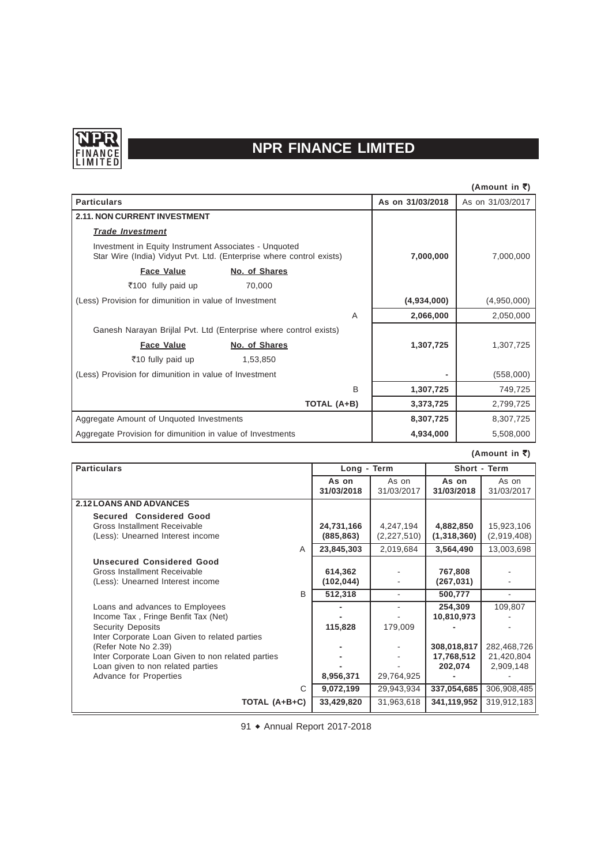

|                                                                                                                               |                  | (Amount in ₹)    |
|-------------------------------------------------------------------------------------------------------------------------------|------------------|------------------|
| <b>Particulars</b>                                                                                                            | As on 31/03/2018 | As on 31/03/2017 |
| <b>2.11. NON CURRENT INVESTMENT</b>                                                                                           |                  |                  |
| <b>Trade Investment</b>                                                                                                       |                  |                  |
| Investment in Equity Instrument Associates - Unquoted<br>Star Wire (India) Vidyut Pvt. Ltd. (Enterprise where control exists) | 7,000,000        | 7,000,000        |
| <b>Face Value</b><br>No. of Shares                                                                                            |                  |                  |
| 70,000<br>₹100 fully paid up                                                                                                  |                  |                  |
| (Less) Provision for dimunition in value of Investment                                                                        | (4,934,000)      | (4,950,000)      |
| A                                                                                                                             | 2,066,000        | 2,050,000        |
| Ganesh Narayan Brijlal Pvt. Ltd (Enterprise where control exists)                                                             |                  |                  |
| <b>Face Value</b><br>No. of Shares                                                                                            | 1,307,725        | 1,307,725        |
| ₹10 fully paid up<br>1,53,850                                                                                                 |                  |                  |
| (Less) Provision for dimunition in value of Investment                                                                        |                  | (558,000)        |
| <sub>B</sub>                                                                                                                  | 1,307,725        | 749,725          |
| TOTAL (A+B)                                                                                                                   | 3,373,725        | 2,799,725        |
| Aggregate Amount of Unquoted Investments                                                                                      | 8,307,725        | 8,307,725        |
| Aggregate Provision for dimunition in value of Investments                                                                    | 4,934,000        | 5,508,000        |

### **(Amount in** `**)**

| <b>Particulars</b>                                                                                                                                              | $Long -$                 | Term                     |                                      | Short - Term                           |
|-----------------------------------------------------------------------------------------------------------------------------------------------------------------|--------------------------|--------------------------|--------------------------------------|----------------------------------------|
|                                                                                                                                                                 | As on<br>31/03/2018      | As on<br>31/03/2017      | As on<br>31/03/2018                  | As on<br>31/03/2017                    |
| <b>2.12 LOANS AND ADVANCES</b>                                                                                                                                  |                          |                          |                                      |                                        |
| Secured Considered Good<br><b>Gross Installment Receivable</b><br>(Less): Unearned Interest income                                                              | 24,731,166<br>(885, 863) | 4,247,194<br>(2,227,510) | 4,882,850<br>(1,318,360)             | 15,923,106<br>(2,919,408)              |
| A                                                                                                                                                               | 23,845,303               | 2,019,684                | 3,564,490                            | 13,003,698                             |
| <b>Unsecured Considered Good</b><br><b>Gross Installment Receivable</b><br>(Less): Unearned Interest income                                                     | 614,362<br>(102, 044)    |                          | 767,808<br>(267, 031)                |                                        |
| B                                                                                                                                                               | 512,318                  |                          | 500,777                              | ä,                                     |
| Loans and advances to Employees<br>Income Tax, Fringe Benfit Tax (Net)<br><b>Security Deposits</b>                                                              | 115,828                  | 179,009                  | 254,309<br>10,810,973                | 109,807                                |
| Inter Corporate Loan Given to related parties<br>(Refer Note No 2.39)<br>Inter Corporate Loan Given to non related parties<br>Loan given to non related parties |                          |                          | 308,018,817<br>17,768,512<br>202,074 | 282,468,726<br>21,420,804<br>2,909,148 |
| Advance for Properties                                                                                                                                          | 8,956,371                | 29,764,925               |                                      |                                        |
| C                                                                                                                                                               | 9,072,199                | 29,943,934               | 337,054,685                          | 306,908,485                            |
| TOTAL (A+B+C)                                                                                                                                                   | 33,429,820               | 31,963,618               | 341,119,952                          | 319,912,183                            |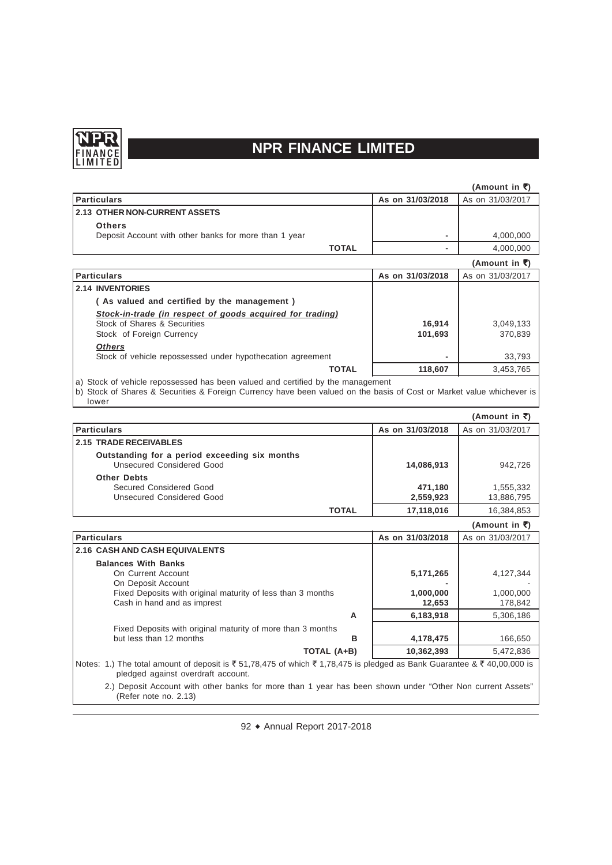

**(Amount in** `**)**

| <b>2.13 OTHER NON-CURRENT ASSETS</b><br><b>Others</b><br>Deposit Account with other banks for more than 1 year |                  | 4,000,000              |
|----------------------------------------------------------------------------------------------------------------|------------------|------------------------|
|                                                                                                                |                  |                        |
|                                                                                                                |                  |                        |
|                                                                                                                |                  |                        |
| <b>TOTAL</b>                                                                                                   |                  | 4,000,000              |
|                                                                                                                |                  | (Amount in $\bar{z}$ ) |
| <b>Particulars</b>                                                                                             | As on 31/03/2018 | As on 31/03/2017       |
| <b>2.14 INVENTORIES</b>                                                                                        |                  |                        |
| (As valued and certified by the management)                                                                    |                  |                        |
| Stock-in-trade (in respect of goods acquired for trading)                                                      |                  |                        |
| Stock of Shares & Securities                                                                                   | 16,914           | 3,049,133              |
| Stock of Foreign Currency                                                                                      | 101,693          | 370,839                |
| <b>Others</b>                                                                                                  |                  |                        |
| Stock of vehicle repossessed under hypothecation agreement                                                     |                  | 33,793                 |
| <b>TOTAL</b>                                                                                                   | 118,607          | 3,453,765              |

a) Stock of vehicle repossessed has been valued and certified by the management

b) Stock of Shares & Securities & Foreign Currency have been valued on the basis of Cost or Market value whichever is lower

|                                                                            |              |                      | (Amount in $\bar{z}$ )  |
|----------------------------------------------------------------------------|--------------|----------------------|-------------------------|
| <b>Particulars</b>                                                         |              | As on 31/03/2018     | As on 31/03/2017        |
| 2.15 TRADE RECEIVABLES                                                     |              |                      |                         |
| Outstanding for a period exceeding six months<br>Unsecured Considered Good |              | 14,086,913           | 942.726                 |
| <b>Other Debts</b><br>Secured Considered Good<br>Unsecured Considered Good |              | 471,180<br>2,559,923 | 1,555,332<br>13,886,795 |
|                                                                            | <b>TOTAL</b> | 17,118,016           | 16,384,853              |

|                                                                                                                                                                      |                                  | (Amount in $\bar{z}$ )            |
|----------------------------------------------------------------------------------------------------------------------------------------------------------------------|----------------------------------|-----------------------------------|
| <b>Particulars</b>                                                                                                                                                   | As on 31/03/2018                 | As on 31/03/2017                  |
| <b>2.16 CASH AND CASH EQUIVALENTS</b>                                                                                                                                |                                  |                                   |
| <b>Balances With Banks</b><br>On Current Account<br>On Deposit Account<br>Fixed Deposits with original maturity of less than 3 months<br>Cash in hand and as imprest | 5,171,265<br>1,000,000<br>12,653 | 4,127,344<br>1,000,000<br>178,842 |
| A                                                                                                                                                                    | 6,183,918                        | 5,306,186                         |
| Fixed Deposits with original maturity of more than 3 months<br>but less than 12 months<br>в<br>TOTAL (A+B)                                                           | 4,178,475<br>10,362,393          | 166,650<br>5,472,836              |
| Notes: 1.) The total amount of deposit is ₹ 51,78,475 of which ₹ 1,78,475 is pledged as Bank Guarantee & ₹ 40,00,000 is<br>pledged against overdraft account.        |                                  |                                   |
| 2.) Deposit Account with other banks for more than 1 year has been shown under "Other Non current Assets"                                                            |                                  |                                   |

2.) Deposit Account with other banks for more than 1 year has been shown under "Other Non current Assets" (Refer note no. 2.13)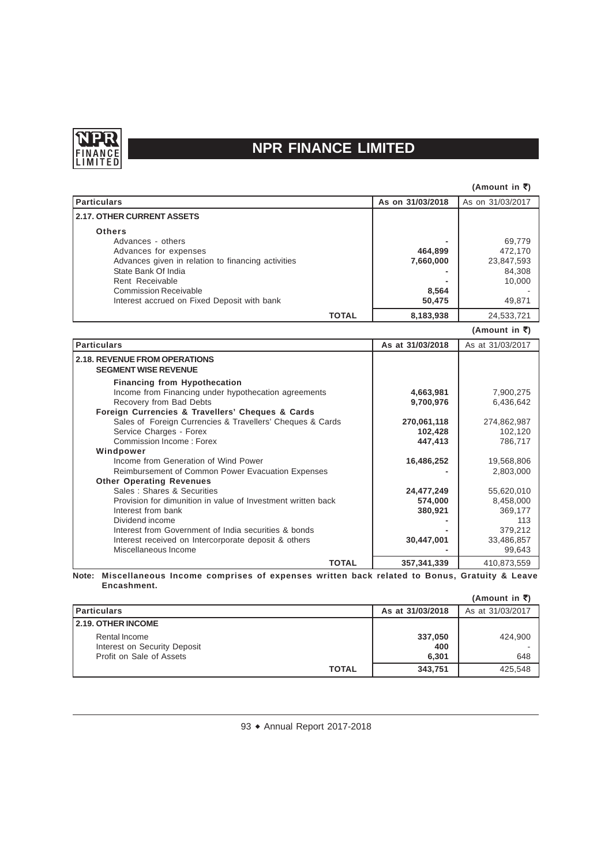

#### $(Amount in **3**)$

| <b>2.17. OTHER CURRENT ASSETS</b>                                                            |              |                              | As on 31/03/2017               |
|----------------------------------------------------------------------------------------------|--------------|------------------------------|--------------------------------|
|                                                                                              |              |                              |                                |
| Others<br>Advances - others<br>Advances for expenses                                         |              | 464,899                      | 69,779<br>472,170              |
| Advances given in relation to financing activities<br>State Bank Of India<br>Rent Receivable |              | 7,660,000                    | 23,847,593<br>84,308<br>10,000 |
| <b>Commission Receivable</b><br>Interest accrued on Fixed Deposit with bank                  | <b>TOTAL</b> | 8,564<br>50,475<br>8,183,938 | 49,871<br>24,533,721           |

**(Amount in** `**)**

| <b>Particulars</b>                                                                                                                                                         | As at 31/03/2018                  | As at 31/03/2017                       |
|----------------------------------------------------------------------------------------------------------------------------------------------------------------------------|-----------------------------------|----------------------------------------|
| <b>2.18. REVENUE FROM OPERATIONS</b><br><b>SEGMENT WISE REVENUE</b>                                                                                                        |                                   |                                        |
| <b>Financing from Hypothecation</b><br>Income from Financing under hypothecation agreements<br>Recovery from Bad Debts<br>Foreign Currencies & Travellers' Cheques & Cards | 4,663,981<br>9,700,976            | 7,900,275<br>6,436,642                 |
| Sales of Foreign Currencies & Travellers' Cheques & Cards<br>Service Charges - Forex<br>Commission Income: Forex                                                           | 270,061,118<br>102,428<br>447,413 | 274,862,987<br>102,120<br>786.717      |
| Windpower<br>Income from Generation of Wind Power<br>Reimbursement of Common Power Evacuation Expenses                                                                     | 16,486,252                        | 19,568,806<br>2,803,000                |
| <b>Other Operating Revenues</b><br>Sales: Shares & Securities<br>Provision for dimunition in value of Investment written back<br>Interest from bank                        | 24,477,249<br>574,000<br>380,921  | 55,620,010<br>8,458,000<br>369,177     |
| Dividend income<br>Interest from Government of India securities & bonds<br>Interest received on Intercorporate deposit & others<br>Miscellaneous Income                    | 30,447,001                        | 113<br>379,212<br>33,486,857<br>99,643 |
| <b>TOTAL</b>                                                                                                                                                               | 357,341,339                       | 410,873,559                            |

**Note: Miscellaneous Income comprises of expenses written back related to Bonus, Gratuity & Leave Encashment.**

|                                               |              |                  | (Amount in ₹)    |
|-----------------------------------------------|--------------|------------------|------------------|
| <b>Particulars</b>                            |              | As at 31/03/2018 | As at 31/03/2017 |
| 2.19. OTHER INCOME                            |              |                  |                  |
| Rental Income<br>Interest on Security Deposit |              | 337,050<br>400   | 424.900          |
| Profit on Sale of Assets                      |              | 6,301            | 648              |
|                                               | <b>TOTAL</b> | 343.751          | 425.548          |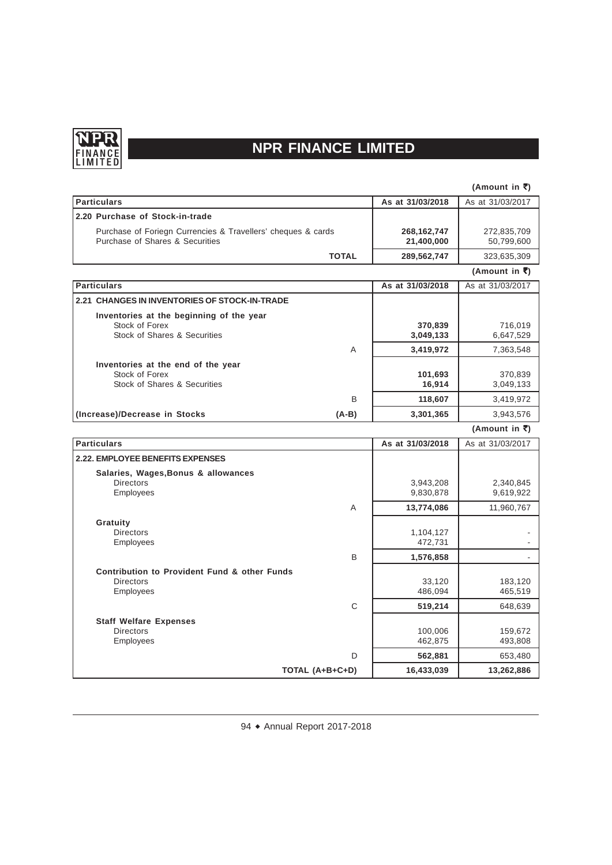

 $(Amount in **3**)$ 

| <b>Particulars</b>                                                                              | As at 31/03/2018          | As at 31/03/2017          |
|-------------------------------------------------------------------------------------------------|---------------------------|---------------------------|
| 2.20 Purchase of Stock-in-trade                                                                 |                           |                           |
| Purchase of Foriegn Currencies & Travellers' cheques & cards<br>Purchase of Shares & Securities | 268,162,747<br>21,400,000 | 272,835,709<br>50,799,600 |
| <b>TOTAL</b>                                                                                    | 289,562,747               | 323,635,309               |
|                                                                                                 |                           | (Amount in ₹)             |
| <b>Particulars</b>                                                                              | As at 31/03/2018          | As at 31/03/2017          |
| <b>2.21 CHANGES IN INVENTORIES OF STOCK-IN-TRADE</b>                                            |                           |                           |
| Inventories at the beginning of the year<br>Stock of Forex<br>Stock of Shares & Securities      | 370,839<br>3,049,133      | 716,019<br>6,647,529      |
| A                                                                                               | 3,419,972                 | 7,363,548                 |
| Inventories at the end of the year<br>Stock of Forex<br>Stock of Shares & Securities            | 101,693<br>16,914         | 370,839<br>3,049,133      |
| B                                                                                               | 118,607                   | 3,419,972                 |
| (Increase)/Decrease in Stocks<br>$(A-B)$                                                        | 3,301,365                 | 3,943,576                 |
|                                                                                                 |                           | (Amount in ₹)             |
|                                                                                                 |                           |                           |
| <b>Particulars</b>                                                                              | As at 31/03/2018          | As at 31/03/2017          |
| <b>2.22. EMPLOYEE BENEFITS EXPENSES</b>                                                         |                           |                           |
| Salaries, Wages, Bonus & allowances                                                             |                           |                           |
| <b>Directors</b>                                                                                | 3,943,208                 | 2,340,845                 |
| Employees                                                                                       | 9,830,878                 | 9,619,922                 |
| A                                                                                               | 13,774,086                | 11,960,767                |
| Gratuity<br><b>Directors</b><br>Employees                                                       | 1,104,127<br>472,731      |                           |
| B                                                                                               | 1,576,858                 |                           |
| Contribution to Provident Fund & other Funds<br><b>Directors</b><br>Employees                   | 33,120<br>486,094         | 183,120<br>465,519        |
| C                                                                                               | 519,214                   | 648,639                   |
| <b>Staff Welfare Expenses</b><br><b>Directors</b><br>Employees                                  | 100,006<br>462,875        | 159,672<br>493,808        |
| D                                                                                               | 562,881                   | 653,480                   |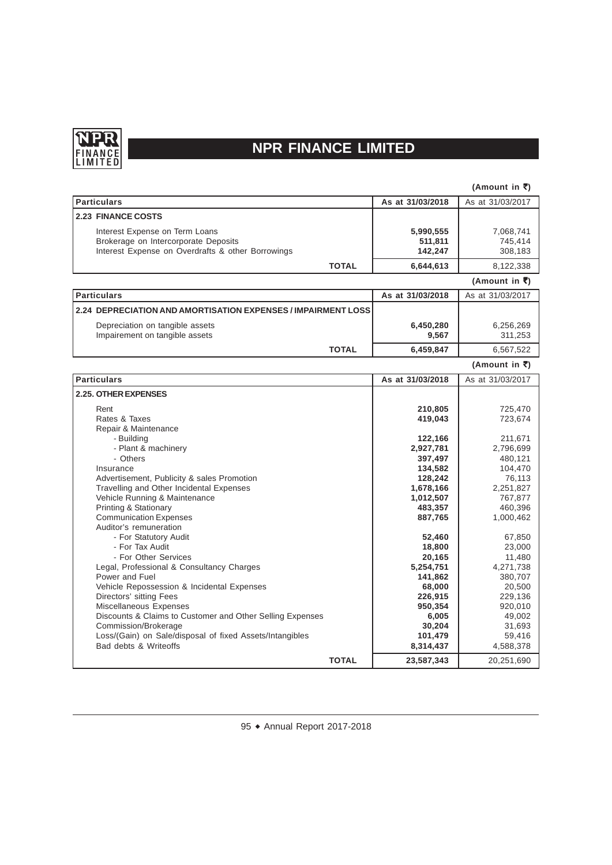

**(Amount in** `**)**

| <b>Particulars</b>                                                   | As at 31/03/2018     | As at 31/03/2017    |
|----------------------------------------------------------------------|----------------------|---------------------|
| <b>2.23 FINANCE COSTS</b>                                            |                      |                     |
|                                                                      |                      |                     |
| Interest Expense on Term Loans                                       | 5,990,555            | 7,068,741           |
| Brokerage on Intercorporate Deposits                                 | 511,811              | 745,414             |
| Interest Expense on Overdrafts & other Borrowings                    | 142,247              | 308,183             |
| <b>TOTAL</b>                                                         | 6,644,613            | 8,122,338           |
|                                                                      |                      | (Amount in ₹)       |
| <b>Particulars</b>                                                   | As at 31/03/2018     | As at 31/03/2017    |
| <b>2.24 DEPRECIATION AND AMORTISATION EXPENSES / IMPAIRMENT LOSS</b> |                      |                     |
| Depreciation on tangible assets                                      | 6,450,280            | 6,256,269           |
| Impairement on tangible assets                                       | 9,567                | 311,253             |
| <b>TOTAL</b>                                                         | 6,459,847            | 6,567,522           |
|                                                                      |                      | (Amount in ₹)       |
| <b>Particulars</b>                                                   | As at 31/03/2018     | As at 31/03/2017    |
| <b>2.25. OTHER EXPENSES</b>                                          |                      |                     |
|                                                                      |                      |                     |
| Rent                                                                 | 210,805              | 725,470             |
| Rates & Taxes                                                        | 419,043              | 723,674             |
| Repair & Maintenance                                                 |                      |                     |
| - Building                                                           | 122,166              | 211,671             |
| - Plant & machinery                                                  | 2,927,781            | 2,796,699           |
| - Others                                                             | 397,497              | 480,121             |
| Insurance<br>Advertisement, Publicity & sales Promotion              | 134,582              | 104,470             |
| Travelling and Other Incidental Expenses                             | 128,242<br>1,678,166 | 76,113<br>2,251,827 |
| Vehicle Running & Maintenance                                        | 1,012,507            | 767,877             |
| Printing & Stationary                                                | 483,357              | 460,396             |
| <b>Communication Expenses</b>                                        | 887,765              | 1,000,462           |
| Auditor's remuneration                                               |                      |                     |
| - For Statutory Audit                                                | 52,460               | 67,850              |
| - For Tax Audit                                                      | 18,800               | 23,000              |
| - For Other Services                                                 | 20,165               | 11,480              |
| Legal, Professional & Consultancy Charges                            | 5,254,751            | 4,271,738           |
| Power and Fuel                                                       | 141,862              | 380,707             |
| Vehicle Repossession & Incidental Expenses                           | 68,000               | 20,500              |
| Directors' sitting Fees                                              | 226,915              | 229,136             |
| Miscellaneous Expenses                                               | 950,354              | 920,010             |
| Discounts & Claims to Customer and Other Selling Expenses            | 6,005                | 49,002              |
| Commission/Brokerage                                                 | 30,204               | 31,693              |
| Loss/(Gain) on Sale/disposal of fixed Assets/Intangibles             | 101,479              | 59,416              |
| Bad debts & Writeoffs                                                | 8,314,437            | 4,588,378           |
| <b>TOTAL</b>                                                         | 23,587,343           | 20,251,690          |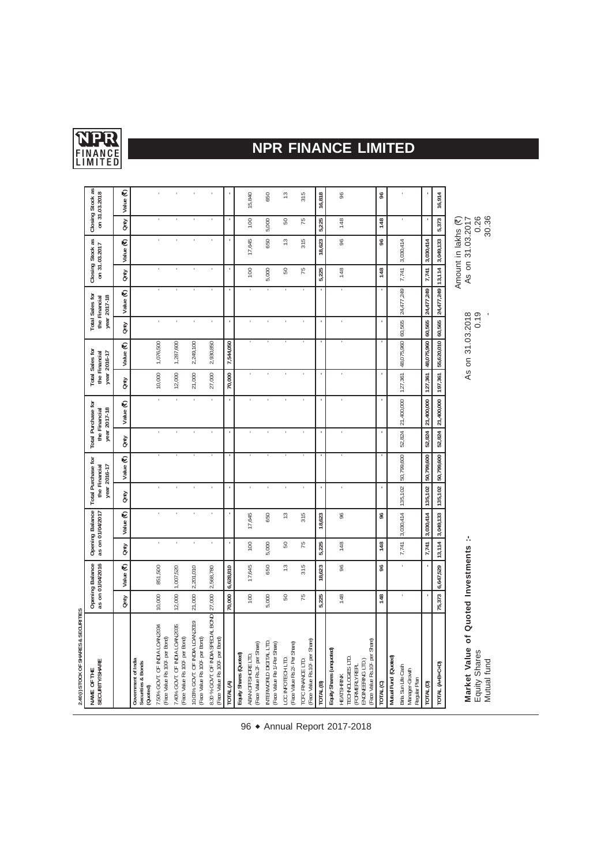

| 2.40 (i) STOCK OF SHARES & SECURITIES                                         |        |                                     |        |                 |         |                                                     |        |                                                     |         |                                                       |         |                                                  |       |                                         |                  |                                   |
|-------------------------------------------------------------------------------|--------|-------------------------------------|--------|-----------------|---------|-----------------------------------------------------|--------|-----------------------------------------------------|---------|-------------------------------------------------------|---------|--------------------------------------------------|-------|-----------------------------------------|------------------|-----------------------------------|
| <b>SECURITY/SHARE</b><br>NAME OF THE                                          |        | Opening Balance<br>as on 01/04/2016 |        | Opening Balance |         | Total Purchase for<br>the Financial<br>year 2016-17 |        | Total Purchase for<br>year 2017-18<br>the Financial |         | Total Sales for<br>the Financial<br>year 2016-17      |         | Total Sales for<br>the Financial<br>year 2017-18 |       | Closing Stock as<br>on 31.03.2017       |                  | Closing Stock as<br>on 31.03.2018 |
|                                                                               | Onty   | Value (₹)                           | Onty   | Value (₹)       | Onty    | Value (₹)                                           | Onty   | Value (₹)                                           | Onty    | Value (                                               | Onty    | Value (                                          | Onty  | Value (<)                               | On <sub>ty</sub> | Value (                           |
| Government of India<br>Securities & Bonds<br>(Quoted)                         |        |                                     |        |                 |         |                                                     |        |                                                     |         |                                                       |         |                                                  |       |                                         |                  |                                   |
| 7.50% GOVT. OF INDIA LOAN,2034<br>Face Value Rs 100'- per Bond)               | 10,000 | 851,500                             |        |                 |         |                                                     |        | $\bar{1}$                                           | 10,000  | 1,076,500                                             | à,      |                                                  |       |                                         |                  |                                   |
| 7.40% GOVT. OF INDIA LOAN,2035<br>Face Value Rs 100'- per Bond)               | 12,000 | 1,007,520                           |        |                 |         |                                                     |        | $\bar{1}$                                           | 12,000  | 1,287,600                                             | l,      |                                                  |       |                                         |                  |                                   |
| 10.03% GOVT. OF INDIA LOAN,2019<br>(Face Value Rs 100'- per Bond)             | 21,000 | 2,201,010                           |        |                 |         |                                                     |        | ò.                                                  | 21,000  | 2,249,100                                             | ï       |                                                  |       |                                         | i,               |                                   |
| 8.30 % GOVT. OF INDIA SPECIAL BOND 27,000<br>Face Value Rs 100'- per Bond)    |        | 2,568,780                           |        |                 |         |                                                     |        | $\bar{e}$                                           | 27,000  | 2,930,850                                             | ï       |                                                  |       |                                         |                  |                                   |
| TOTAL (A)                                                                     | 70,000 | 6,628,810                           |        |                 |         |                                                     |        | j,                                                  | 70,000  | 7,544,050                                             |         |                                                  |       |                                         |                  |                                   |
| (Face Value Rs.2/- per Share)<br>Equity Shares (Quoted)<br>ABAN OFFSHORE LTD. | 100    | 17,645                              | 100    | 17,645          |         |                                                     |        |                                                     |         |                                                       |         |                                                  | 100   | 17,645                                  | 100              | 15,840                            |
| INTERWORLD DIGITAL LTD.<br>(Face Value Re 1/-Per Share)                       | 5,000  | 650                                 | 5,000  | 650             |         |                                                     |        | $\bar{1}$                                           |         |                                                       |         |                                                  | 5,000 | 650                                     | 5,000            | 650                               |
| (Face Value Rs 2/- Per Share)<br>.CC INFOTECH LTD.                            | 50     | $\tilde{c}$                         | 50     | $\frac{1}{2}$   |         |                                                     |        |                                                     |         |                                                       |         |                                                  | 50    | $\tilde{c}$                             | $50\,$           | $\frac{1}{2}$                     |
| Face Value Rs.10'- per Share)<br>TCFC FINANCE LTD.                            | 75     | 315                                 | 75     | 315             |         |                                                     |        | $\epsilon$                                          |         |                                                       |         |                                                  | 75    | 315                                     | 75               | 315                               |
| <b>TOTAL (B)</b>                                                              | 5,225  | 18,623                              | 5,225  | 18,623          |         |                                                     |        |                                                     |         |                                                       |         |                                                  | 5,225 | 18,623                                  | 5,225            | 16,818                            |
| Equity Shares (unquoted)<br>TECHNOLOGIES LTD.<br><b>IEATSHRINK</b>            | 148    | 96                                  | 148    | 96              |         |                                                     |        |                                                     |         |                                                       | i,      |                                                  | 148   | 96                                      | 148              | 96                                |
| Face Value Rs.10 - per Share)<br>ENGINEE RING LTD.)<br>(FORMERLY REPL         |        |                                     |        |                 |         |                                                     |        |                                                     |         |                                                       |         |                                                  |       |                                         |                  |                                   |
| [OTAL(C)                                                                      | 148    | 96                                  | 148    | 96              | ï       |                                                     |        | ï                                                   | J.      |                                                       | $\cdot$ |                                                  | 148   | 96                                      | 148              | 96                                |
| Mutual Fund (Quoted)<br>Birla Sun Life Cash<br>Manager-Growth<br>Regular Plan |        |                                     | 7,741  | 3,030,414       | 135,102 | 50,799,600                                          | 52,824 | 21,400,000                                          | 127,361 | 48,075,960 60,565                                     |         | 24,477,249                                       | 7,741 | 3,030,414                               | $\bar{1}$        |                                   |
| TOTAL (D)                                                                     |        |                                     | 7,741  | 3,030,414       | 135,102 | 50,799,600                                          |        | 52,824 21,400,000                                   |         | 127,361 48,075,960 60,565 24,477,249                  |         |                                                  | 7,741 | 3,030,414                               |                  |                                   |
| TOTAL (A+B+C+D)                                                               |        | 75,373 6,647,529                    | 13,114 | 3,049,133       | 135,102 | 50,799,600                                          |        | 52,824 21,400,000                                   |         | 197,361 55,620,010 60,565 24,477,249 13,114 3,049,133 |         |                                                  |       |                                         | 5,373            | 16,914                            |
| Market Value of Quoted Investments<br>Equity Shares<br>Mutual fund            |        |                                     | Ą,     |                 |         |                                                     |        |                                                     |         | As on 31.03.2018                                      | 0.19    |                                                  |       | As on 31.03.2017<br>Amount in lakhs (₹) | 30.36<br>0.26    |                                   |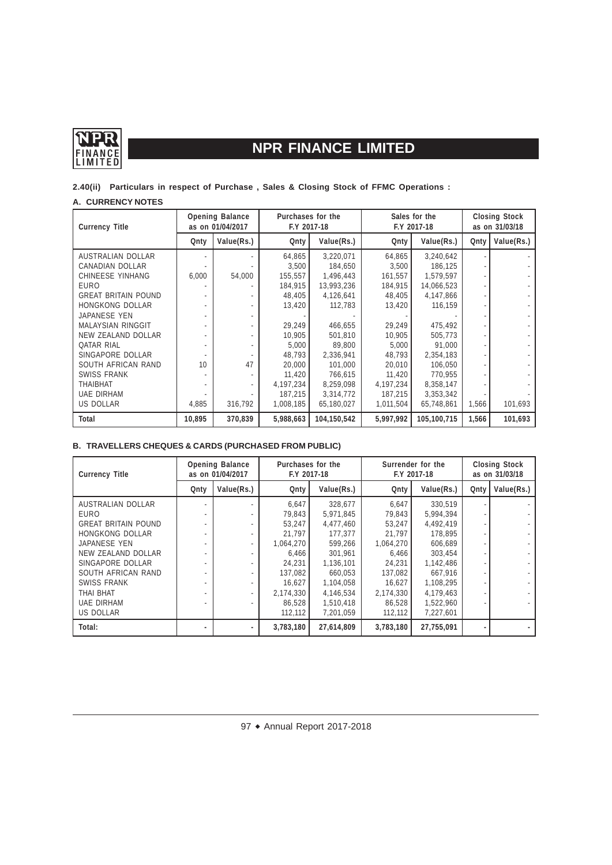

#### **2.40(ii) Particulars in respect of Purchase , Sales & Closing Stock of FFMC Operations :**

#### **A. CURRENCY NOTES**

| <b>Currency Title</b>      |        | Opening Balance<br>as on 01/04/2017 | Purchases for the<br>F.Y 2017-18 |             |           | Sales for the<br>F.Y 2017-18 |       | <b>Closing Stock</b><br>as on 31/03/18 |
|----------------------------|--------|-------------------------------------|----------------------------------|-------------|-----------|------------------------------|-------|----------------------------------------|
|                            | Qnty   | Value(Rs.)                          | Qnty                             | Value(Rs.)  | Qnty      | Value(Rs.)                   | Qnty  | Value(Rs.)                             |
| AUSTRALIAN DOLLAR          |        |                                     | 64,865                           | 3,220,071   | 64,865    | 3,240,642                    |       |                                        |
| CANADIAN DOLLAR            |        |                                     | 3,500                            | 184,650     | 3,500     | 186,125                      |       |                                        |
| CHINEESE YINHANG           | 6.000  | 54,000                              | 155,557                          | 1,496,443   | 161,557   | 1,579,597                    |       |                                        |
| <b>EURO</b>                |        |                                     | 184.915                          | 13,993,236  | 184.915   | 14,066,523                   |       |                                        |
| <b>GREAT BRITAIN POUND</b> |        |                                     | 48,405                           | 4,126,641   | 48,405    | 4,147,866                    |       |                                        |
| <b>HONGKONG DOLLAR</b>     |        |                                     | 13,420                           | 112,783     | 13,420    | 116,159                      |       |                                        |
| JAPANESE YEN               |        |                                     |                                  |             |           |                              |       |                                        |
| MALAYSIAN RINGGIT          |        |                                     | 29,249                           | 466,655     | 29,249    | 475,492                      |       |                                        |
| NEW ZEALAND DOLLAR         |        |                                     | 10,905                           | 501.810     | 10,905    | 505,773                      |       |                                        |
| <b>QATAR RIAL</b>          |        |                                     | 5,000                            | 89,800      | 5,000     | 91,000                       |       |                                        |
| SINGAPORE DOLLAR           |        |                                     | 48,793                           | 2,336,941   | 48,793    | 2,354,183                    |       |                                        |
| SOUTH AFRICAN RAND         | 10     | 47                                  | 20,000                           | 101.000     | 20.010    | 106.050                      |       |                                        |
| <b>SWISS FRANK</b>         |        |                                     | 11,420                           | 766,615     | 11,420    | 770,955                      |       |                                        |
| <b>THAIBHAT</b>            |        |                                     | 4,197,234                        | 8,259,098   | 4,197,234 | 8,358,147                    |       |                                        |
| <b>UAE DIRHAM</b>          |        |                                     | 187,215                          | 3,314,772   | 187,215   | 3,353,342                    |       |                                        |
| <b>US DOLLAR</b>           | 4,885  | 316,792                             | 1,008,185                        | 65,180,027  | 1,011,504 | 65,748,861                   | 1,566 | 101,693                                |
| Total                      | 10,895 | 370,839                             | 5,988,663                        | 104,150,542 | 5,997,992 | 105,100,715                  | 1,566 | 101,693                                |

### **B. TRAVELLERS CHEQUES & CARDS (PURCHASED FROM PUBLIC)**

| <b>Currency Title</b>      |      | Opening Balance<br>as on 01/04/2017 | Purchases for the<br>F.Y 2017-18 |            |           | Surrender for the<br>F.Y 2017-18 |      | <b>Closing Stock</b><br>as on 31/03/18 |
|----------------------------|------|-------------------------------------|----------------------------------|------------|-----------|----------------------------------|------|----------------------------------------|
|                            | Qnty | Value(Rs.)                          | Qnty                             | Value(Rs.) | Qnty      | Value(Rs.)                       | Qnty | Value(Rs.)                             |
| AUSTRALIAN DOLLAR          |      |                                     | 6,647                            | 328,677    | 6,647     | 330,519                          |      |                                        |
| <b>EURO</b>                |      |                                     | 79,843                           | 5,971,845  | 79.843    | 5,994,394                        |      |                                        |
| <b>GREAT BRITAIN POUND</b> |      |                                     | 53.247                           | 4,477,460  | 53.247    | 4,492,419                        |      |                                        |
| <b>HONGKONG DOLLAR</b>     |      |                                     | 21.797                           | 177,377    | 21.797    | 178,895                          |      |                                        |
| JAPANESE YEN               |      |                                     | 1,064,270                        | 599.266    | 1,064,270 | 606,689                          |      |                                        |
| NEW ZEALAND DOLLAR         |      |                                     | 6,466                            | 301,961    | 6.466     | 303,454                          |      |                                        |
| SINGAPORE DOLLAR           |      |                                     | 24,231                           | 1,136,101  | 24,231    | 1,142,486                        |      |                                        |
| SOUTH AFRICAN RAND         |      |                                     | 137.082                          | 660.053    | 137.082   | 667.916                          |      |                                        |
| <b>SWISS FRANK</b>         |      |                                     | 16.627                           | 1,104,058  | 16.627    | 1,108,295                        |      |                                        |
| THAI BHAT                  |      |                                     | 2,174,330                        | 4,146,534  | 2,174,330 | 4,179,463                        |      |                                        |
| <b>UAE DIRHAM</b>          |      |                                     | 86,528                           | 1,510,418  | 86.528    | 1,522,960                        |      |                                        |
| <b>US DOLLAR</b>           |      |                                     | 112,112                          | 7,201,059  | 112,112   | 7,227,601                        |      |                                        |
| Total:                     |      |                                     | 3,783,180                        | 27,614,809 | 3,783,180 | 27,755,091                       |      |                                        |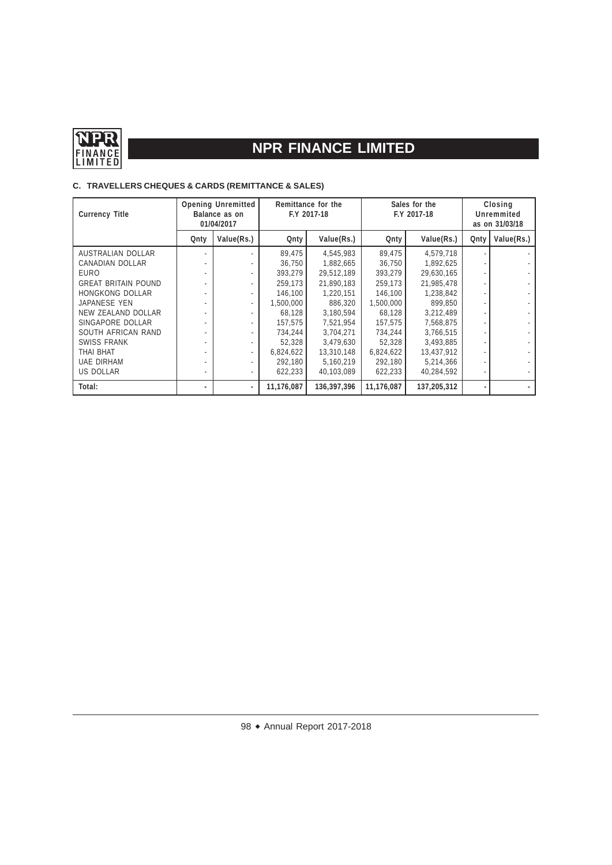

#### **C. TRAVELLERS CHEQUES & CARDS (REMITTANCE & SALES)**

| <b>Currency Title</b>      |      | <b>Opening Unremitted</b><br>Balance as on<br>01/04/2017 |            | Remittance for the<br>F.Y 2017-18 |            | Sales for the<br>F.Y 2017-18 |      | Closing<br>Unremmited<br>as on 31/03/18 |
|----------------------------|------|----------------------------------------------------------|------------|-----------------------------------|------------|------------------------------|------|-----------------------------------------|
|                            | Qnty | Value(Rs.)                                               | Qnty       | Value(Rs.)                        | Qnty       | Value(Rs.)                   | Qnty | Value(Rs.)                              |
| AUSTRALIAN DOLLAR          |      |                                                          | 89.475     | 4.545.983                         | 89.475     | 4.579.718                    |      |                                         |
| CANADIAN DOLLAR            |      |                                                          | 36,750     | 1,882,665                         | 36,750     | 1,892,625                    |      |                                         |
| <b>EURO</b>                |      |                                                          | 393.279    | 29,512,189                        | 393.279    | 29,630,165                   |      |                                         |
| <b>GREAT BRITAIN POUND</b> |      |                                                          | 259.173    | 21.890.183                        | 259.173    | 21,985,478                   |      |                                         |
| <b>HONGKONG DOLLAR</b>     |      |                                                          | 146,100    | 1,220,151                         | 146,100    | 1,238,842                    |      |                                         |
| JAPANESE YEN               |      |                                                          | 1,500,000  | 886,320                           | 1,500,000  | 899.850                      |      |                                         |
| NEW ZEALAND DOLLAR         |      |                                                          | 68.128     | 3.180.594                         | 68.128     | 3.212.489                    |      |                                         |
| SINGAPORE DOLLAR           |      |                                                          | 157.575    | 7,521,954                         | 157,575    | 7,568,875                    |      |                                         |
| SOUTH AFRICAN RAND         |      |                                                          | 734.244    | 3,704,271                         | 734,244    | 3,766,515                    |      |                                         |
| <b>SWISS FRANK</b>         |      |                                                          | 52,328     | 3,479,630                         | 52,328     | 3,493,885                    |      |                                         |
| THAI BHAT                  |      |                                                          | 6,824,622  | 13,310,148                        | 6,824,622  | 13,437,912                   |      |                                         |
| <b>UAE DIRHAM</b>          |      |                                                          | 292.180    | 5,160,219                         | 292,180    | 5,214,366                    |      |                                         |
| US DOLLAR                  |      |                                                          | 622,233    | 40,103,089                        | 622,233    | 40,284,592                   |      |                                         |
| Total:                     |      |                                                          | 11,176,087 | 136,397,396                       | 11,176,087 | 137,205,312                  |      |                                         |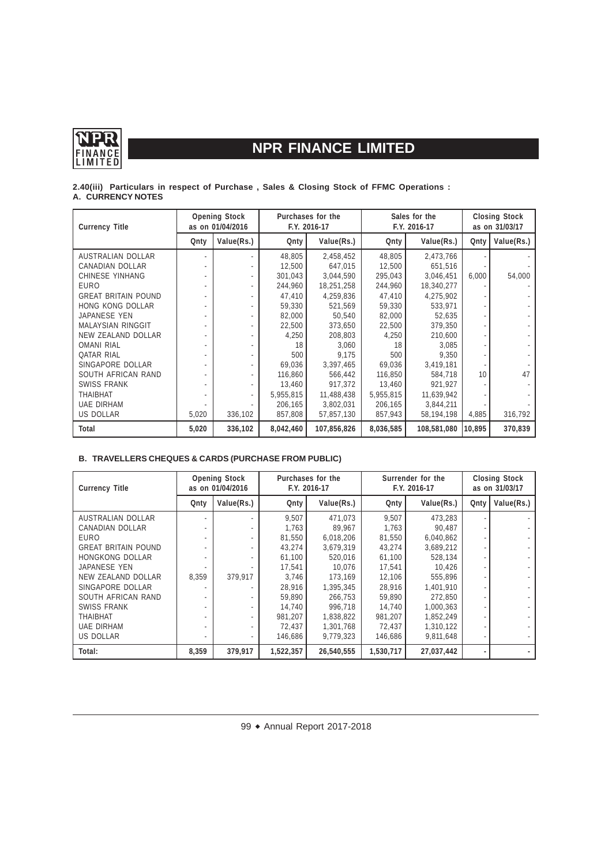

#### **2.40(iii) Particulars in respect of Purchase , Sales & Closing Stock of FFMC Operations : A. CURRENCY NOTES**

| <b>Currency Title</b>      |       | <b>Opening Stock</b><br>as on 01/04/2016 |           | Purchases for the<br>F.Y. 2016-17 |           | Sales for the<br>F.Y. 2016-17 |        | <b>Closing Stock</b><br>as on 31/03/17 |
|----------------------------|-------|------------------------------------------|-----------|-----------------------------------|-----------|-------------------------------|--------|----------------------------------------|
|                            | Qnty  | Value(Rs.)                               | Qnty      | Value(Rs.)                        | Qnty      | Value(Rs.)                    | Qnty   | Value(Rs.)                             |
| AUSTRALIAN DOLLAR          |       |                                          | 48,805    | 2,458,452                         | 48,805    | 2,473,766                     |        |                                        |
| CANADIAN DOLLAR            |       |                                          | 12,500    | 647,015                           | 12,500    | 651,516                       |        |                                        |
| <b>CHINESE YINHANG</b>     |       |                                          | 301,043   | 3,044,590                         | 295,043   | 3,046,451                     | 6,000  | 54,000                                 |
| EURO                       |       |                                          | 244,960   | 18,251,258                        | 244,960   | 18,340,277                    |        |                                        |
| <b>GREAT BRITAIN POUND</b> |       |                                          | 47.410    | 4,259,836                         | 47.410    | 4,275,902                     |        |                                        |
| HONG KONG DOLLAR           |       |                                          | 59,330    | 521,569                           | 59,330    | 533,971                       |        |                                        |
| JAPANESE YEN               |       |                                          | 82,000    | 50,540                            | 82,000    | 52,635                        |        |                                        |
| MALAYSIAN RINGGIT          |       |                                          | 22,500    | 373,650                           | 22,500    | 379,350                       |        |                                        |
| NEW ZEALAND DOLLAR         |       |                                          | 4,250     | 208,803                           | 4,250     | 210,600                       |        |                                        |
| <b>OMANI RIAL</b>          |       |                                          | 18        | 3,060                             | 18        | 3.085                         |        |                                        |
| <b>QATAR RIAL</b>          |       |                                          | 500       | 9,175                             | 500       | 9,350                         |        |                                        |
| SINGAPORE DOLLAR           |       |                                          | 69,036    | 3,397,465                         | 69,036    | 3,419,181                     |        |                                        |
| SOUTH AFRICAN RAND         |       |                                          | 116,860   | 566,442                           | 116,850   | 584,718                       | 10     | 47                                     |
| <b>SWISS FRANK</b>         |       |                                          | 13,460    | 917,372                           | 13,460    | 921.927                       |        |                                        |
| THAIBHAT                   |       |                                          | 5,955,815 | 11,488,438                        | 5,955,815 | 11,639,942                    |        |                                        |
| <b>UAE DIRHAM</b>          |       |                                          | 206,165   | 3,802,031                         | 206,165   | 3,844,211                     |        |                                        |
| <b>US DOLLAR</b>           | 5,020 | 336,102                                  | 857,808   | 57,857,130                        | 857,943   | 58,194,198                    | 4,885  | 316,792                                |
| Total                      | 5,020 | 336,102                                  | 8,042,460 | 107,856,826                       | 8,036,585 | 108,581,080                   | 10,895 | 370,839                                |

#### **B. TRAVELLERS CHEQUES & CARDS (PURCHASE FROM PUBLIC)**

| <b>Currency Title</b>      |       | <b>Opening Stock</b><br>as on 01/04/2016 |           | Purchases for the<br>F.Y. 2016-17 |           | Surrender for the<br>F.Y. 2016-17 |      | <b>Closing Stock</b><br>as on 31/03/17 |
|----------------------------|-------|------------------------------------------|-----------|-----------------------------------|-----------|-----------------------------------|------|----------------------------------------|
|                            | Qnty  | Value(Rs.)                               | Qnty      | Value(Rs.)                        | Qnty      | Value(Rs.)                        | Qnty | Value(Rs.)                             |
| AUSTRALIAN DOLLAR          |       |                                          | 9.507     | 471.073                           | 9.507     | 473.283                           |      |                                        |
| CANADIAN DOLLAR            |       |                                          | 1.763     | 89.967                            | 1.763     | 90.487                            |      |                                        |
| <b>EURO</b>                |       |                                          | 81.550    | 6,018,206                         | 81.550    | 6,040,862                         |      |                                        |
| <b>GREAT BRITAIN POUND</b> |       |                                          | 43,274    | 3,679,319                         | 43,274    | 3,689,212                         |      |                                        |
| <b>HONGKONG DOLLAR</b>     |       |                                          | 61,100    | 520.016                           | 61,100    | 528,134                           |      |                                        |
| JAPANESE YEN               |       |                                          | 17,541    | 10,076                            | 17,541    | 10,426                            |      |                                        |
| NEW ZEALAND DOLLAR         | 8,359 | 379,917                                  | 3,746     | 173,169                           | 12,106    | 555,896                           |      |                                        |
| SINGAPORE DOLLAR           |       |                                          | 28,916    | 1,395,345                         | 28,916    | 1,401,910                         |      |                                        |
| SOUTH AFRICAN RAND         |       |                                          | 59.890    | 266,753                           | 59,890    | 272,850                           |      |                                        |
| <b>SWISS FRANK</b>         |       |                                          | 14.740    | 996.718                           | 14.740    | 1.000.363                         |      |                                        |
| <b>THAIBHAT</b>            |       |                                          | 981.207   | 1.838.822                         | 981.207   | 1.852.249                         |      |                                        |
| <b>UAE DIRHAM</b>          |       |                                          | 72.437    | 1,301,768                         | 72.437    | 1,310,122                         |      |                                        |
| US DOLLAR                  |       |                                          | 146,686   | 9,779,323                         | 146,686   | 9,811,648                         |      |                                        |
| Total:                     | 8,359 | 379,917                                  | 1,522,357 | 26,540,555                        | 1,530,717 | 27,037,442                        |      |                                        |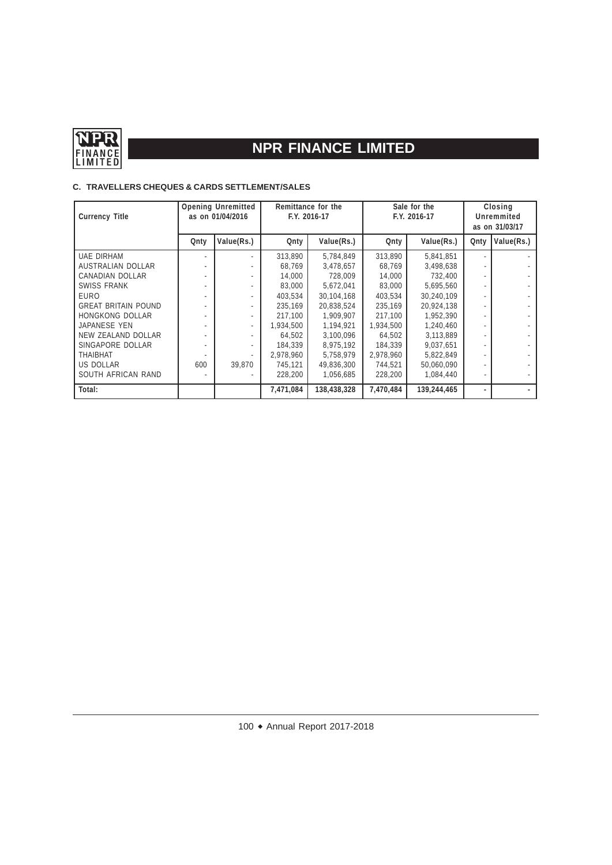

#### **C. TRAVELLERS CHEQUES & CARDS SETTLEMENT/SALES**

| <b>Currency Title</b>      |      | <b>Opening Unremitted</b><br>as on 01/04/2016 |           | Remittance for the<br>F.Y. 2016-17 |           | Sale for the<br>F.Y. 2016-17 |      | Closing<br>Unremmited<br>as on 31/03/17 |
|----------------------------|------|-----------------------------------------------|-----------|------------------------------------|-----------|------------------------------|------|-----------------------------------------|
|                            | Qnty | Value(Rs.)                                    | Qnty      | Value(Rs.)                         | Qnty      | Value(Rs.)                   | Qnty | Value(Rs.)                              |
| <b>UAE DIRHAM</b>          |      |                                               | 313,890   | 5.784.849                          | 313,890   | 5,841,851                    |      |                                         |
| AUSTRALIAN DOLLAR          |      |                                               | 68.769    | 3,478,657                          | 68,769    | 3,498,638                    |      |                                         |
| CANADIAN DOLLAR            |      |                                               | 14.000    | 728.009                            | 14,000    | 732,400                      |      |                                         |
| <b>SWISS FRANK</b>         |      |                                               | 83,000    | 5,672,041                          | 83.000    | 5,695,560                    |      |                                         |
| <b>EURO</b>                |      |                                               | 403.534   | 30.104.168                         | 403.534   | 30.240.109                   | ÷.   |                                         |
| <b>GREAT BRITAIN POUND</b> |      |                                               | 235.169   | 20.838.524                         | 235.169   | 20,924,138                   |      |                                         |
| <b>HONGKONG DOLLAR</b>     |      |                                               | 217.100   | 1.909.907                          | 217.100   | 1,952,390                    |      |                                         |
| JAPANESE YEN               |      |                                               | 1,934,500 | 1,194,921                          | 1,934,500 | 1,240,460                    | ٠    |                                         |
| NEW ZEALAND DOLLAR         |      |                                               | 64.502    | 3,100,096                          | 64.502    | 3,113,889                    |      |                                         |
| SINGAPORE DOLLAR           |      |                                               | 184,339   | 8.975.192                          | 184.339   | 9,037,651                    |      |                                         |
| <b>THAIBHAT</b>            |      |                                               | 2,978,960 | 5,758,979                          | 2,978,960 | 5,822,849                    | ٠    |                                         |
| US DOLLAR                  | 600  | 39,870                                        | 745.121   | 49,836,300                         | 744,521   | 50,060,090                   |      |                                         |
| SOUTH AFRICAN RAND         |      |                                               | 228,200   | 1,056,685                          | 228,200   | 1,084,440                    |      |                                         |
| Total:                     |      |                                               | 7,471,084 | 138,438,328                        | 7,470,484 | 139,244,465                  |      |                                         |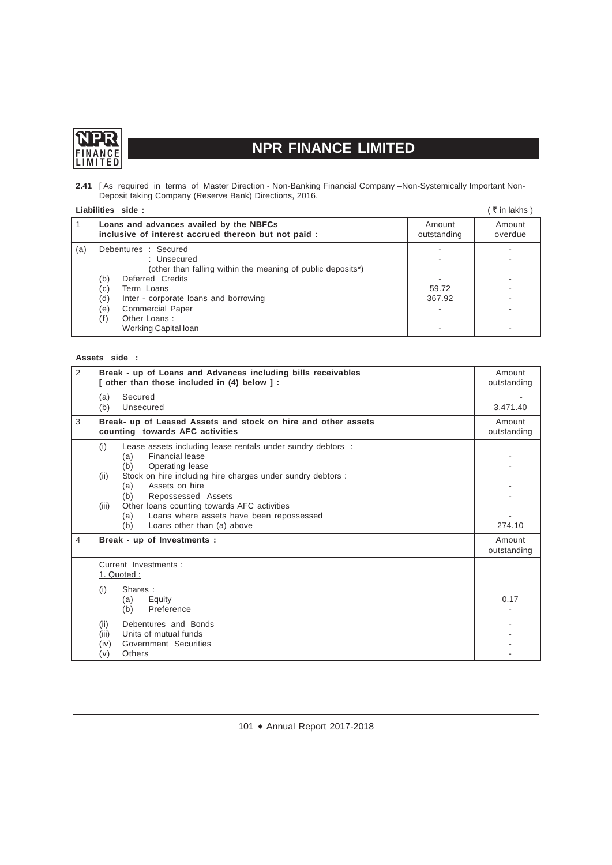

**2.41** [ As required in terms of Master Direction - Non-Banking Financial Company –Non-Systemically Important Non-Deposit taking Company (Reserve Bank) Directions, 2016.

|     |     | Liabilities side:                                                                               |                       | ˈ ₹ in lakhs )    |
|-----|-----|-------------------------------------------------------------------------------------------------|-----------------------|-------------------|
|     |     | Loans and advances availed by the NBFCs<br>inclusive of interest accrued thereon but not paid : | Amount<br>outstanding | Amount<br>overdue |
| (a) |     | Debentures: Secured                                                                             |                       |                   |
|     |     | $:$ Unsecured                                                                                   |                       |                   |
|     |     | (other than falling within the meaning of public deposits*)                                     |                       |                   |
|     | (b) | Deferred Credits                                                                                |                       |                   |
|     | (c) | Term Loans                                                                                      | 59.72                 |                   |
|     | (d) | Inter - corporate loans and borrowing                                                           | 367.92                |                   |
|     | (e) | <b>Commercial Paper</b>                                                                         |                       |                   |
|     | (f) | Other Loans:                                                                                    |                       |                   |
|     |     | Working Capital loan                                                                            |                       |                   |

#### **Assets side :**

| 2 | Break - up of Loans and Advances including bills receivables<br>[ other than those included in (4) below ] :                                 | Amount<br>outstanding |
|---|----------------------------------------------------------------------------------------------------------------------------------------------|-----------------------|
|   | Secured<br>(a)<br>(b)<br>Unsecured                                                                                                           | 3,471.40              |
| 3 | Break- up of Leased Assets and stock on hire and other assets<br>counting towards AFC activities                                             | Amount<br>outstanding |
|   | Lease assets including lease rentals under sundry debtors :<br>(i)<br><b>Financial lease</b><br>(a)<br>(b)<br>Operating lease                |                       |
|   | Stock on hire including hire charges under sundry debtors :<br>(ii)<br>Assets on hire<br>(a)<br>Repossessed Assets<br>(b)                    |                       |
|   | Other loans counting towards AFC activities<br>(iii)<br>Loans where assets have been repossessed<br>(a)<br>(b)<br>Loans other than (a) above | 274.10                |
| 4 | Break - up of Investments :                                                                                                                  | Amount<br>outstanding |
|   | Current Investments:<br>1. Quoted:                                                                                                           |                       |
|   | (i)<br>Shares:<br>Equity<br>(a)<br>Preference<br>(b)                                                                                         | 0.17                  |
|   | Debentures and Bonds<br>(ii)<br>Units of mutual funds<br>(iii)<br>Government Securities<br>(iv)<br>(v)<br>Others                             |                       |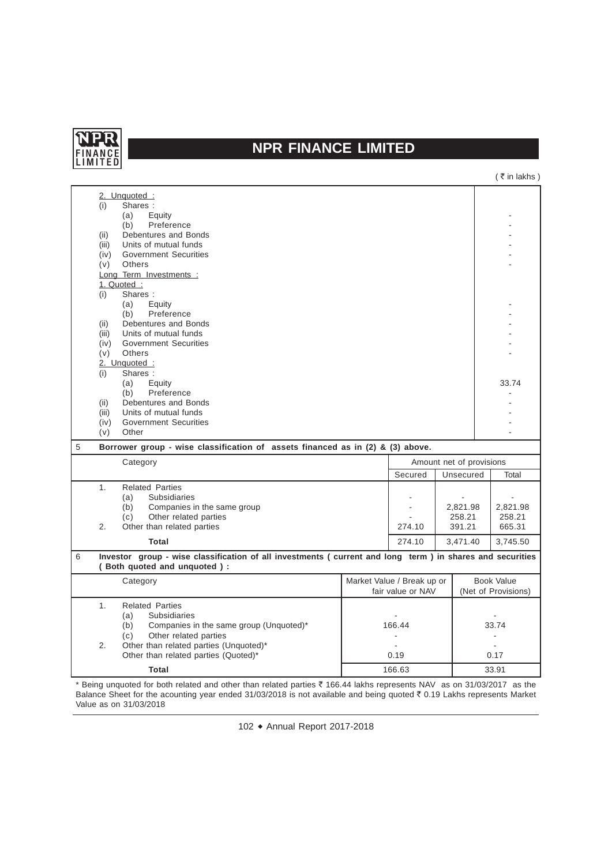

 $($   $\bar{z}$  in lakhs)

|   |                | 2. Unquoted :                                                                                              |                            |                          |                     |
|---|----------------|------------------------------------------------------------------------------------------------------------|----------------------------|--------------------------|---------------------|
|   | (i)            | Shares:                                                                                                    |                            |                          |                     |
|   |                | (a)<br>Equity                                                                                              |                            |                          |                     |
|   |                | (b)<br>Preference                                                                                          |                            |                          |                     |
|   | (ii)           | Debentures and Bonds                                                                                       |                            |                          |                     |
|   | (iii)          | Units of mutual funds                                                                                      |                            |                          |                     |
|   |                | <b>Government Securities</b>                                                                               |                            |                          |                     |
|   | (iv)           |                                                                                                            |                            |                          |                     |
|   | (v)            | Others                                                                                                     |                            |                          |                     |
|   |                | Long Term Investments :                                                                                    |                            |                          |                     |
|   |                | 1. Quoted :                                                                                                |                            |                          |                     |
|   | (i)            | Shares:                                                                                                    |                            |                          |                     |
|   |                | (a)<br>Equity                                                                                              |                            |                          |                     |
|   |                | (b)<br>Preference                                                                                          |                            |                          |                     |
|   | (ii)           | Debentures and Bonds                                                                                       |                            |                          |                     |
|   | (iii)          | Units of mutual funds                                                                                      |                            |                          |                     |
|   | (iv)           | <b>Government Securities</b>                                                                               |                            |                          |                     |
|   | (v)            | Others                                                                                                     |                            |                          |                     |
|   |                | 2. Unquoted :                                                                                              |                            |                          |                     |
|   | (i)            | Shares:                                                                                                    |                            |                          |                     |
|   |                | (a)<br>Equity                                                                                              |                            |                          | 33.74               |
|   |                | Preference<br>(b)                                                                                          |                            |                          |                     |
|   | (ii)           | Debentures and Bonds                                                                                       |                            |                          |                     |
|   | (iii)          | Units of mutual funds                                                                                      |                            |                          |                     |
|   | (iv)           | <b>Government Securities</b>                                                                               |                            |                          |                     |
|   | (v)            | Other                                                                                                      |                            |                          |                     |
| 5 |                |                                                                                                            |                            |                          |                     |
|   |                | Borrower group - wise classification of assets financed as in (2) & (3) above.                             |                            |                          |                     |
|   |                | Category                                                                                                   |                            | Amount net of provisions |                     |
|   |                |                                                                                                            | Secured                    | Unsecured                | Total               |
|   | 1 <sub>1</sub> | <b>Related Parties</b>                                                                                     |                            |                          |                     |
|   |                |                                                                                                            |                            |                          |                     |
|   |                | <b>Subsidiaries</b><br>(a)                                                                                 |                            |                          |                     |
|   |                | (b)<br>Companies in the same group                                                                         |                            | 2,821.98                 | 2,821.98            |
|   |                | Other related parties<br>(c)                                                                               |                            | 258.21                   | 258.21              |
|   | 2.             | Other than related parties                                                                                 | 274.10                     | 391.21                   | 665.31              |
|   |                | <b>Total</b>                                                                                               | 274.10                     | 3,471.40                 | 3,745.50            |
| 6 |                | Investor group - wise classification of all investments ( current and long term ) in shares and securities |                            |                          |                     |
|   |                | (Both quoted and unquoted) :                                                                               |                            |                          |                     |
|   |                |                                                                                                            |                            |                          |                     |
|   |                | Category                                                                                                   | Market Value / Break up or |                          | <b>Book Value</b>   |
|   |                |                                                                                                            | fair value or NAV          |                          | (Net of Provisions) |
|   | 1.             | <b>Related Parties</b>                                                                                     |                            |                          |                     |
|   |                | Subsidiaries<br>(a)                                                                                        |                            |                          | $\blacksquare$      |
|   |                |                                                                                                            |                            |                          |                     |
|   |                | Companies in the same group (Unquoted)*<br>(b)                                                             | 166.44                     |                          | 33.74               |
|   |                | Other related parties<br>(c)                                                                               |                            |                          | $\overline{a}$      |
|   | 2.             | Other than related parties (Unquoted)*                                                                     |                            |                          |                     |
|   |                | Other than related parties (Quoted)*                                                                       | 0.19                       |                          | 0.17                |
|   |                | Total                                                                                                      | 166.63                     |                          | 33.91               |
|   |                | $\equiv$ 400<br>المتحافظ مرمين المتعقب المتعارض المربط فالعرابية<br>والمساويد والمستمرات والمتواط وبالأنا  | $ NINI - -$                | 04/00/0047               |                     |

Being unquoted for both related and other than related parties  $\bar{\tau}$  166.44 lakhs represents NAV as on 31/03/2017 as the Balance Sheet for the acounting year ended 31/03/2018 is not available and being quoted ₹ 0.19 Lakhs represents Market Value as on 31/03/2018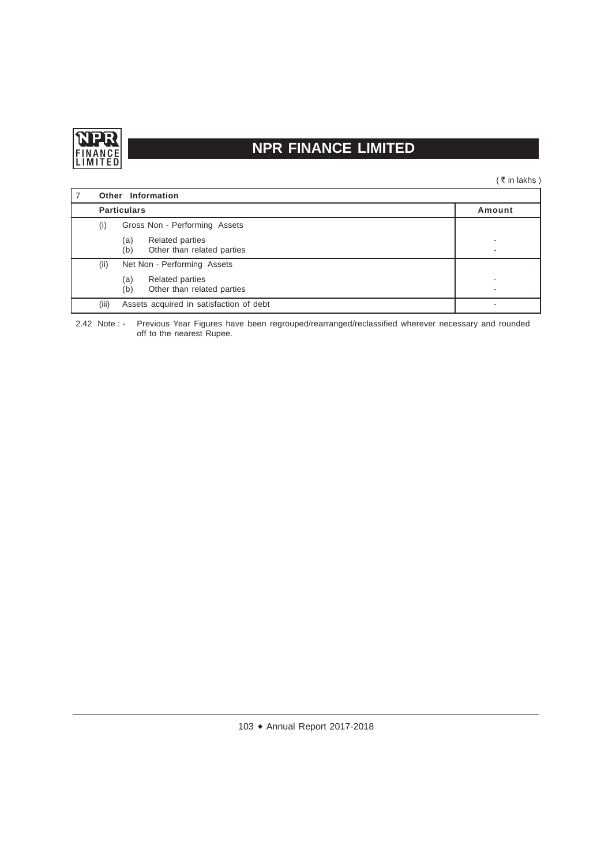

 $($  ₹ in lakhs  $)$ 

|       | Other Information                                                  |        |
|-------|--------------------------------------------------------------------|--------|
|       | <b>Particulars</b>                                                 | Amount |
| (i)   | Gross Non - Performing Assets                                      |        |
|       | <b>Related parties</b><br>(a)<br>Other than related parties<br>(b) |        |
| (ii)  | Net Non - Performing Assets                                        |        |
|       | <b>Related parties</b><br>(a)<br>Other than related parties<br>(b) | -      |
| (iii) | Assets acquired in satisfaction of debt                            |        |

2.42 Note : - Previous Year Figures have been regrouped/rearranged/reclassified wherever necessary and rounded off to the nearest Rupee.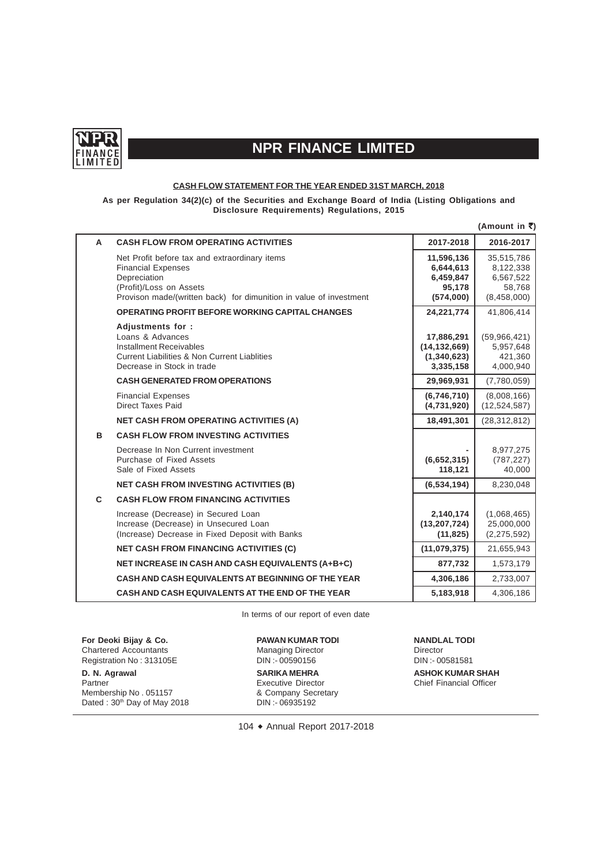

#### **CASH FLOW STATEMENT FOR THE YEAR ENDED 31ST MARCH, 2018**

**As per Regulation 34(2)(c) of the Securities and Exchange Board of India (Listing Obligations and Disclosure Requirements) Regulations, 2015**

|    | (Amount in $\bar{x}$ )                                                                                                                                                                      |                                                             |                                                               |
|----|---------------------------------------------------------------------------------------------------------------------------------------------------------------------------------------------|-------------------------------------------------------------|---------------------------------------------------------------|
| A  | <b>CASH FLOW FROM OPERATING ACTIVITIES</b>                                                                                                                                                  | 2017-2018                                                   | 2016-2017                                                     |
|    | Net Profit before tax and extraordinary items<br><b>Financial Expenses</b><br>Depreciation<br>(Profit)/Loss on Assets<br>Provison made/(written back) for dimunition in value of investment | 11,596,136<br>6,644,613<br>6,459,847<br>95,178<br>(574,000) | 35,515,786<br>8,122,338<br>6,567,522<br>58,768<br>(8,458,000) |
|    | OPERATING PROFIT BEFORE WORKING CAPITAL CHANGES                                                                                                                                             | 24,221,774                                                  | 41,806,414                                                    |
|    | Adjustments for :<br>Loans & Advances<br><b>Installment Receivables</b><br><b>Current Liabilities &amp; Non Current Liablities</b><br>Decrease in Stock in trade                            | 17,886,291<br>(14, 132, 669)<br>(1,340,623)<br>3,335,158    | (59,966,421)<br>5,957,648<br>421,360<br>4,000,940             |
|    | <b>CASH GENERATED FROM OPERATIONS</b>                                                                                                                                                       | 29.969.931                                                  | (7,780,059)                                                   |
|    | <b>Financial Expenses</b><br><b>Direct Taxes Paid</b>                                                                                                                                       | (6,746,710)<br>(4,731,920)                                  | (8,008,166)<br>(12, 524, 587)                                 |
|    | <b>NET CASH FROM OPERATING ACTIVITIES (A)</b>                                                                                                                                               | 18,491,301                                                  | (28, 312, 812)                                                |
| в  | <b>CASH FLOW FROM INVESTING ACTIVITIES</b>                                                                                                                                                  |                                                             |                                                               |
|    | Decrease In Non Current investment<br>Purchase of Fixed Assets<br>Sale of Fixed Assets                                                                                                      | (6,652,315)<br>118,121                                      | 8,977,275<br>(787, 227)<br>40,000                             |
|    | <b>NET CASH FROM INVESTING ACTIVITIES (B)</b>                                                                                                                                               | (6, 534, 194)                                               | 8,230,048                                                     |
| C. | <b>CASH FLOW FROM FINANCING ACTIVITIES</b>                                                                                                                                                  |                                                             |                                                               |
|    | Increase (Decrease) in Secured Loan<br>Increase (Decrease) in Unsecured Loan<br>(Increase) Decrease in Fixed Deposit with Banks                                                             | 2,140,174<br>(13, 207, 724)<br>(11, 825)                    | (1,068,465)<br>25,000,000<br>(2, 275, 592)                    |
|    | <b>NET CASH FROM FINANCING ACTIVITIES (C)</b>                                                                                                                                               | (11,079,375)                                                | 21,655,943                                                    |
|    | NET INCREASE IN CASH AND CASH EQUIVALENTS (A+B+C)                                                                                                                                           | 877,732                                                     | 1,573,179                                                     |
|    | CASH AND CASH EQUIVALENTS AT BEGINNING OF THE YEAR                                                                                                                                          | 4,306,186                                                   | 2,733,007                                                     |
|    | CASH AND CASH EQUIVALENTS AT THE END OF THE YEAR                                                                                                                                            | 5,183,918                                                   | 4,306,186                                                     |

In terms of our report of even date

**For Deoki Bijay & Co. PAWAN KUMAR TODI NANDLAL TODI** Chartered Accountants **Managing Director** Director **Director** Director **Director Registration No: 313105E** DIN:-00590156 Registration No: 313105E

Partner<br>
Executive Director<br>
Executive Director<br>
Chief Financial Officer<br>
Membership No. 051157<br>  $\alpha$  Company Secretary Membership No . 051157 8 Company Sec<br>
Dated : 30<sup>th</sup> Day of May 2018 DIN :- 06935192 Dated : 30<sup>th</sup> Day of May 2018

**D. N. Agrawal SARIKA MEHRA** ASHOK KUMAR SHAH